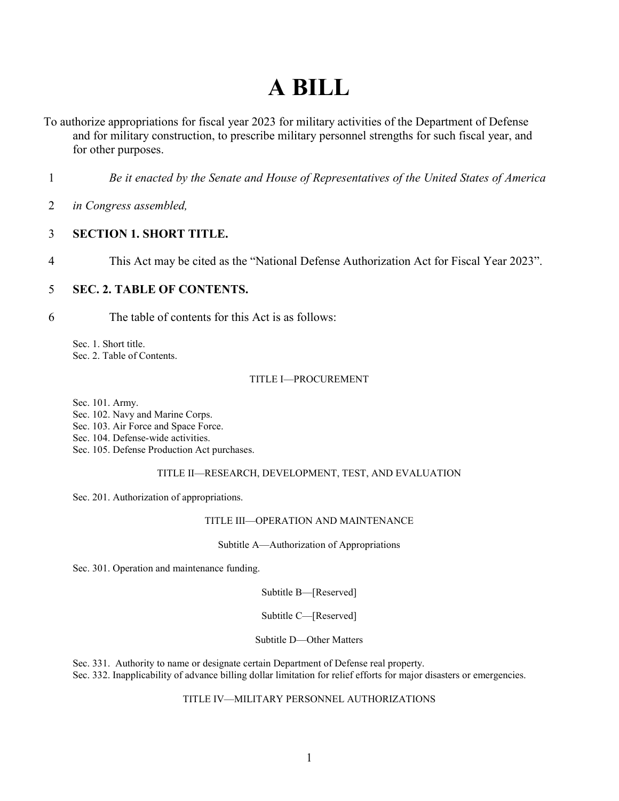# **A BILL**

- To authorize appropriations for fiscal year 2023 for military activities of the Department of Defense and for military construction, to prescribe military personnel strengths for such fiscal year, and for other purposes.
- 1 *Be it enacted by the Senate and House of Representatives of the United States of America*
- 2 *in Congress assembled,*

#### <span id="page-0-0"></span>3 **SECTION 1. SHORT TITLE.**

4 This Act may be cited as the "National Defense Authorization Act for Fiscal Year 2023".

#### <span id="page-0-1"></span>5 **SEC. 2. TABLE OF CONTENTS.**

6 The table of contents for this Act is as follows:

[Sec. 1. Short title.](#page-0-0) [Sec. 2. Table of Contents.](#page-0-1)

#### [TITLE I—PROCUREMENT](#page-4-0)

[Sec. 101. Army.](#page-4-1)

[Sec. 102. Navy and Marine Corps.](#page-4-2)

[Sec. 103. Air Force and Space Force.](#page-4-3)

[Sec. 104. Defense-wide activities.](#page-5-0)

[Sec. 105. Defense Production Act purchases.](#page-5-1)

#### [TITLE II—RESEARCH, DEVELOPMENT, TEST, AND EVALUATION](#page-5-2)

[Sec. 201. Authorization of appropriations.](#page-5-3)

#### [TITLE III—OPERATION AND MAINTENANCE](#page-5-4)

[Subtitle A—Authorization of Appropriations](#page-5-5)

[Sec. 301. Operation and maintenance funding.](#page-5-6)

[Subtitle B—\[Reserved\]](#page-7-0)

[Subtitle C—\[Reserved\]](#page-7-1)

[Subtitle D—Other Matters](#page-7-2)

[Sec. 331. Authority to name or designate certain Department of Defense real property.](#page-7-3) [Sec. 332. Inapplicability of advance billing dollar limitation for relief efforts for major disasters or emergencies.](#page-8-0)

#### [TITLE IV—MILITARY PERSONNEL AUTHORIZATIONS](#page-8-1)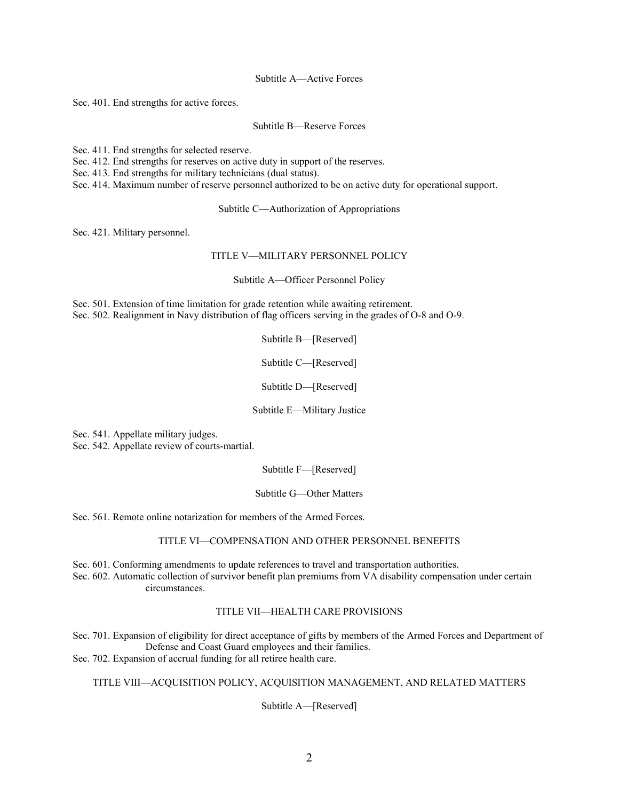[Subtitle A—Active Forces](#page-8-2)

[Sec. 401. End strengths for active forces.](#page-8-3)

[Subtitle B—Reserve Forces](#page-8-4)

[Sec. 411. End strengths for selected reserve.](#page-8-5)

[Sec. 412. End strengths for reserves on active duty in support of the reserves.](#page-9-0)

[Sec. 413. End strengths for military technicians \(dual status\).](#page-10-0)

[Sec. 414. Maximum number of reserve personnel authorized to be on active duty for operational support.](#page-10-1)

[Subtitle C—Authorization of Appropriations](#page-11-0)

[Sec. 421. Military personnel.](#page-11-1)

#### [TITLE V—MILITARY PERSONNEL POLICY](#page-11-2)

[Subtitle A—Officer Personnel Policy](#page-11-3)

[Sec. 501. Extension of time limitation for grade retention while awaiting retirement.](#page-11-4) [Sec. 502. Realignment in Navy distribution of flag officers serving in the grades of O-8 and O-9.](#page-11-5)

[Subtitle B—\[Reserved\]](#page-12-0)

[Subtitle C—\[Reserved\]](#page-12-1)

[Subtitle D—\[Reserved\]](#page-12-2)

[Subtitle E—Military Justice](#page-12-3)

[Sec. 541. Appellate military judges.](#page-12-4)

[Sec. 542. Appellate review of courts-martial.](#page-13-0)

[Subtitle F—\[Reserved\]](#page-16-0)

[Subtitle G—Other Matters](#page-16-1)

[Sec. 561. Remote online notarization for members of the Armed Forces.](#page-16-2)

#### [TITLE VI—COMPENSATION AND OTHER PERSONNEL BENEFITS](#page-16-3)

[Sec. 601. Conforming amendments to update references to travel and transportation authorities.](#page-16-4) [Sec. 602. Automatic collection of survivor benefit plan premiums from VA disability compensation under certain](#page-21-0)  [circumstances.](#page-21-0)

#### [TITLE VII—HEALTH CARE PROVISIONS](#page-23-0)

[Sec. 701. Expansion of eligibility for direct acceptance of gifts by members of the Armed Forces and Department of](#page-23-1)  [Defense and Coast Guard employees and their families.](#page-23-1)

[Sec. 702. Expansion of accrual funding for all retiree health care.](#page-24-0)

#### [TITLE VIII—ACQUISITION POLICY, ACQUISITION MANAGEMENT, AND RELATED MATTERS](#page-27-0)

[Subtitle A—\[Reserved\]](#page-27-1)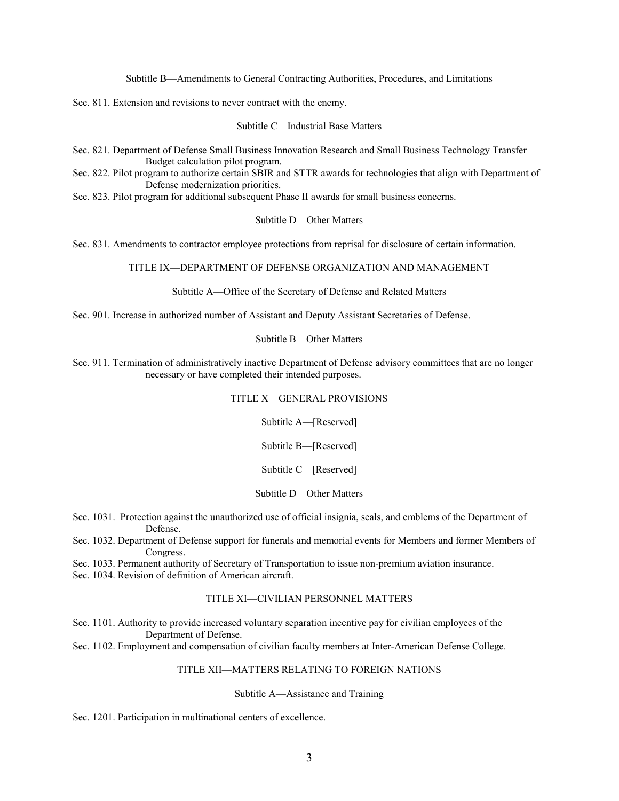[Subtitle B—Amendments to General Contracting Authorities, Procedures, and Limitations](#page-27-2)

[Sec. 811. Extension and revisions to never contract with the enemy.](#page-27-3)

[Subtitle C—Industrial Base Matters](#page-33-0)

[Sec. 821. Department of Defense Small Business Innovation Research and Small Business Technology Transfer](#page-33-1) [Budget calculation pilot program.](#page-33-1)

[Sec. 822. Pilot program to authorize certain SBIR and STTR awards for technologies that align with Department of](#page-35-0)  [Defense modernization priorities.](#page-35-0)

[Sec. 823. Pilot program for additional subsequent Phase II awards for small business concerns.](#page-36-0)

[Subtitle D—Other Matters](#page-37-0)

[Sec. 831. Amendments to contractor employee protections from reprisal for disclosure of certain information.](#page-37-1)

[TITLE IX—DEPARTMENT OF DEFENSE ORGANIZATION AND MANAGEMENT](#page-38-0)

[Subtitle A—Office of the Secretary of Defense and Related Matters](#page-38-1)

[Sec. 901. Increase in authorized number of Assistant and Deputy Assistant Secretaries of Defense.](#page-38-2)

[Subtitle B—Other Matters](#page-40-0)

[Sec. 911. Termination of administratively inactive Department of Defense advisory committees that are no longer](#page-40-1)  [necessary or have completed their intended purposes.](#page-40-1)

#### [TITLE X—GENERAL PROVISIONS](#page-40-2)

[Subtitle A—\[Reserved\]](#page-41-0)

[Subtitle B—\[Reserved\]](#page-41-1)

[Subtitle C—\[Reserved\]](#page-41-2)

#### [Subtitle D—Other Matters](#page-41-3)

[Sec. 1031. Protection against the unauthorized use of official insignia, seals, and emblems of the Department of](#page-41-4)  [Defense.](#page-41-4)

[Sec. 1032. Department of Defense support for funerals and memorial events for Members and former Members of](#page-43-0)  [Congress.](#page-43-0)

[Sec. 1033. Permanent authority of Secretary of Transportation to issue non-premium aviation insurance.](#page-44-0)

[Sec. 1034. Revision of definition of American aircraft.](#page-44-1)

#### [TITLE XI—CIVILIAN PERSONNEL MATTERS](#page-44-2)

[Sec. 1101. Authority to provide increased voluntary separation incentive pay for civilian employees of the](#page-44-3)  [Department of Defense.](#page-44-3)

[Sec. 1102. Employment and compensation of civilian faculty members at Inter-American Defense College.](#page-45-0)

#### [TITLE XII—MATTERS RELATING TO FOREIGN NATIONS](#page-45-1)

#### [Subtitle A—Assistance and Training](#page-45-2)

[Sec. 1201. Participation in multinational centers of excellence.](#page-45-3)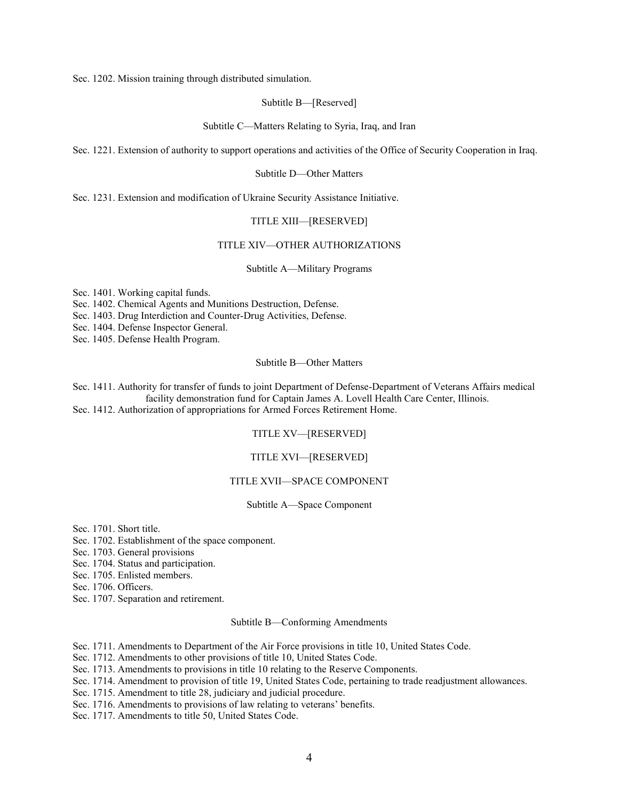[Sec. 1202. Mission training through distributed simulation.](#page-45-4)

[Subtitle B—\[Reserved\]](#page-47-0)

[Subtitle C—Matters Relating to Syria, Iraq, and Iran](#page-47-1)

[Sec. 1221. Extension of authority to support operations and activities of the Office of Security Cooperation in Iraq.](#page-47-2)

[Subtitle D—Other Matters](#page-47-3)

[Sec. 1231. Extension and modification of Ukraine Security Assistance Initiative.](#page-47-4)

#### [TITLE XIII—\[RESERVED\]](#page-48-0)

#### [TITLE XIV—OTHER AUTHORIZATIONS](#page-48-1)

[Subtitle A—Military Programs](#page-48-2)

[Sec. 1401. Working capital funds.](#page-48-3)

[Sec. 1402. Chemical Agents and Munitions Destruction, Defense.](#page-48-4)

[Sec. 1403. Drug Interdiction and Counter-Drug Activities, Defense.](#page-49-0)

[Sec. 1404. Defense Inspector General.](#page-49-1)

[Sec. 1405. Defense Health Program.](#page-49-2)

[Subtitle B—Other Matters](#page-50-0)

[Sec. 1411. Authority for transfer of funds to joint Department of Defense-Department of Veterans Affairs medical](#page-50-1)  [facility demonstration fund for Captain James A. Lovell Health Care Center, Illinois.](#page-50-1) [Sec. 1412. Authorization of appropriations for Armed Forces Retirement Home.](#page-50-2)

#### [TITLE XV—\[RESERVED\]](#page-51-0)

#### [TITLE XVI—\[RESERVED\]](#page-51-1)

#### [TITLE XVII—SPACE COMPONENT](#page-51-2)

#### [Subtitle A—Space Component](#page-51-3)

[Sec. 1701. Short title.](#page-51-4)

[Sec. 1702. Establishment of the space component.](#page-51-5)

[Sec. 1703. General provisions](#page-51-6)

[Sec. 1704. Status and participation.](#page-58-0)

[Sec. 1705. Enlisted members.](#page-67-0)

[Sec. 1706. Officers.](#page-68-0)

[Sec. 1707. Separation and retirement.](#page-100-0)

#### [Subtitle B—Conforming Amendments](#page-112-0)

[Sec. 1711. Amendments to Department of the Air Force provisions in title 10, United States Code.](#page-112-1)

[Sec. 1712. Amendments to other provisions of title 10, United States Code.](#page-116-0)

[Sec. 1713. Amendments to provisions in title 10 relating to the Reserve Components.](#page-131-0)

[Sec. 1714. Amendment to provision of title 19, United States Code, pertaining to trade readjustment allowances.](#page-131-1)

[Sec. 1715. Amendment to title 28, judiciary and judicial procedure.](#page-131-2)

[Sec. 1716. Amendments to provisions of law relating to veterans' benefits.](#page-132-0)

[Sec. 1717. Amendments to title 50, United States Code.](#page-133-0)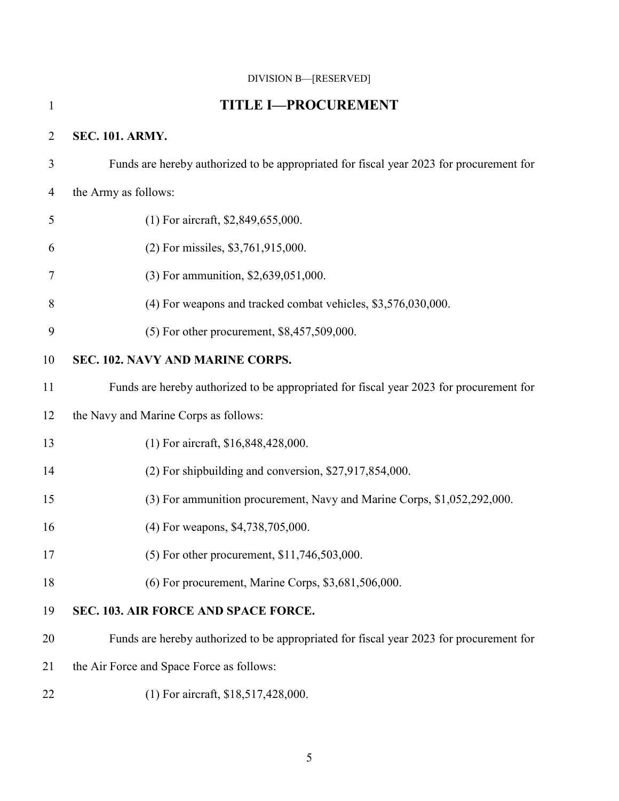### <span id="page-4-0"></span>[DIVISION B—\[RESERVED\]](#page-133-1)

<span id="page-4-3"></span><span id="page-4-2"></span><span id="page-4-1"></span>

| $\mathbf{1}$   | <b>TITLE I-PROCUREMENT</b>                                                              |
|----------------|-----------------------------------------------------------------------------------------|
| $\overline{2}$ | <b>SEC. 101. ARMY.</b>                                                                  |
| 3              | Funds are hereby authorized to be appropriated for fiscal year 2023 for procurement for |
| 4              | the Army as follows:                                                                    |
| 5              | (1) For aircraft, \$2,849,655,000.                                                      |
| 6              | (2) For missiles, \$3,761,915,000.                                                      |
| 7              | (3) For ammunition, \$2,639,051,000.                                                    |
| 8              | (4) For weapons and tracked combat vehicles, \$3,576,030,000.                           |
| 9              | (5) For other procurement, \$8,457,509,000.                                             |
| 10             | SEC. 102. NAVY AND MARINE CORPS.                                                        |
| 11             | Funds are hereby authorized to be appropriated for fiscal year 2023 for procurement for |
| 12             | the Navy and Marine Corps as follows:                                                   |
| 13             | (1) For aircraft, \$16,848,428,000.                                                     |
| 14             | (2) For shipbuilding and conversion, \$27,917,854,000.                                  |
| 15             | (3) For ammunition procurement, Navy and Marine Corps, \$1,052,292,000.                 |
| 16             | (4) For weapons, \$4,738,705,000.                                                       |
| 17             | (5) For other procurement, \$11,746,503,000.                                            |
| 18             | (6) For procurement, Marine Corps, \$3,681,506,000.                                     |
| 19             | SEC. 103. AIR FORCE AND SPACE FORCE.                                                    |
| 20             | Funds are hereby authorized to be appropriated for fiscal year 2023 for procurement for |
| 21             | the Air Force and Space Force as follows:                                               |
| 22             | (1) For aircraft, \$18,517,428,000.                                                     |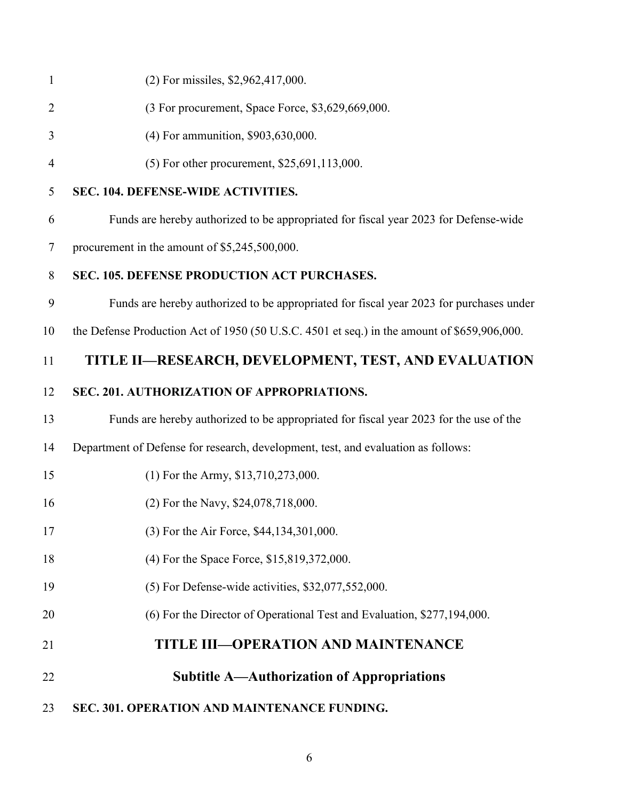<span id="page-5-6"></span><span id="page-5-5"></span><span id="page-5-4"></span><span id="page-5-3"></span><span id="page-5-2"></span><span id="page-5-1"></span><span id="page-5-0"></span>

| $\mathbf{1}$   | (2) For missiles, \$2,962,417,000.                                                          |
|----------------|---------------------------------------------------------------------------------------------|
| $\overline{2}$ | (3 For procurement, Space Force, \$3,629,669,000.                                           |
| 3              | (4) For ammunition, \$903,630,000.                                                          |
| $\overline{4}$ | (5) For other procurement, \$25,691,113,000.                                                |
| 5              | SEC. 104. DEFENSE-WIDE ACTIVITIES.                                                          |
| 6              | Funds are hereby authorized to be appropriated for fiscal year 2023 for Defense-wide        |
| 7              | procurement in the amount of \$5,245,500,000.                                               |
| 8              | SEC. 105. DEFENSE PRODUCTION ACT PURCHASES.                                                 |
| 9              | Funds are hereby authorized to be appropriated for fiscal year 2023 for purchases under     |
| 10             | the Defense Production Act of 1950 (50 U.S.C. 4501 et seq.) in the amount of \$659,906,000. |
| 11             | TITLE II-RESEARCH, DEVELOPMENT, TEST, AND EVALUATION                                        |
| 12             | SEC. 201. AUTHORIZATION OF APPROPRIATIONS.                                                  |
| 13             | Funds are hereby authorized to be appropriated for fiscal year 2023 for the use of the      |
| 14             | Department of Defense for research, development, test, and evaluation as follows:           |
| 15             | $(1)$ For the Army, \$13,710,273,000.                                                       |
| 16             | (2) For the Navy, \$24,078,718,000.                                                         |
| 17             | (3) For the Air Force, \$44,134,301,000.                                                    |
| 18             | (4) For the Space Force, \$15,819,372,000.                                                  |
| 19             | (5) For Defense-wide activities, \$32,077,552,000.                                          |
| 20             | (6) For the Director of Operational Test and Evaluation, \$277,194,000.                     |
| 21             | <b>TITLE III-OPERATION AND MAINTENANCE</b>                                                  |
| 22             | <b>Subtitle A—Authorization of Appropriations</b>                                           |
| 23             | SEC. 301. OPERATION AND MAINTENANCE FUNDING.                                                |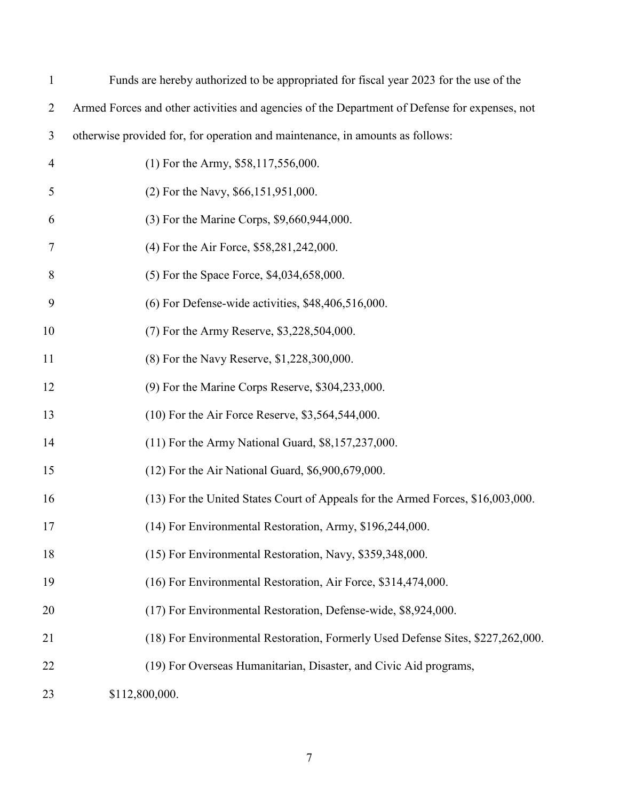| $\mathbf{1}$   | Funds are hereby authorized to be appropriated for fiscal year 2023 for the use of the        |
|----------------|-----------------------------------------------------------------------------------------------|
| $\overline{2}$ | Armed Forces and other activities and agencies of the Department of Defense for expenses, not |
| 3              | otherwise provided for, for operation and maintenance, in amounts as follows:                 |
| $\overline{4}$ | $(1)$ For the Army, \$58,117,556,000.                                                         |
| 5              | (2) For the Navy, \$66,151,951,000.                                                           |
| 6              | (3) For the Marine Corps, \$9,660,944,000.                                                    |
| 7              | (4) For the Air Force, \$58,281,242,000.                                                      |
| 8              | (5) For the Space Force, \$4,034,658,000.                                                     |
| 9              | $(6)$ For Defense-wide activities, \$48,406,516,000.                                          |
| 10             | (7) For the Army Reserve, \$3,228,504,000.                                                    |
| 11             | (8) For the Navy Reserve, \$1,228,300,000.                                                    |
| 12             | $(9)$ For the Marine Corps Reserve, \$304,233,000.                                            |
| 13             | (10) For the Air Force Reserve, \$3,564,544,000.                                              |
| 14             | $(11)$ For the Army National Guard, \$8,157,237,000.                                          |
| 15             | (12) For the Air National Guard, \$6,900,679,000.                                             |
| 16             | (13) For the United States Court of Appeals for the Armed Forces, \$16,003,000.               |
| 17             | (14) For Environmental Restoration, Army, \$196,244,000.                                      |
| 18             | (15) For Environmental Restoration, Navy, \$359,348,000.                                      |
| 19             | (16) For Environmental Restoration, Air Force, \$314,474,000.                                 |
| 20             | (17) For Environmental Restoration, Defense-wide, \$8,924,000.                                |
| 21             | (18) For Environmental Restoration, Formerly Used Defense Sites, \$227,262,000.               |
| 22             | (19) For Overseas Humanitarian, Disaster, and Civic Aid programs,                             |
| 23             | \$112,800,000.                                                                                |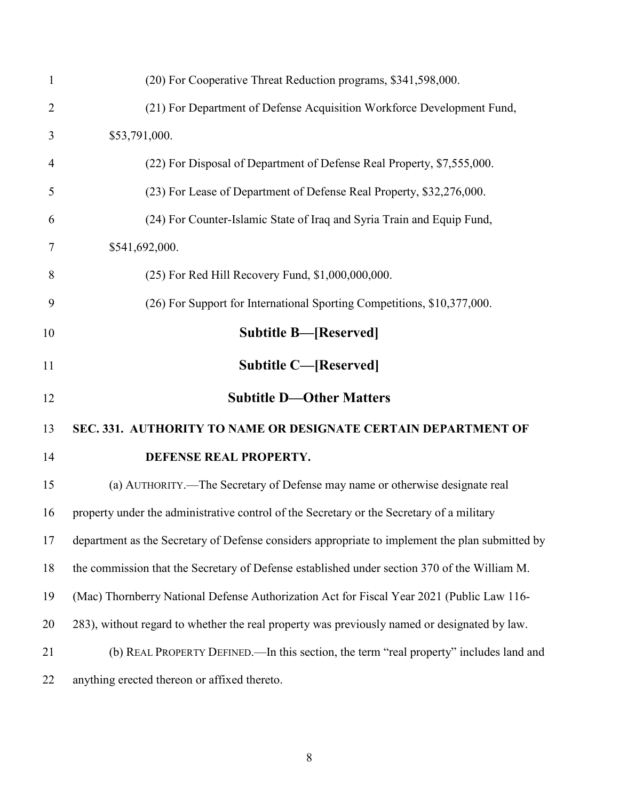<span id="page-7-3"></span><span id="page-7-2"></span><span id="page-7-1"></span><span id="page-7-0"></span>

| $\mathbf{1}$   | (20) For Cooperative Threat Reduction programs, \$341,598,000.                                  |
|----------------|-------------------------------------------------------------------------------------------------|
| $\overline{2}$ | (21) For Department of Defense Acquisition Workforce Development Fund,                          |
| 3              | \$53,791,000.                                                                                   |
| $\overline{4}$ | (22) For Disposal of Department of Defense Real Property, \$7,555,000.                          |
| 5              | (23) For Lease of Department of Defense Real Property, \$32,276,000.                            |
| 6              | (24) For Counter-Islamic State of Iraq and Syria Train and Equip Fund,                          |
| 7              | \$541,692,000.                                                                                  |
| 8              | (25) For Red Hill Recovery Fund, \$1,000,000,000.                                               |
| 9              | (26) For Support for International Sporting Competitions, \$10,377,000.                         |
| 10             | <b>Subtitle B—[Reserved]</b>                                                                    |
| 11             | <b>Subtitle C—[Reserved]</b>                                                                    |
| 12             | <b>Subtitle D-Other Matters</b>                                                                 |
| 13             | SEC. 331. AUTHORITY TO NAME OR DESIGNATE CERTAIN DEPARTMENT OF                                  |
| 14             | DEFENSE REAL PROPERTY.                                                                          |
| 15             | (a) AUTHORITY.—The Secretary of Defense may name or otherwise designate real                    |
| 16             | property under the administrative control of the Secretary or the Secretary of a military       |
| 17             | department as the Secretary of Defense considers appropriate to implement the plan submitted by |
| 18             | the commission that the Secretary of Defense established under section 370 of the William M.    |
| 19             | (Mac) Thornberry National Defense Authorization Act for Fiscal Year 2021 (Public Law 116-       |
| 20             | 283), without regard to whether the real property was previously named or designated by law.    |
| 21             | (b) REAL PROPERTY DEFINED.—In this section, the term "real property" includes land and          |
| 22             | anything erected thereon or affixed thereto.                                                    |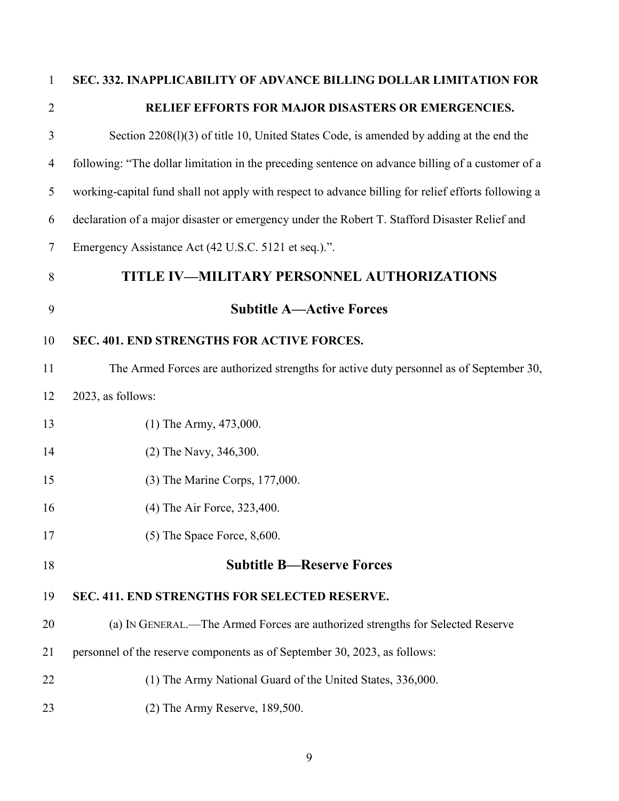<span id="page-8-3"></span><span id="page-8-2"></span><span id="page-8-1"></span><span id="page-8-0"></span>

| $\mathbf{1}$   | SEC. 332. INAPPLICABILITY OF ADVANCE BILLING DOLLAR LIMITATION FOR                                  |
|----------------|-----------------------------------------------------------------------------------------------------|
| $\overline{2}$ | RELIEF EFFORTS FOR MAJOR DISASTERS OR EMERGENCIES.                                                  |
| 3              | Section 2208(1)(3) of title 10, United States Code, is amended by adding at the end the             |
| 4              | following: "The dollar limitation in the preceding sentence on advance billing of a customer of a   |
| 5              | working-capital fund shall not apply with respect to advance billing for relief efforts following a |
| 6              | declaration of a major disaster or emergency under the Robert T. Stafford Disaster Relief and       |
| 7              | Emergency Assistance Act (42 U.S.C. 5121 et seq.).".                                                |
| 8              | TITLE IV-MILITARY PERSONNEL AUTHORIZATIONS                                                          |
| 9              | <b>Subtitle A—Active Forces</b>                                                                     |
| 10             | SEC. 401. END STRENGTHS FOR ACTIVE FORCES.                                                          |
| 11             | The Armed Forces are authorized strengths for active duty personnel as of September 30,             |
| 12             | 2023, as follows:                                                                                   |
| 13             | $(1)$ The Army, 473,000.                                                                            |
| 14             | (2) The Navy, 346,300.                                                                              |
| 15             | (3) The Marine Corps, 177,000.                                                                      |
| 16             | (4) The Air Force, 323,400.                                                                         |
| 17             | $(5)$ The Space Force, 8,600.                                                                       |
| 18             | <b>Subtitle B-Reserve Forces</b>                                                                    |
| 19             | SEC. 411. END STRENGTHS FOR SELECTED RESERVE.                                                       |
| 20             | (a) IN GENERAL.—The Armed Forces are authorized strengths for Selected Reserve                      |
| 21             | personnel of the reserve components as of September 30, 2023, as follows:                           |
| 22             | (1) The Army National Guard of the United States, 336,000.                                          |
|                |                                                                                                     |

<span id="page-8-5"></span><span id="page-8-4"></span>(2) The Army Reserve, 189,500.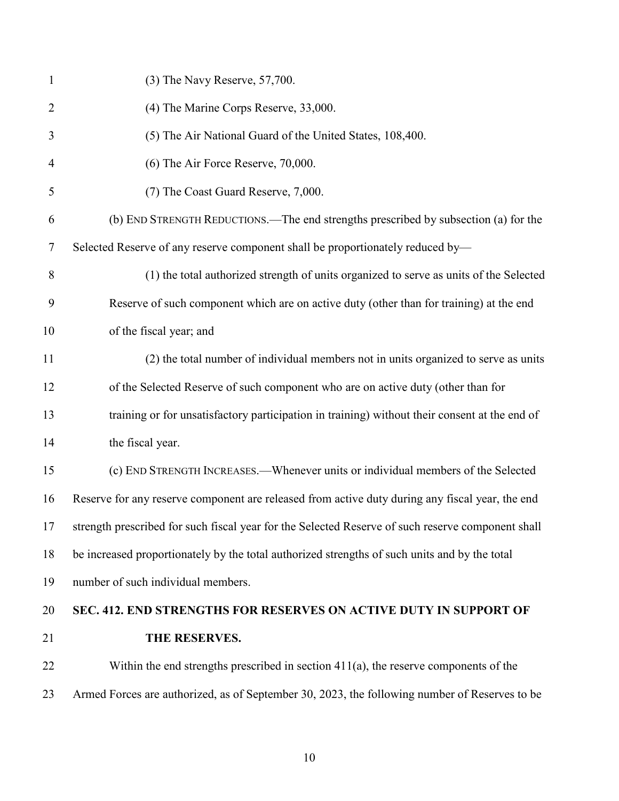<span id="page-9-0"></span>

| 1              | (3) The Navy Reserve, 57,700.                                                                     |
|----------------|---------------------------------------------------------------------------------------------------|
| $\overline{2}$ | (4) The Marine Corps Reserve, 33,000.                                                             |
| 3              | (5) The Air National Guard of the United States, 108,400.                                         |
| $\overline{4}$ | (6) The Air Force Reserve, 70,000.                                                                |
| 5              | (7) The Coast Guard Reserve, 7,000.                                                               |
| 6              | (b) END STRENGTH REDUCTIONS.—The end strengths prescribed by subsection (a) for the               |
| $\tau$         | Selected Reserve of any reserve component shall be proportionately reduced by-                    |
| 8              | (1) the total authorized strength of units organized to serve as units of the Selected            |
| 9              | Reserve of such component which are on active duty (other than for training) at the end           |
| 10             | of the fiscal year; and                                                                           |
| 11             | (2) the total number of individual members not in units organized to serve as units               |
| 12             | of the Selected Reserve of such component who are on active duty (other than for                  |
| 13             | training or for unsatisfactory participation in training) without their consent at the end of     |
| 14             | the fiscal year.                                                                                  |
| 15             | (c) END STRENGTH INCREASES.—Whenever units or individual members of the Selected                  |
| 16             | Reserve for any reserve component are released from active duty during any fiscal year, the end   |
| 17             | strength prescribed for such fiscal year for the Selected Reserve of such reserve component shall |
| 18             | be increased proportionately by the total authorized strengths of such units and by the total     |
| 19             | number of such individual members.                                                                |
| 20             | SEC. 412. END STRENGTHS FOR RESERVES ON ACTIVE DUTY IN SUPPORT OF                                 |
| 21             | THE RESERVES.                                                                                     |
| 22             | Within the end strengths prescribed in section $411(a)$ , the reserve components of the           |
| 23             | Armed Forces are authorized, as of September 30, 2023, the following number of Reserves to be     |
|                |                                                                                                   |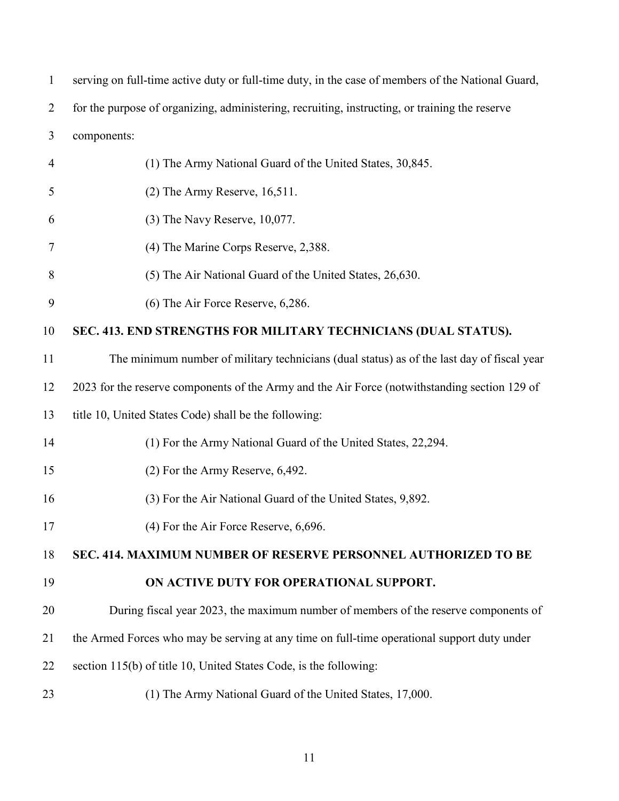<span id="page-10-1"></span><span id="page-10-0"></span>

| $\mathbf{1}$   | serving on full-time active duty or full-time duty, in the case of members of the National Guard, |
|----------------|---------------------------------------------------------------------------------------------------|
| $\overline{2}$ | for the purpose of organizing, administering, recruiting, instructing, or training the reserve    |
| 3              | components:                                                                                       |
| $\overline{4}$ | (1) The Army National Guard of the United States, 30,845.                                         |
| 5              | $(2)$ The Army Reserve, 16,511.                                                                   |
| 6              | $(3)$ The Navy Reserve, 10,077.                                                                   |
| 7              | (4) The Marine Corps Reserve, 2,388.                                                              |
| 8              | (5) The Air National Guard of the United States, 26,630.                                          |
| 9              | (6) The Air Force Reserve, 6,286.                                                                 |
| 10             | SEC. 413. END STRENGTHS FOR MILITARY TECHNICIANS (DUAL STATUS).                                   |
| 11             | The minimum number of military technicians (dual status) as of the last day of fiscal year        |
| 12             | 2023 for the reserve components of the Army and the Air Force (notwithstanding section 129 of     |
| 13             | title 10, United States Code) shall be the following:                                             |
| 14             | (1) For the Army National Guard of the United States, 22,294.                                     |
| 15             | (2) For the Army Reserve, 6,492.                                                                  |
| 16             | (3) For the Air National Guard of the United States, 9,892.                                       |
| 17             | $(4)$ For the Air Force Reserve, 6,696.                                                           |
| 18             | SEC. 414. MAXIMUM NUMBER OF RESERVE PERSONNEL AUTHORIZED TO BE                                    |
| 19             | ON ACTIVE DUTY FOR OPERATIONAL SUPPORT.                                                           |
| 20             | During fiscal year 2023, the maximum number of members of the reserve components of               |
| 21             | the Armed Forces who may be serving at any time on full-time operational support duty under       |
| 22             | section 115(b) of title 10, United States Code, is the following:                                 |
| 23             | (1) The Army National Guard of the United States, 17,000.                                         |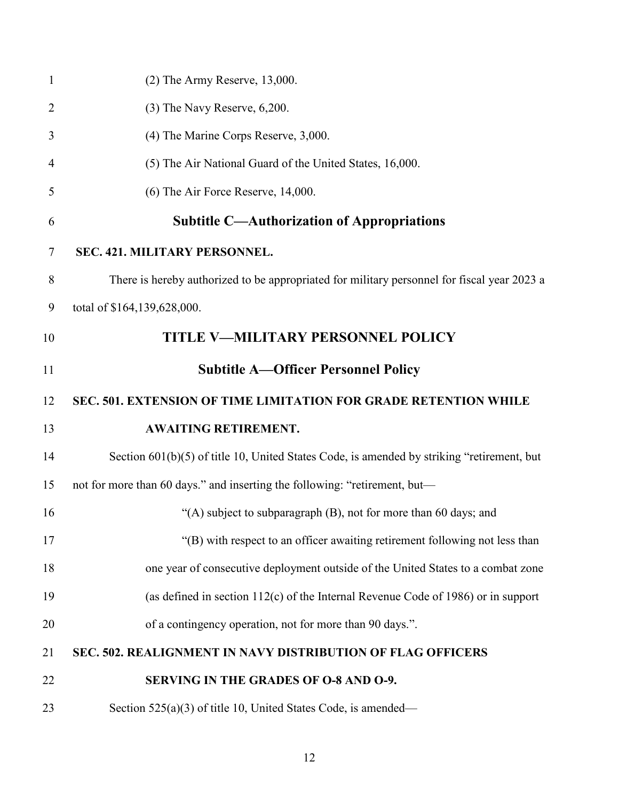<span id="page-11-5"></span><span id="page-11-4"></span><span id="page-11-3"></span><span id="page-11-2"></span><span id="page-11-1"></span><span id="page-11-0"></span>

| $\mathbf{1}$   | $(2)$ The Army Reserve, 13,000.                                                             |
|----------------|---------------------------------------------------------------------------------------------|
| $\overline{2}$ | $(3)$ The Navy Reserve, $6,200$ .                                                           |
| 3              | (4) The Marine Corps Reserve, 3,000.                                                        |
| 4              | (5) The Air National Guard of the United States, 16,000.                                    |
| 5              | (6) The Air Force Reserve, 14,000.                                                          |
| 6              | <b>Subtitle C—Authorization of Appropriations</b>                                           |
| 7              | SEC. 421. MILITARY PERSONNEL.                                                               |
| 8              | There is hereby authorized to be appropriated for military personnel for fiscal year 2023 a |
| 9              | total of \$164,139,628,000.                                                                 |
| 10             | <b>TITLE V-MILITARY PERSONNEL POLICY</b>                                                    |
| 11             | <b>Subtitle A—Officer Personnel Policy</b>                                                  |
| 12             | SEC. 501. EXTENSION OF TIME LIMITATION FOR GRADE RETENTION WHILE                            |
| 13             | <b>AWAITING RETIREMENT.</b>                                                                 |
| 14             | Section 601(b)(5) of title 10, United States Code, is amended by striking "retirement, but  |
| 15             | not for more than 60 days." and inserting the following: "retirement, but-                  |
| 16             | "(A) subject to subparagraph (B), not for more than 60 days; and                            |
| 17             | "(B) with respect to an officer awaiting retirement following not less than                 |
| 18             | one year of consecutive deployment outside of the United States to a combat zone            |
| 19             | (as defined in section 112(c) of the Internal Revenue Code of 1986) or in support           |
| 20             | of a contingency operation, not for more than 90 days.".                                    |
| 21             | SEC. 502. REALIGNMENT IN NAVY DISTRIBUTION OF FLAG OFFICERS                                 |
| 22             | SERVING IN THE GRADES OF O-8 AND O-9.                                                       |
| 23             | Section $525(a)(3)$ of title 10, United States Code, is amended—                            |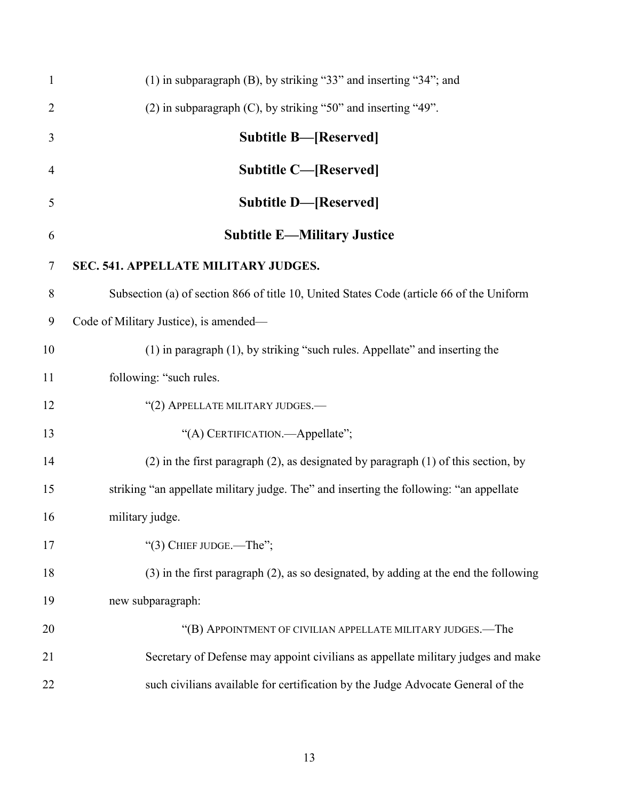<span id="page-12-4"></span><span id="page-12-3"></span><span id="page-12-2"></span><span id="page-12-1"></span><span id="page-12-0"></span>

| $\mathbf{1}$   | (1) in subparagraph (B), by striking "33" and inserting "34"; and                         |
|----------------|-------------------------------------------------------------------------------------------|
| $\overline{2}$ | (2) in subparagraph (C), by striking "50" and inserting "49".                             |
| 3              | <b>Subtitle B-[Reserved]</b>                                                              |
| $\overline{4}$ | <b>Subtitle C-[Reserved]</b>                                                              |
| 5              | <b>Subtitle D-[Reserved]</b>                                                              |
| 6              | <b>Subtitle E-Military Justice</b>                                                        |
| $\overline{7}$ | SEC. 541. APPELLATE MILITARY JUDGES.                                                      |
| 8              | Subsection (a) of section 866 of title 10, United States Code (article 66 of the Uniform  |
| 9              | Code of Military Justice), is amended—                                                    |
| 10             | (1) in paragraph (1), by striking "such rules. Appellate" and inserting the               |
| 11             | following: "such rules.                                                                   |
| 12             | "(2) APPELLATE MILITARY JUDGES.-                                                          |
| 13             | "(A) CERTIFICATION.—Appellate";                                                           |
| 14             | $(2)$ in the first paragraph $(2)$ , as designated by paragraph $(1)$ of this section, by |
| 15             | striking "an appellate military judge. The" and inserting the following: "an appellate    |
| 16             | military judge.                                                                           |
| 17             | "(3) CHIEF JUDGE.—The";                                                                   |
| 18             | $(3)$ in the first paragraph $(2)$ , as so designated, by adding at the end the following |
| 19             | new subparagraph:                                                                         |
| 20             | "(B) APPOINTMENT OF CIVILIAN APPELLATE MILITARY JUDGES.—The                               |
| 21             | Secretary of Defense may appoint civilians as appellate military judges and make          |
| 22             | such civilians available for certification by the Judge Advocate General of the           |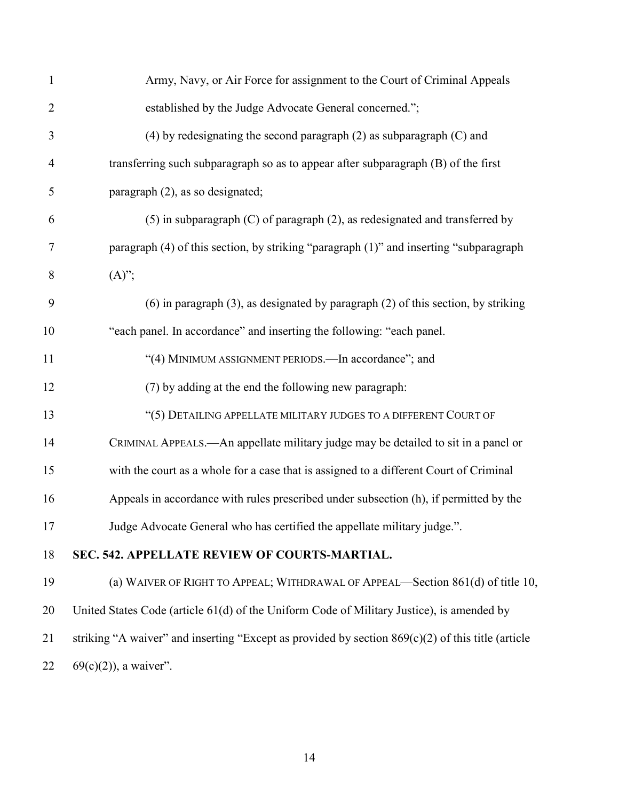| $\mathbf{1}$   | Army, Navy, or Air Force for assignment to the Court of Criminal Appeals                            |
|----------------|-----------------------------------------------------------------------------------------------------|
| $\overline{2}$ | established by the Judge Advocate General concerned.";                                              |
| 3              | $(4)$ by redesignating the second paragraph $(2)$ as subparagraph $(C)$ and                         |
| $\overline{4}$ | transferring such subparagraph so as to appear after subparagraph (B) of the first                  |
| 5              | paragraph (2), as so designated;                                                                    |
| 6              | $(5)$ in subparagraph $(C)$ of paragraph $(2)$ , as redesignated and transferred by                 |
| $\tau$         | paragraph (4) of this section, by striking "paragraph (1)" and inserting "subparagraph              |
| 8              | $(A)$ ";                                                                                            |
| 9              | $(6)$ in paragraph $(3)$ , as designated by paragraph $(2)$ of this section, by striking            |
| 10             | "each panel. In accordance" and inserting the following: "each panel.                               |
| 11             | "(4) MINIMUM ASSIGNMENT PERIODS.—In accordance"; and                                                |
| 12             | (7) by adding at the end the following new paragraph:                                               |
| 13             | "(5) DETAILING APPELLATE MILITARY JUDGES TO A DIFFERENT COURT OF                                    |
| 14             | CRIMINAL APPEALS.—An appellate military judge may be detailed to sit in a panel or                  |
| 15             | with the court as a whole for a case that is assigned to a different Court of Criminal              |
| 16             | Appeals in accordance with rules prescribed under subsection (h), if permitted by the               |
| 17             | Judge Advocate General who has certified the appellate military judge.".                            |
| 18             | SEC. 542. APPELLATE REVIEW OF COURTS-MARTIAL.                                                       |
| 19             | (a) WAIVER OF RIGHT TO APPEAL; WITHDRAWAL OF APPEAL—Section 861(d) of title 10,                     |
| 20             | United States Code (article 61(d) of the Uniform Code of Military Justice), is amended by           |
| 21             | striking "A waiver" and inserting "Except as provided by section $869(c)(2)$ of this title (article |
|                |                                                                                                     |

<span id="page-13-0"></span>22 69(c)(2)), a waiver".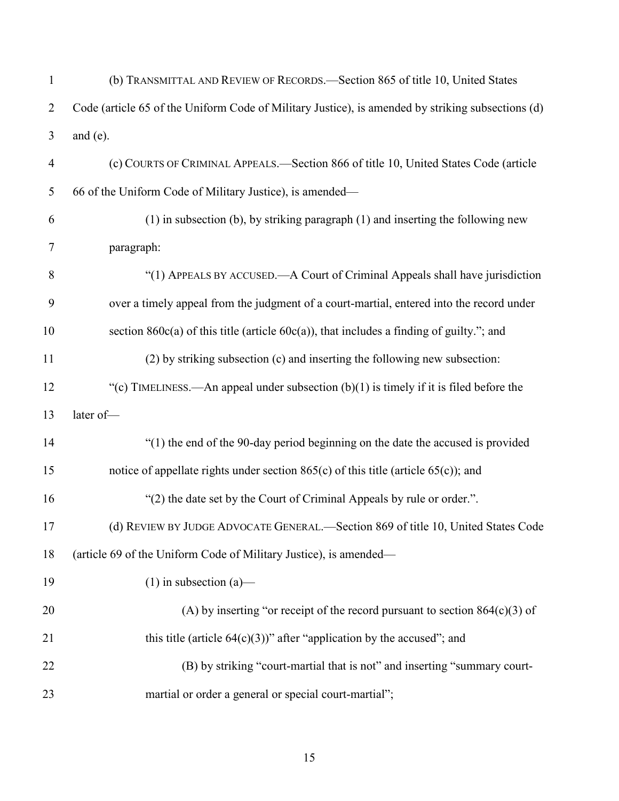| $\mathbf{1}$   | (b) TRANSMITTAL AND REVIEW OF RECORDS.—Section 865 of title 10, United States                     |
|----------------|---------------------------------------------------------------------------------------------------|
| $\overline{2}$ | Code (article 65 of the Uniform Code of Military Justice), is amended by striking subsections (d) |
| 3              | and $(e)$ .                                                                                       |
| $\overline{4}$ | (c) COURTS OF CRIMINAL APPEALS.—Section 866 of title 10, United States Code (article              |
| 5              | 66 of the Uniform Code of Military Justice), is amended—                                          |
| 6              | $(1)$ in subsection (b), by striking paragraph $(1)$ and inserting the following new              |
| 7              | paragraph:                                                                                        |
| 8              | "(1) APPEALS BY ACCUSED.—A Court of Criminal Appeals shall have jurisdiction                      |
| 9              | over a timely appeal from the judgment of a court-martial, entered into the record under          |
| 10             | section $860c(a)$ of this title (article $60c(a)$ ), that includes a finding of guilty."; and     |
| 11             | (2) by striking subsection (c) and inserting the following new subsection:                        |
| 12             | "(c) TIMELINESS.—An appeal under subsection $(b)(1)$ is timely if it is filed before the          |
| 13             | later of-                                                                                         |
| 14             | "(1) the end of the 90-day period beginning on the date the accused is provided                   |
| 15             | notice of appellate rights under section $865(c)$ of this title (article $65(c)$ ); and           |
| 16             | "(2) the date set by the Court of Criminal Appeals by rule or order.".                            |
| 17             | (d) REVIEW BY JUDGE ADVOCATE GENERAL.—Section 869 of title 10, United States Code                 |
| 18             | (article 69 of the Uniform Code of Military Justice), is amended—                                 |
| 19             | $(1)$ in subsection $(a)$ —                                                                       |
| 20             | (A) by inserting "or receipt of the record pursuant to section $864(c)(3)$ of                     |
| 21             | this title (article $64(c)(3)$ )" after "application by the accused"; and                         |
| 22             | (B) by striking "court-martial that is not" and inserting "summary court-                         |
| 23             | martial or order a general or special court-martial";                                             |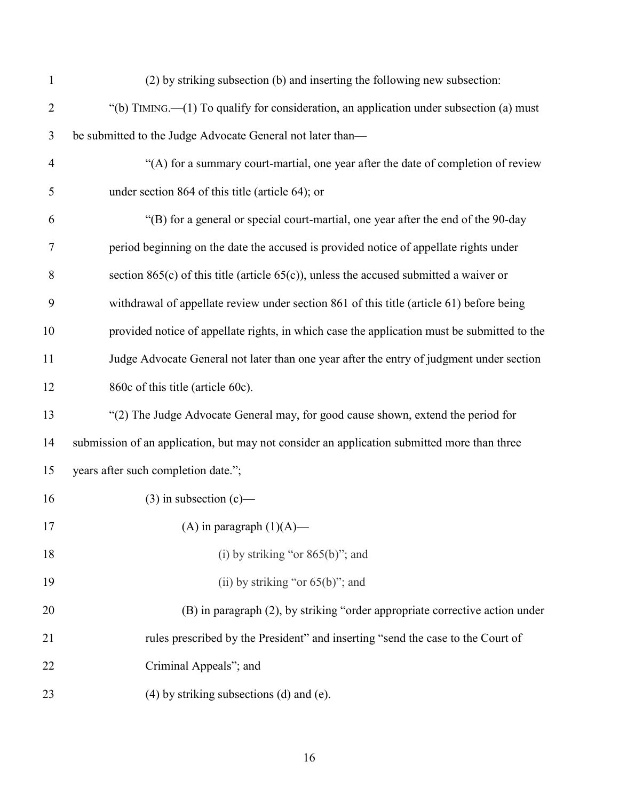| $\mathbf{1}$   | (2) by striking subsection (b) and inserting the following new subsection:                  |
|----------------|---------------------------------------------------------------------------------------------|
| $\overline{2}$ | "(b) TIMING.—(1) To qualify for consideration, an application under subsection (a) must     |
| 3              | be submitted to the Judge Advocate General not later than-                                  |
| $\overline{4}$ | "(A) for a summary court-martial, one year after the date of completion of review           |
| 5              | under section 864 of this title (article 64); or                                            |
| 6              | "(B) for a general or special court-martial, one year after the end of the 90-day           |
| 7              | period beginning on the date the accused is provided notice of appellate rights under       |
| 8              | section $865(c)$ of this title (article $65(c)$ ), unless the accused submitted a waiver or |
| 9              | withdrawal of appellate review under section 861 of this title (article 61) before being    |
| 10             | provided notice of appellate rights, in which case the application must be submitted to the |
| 11             | Judge Advocate General not later than one year after the entry of judgment under section    |
| 12             | 860c of this title (article 60c).                                                           |
| 13             | "(2) The Judge Advocate General may, for good cause shown, extend the period for            |
| 14             | submission of an application, but may not consider an application submitted more than three |
| 15             | years after such completion date.";                                                         |
| 16             | $(3)$ in subsection $(c)$ —                                                                 |
| 17             | (A) in paragraph $(1)(A)$ —                                                                 |
| 18             | (i) by striking "or $865(b)$ "; and                                                         |
| 19             | (ii) by striking "or $65(b)$ "; and                                                         |
| 20             | (B) in paragraph (2), by striking "order appropriate corrective action under                |
| 21             | rules prescribed by the President" and inserting "send the case to the Court of             |
| 22             | Criminal Appeals"; and                                                                      |
| 23             | $(4)$ by striking subsections $(d)$ and $(e)$ .                                             |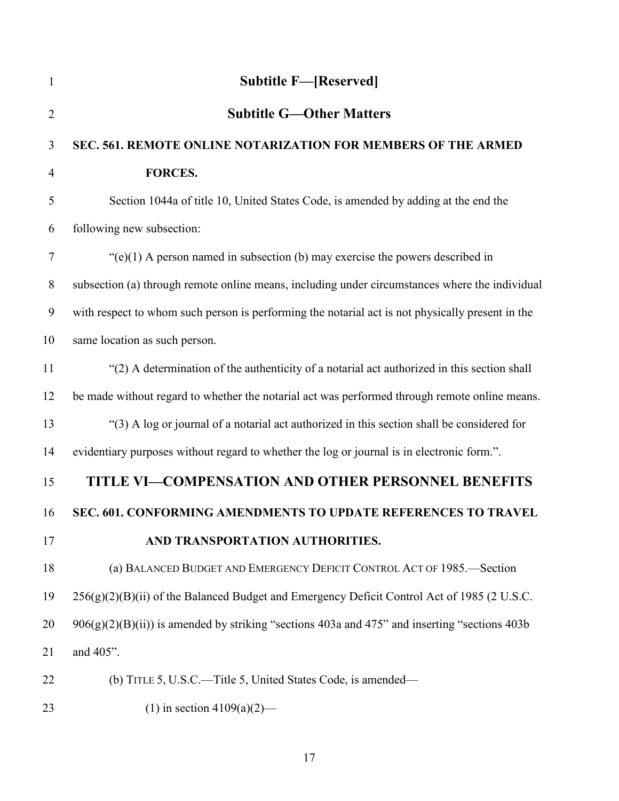<span id="page-16-4"></span><span id="page-16-3"></span><span id="page-16-2"></span><span id="page-16-1"></span><span id="page-16-0"></span>

| $\mathbf{1}$   | <b>Subtitle F-[Reserved]</b>                                                                     |
|----------------|--------------------------------------------------------------------------------------------------|
| $\overline{2}$ | <b>Subtitle G—Other Matters</b>                                                                  |
| $\mathfrak{Z}$ | SEC. 561. REMOTE ONLINE NOTARIZATION FOR MEMBERS OF THE ARMED                                    |
| $\overline{4}$ | FORCES.                                                                                          |
| 5              | Section 1044a of title 10, United States Code, is amended by adding at the end the               |
| 6              | following new subsection:                                                                        |
| $\tau$         | " $(e)(1)$ A person named in subsection (b) may exercise the powers described in                 |
| $8\phantom{.}$ | subsection (a) through remote online means, including under circumstances where the individual   |
| 9              | with respect to whom such person is performing the notarial act is not physically present in the |
| 10             | same location as such person.                                                                    |
| 11             | "(2) A determination of the authenticity of a notarial act authorized in this section shall      |
| 12             | be made without regard to whether the notarial act was performed through remote online means.    |
| 13             | "(3) A log or journal of a notarial act authorized in this section shall be considered for       |
| 14             | evidentiary purposes without regard to whether the log or journal is in electronic form.".       |
| 15             | TITLE VI-COMPENSATION AND OTHER PERSONNEL BENEFITS                                               |
| 16             | SEC. 601. CONFORMING AMENDMENTS TO UPDATE REFERENCES TO TRAVEL                                   |
| 17             | AND TRANSPORTATION AUTHORITIES.                                                                  |
| 18             | (a) BALANCED BUDGET AND EMERGENCY DEFICIT CONTROL ACT OF 1985.-Section                           |
| 19             | $256(g)(2)(B)(ii)$ of the Balanced Budget and Emergency Deficit Control Act of 1985 (2 U.S.C.    |
| 20             | $906(g)(2)(B)(ii)$ is amended by striking "sections 403a and 475" and inserting "sections 403b   |
| 21             | and 405".                                                                                        |
| 22             | (b) TITLE 5, U.S.C.—Title 5, United States Code, is amended—                                     |
| 23             | (1) in section $4109(a)(2)$ —                                                                    |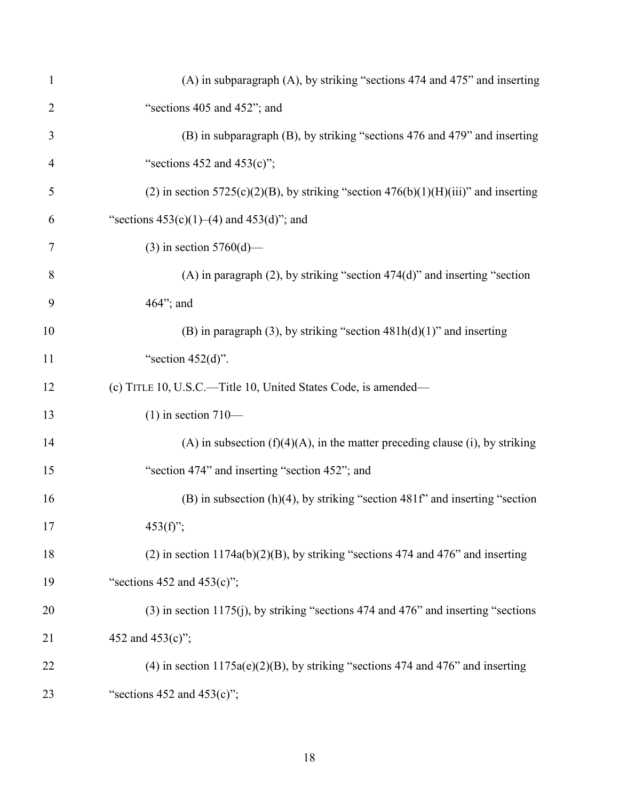| $\mathbf{1}$   | (A) in subparagraph (A), by striking "sections 474 and 475" and inserting                 |
|----------------|-------------------------------------------------------------------------------------------|
| $\overline{2}$ | "sections 405 and 452"; and                                                               |
| 3              | (B) in subparagraph (B), by striking "sections 476 and 479" and inserting                 |
| $\overline{4}$ | "sections $452$ and $453(c)$ ";                                                           |
| 5              | (2) in section $5725(c)(2)(B)$ , by striking "section $476(b)(1)(H)(iii)$ " and inserting |
| 6              | "sections $453(c)(1)–(4)$ and $453(d)$ "; and                                             |
| 7              | (3) in section $5760(d)$ —                                                                |
| 8              | $(A)$ in paragraph $(2)$ , by striking "section 474 $(d)$ " and inserting "section        |
| 9              | 464"; and                                                                                 |
| 10             | (B) in paragraph (3), by striking "section $481h(d)(1)$ " and inserting                   |
| 11             | "section $452(d)$ ".                                                                      |
| 12             | (c) TITLE 10, U.S.C.—Title 10, United States Code, is amended—                            |
| 13             | $(1)$ in section 710—                                                                     |
| 14             | (A) in subsection $(f)(4)(A)$ , in the matter preceding clause (i), by striking           |
| 15             | "section 474" and inserting "section 452"; and                                            |
| 16             | $(B)$ in subsection $(h)(4)$ , by striking "section 481f" and inserting "section          |
| 17             | $453(f)$ ";                                                                               |
| 18             | $(2)$ in section 1174a(b)(2)(B), by striking "sections 474 and 476" and inserting         |
| 19             | "sections $452$ and $453(c)$ ";                                                           |
| 20             | $(3)$ in section 1175(j), by striking "sections 474 and 476" and inserting "sections      |
| 21             | 452 and 453(c)";                                                                          |
| 22             | (4) in section $1175a(e)(2)(B)$ , by striking "sections 474 and 476" and inserting        |
| 23             | "sections $452$ and $453(c)$ ";                                                           |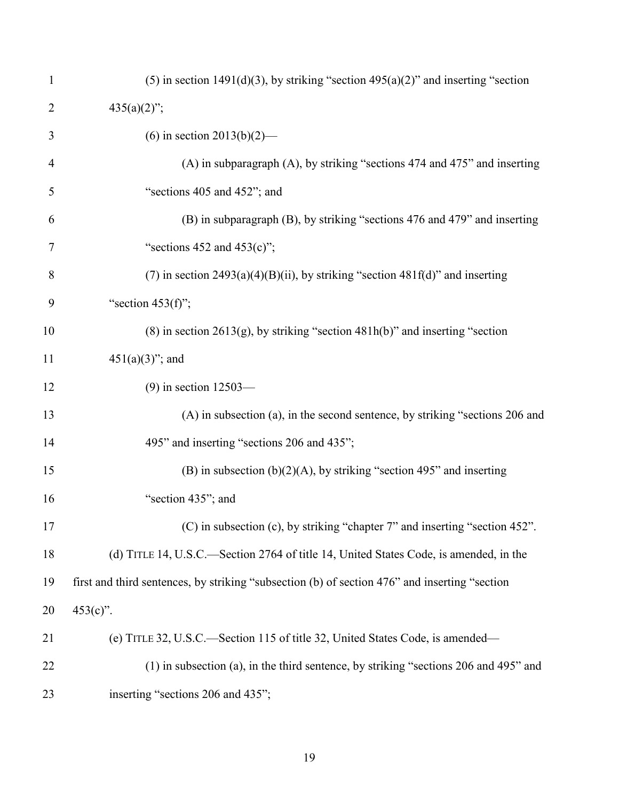| $\mathbf{1}$   | (5) in section 1491(d)(3), by striking "section 495(a)(2)" and inserting "section             |
|----------------|-----------------------------------------------------------------------------------------------|
| 2              | $435(a)(2)$ ";                                                                                |
| 3              | (6) in section $2013(b)(2)$ —                                                                 |
| $\overline{4}$ | (A) in subparagraph (A), by striking "sections 474 and 475" and inserting                     |
| 5              | "sections 405 and 452"; and                                                                   |
| 6              | (B) in subparagraph (B), by striking "sections 476 and 479" and inserting                     |
| 7              | "sections $452$ and $453(c)$ ";                                                               |
| 8              | (7) in section $2493(a)(4)(B)(ii)$ , by striking "section $481f(d)$ " and inserting           |
| 9              | "section $453(f)$ ";                                                                          |
| 10             | $(8)$ in section 2613(g), by striking "section 481h(b)" and inserting "section                |
| 11             | $451(a)(3)$ "; and                                                                            |
| 12             | $(9)$ in section 12503—                                                                       |
| 13             | (A) in subsection (a), in the second sentence, by striking "sections 206 and                  |
| 14             | 495" and inserting "sections 206 and 435";                                                    |
| 15             | (B) in subsection $(b)(2)(A)$ , by striking "section 495" and inserting                       |
| 16             | "section 435"; and                                                                            |
| 17             | (C) in subsection (c), by striking "chapter 7" and inserting "section 452".                   |
| 18             | (d) TITLE 14, U.S.C.—Section 2764 of title 14, United States Code, is amended, in the         |
| 19             | first and third sentences, by striking "subsection (b) of section 476" and inserting "section |
| 20             | $453(c)$ ".                                                                                   |
| 21             | (e) TITLE 32, U.S.C.—Section 115 of title 32, United States Code, is amended—                 |
| 22             | $(1)$ in subsection (a), in the third sentence, by striking "sections 206 and 495" and        |
| 23             | inserting "sections 206 and 435";                                                             |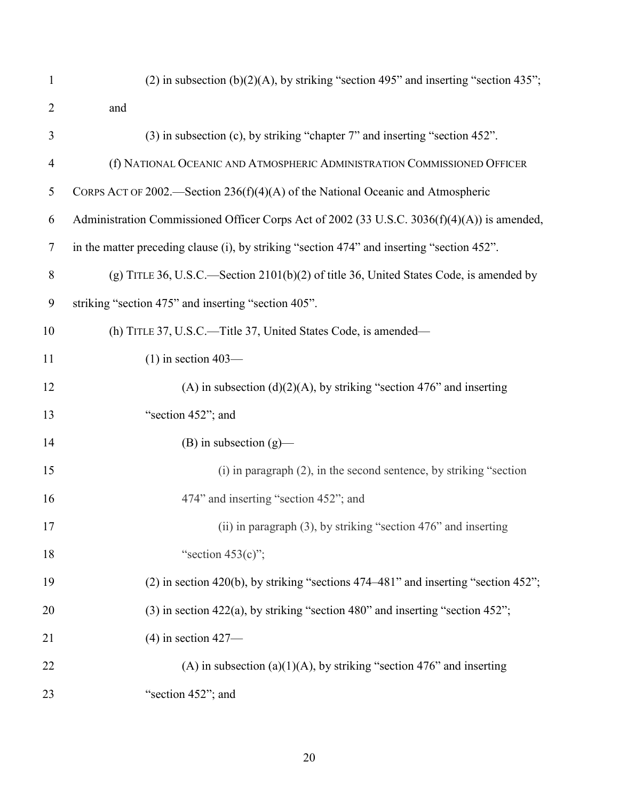| $\mathbf{1}$   | (2) in subsection (b)(2)(A), by striking "section 495" and inserting "section 435";         |
|----------------|---------------------------------------------------------------------------------------------|
| $\overline{2}$ | and                                                                                         |
| 3              | (3) in subsection (c), by striking "chapter 7" and inserting "section 452".                 |
| $\overline{4}$ | (f) NATIONAL OCEANIC AND ATMOSPHERIC ADMINISTRATION COMMISSIONED OFFICER                    |
| 5              | CORPS ACT OF 2002.—Section 236(f)(4)(A) of the National Oceanic and Atmospheric             |
| 6              | Administration Commissioned Officer Corps Act of 2002 (33 U.S.C. 3036(f)(4)(A)) is amended, |
| $\tau$         | in the matter preceding clause (i), by striking "section 474" and inserting "section 452".  |
| 8              | (g) TITLE 36, U.S.C.—Section $2101(b)(2)$ of title 36, United States Code, is amended by    |
| 9              | striking "section 475" and inserting "section 405".                                         |
| 10             | (h) TITLE 37, U.S.C.—Title 37, United States Code, is amended—                              |
| 11             | $(1)$ in section 403—                                                                       |
| 12             | (A) in subsection (d)(2)(A), by striking "section 476" and inserting                        |
| 13             | "section 452"; and                                                                          |
| 14             | $(B)$ in subsection $(g)$ —                                                                 |
| 15             | $(i)$ in paragraph $(2)$ , in the second sentence, by striking "section"                    |
| 16             | 474" and inserting "section 452"; and                                                       |
| 17             | (ii) in paragraph $(3)$ , by striking "section 476" and inserting                           |
| 18             | "section $453(c)$ ";                                                                        |
| 19             | $(2)$ in section 420(b), by striking "sections 474–481" and inserting "section 452";        |
| 20             | $(3)$ in section 422(a), by striking "section 480" and inserting "section 452";             |
| 21             | $(4)$ in section 427-                                                                       |
| 22             | (A) in subsection (a)(1)(A), by striking "section 476" and inserting                        |
| 23             | "section 452"; and                                                                          |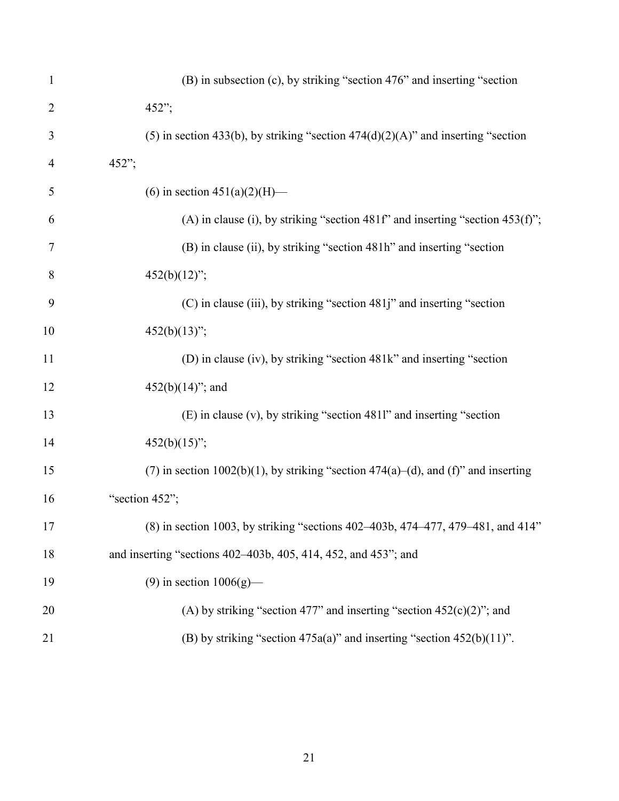| $\mathbf{1}$   | (B) in subsection (c), by striking "section 476" and inserting "section            |
|----------------|------------------------------------------------------------------------------------|
| $\overline{2}$ | 452";                                                                              |
| 3              | $(5)$ in section 433(b), by striking "section 474(d)(2)(A)" and inserting "section |
| 4              | 452";                                                                              |
| 5              | (6) in section $451(a)(2)(H)$ —                                                    |
| 6              | (A) in clause (i), by striking "section 481f" and inserting "section 453(f)";      |
| $\tau$         | (B) in clause (ii), by striking "section 481h" and inserting "section              |
| 8              | $452(b)(12)$ ";                                                                    |
| 9              | (C) in clause (iii), by striking "section 481j" and inserting "section             |
| 10             | $452(b)(13)$ ";                                                                    |
| 11             | (D) in clause (iv), by striking "section 481k" and inserting "section              |
| 12             | $452(b)(14)$ "; and                                                                |
| 13             | (E) in clause (v), by striking "section 4811" and inserting "section               |
| 14             | $452(b)(15)$ ";                                                                    |
| 15             | (7) in section 1002(b)(1), by striking "section 474(a)–(d), and (f)" and inserting |
| 16             | "section 452";                                                                     |
| 17             | (8) in section 1003, by striking "sections 402–403b, 474–477, 479–481, and 414"    |
| 18             | and inserting "sections 402–403b, 405, 414, 452, and 453"; and                     |
| 19             | $(9)$ in section $1006(g)$ —                                                       |
| 20             | (A) by striking "section 477" and inserting "section $452(c)(2)$ "; and            |
| 21             | (B) by striking "section $475a(a)$ " and inserting "section $452(b)(11)$ ".        |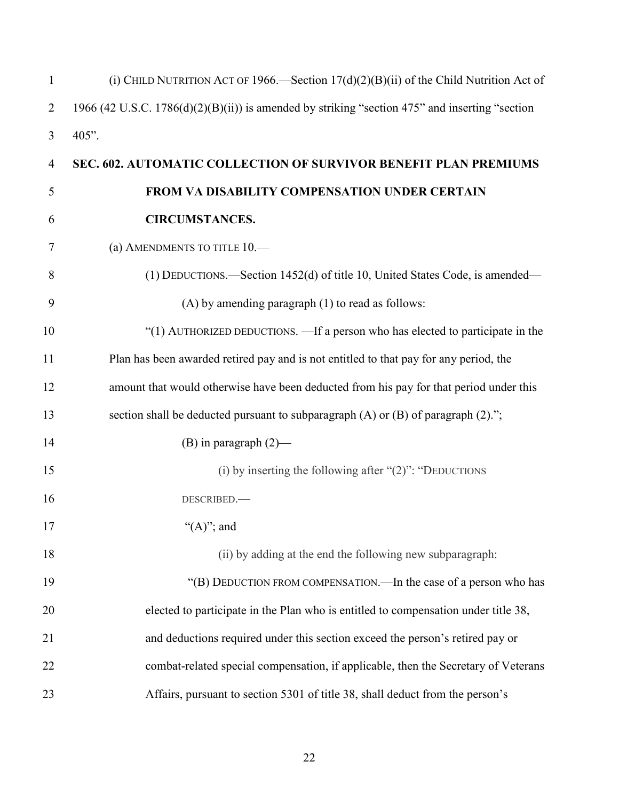<span id="page-21-0"></span>

| $\mathbf{1}$   | (i) CHILD NUTRITION ACT OF 1966.—Section $17(d)(2)(B)(ii)$ of the Child Nutrition Act of       |
|----------------|------------------------------------------------------------------------------------------------|
| $\overline{2}$ | 1966 (42 U.S.C. 1786(d)(2)(B)(ii)) is amended by striking "section 475" and inserting "section |
| 3              | 405".                                                                                          |
| $\overline{4}$ | SEC. 602. AUTOMATIC COLLECTION OF SURVIVOR BENEFIT PLAN PREMIUMS                               |
| 5              | FROM VA DISABILITY COMPENSATION UNDER CERTAIN                                                  |
| 6              | <b>CIRCUMSTANCES.</b>                                                                          |
| 7              | (a) AMENDMENTS TO TITLE 10.                                                                    |
| 8              | (1) DEDUCTIONS.—Section 1452(d) of title 10, United States Code, is amended—                   |
| 9              | $(A)$ by amending paragraph $(1)$ to read as follows:                                          |
| 10             | "(1) AUTHORIZED DEDUCTIONS. - If a person who has elected to participate in the                |
| 11             | Plan has been awarded retired pay and is not entitled to that pay for any period, the          |
| 12             | amount that would otherwise have been deducted from his pay for that period under this         |
| 13             | section shall be deducted pursuant to subparagraph (A) or (B) of paragraph (2).";              |
| 14             | (B) in paragraph $(2)$ —                                                                       |
| 15             | (i) by inserting the following after " $(2)$ ": "DEDUCTIONS"                                   |
| 16             | DESCRIBED.                                                                                     |
| 17             | " $(A)$ "; and                                                                                 |
| 18             | (ii) by adding at the end the following new subparagraph:                                      |
| 19             | "(B) DEDUCTION FROM COMPENSATION.—In the case of a person who has                              |
| 20             | elected to participate in the Plan who is entitled to compensation under title 38,             |
| 21             | and deductions required under this section exceed the person's retired pay or                  |
| 22             | combat-related special compensation, if applicable, then the Secretary of Veterans             |
| 23             | Affairs, pursuant to section 5301 of title 38, shall deduct from the person's                  |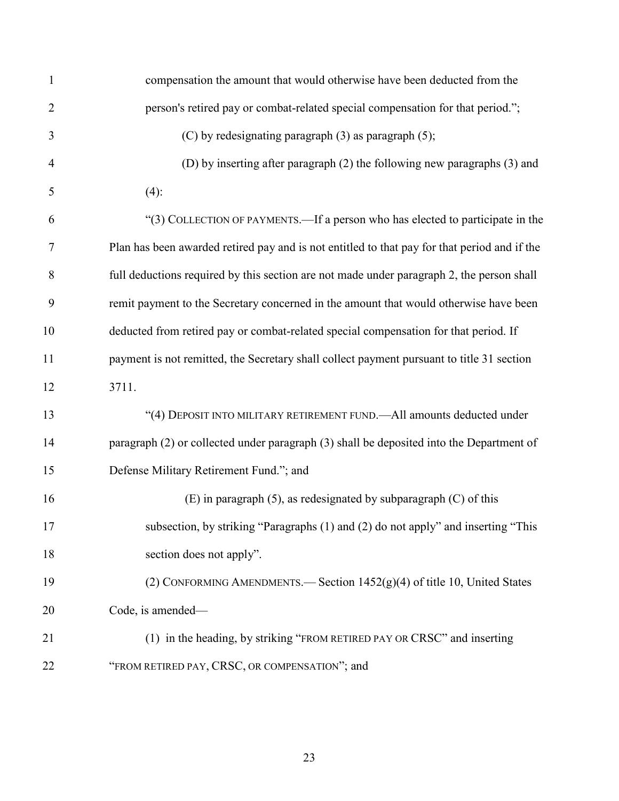| $\mathbf{1}$   | compensation the amount that would otherwise have been deducted from the                     |
|----------------|----------------------------------------------------------------------------------------------|
| $\overline{2}$ | person's retired pay or combat-related special compensation for that period.";               |
| 3              | $(C)$ by redesignating paragraph $(3)$ as paragraph $(5)$ ;                                  |
| $\overline{4}$ | (D) by inserting after paragraph (2) the following new paragraphs (3) and                    |
| 5              | $(4)$ :                                                                                      |
| 6              | "(3) COLLECTION OF PAYMENTS.—If a person who has elected to participate in the               |
| $\tau$         | Plan has been awarded retired pay and is not entitled to that pay for that period and if the |
| 8              | full deductions required by this section are not made under paragraph 2, the person shall    |
| 9              | remit payment to the Secretary concerned in the amount that would otherwise have been        |
| 10             | deducted from retired pay or combat-related special compensation for that period. If         |
| 11             | payment is not remitted, the Secretary shall collect payment pursuant to title 31 section    |
| 12             | 3711.                                                                                        |
| 13             | "(4) DEPOSIT INTO MILITARY RETIREMENT FUND.-All amounts deducted under                       |
| 14             | paragraph (2) or collected under paragraph (3) shall be deposited into the Department of     |
| 15             | Defense Military Retirement Fund."; and                                                      |
| 16             | $(E)$ in paragraph $(5)$ , as redesignated by subparagraph $(C)$ of this                     |
| 17             | subsection, by striking "Paragraphs (1) and (2) do not apply" and inserting "This            |
| 18             | section does not apply".                                                                     |
| 19             | (2) CONFORMING AMENDMENTS.— Section $1452(g)(4)$ of title 10, United States                  |
| 20             | Code, is amended—                                                                            |
| 21             | (1) in the heading, by striking "FROM RETIRED PAY OR CRSC" and inserting                     |
| 22             | "FROM RETIRED PAY, CRSC, OR COMPENSATION"; and                                               |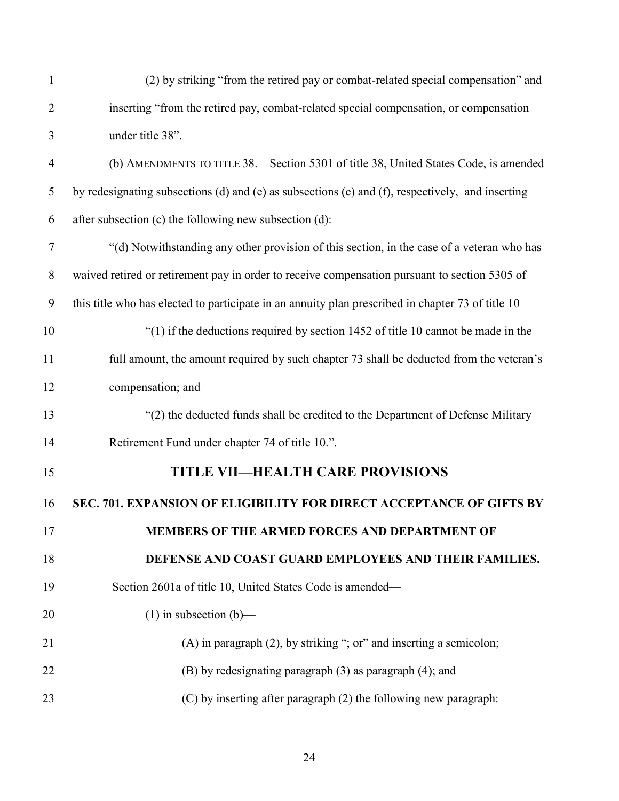<span id="page-23-1"></span><span id="page-23-0"></span>

| $\mathbf{1}$   | (2) by striking "from the retired pay or combat-related special compensation" and                  |
|----------------|----------------------------------------------------------------------------------------------------|
| $\overline{2}$ | inserting "from the retired pay, combat-related special compensation, or compensation              |
| 3              | under title 38".                                                                                   |
| $\overline{4}$ | (b) AMENDMENTS TO TITLE 38.—Section 5301 of title 38, United States Code, is amended               |
| 5              | by redesignating subsections (d) and (e) as subsections (e) and (f), respectively, and inserting   |
| 6              | after subsection (c) the following new subsection (d):                                             |
| $\tau$         | "(d) Notwithstanding any other provision of this section, in the case of a veteran who has         |
| 8              | waived retired or retirement pay in order to receive compensation pursuant to section 5305 of      |
| 9              | this title who has elected to participate in an annuity plan prescribed in chapter 73 of title 10— |
| 10             | "(1) if the deductions required by section 1452 of title 10 cannot be made in the                  |
| 11             | full amount, the amount required by such chapter 73 shall be deducted from the veteran's           |
| 12             | compensation; and                                                                                  |
| 13             | "(2) the deducted funds shall be credited to the Department of Defense Military                    |
| 14             | Retirement Fund under chapter 74 of title 10.".                                                    |
| 15             | <b>TITLE VII-HEALTH CARE PROVISIONS</b>                                                            |
| 16             | SEC. 701. EXPANSION OF ELIGIBILITY FOR DIRECT ACCEPTANCE OF GIFTS BY                               |
| 17             | <b>MEMBERS OF THE ARMED FORCES AND DEPARTMENT OF</b>                                               |
| 18             | DEFENSE AND COAST GUARD EMPLOYEES AND THEIR FAMILIES.                                              |
| 19             | Section 2601a of title 10, United States Code is amended-                                          |
| 20             | $(1)$ in subsection $(b)$ —                                                                        |
| 21             | $(A)$ in paragraph $(2)$ , by striking "; or" and inserting a semicolon;                           |
| 22             | (B) by redesignating paragraph (3) as paragraph (4); and                                           |
| 23             | (C) by inserting after paragraph (2) the following new paragraph:                                  |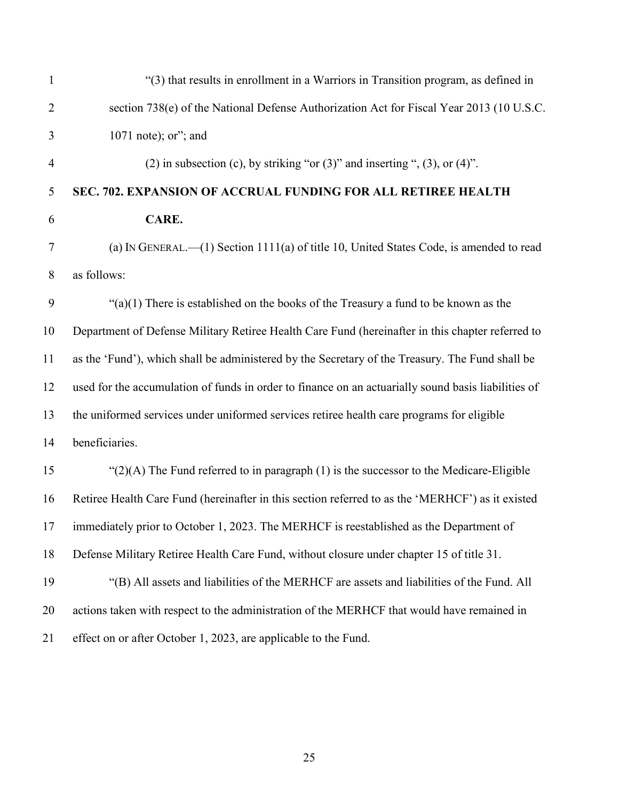<span id="page-24-0"></span>

| $\mathbf{1}$   | "(3) that results in enrollment in a Warriors in Transition program, as defined in                  |
|----------------|-----------------------------------------------------------------------------------------------------|
| $\overline{2}$ | section 738(e) of the National Defense Authorization Act for Fiscal Year 2013 (10 U.S.C.            |
| 3              | 1071 note); or"; and                                                                                |
| $\overline{4}$ | (2) in subsection (c), by striking "or $(3)$ " and inserting ", $(3)$ , or $(4)$ ".                 |
| 5              | SEC. 702. EXPANSION OF ACCRUAL FUNDING FOR ALL RETIREE HEALTH                                       |
| 6              | CARE.                                                                                               |
| $\tau$         | (a) IN GENERAL.— $(1)$ Section 1111(a) of title 10, United States Code, is amended to read          |
| $8\phantom{.}$ | as follows:                                                                                         |
| 9              | " $(a)(1)$ There is established on the books of the Treasury a fund to be known as the              |
| 10             | Department of Defense Military Retiree Health Care Fund (hereinafter in this chapter referred to    |
| 11             | as the 'Fund'), which shall be administered by the Secretary of the Treasury. The Fund shall be     |
| 12             | used for the accumulation of funds in order to finance on an actuarially sound basis liabilities of |
| 13             | the uniformed services under uniformed services retiree health care programs for eligible           |
| 14             | beneficiaries.                                                                                      |
| 15             | " $(2)(A)$ The Fund referred to in paragraph $(1)$ is the successor to the Medicare-Eligible        |
| 16             | Retiree Health Care Fund (hereinafter in this section referred to as the 'MERHCF') as it existed    |
| 17             | immediately prior to October 1, 2023. The MERHCF is reestablished as the Department of              |
| 18             | Defense Military Retiree Health Care Fund, without closure under chapter 15 of title 31.            |
| 19             | "(B) All assets and liabilities of the MERHCF are assets and liabilities of the Fund. All           |
| 20             | actions taken with respect to the administration of the MERHCF that would have remained in          |
| 21             | effect on or after October 1, 2023, are applicable to the Fund.                                     |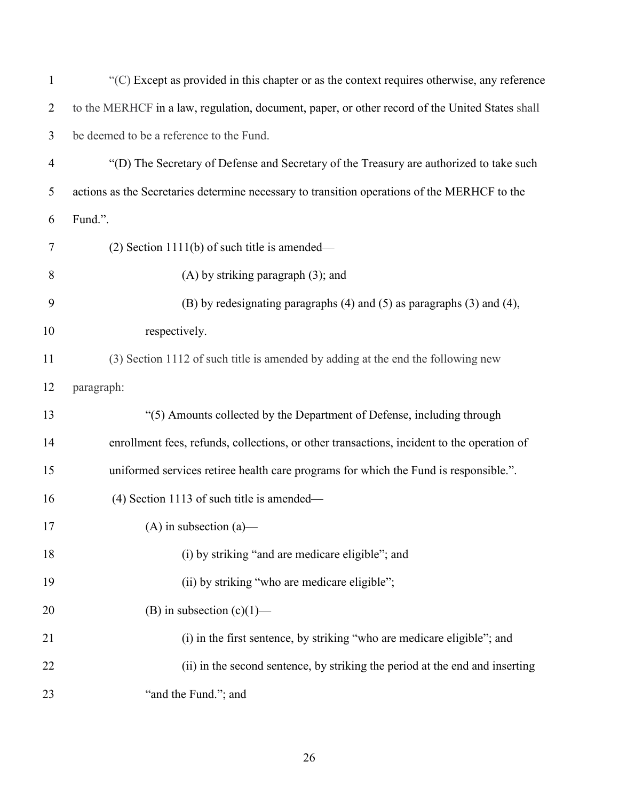| $\mathbf{1}$   | $\lq$ <sup>(C)</sup> Except as provided in this chapter or as the context requires otherwise, any reference |
|----------------|-------------------------------------------------------------------------------------------------------------|
| $\overline{2}$ | to the MERHCF in a law, regulation, document, paper, or other record of the United States shall             |
| 3              | be deemed to be a reference to the Fund.                                                                    |
| $\overline{4}$ | "(D) The Secretary of Defense and Secretary of the Treasury are authorized to take such                     |
| 5              | actions as the Secretaries determine necessary to transition operations of the MERHCF to the                |
| 6              | Fund.".                                                                                                     |
| 7              | $(2)$ Section 1111(b) of such title is amended—                                                             |
| 8              | $(A)$ by striking paragraph $(3)$ ; and                                                                     |
| 9              | (B) by redesignating paragraphs (4) and (5) as paragraphs (3) and (4),                                      |
| 10             | respectively.                                                                                               |
| 11             | (3) Section 1112 of such title is amended by adding at the end the following new                            |
| 12             | paragraph:                                                                                                  |
| 13             | "(5) Amounts collected by the Department of Defense, including through                                      |
| 14             | enrollment fees, refunds, collections, or other transactions, incident to the operation of                  |
| 15             | uniformed services retiree health care programs for which the Fund is responsible.".                        |
| 16             | $(4)$ Section 1113 of such title is amended—                                                                |
| 17             | (A) in subsection (a)—                                                                                      |
| 18             | (i) by striking "and are medicare eligible"; and                                                            |
| 19             | (ii) by striking "who are medicare eligible";                                                               |
| 20             | (B) in subsection $(c)(1)$ —                                                                                |
| 21             | (i) in the first sentence, by striking "who are medicare eligible"; and                                     |
| 22             | (ii) in the second sentence, by striking the period at the end and inserting                                |
| 23             | "and the Fund."; and                                                                                        |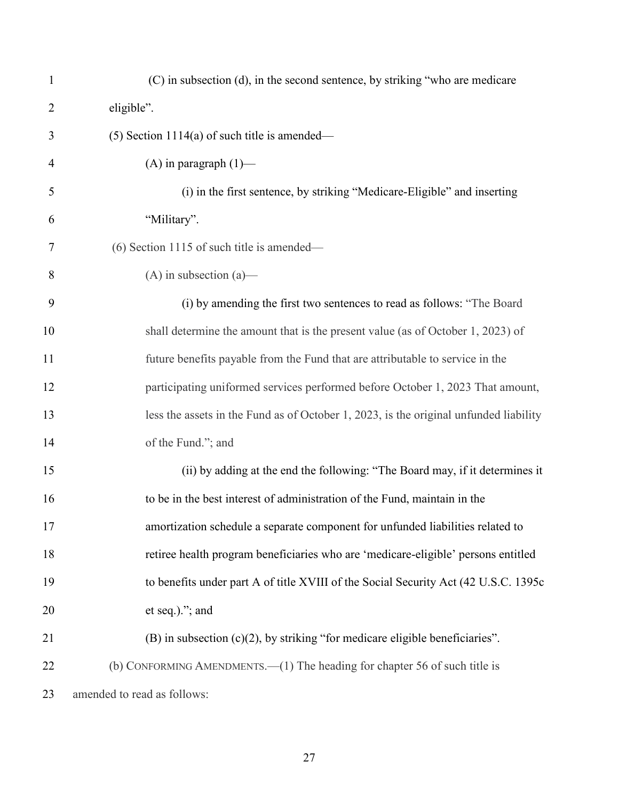| $\mathbf{1}$   | (C) in subsection (d), in the second sentence, by striking "who are medicare          |
|----------------|---------------------------------------------------------------------------------------|
| $\overline{2}$ | eligible".                                                                            |
| 3              | $(5)$ Section 1114(a) of such title is amended—                                       |
| $\overline{4}$ | (A) in paragraph $(1)$ —                                                              |
| 5              | (i) in the first sentence, by striking "Medicare-Eligible" and inserting              |
| 6              | "Military".                                                                           |
| 7              | $(6)$ Section 1115 of such title is amended—                                          |
| 8              | $(A)$ in subsection $(a)$ —                                                           |
| 9              | (i) by amending the first two sentences to read as follows: "The Board                |
| 10             | shall determine the amount that is the present value (as of October 1, 2023) of       |
| 11             | future benefits payable from the Fund that are attributable to service in the         |
| 12             | participating uniformed services performed before October 1, 2023 That amount,        |
| 13             | less the assets in the Fund as of October 1, 2023, is the original unfunded liability |
| 14             | of the Fund."; and                                                                    |
| 15             | (ii) by adding at the end the following: "The Board may, if it determines it          |
| 16             | to be in the best interest of administration of the Fund, maintain in the             |
| 17             | amortization schedule a separate component for unfunded liabilities related to        |
| 18             | retiree health program beneficiaries who are 'medicare-eligible' persons entitled     |
| 19             | to benefits under part A of title XVIII of the Social Security Act (42 U.S.C. 1395c   |
| 20             | et seq.)."; and                                                                       |
| 21             | $(B)$ in subsection $(c)(2)$ , by striking "for medicare eligible beneficiaries".     |
| 22             | (b) CONFORMING AMENDMENTS.—(1) The heading for chapter 56 of such title is            |
| 23             | amended to read as follows:                                                           |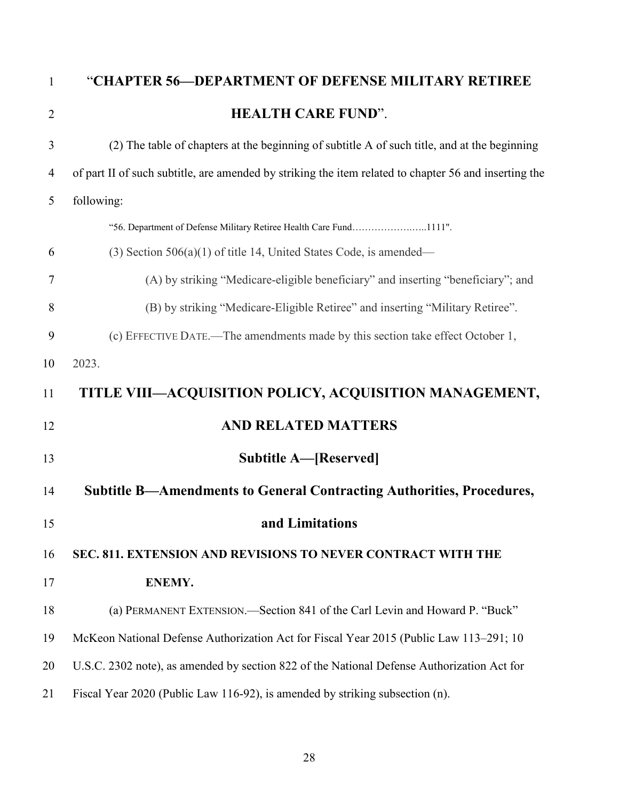<span id="page-27-3"></span><span id="page-27-2"></span><span id="page-27-1"></span><span id="page-27-0"></span>

| $\mathbf{1}$   | "CHAPTER 56—DEPARTMENT OF DEFENSE MILITARY RETIREE                                                    |
|----------------|-------------------------------------------------------------------------------------------------------|
| $\overline{2}$ | <b>HEALTH CARE FUND".</b>                                                                             |
| 3              | (2) The table of chapters at the beginning of subtitle A of such title, and at the beginning          |
| 4              | of part II of such subtitle, are amended by striking the item related to chapter 56 and inserting the |
| 5              | following:                                                                                            |
|                | "56. Department of Defense Military Retiree Health Care Fund1111".                                    |
| 6              | $(3)$ Section 506(a)(1) of title 14, United States Code, is amended—                                  |
| 7              | (A) by striking "Medicare-eligible beneficiary" and inserting "beneficiary"; and                      |
| 8              | (B) by striking "Medicare-Eligible Retiree" and inserting "Military Retiree".                         |
| 9              | (c) EFFECTIVE DATE.—The amendments made by this section take effect October 1,                        |
| 10             | 2023.                                                                                                 |
| 11             | TITLE VIII—ACQUISITION POLICY, ACQUISITION MANAGEMENT,                                                |
| 12             | <b>AND RELATED MATTERS</b>                                                                            |
| 13             | <b>Subtitle A—[Reserved]</b>                                                                          |
| 14             | Subtitle B—Amendments to General Contracting Authorities, Procedures,                                 |
| 15             | and Limitations                                                                                       |
| 16             | SEC. 811. EXTENSION AND REVISIONS TO NEVER CONTRACT WITH THE                                          |
| 17             | ENEMY.                                                                                                |
| 18             | (a) PERMANENT EXTENSION.—Section 841 of the Carl Levin and Howard P. "Buck"                           |
| 19             | McKeon National Defense Authorization Act for Fiscal Year 2015 (Public Law 113–291; 10                |
| 20             | U.S.C. 2302 note), as amended by section 822 of the National Defense Authorization Act for            |
| 21             | Fiscal Year 2020 (Public Law 116-92), is amended by striking subsection (n).                          |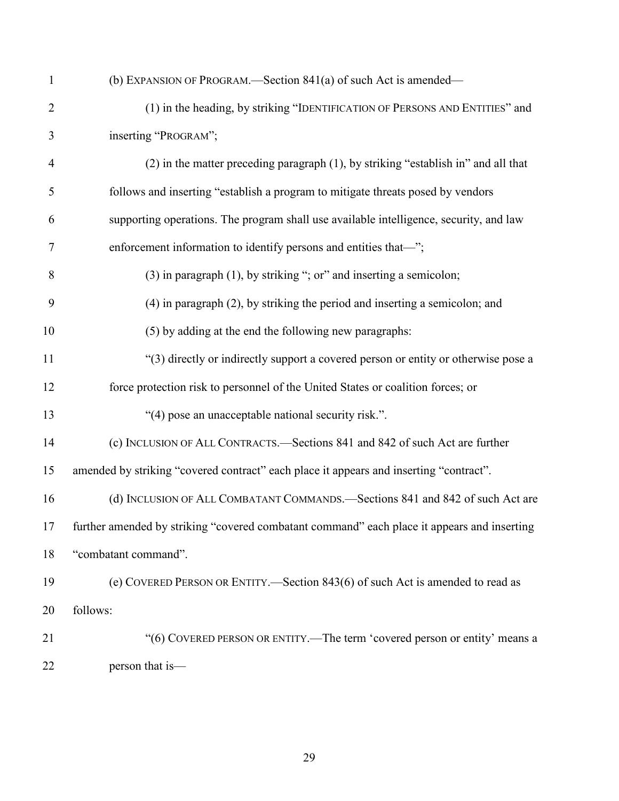| $\mathbf{1}$   | (b) EXPANSION OF PROGRAM.—Section 841(a) of such Act is amended—                            |
|----------------|---------------------------------------------------------------------------------------------|
| $\overline{2}$ | (1) in the heading, by striking "IDENTIFICATION OF PERSONS AND ENTITIES" and                |
| 3              | inserting "PROGRAM";                                                                        |
| $\overline{4}$ | (2) in the matter preceding paragraph (1), by striking "establish in" and all that          |
| 5              | follows and inserting "establish a program to mitigate threats posed by vendors             |
| 6              | supporting operations. The program shall use available intelligence, security, and law      |
| 7              | enforcement information to identify persons and entities that-";                            |
| 8              | $(3)$ in paragraph $(1)$ , by striking "; or" and inserting a semicolon;                    |
| 9              | (4) in paragraph (2), by striking the period and inserting a semicolon; and                 |
| 10             | (5) by adding at the end the following new paragraphs:                                      |
| 11             | "(3) directly or indirectly support a covered person or entity or otherwise pose a          |
| 12             | force protection risk to personnel of the United States or coalition forces; or             |
| 13             | "(4) pose an unacceptable national security risk.".                                         |
| 14             | (c) INCLUSION OF ALL CONTRACTS.—Sections 841 and 842 of such Act are further                |
| 15             | amended by striking "covered contract" each place it appears and inserting "contract".      |
| 16             | (d) INCLUSION OF ALL COMBATANT COMMANDS.-Sections 841 and 842 of such Act are               |
| 17             | further amended by striking "covered combatant command" each place it appears and inserting |
| 18             | "combatant command".                                                                        |
| 19             | (e) COVERED PERSON OR ENTITY.—Section 843(6) of such Act is amended to read as              |
| 20             | follows:                                                                                    |
| 21             | "(6) COVERED PERSON OR ENTITY.—The term 'covered person or entity' means a                  |
| 22             | person that is-                                                                             |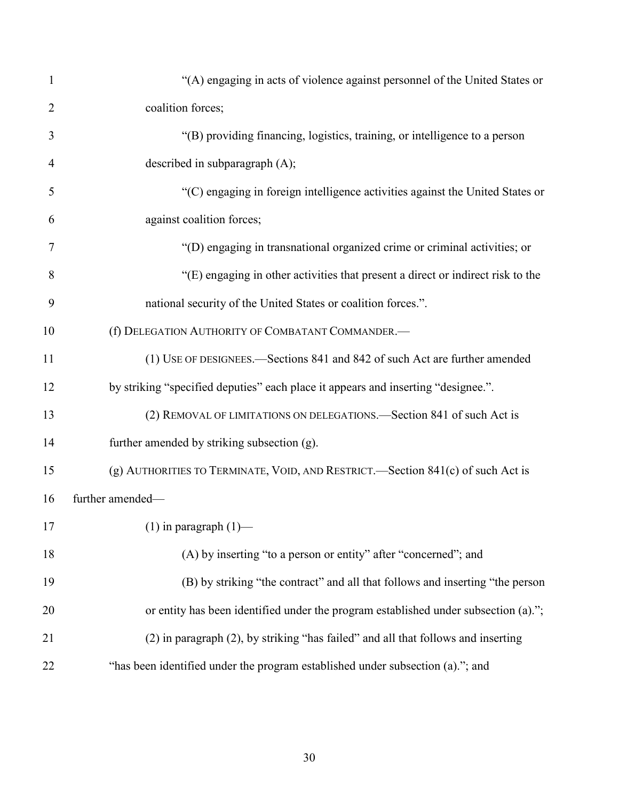| $\mathbf{1}$   | "(A) engaging in acts of violence against personnel of the United States or         |
|----------------|-------------------------------------------------------------------------------------|
| $\overline{2}$ | coalition forces;                                                                   |
| 3              | "(B) providing financing, logistics, training, or intelligence to a person          |
| $\overline{4}$ | described in subparagraph (A);                                                      |
| 5              | "(C) engaging in foreign intelligence activities against the United States or       |
| 6              | against coalition forces;                                                           |
| $\overline{7}$ | "(D) engaging in transnational organized crime or criminal activities; or           |
| 8              | "(E) engaging in other activities that present a direct or indirect risk to the     |
| 9              | national security of the United States or coalition forces.".                       |
| 10             | (f) DELEGATION AUTHORITY OF COMBATANT COMMANDER.-                                   |
| 11             | (1) USE OF DESIGNEES.—Sections 841 and 842 of such Act are further amended          |
| 12             | by striking "specified deputies" each place it appears and inserting "designee.".   |
| 13             | (2) REMOVAL OF LIMITATIONS ON DELEGATIONS.—Section 841 of such Act is               |
| 14             | further amended by striking subsection (g).                                         |
| 15             | (g) AUTHORITIES TO TERMINATE, VOID, AND RESTRICT.—Section 841(c) of such Act is     |
| 16             | further amended-                                                                    |
| 17             | $(1)$ in paragraph $(1)$ —                                                          |
| 18             | (A) by inserting "to a person or entity" after "concerned"; and                     |
| 19             | (B) by striking "the contract" and all that follows and inserting "the person       |
| 20             | or entity has been identified under the program established under subsection (a)."; |
| 21             | (2) in paragraph (2), by striking "has failed" and all that follows and inserting   |
| 22             | "has been identified under the program established under subsection (a)."; and      |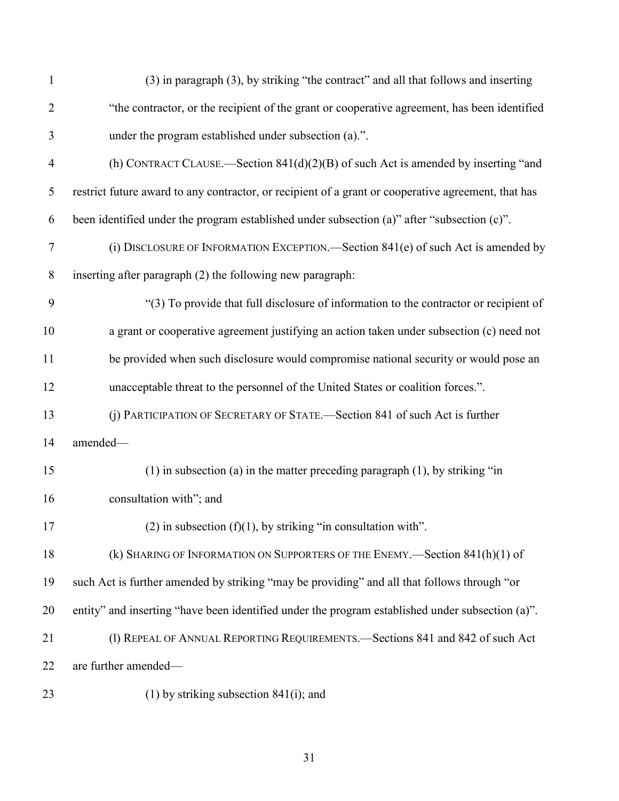| $\mathbf{1}$   | (3) in paragraph (3), by striking "the contract" and all that follows and inserting                 |
|----------------|-----------------------------------------------------------------------------------------------------|
| $\overline{2}$ | "the contractor, or the recipient of the grant or cooperative agreement, has been identified        |
| 3              | under the program established under subsection (a).".                                               |
| $\overline{4}$ | (h) CONTRACT CLAUSE.—Section $841(d)(2)(B)$ of such Act is amended by inserting "and                |
| 5              | restrict future award to any contractor, or recipient of a grant or cooperative agreement, that has |
| 6              | been identified under the program established under subsection (a)" after "subsection (c)".         |
| $\tau$         | (i) DISCLOSURE OF INFORMATION EXCEPTION. Section 841(e) of such Act is amended by                   |
| $8\,$          | inserting after paragraph (2) the following new paragraph:                                          |
| 9              | "(3) To provide that full disclosure of information to the contractor or recipient of               |
| 10             | a grant or cooperative agreement justifying an action taken under subsection (c) need not           |
| 11             | be provided when such disclosure would compromise national security or would pose an                |
| 12             | unacceptable threat to the personnel of the United States or coalition forces.".                    |
| 13             | (j) PARTICIPATION OF SECRETARY OF STATE.—Section 841 of such Act is further                         |
| 14             | amended-                                                                                            |
| 15             | $(1)$ in subsection (a) in the matter preceding paragraph $(1)$ , by striking "in                   |
| 16             | consultation with"; and                                                                             |
| 17             | $(2)$ in subsection $(f)(1)$ , by striking "in consultation with".                                  |
| 18             | (k) SHARING OF INFORMATION ON SUPPORTERS OF THE ENEMY.—Section 841(h)(1) of                         |
| 19             | such Act is further amended by striking "may be providing" and all that follows through "or         |
| 20             | entity" and inserting "have been identified under the program established under subsection (a)".    |
| 21             | (1) REPEAL OF ANNUAL REPORTING REQUIREMENTS.-Sections 841 and 842 of such Act                       |
| 22             | are further amended-                                                                                |
| 23             | $(1)$ by striking subsection 841 $(i)$ ; and                                                        |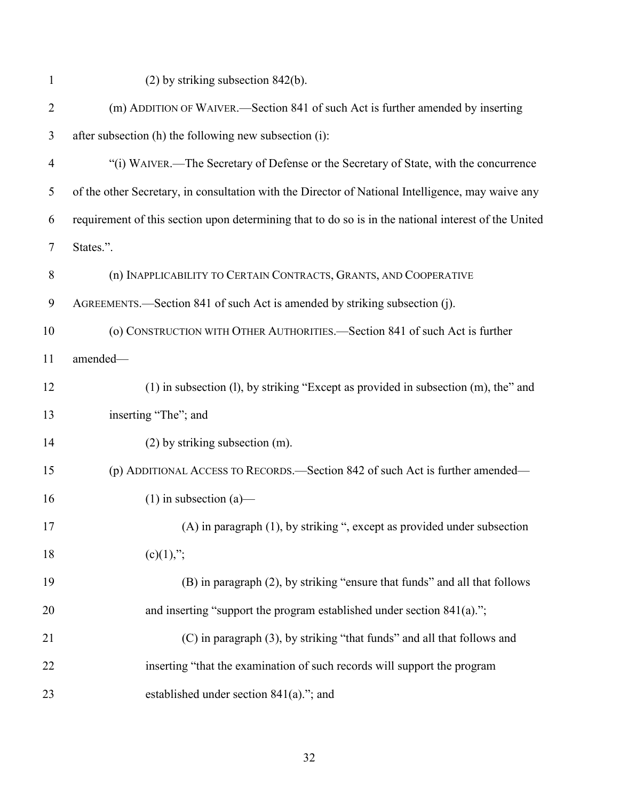| $\mathbf{1}$   | $(2)$ by striking subsection 842(b).                                                                 |
|----------------|------------------------------------------------------------------------------------------------------|
| $\overline{2}$ | (m) ADDITION OF WAIVER.—Section 841 of such Act is further amended by inserting                      |
| 3              | after subsection (h) the following new subsection (i):                                               |
| $\overline{4}$ | "(i) WAIVER.—The Secretary of Defense or the Secretary of State, with the concurrence                |
| 5              | of the other Secretary, in consultation with the Director of National Intelligence, may waive any    |
| 6              | requirement of this section upon determining that to do so is in the national interest of the United |
| $\tau$         | States.".                                                                                            |
| 8              | (n) INAPPLICABILITY TO CERTAIN CONTRACTS, GRANTS, AND COOPERATIVE                                    |
| 9              | AGREEMENTS.—Section 841 of such Act is amended by striking subsection (j).                           |
| 10             | (o) CONSTRUCTION WITH OTHER AUTHORITIES.—Section 841 of such Act is further                          |
| 11             | amended-                                                                                             |
| 12             | (1) in subsection (l), by striking "Except as provided in subsection (m), the" and                   |
| 13             | inserting "The"; and                                                                                 |
| 14             | $(2)$ by striking subsection $(m)$ .                                                                 |
| 15             | (p) ADDITIONAL ACCESS TO RECORDS.—Section 842 of such Act is further amended—                        |
| 16             | $(1)$ in subsection $(a)$ —                                                                          |
| 17             | (A) in paragraph (1), by striking ", except as provided under subsection                             |
| 18             | $(c)(1)$ ;";                                                                                         |
| 19             | (B) in paragraph (2), by striking "ensure that funds" and all that follows                           |
| 20             | and inserting "support the program established under section 841(a).";                               |
| 21             | (C) in paragraph (3), by striking "that funds" and all that follows and                              |
| 22             | inserting "that the examination of such records will support the program                             |
| 23             | established under section 841(a)."; and                                                              |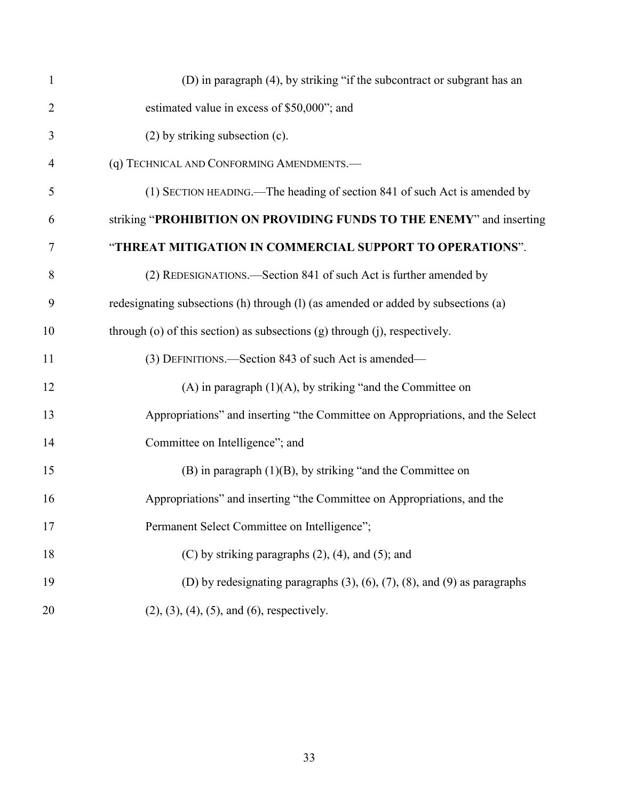| $\mathbf{1}$   | (D) in paragraph (4), by striking "if the subcontract or subgrant has an                |
|----------------|-----------------------------------------------------------------------------------------|
| $\overline{2}$ | estimated value in excess of \$50,000"; and                                             |
| 3              | (2) by striking subsection (c).                                                         |
| 4              | (q) TECHNICAL AND CONFORMING AMENDMENTS.-                                               |
| 5              | (1) SECTION HEADING.—The heading of section 841 of such Act is amended by               |
| 6              | striking "PROHIBITION ON PROVIDING FUNDS TO THE ENEMY" and inserting                    |
| 7              | "THREAT MITIGATION IN COMMERCIAL SUPPORT TO OPERATIONS".                                |
| 8              | (2) REDESIGNATIONS.—Section 841 of such Act is further amended by                       |
| 9              | redesignating subsections (h) through (l) (as amended or added by subsections (a)       |
| 10             | through (o) of this section) as subsections (g) through (j), respectively.              |
| 11             | (3) DEFINITIONS.—Section 843 of such Act is amended—                                    |
| 12             | (A) in paragraph $(1)(A)$ , by striking "and the Committee on                           |
| 13             | Appropriations" and inserting "the Committee on Appropriations, and the Select          |
| 14             | Committee on Intelligence"; and                                                         |
| 15             | $(B)$ in paragraph $(1)(B)$ , by striking "and the Committee on                         |
| 16             | Appropriations" and inserting "the Committee on Appropriations, and the                 |
| 17             | Permanent Select Committee on Intelligence";                                            |
| 18             | (C) by striking paragraphs $(2)$ , $(4)$ , and $(5)$ ; and                              |
| 19             | (D) by redesignating paragraphs $(3)$ , $(6)$ , $(7)$ , $(8)$ , and $(9)$ as paragraphs |
| 20             | $(2), (3), (4), (5),$ and $(6)$ , respectively.                                         |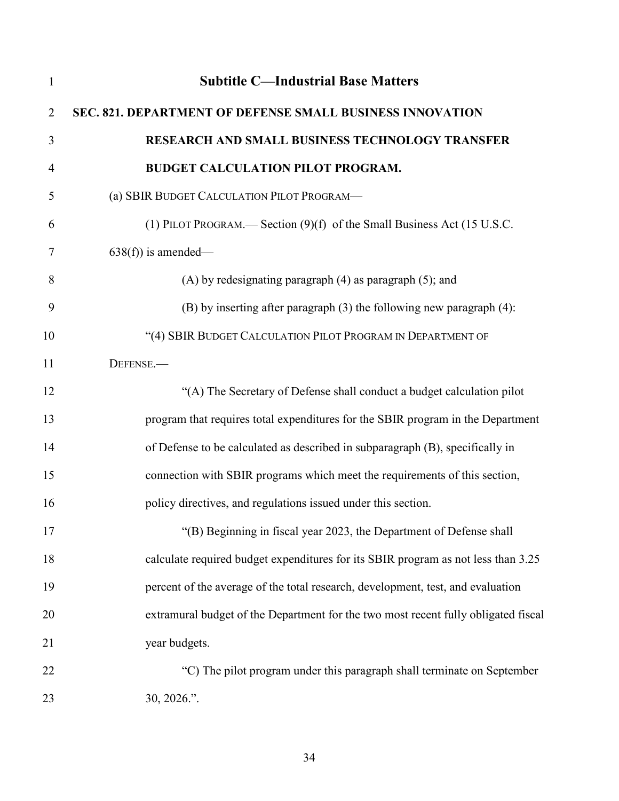<span id="page-33-1"></span><span id="page-33-0"></span>

| $\mathbf{1}$   | <b>Subtitle C-Industrial Base Matters</b>                                          |
|----------------|------------------------------------------------------------------------------------|
| $\overline{2}$ | SEC. 821. DEPARTMENT OF DEFENSE SMALL BUSINESS INNOVATION                          |
| 3              | RESEARCH AND SMALL BUSINESS TECHNOLOGY TRANSFER                                    |
| $\overline{4}$ | <b>BUDGET CALCULATION PILOT PROGRAM.</b>                                           |
| 5              | (a) SBIR BUDGET CALCULATION PILOT PROGRAM-                                         |
| 6              | (1) PILOT PROGRAM.— Section $(9)(f)$ of the Small Business Act (15 U.S.C.          |
| 7              | $638(f)$ ) is amended—                                                             |
| 8              | $(A)$ by redesignating paragraph $(4)$ as paragraph $(5)$ ; and                    |
| 9              | $(B)$ by inserting after paragraph $(3)$ the following new paragraph $(4)$ :       |
| 10             | "(4) SBIR BUDGET CALCULATION PILOT PROGRAM IN DEPARTMENT OF                        |
| 11             | DEFENSE.                                                                           |
| 12             | "(A) The Secretary of Defense shall conduct a budget calculation pilot             |
| 13             | program that requires total expenditures for the SBIR program in the Department    |
| 14             | of Defense to be calculated as described in subparagraph (B), specifically in      |
| 15             | connection with SBIR programs which meet the requirements of this section,         |
| 16             | policy directives, and regulations issued under this section.                      |
| 17             | "(B) Beginning in fiscal year 2023, the Department of Defense shall                |
| 18             | calculate required budget expenditures for its SBIR program as not less than 3.25  |
| 19             | percent of the average of the total research, development, test, and evaluation    |
| 20             | extramural budget of the Department for the two most recent fully obligated fiscal |
| 21             | year budgets.                                                                      |
| 22             | "C) The pilot program under this paragraph shall terminate on September            |
| 23             | 30, 2026.".                                                                        |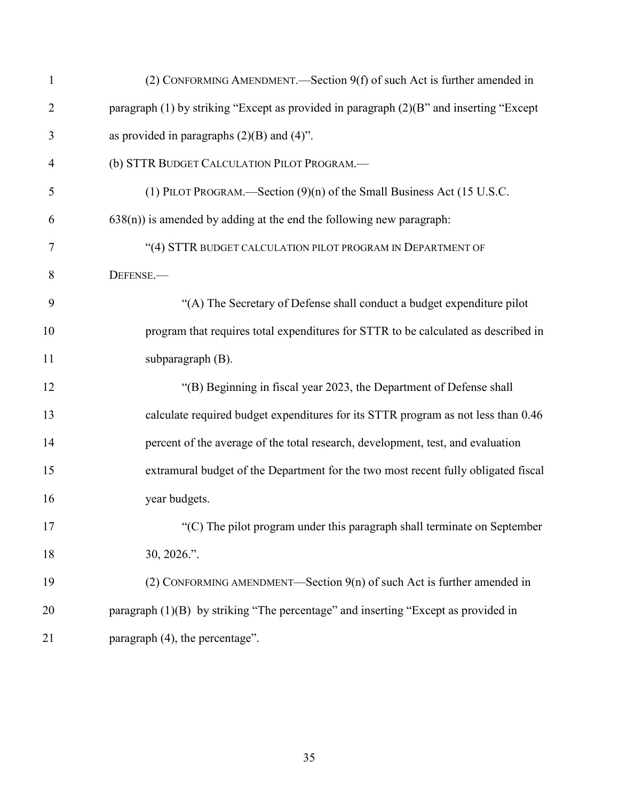| $\mathbf{1}$   | (2) CONFORMING AMENDMENT.—Section 9(f) of such Act is further amended in                |
|----------------|-----------------------------------------------------------------------------------------|
| $\overline{2}$ | paragraph (1) by striking "Except as provided in paragraph (2)(B" and inserting "Except |
| 3              | as provided in paragraphs $(2)(B)$ and $(4)$ ".                                         |
| 4              | (b) STTR BUDGET CALCULATION PILOT PROGRAM.-                                             |
| 5              | (1) PILOT PROGRAM.—Section (9)(n) of the Small Business Act (15 U.S.C.                  |
| 6              | $(638(n))$ is amended by adding at the end the following new paragraph:                 |
| 7              | "(4) STTR BUDGET CALCULATION PILOT PROGRAM IN DEPARTMENT OF                             |
| 8              | DEFENSE.                                                                                |
| 9              | "(A) The Secretary of Defense shall conduct a budget expenditure pilot                  |
| 10             | program that requires total expenditures for STTR to be calculated as described in      |
| 11             | subparagraph (B).                                                                       |
| 12             | "(B) Beginning in fiscal year 2023, the Department of Defense shall                     |
| 13             | calculate required budget expenditures for its STTR program as not less than 0.46       |
| 14             | percent of the average of the total research, development, test, and evaluation         |
| 15             | extramural budget of the Department for the two most recent fully obligated fiscal      |
| 16             | year budgets.                                                                           |
| 17             | $\cdot$ (C) The pilot program under this paragraph shall terminate on September         |
| 18             | $30, 2026$ .".                                                                          |
| 19             | (2) CONFORMING AMENDMENT—Section $9(n)$ of such Act is further amended in               |
| 20             | paragraph (1)(B) by striking "The percentage" and inserting "Except as provided in      |
| 21             | paragraph (4), the percentage".                                                         |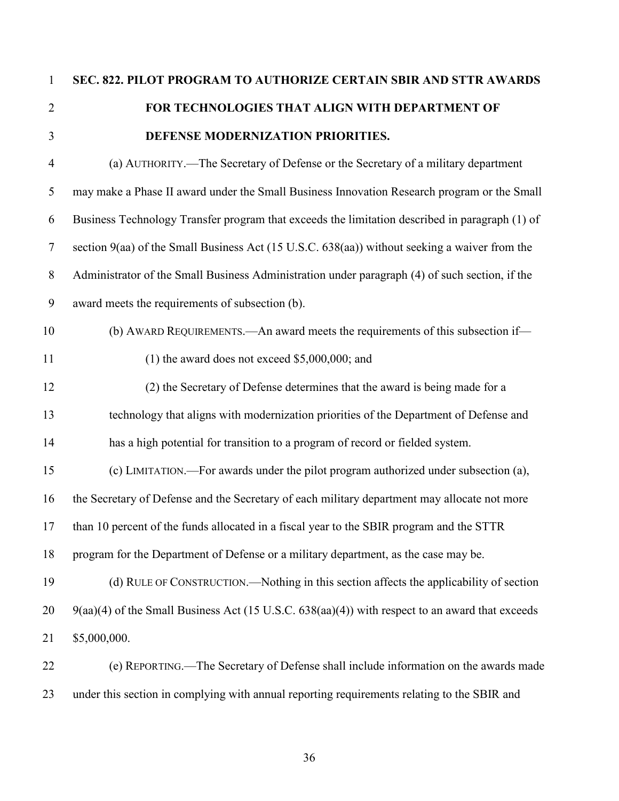<span id="page-35-0"></span>

## **SEC. 822. PILOT PROGRAM TO AUTHORIZE CERTAIN SBIR AND STTR AWARDS FOR TECHNOLOGIES THAT ALIGN WITH DEPARTMENT OF DEFENSE MODERNIZATION PRIORITIES.**

| $\overline{4}$ | (a) AUTHORITY.—The Secretary of Defense or the Secretary of a military department               |
|----------------|-------------------------------------------------------------------------------------------------|
| 5              | may make a Phase II award under the Small Business Innovation Research program or the Small     |
| 6              | Business Technology Transfer program that exceeds the limitation described in paragraph (1) of  |
| $\overline{7}$ | section 9(aa) of the Small Business Act (15 U.S.C. 638(aa)) without seeking a waiver from the   |
| $8\,$          | Administrator of the Small Business Administration under paragraph (4) of such section, if the  |
| 9              | award meets the requirements of subsection (b).                                                 |
| 10             | (b) AWARD REQUIREMENTS.—An award meets the requirements of this subsection if—                  |
| 11             | (1) the award does not exceed $$5,000,000$ ; and                                                |
| 12             | (2) the Secretary of Defense determines that the award is being made for a                      |
| 13             | technology that aligns with modernization priorities of the Department of Defense and           |
| 14             | has a high potential for transition to a program of record or fielded system.                   |
| 15             | (c) LIMITATION.—For awards under the pilot program authorized under subsection (a),             |
| 16             | the Secretary of Defense and the Secretary of each military department may allocate not more    |
| 17             | than 10 percent of the funds allocated in a fiscal year to the SBIR program and the STTR        |
| 18             | program for the Department of Defense or a military department, as the case may be.             |
| 19             | (d) RULE OF CONSTRUCTION.—Nothing in this section affects the applicability of section          |
| 20             | 9(aa)(4) of the Small Business Act (15 U.S.C. 638(aa)(4)) with respect to an award that exceeds |
| 21             | \$5,000,000.                                                                                    |
| 22             | (e) REPORTING.—The Secretary of Defense shall include information on the awards made            |
| 23             | under this section in complying with annual reporting requirements relating to the SBIR and     |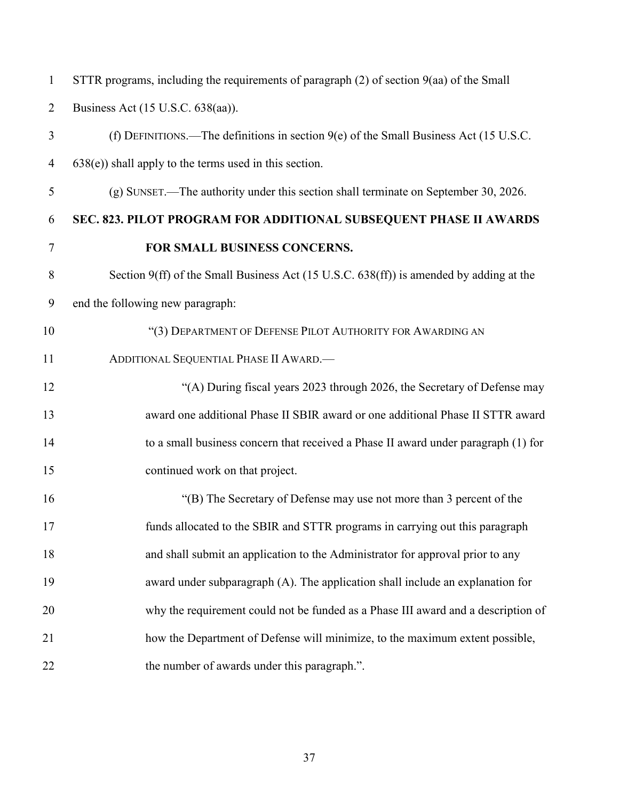| $\mathbf{1}$   | STTR programs, including the requirements of paragraph $(2)$ of section $9(aa)$ of the Small |
|----------------|----------------------------------------------------------------------------------------------|
| $\overline{2}$ | Business Act (15 U.S.C. 638(aa)).                                                            |
| 3              | (f) DEFINITIONS.—The definitions in section $9(e)$ of the Small Business Act (15 U.S.C.      |
| $\overline{4}$ | $638(e)$ ) shall apply to the terms used in this section.                                    |
| 5              | (g) SUNSET.—The authority under this section shall terminate on September 30, 2026.          |
| 6              | SEC. 823. PILOT PROGRAM FOR ADDITIONAL SUBSEQUENT PHASE II AWARDS                            |
| 7              | FOR SMALL BUSINESS CONCERNS.                                                                 |
| 8              | Section 9(ff) of the Small Business Act (15 U.S.C. 638(ff)) is amended by adding at the      |
| 9              | end the following new paragraph:                                                             |
| 10             | "(3) DEPARTMENT OF DEFENSE PILOT AUTHORITY FOR AWARDING AN                                   |
| 11             | ADDITIONAL SEQUENTIAL PHASE II AWARD.                                                        |
| 12             | "(A) During fiscal years 2023 through 2026, the Secretary of Defense may                     |
| 13             | award one additional Phase II SBIR award or one additional Phase II STTR award               |
| 14             | to a small business concern that received a Phase II award under paragraph (1) for           |
| 15             | continued work on that project.                                                              |
| 16             | "(B) The Secretary of Defense may use not more than 3 percent of the                         |
| 17             | funds allocated to the SBIR and STTR programs in carrying out this paragraph                 |
| 18             | and shall submit an application to the Administrator for approval prior to any               |
| 19             | award under subparagraph (A). The application shall include an explanation for               |
| 20             | why the requirement could not be funded as a Phase III award and a description of            |
| 21             | how the Department of Defense will minimize, to the maximum extent possible,                 |
| 22             | the number of awards under this paragraph.".                                                 |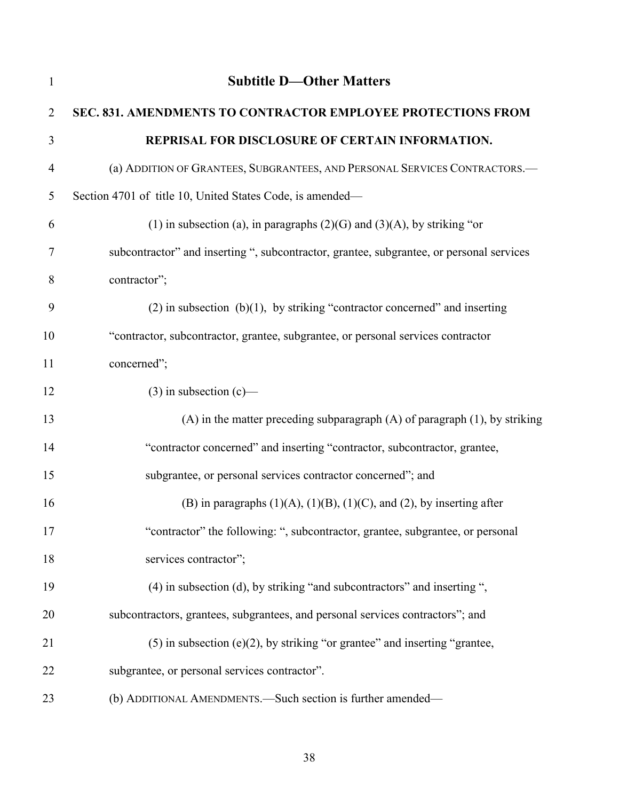| $\mathbf{1}$   | <b>Subtitle D-Other Matters</b>                                                          |
|----------------|------------------------------------------------------------------------------------------|
| $\overline{2}$ | SEC. 831. AMENDMENTS TO CONTRACTOR EMPLOYEE PROTECTIONS FROM                             |
| 3              | REPRISAL FOR DISCLOSURE OF CERTAIN INFORMATION.                                          |
| 4              | (a) ADDITION OF GRANTEES, SUBGRANTEES, AND PERSONAL SERVICES CONTRACTORS.-               |
| 5              | Section 4701 of title 10, United States Code, is amended—                                |
| 6              | (1) in subsection (a), in paragraphs $(2)(G)$ and $(3)(A)$ , by striking "or             |
| 7              | subcontractor" and inserting ", subcontractor, grantee, subgrantee, or personal services |
| 8              | contractor";                                                                             |
| 9              | $(2)$ in subsection $(b)(1)$ , by striking "contractor concerned" and inserting          |
| 10             | "contractor, subcontractor, grantee, subgrantee, or personal services contractor         |
| 11             | concerned";                                                                              |
| 12             | $(3)$ in subsection $(c)$ —                                                              |
| 13             | $(A)$ in the matter preceding subparagraph $(A)$ of paragraph $(1)$ , by striking        |
| 14             | "contractor concerned" and inserting "contractor, subcontractor, grantee,                |
| 15             | subgrantee, or personal services contractor concerned"; and                              |
| 16             | (B) in paragraphs $(1)(A)$ , $(1)(B)$ , $(1)(C)$ , and $(2)$ , by inserting after        |
| 17             | "contractor" the following: ", subcontractor, grantee, subgrantee, or personal           |
| 18             | services contractor";                                                                    |
| 19             | (4) in subsection (d), by striking "and subcontractors" and inserting ",                 |
| 20             | subcontractors, grantees, subgrantees, and personal services contractors"; and           |
| 21             | $(5)$ in subsection (e) $(2)$ , by striking "or grantee" and inserting "grantee,         |
| 22             | subgrantee, or personal services contractor".                                            |
| 23             | (b) ADDITIONAL AMENDMENTS. - Such section is further amended-                            |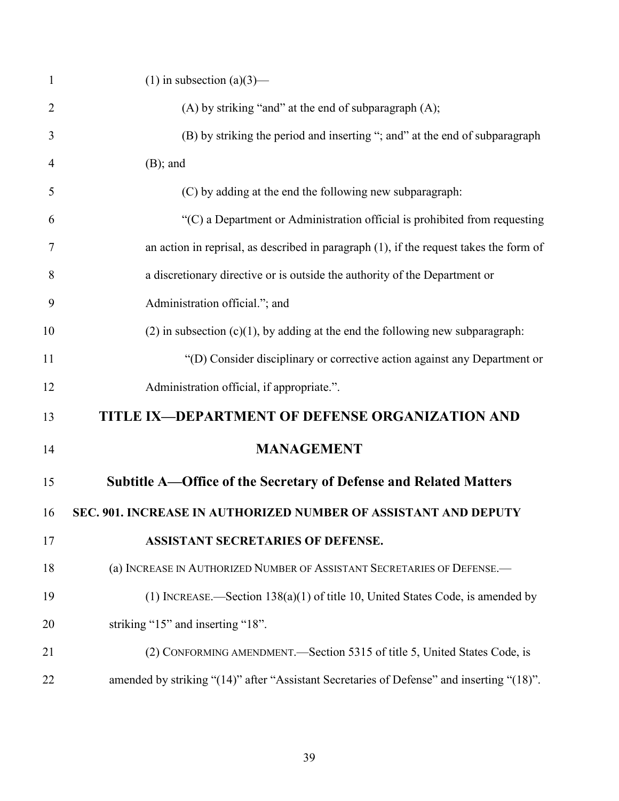| $\mathbf{1}$   | (1) in subsection (a)(3)—                                                                 |
|----------------|-------------------------------------------------------------------------------------------|
| 2              | (A) by striking "and" at the end of subparagraph (A);                                     |
| 3              | (B) by striking the period and inserting "; and" at the end of subparagraph               |
| $\overline{4}$ | $(B)$ ; and                                                                               |
| 5              | (C) by adding at the end the following new subparagraph:                                  |
| 6              | $C$ ) a Department or Administration official is prohibited from requesting               |
| $\tau$         | an action in reprisal, as described in paragraph $(1)$ , if the request takes the form of |
| 8              | a discretionary directive or is outside the authority of the Department or                |
| 9              | Administration official."; and                                                            |
| 10             | $(2)$ in subsection $(c)(1)$ , by adding at the end the following new subparagraph:       |
| 11             | "(D) Consider disciplinary or corrective action against any Department or                 |
| 12             | Administration official, if appropriate.".                                                |
| 13             | TITLE IX-DEPARTMENT OF DEFENSE ORGANIZATION AND                                           |
| 14             | <b>MANAGEMENT</b>                                                                         |
| 15             | Subtitle A—Office of the Secretary of Defense and Related Matters                         |
| 16             | SEC. 901. INCREASE IN AUTHORIZED NUMBER OF ASSISTANT AND DEPUTY                           |
| 17             | <b>ASSISTANT SECRETARIES OF DEFENSE.</b>                                                  |
| 18             | (a) INCREASE IN AUTHORIZED NUMBER OF ASSISTANT SECRETARIES OF DEFENSE.                    |
| 19             | (1) INCREASE.—Section $138(a)(1)$ of title 10, United States Code, is amended by          |
| 20             | striking "15" and inserting "18".                                                         |
| 21             | (2) CONFORMING AMENDMENT.—Section 5315 of title 5, United States Code, is                 |
| 22             | amended by striking "(14)" after "Assistant Secretaries of Defense" and inserting "(18)". |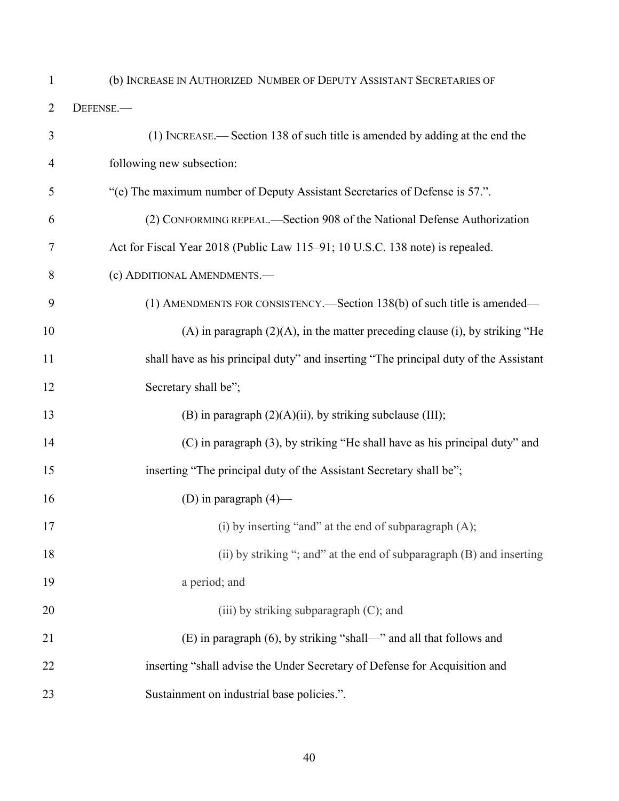# (b) INCREASE IN AUTHORIZED NUMBER OF DEPUTY ASSISTANT SECRETARIES OF

DEFENSE.—

| $\mathfrak{Z}$ | (1) INCREASE.—Section 138 of such title is amended by adding at the end the          |
|----------------|--------------------------------------------------------------------------------------|
| 4              | following new subsection:                                                            |
| 5              | "(e) The maximum number of Deputy Assistant Secretaries of Defense is 57.".          |
| 6              | (2) CONFORMING REPEAL.—Section 908 of the National Defense Authorization             |
| 7              | Act for Fiscal Year 2018 (Public Law 115–91; 10 U.S.C. 138 note) is repealed.        |
| 8              | (c) ADDITIONAL AMENDMENTS.-                                                          |
| 9              | (1) AMENDMENTS FOR CONSISTENCY.—Section 138(b) of such title is amended—             |
| 10             | $(A)$ in paragraph $(2)(A)$ , in the matter preceding clause (i), by striking "He    |
| 11             | shall have as his principal duty" and inserting "The principal duty of the Assistant |
| 12             | Secretary shall be";                                                                 |
| 13             | (B) in paragraph $(2)(A)(ii)$ , by striking subclause (III);                         |
| 14             | (C) in paragraph (3), by striking "He shall have as his principal duty" and          |
| 15             | inserting "The principal duty of the Assistant Secretary shall be";                  |
| 16             | (D) in paragraph $(4)$ —                                                             |
| 17             | (i) by inserting "and" at the end of subparagraph (A);                               |
| 18             | (ii) by striking "; and" at the end of subparagraph (B) and inserting                |
| 19             | a period; and                                                                        |
| 20             | (iii) by striking subparagraph (C); and                                              |
| 21             | (E) in paragraph (6), by striking "shall—" and all that follows and                  |
| 22             | inserting "shall advise the Under Secretary of Defense for Acquisition and           |
| 23             | Sustainment on industrial base policies.".                                           |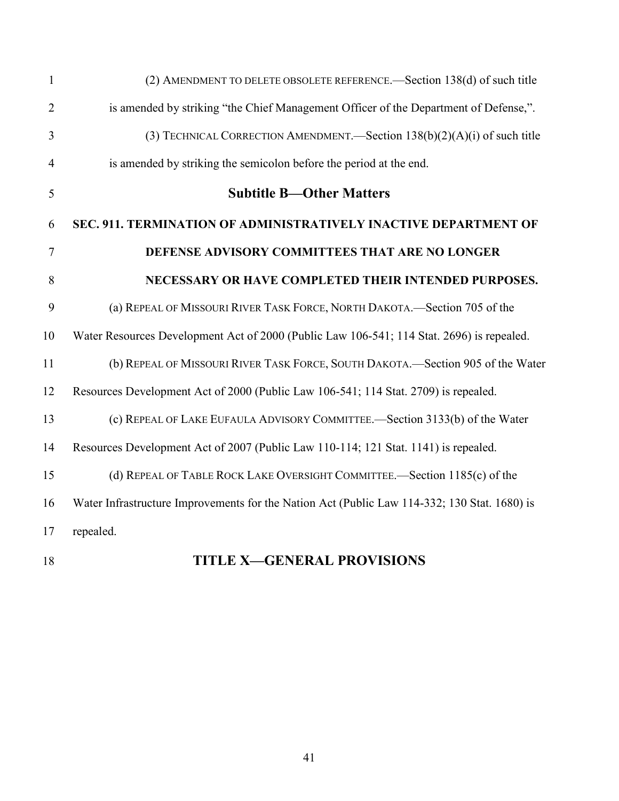| $\mathbf{1}$   | (2) AMENDMENT TO DELETE OBSOLETE REFERENCE.—Section 138(d) of such title                     |
|----------------|----------------------------------------------------------------------------------------------|
| $\overline{2}$ | is amended by striking "the Chief Management Officer of the Department of Defense,".         |
| 3              | (3) TECHNICAL CORRECTION AMENDMENT.—Section $138(b)(2)(A)(i)$ of such title                  |
| $\overline{4}$ | is amended by striking the semicolon before the period at the end.                           |
| 5              | <b>Subtitle B-Other Matters</b>                                                              |
| 6              | SEC. 911. TERMINATION OF ADMINISTRATIVELY INACTIVE DEPARTMENT OF                             |
| $\overline{7}$ | DEFENSE ADVISORY COMMITTEES THAT ARE NO LONGER                                               |
| 8              | NECESSARY OR HAVE COMPLETED THEIR INTENDED PURPOSES.                                         |
| 9              | (a) REPEAL OF MISSOURI RIVER TASK FORCE, NORTH DAKOTA.—Section 705 of the                    |
| 10             | Water Resources Development Act of 2000 (Public Law 106-541; 114 Stat. 2696) is repealed.    |
| 11             | (b) REPEAL OF MISSOURI RIVER TASK FORCE, SOUTH DAKOTA.—Section 905 of the Water              |
| 12             | Resources Development Act of 2000 (Public Law 106-541; 114 Stat. 2709) is repealed.          |
| 13             | (c) REPEAL OF LAKE EUFAULA ADVISORY COMMITTEE.—Section 3133(b) of the Water                  |
| 14             | Resources Development Act of 2007 (Public Law 110-114; 121 Stat. 1141) is repealed.          |
| 15             | (d) REPEAL OF TABLE ROCK LAKE OVERSIGHT COMMITTEE.—Section 1185(c) of the                    |
| 16             | Water Infrastructure Improvements for the Nation Act (Public Law 114-332; 130 Stat. 1680) is |
| 17             | repealed.                                                                                    |
|                |                                                                                              |

# **TITLE X—GENERAL PROVISIONS**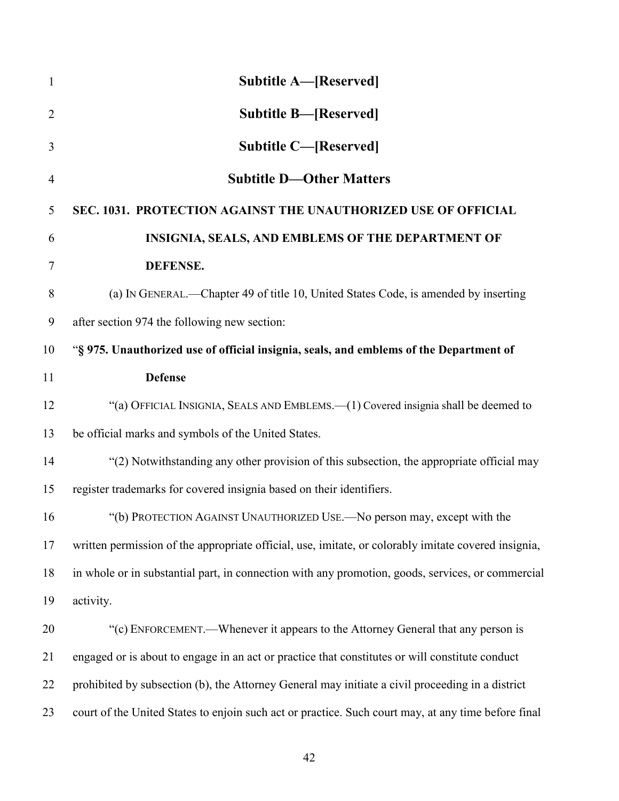| $\mathbf{1}$   | <b>Subtitle A—[Reserved]</b>                                                                         |
|----------------|------------------------------------------------------------------------------------------------------|
| $\overline{2}$ | <b>Subtitle B—[Reserved]</b>                                                                         |
| 3              | <b>Subtitle C-[Reserved]</b>                                                                         |
| $\overline{4}$ | <b>Subtitle D-Other Matters</b>                                                                      |
| 5              | SEC. 1031. PROTECTION AGAINST THE UNAUTHORIZED USE OF OFFICIAL                                       |
| 6              | INSIGNIA, SEALS, AND EMBLEMS OF THE DEPARTMENT OF                                                    |
| 7              | <b>DEFENSE.</b>                                                                                      |
| 8              | (a) IN GENERAL.—Chapter 49 of title 10, United States Code, is amended by inserting                  |
| 9              | after section 974 the following new section:                                                         |
| 10             | "§ 975. Unauthorized use of official insignia, seals, and emblems of the Department of               |
| 11             | <b>Defense</b>                                                                                       |
| 12             | "(a) OFFICIAL INSIGNIA, SEALS AND EMBLEMS.—(1) Covered insignia shall be deemed to                   |
| 13             | be official marks and symbols of the United States.                                                  |
| 14             | "(2) Notwithstanding any other provision of this subsection, the appropriate official may            |
| 15             | register trademarks for covered insignia based on their identifiers.                                 |
| 16             | "(b) PROTECTION AGAINST UNAUTHORIZED USE.—No person may, except with the                             |
| 17             | written permission of the appropriate official, use, imitate, or colorably imitate covered insignia, |
| 18             | in whole or in substantial part, in connection with any promotion, goods, services, or commercial    |
| 19             | activity.                                                                                            |
| 20             | "(c) ENFORCEMENT.—Whenever it appears to the Attorney General that any person is                     |
| 21             | engaged or is about to engage in an act or practice that constitutes or will constitute conduct      |
| 22             | prohibited by subsection (b), the Attorney General may initiate a civil proceeding in a district     |
| 23             | court of the United States to enjoin such act or practice. Such court may, at any time before final  |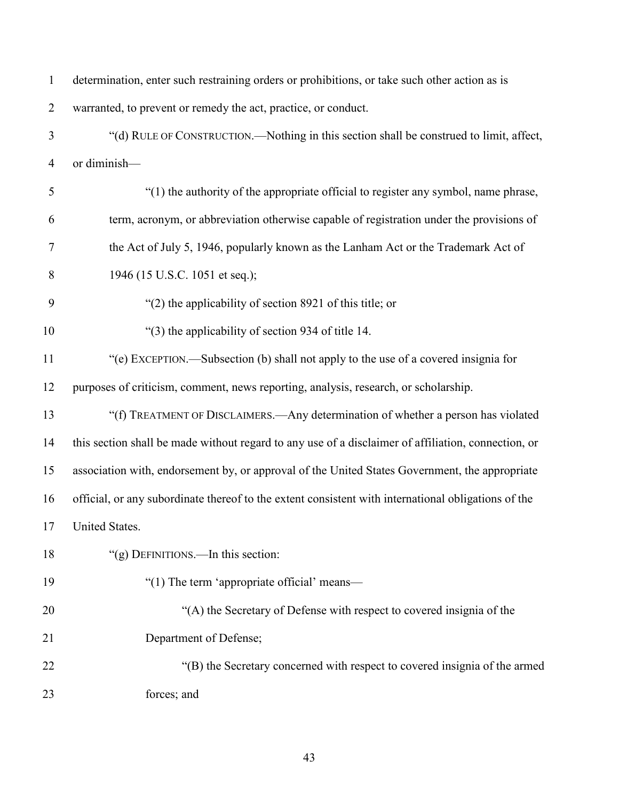| $\mathbf{1}$   | determination, enter such restraining orders or prohibitions, or take such other action as is       |
|----------------|-----------------------------------------------------------------------------------------------------|
| $\overline{2}$ | warranted, to prevent or remedy the act, practice, or conduct.                                      |
| 3              | "(d) RULE OF CONSTRUCTION.—Nothing in this section shall be construed to limit, affect,             |
| $\overline{4}$ | or diminish-                                                                                        |
| 5              | "(1) the authority of the appropriate official to register any symbol, name phrase,                 |
| 6              | term, acronym, or abbreviation otherwise capable of registration under the provisions of            |
| $\tau$         | the Act of July 5, 1946, popularly known as the Lanham Act or the Trademark Act of                  |
| 8              | 1946 (15 U.S.C. 1051 et seq.);                                                                      |
| 9              | "(2) the applicability of section 8921 of this title; or                                            |
| 10             | "(3) the applicability of section 934 of title 14.                                                  |
| 11             | "(e) EXCEPTION.—Subsection (b) shall not apply to the use of a covered insignia for                 |
| 12             | purposes of criticism, comment, news reporting, analysis, research, or scholarship.                 |
| 13             | "(f) TREATMENT OF DISCLAIMERS.—Any determination of whether a person has violated                   |
| 14             | this section shall be made without regard to any use of a disclaimer of affiliation, connection, or |
| 15             | association with, endorsement by, or approval of the United States Government, the appropriate      |
| 16             | official, or any subordinate thereof to the extent consistent with international obligations of the |
| 17             | United States.                                                                                      |
| 18             | "(g) DEFINITIONS.—In this section:                                                                  |
| 19             | "(1) The term 'appropriate official' means-                                                         |
| 20             | "(A) the Secretary of Defense with respect to covered insignia of the                               |
| 21             | Department of Defense;                                                                              |
| 22             | "(B) the Secretary concerned with respect to covered insignia of the armed                          |
| 23             | forces; and                                                                                         |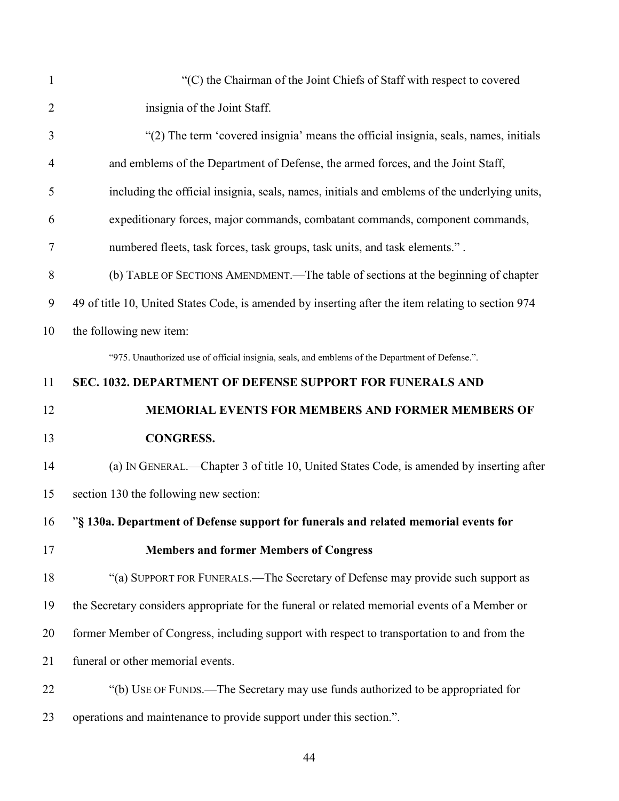| $\mathbf{1}$   | "(C) the Chairman of the Joint Chiefs of Staff with respect to covered                             |
|----------------|----------------------------------------------------------------------------------------------------|
| $\overline{2}$ | insignia of the Joint Staff.                                                                       |
| 3              | "(2) The term 'covered insignia' means the official insignia, seals, names, initials               |
| 4              | and emblems of the Department of Defense, the armed forces, and the Joint Staff,                   |
| 5              | including the official insignia, seals, names, initials and emblems of the underlying units,       |
| 6              | expeditionary forces, major commands, combatant commands, component commands,                      |
| 7              | numbered fleets, task forces, task groups, task units, and task elements.".                        |
| 8              | (b) TABLE OF SECTIONS AMENDMENT.—The table of sections at the beginning of chapter                 |
| 9              | 49 of title 10, United States Code, is amended by inserting after the item relating to section 974 |
| 10             | the following new item:                                                                            |
|                | "975. Unauthorized use of official insignia, seals, and emblems of the Department of Defense.".    |
| 11             | SEC. 1032. DEPARTMENT OF DEFENSE SUPPORT FOR FUNERALS AND                                          |
|                |                                                                                                    |
| 12             | MEMORIAL EVENTS FOR MEMBERS AND FORMER MEMBERS OF                                                  |
| 13             | <b>CONGRESS.</b>                                                                                   |
| 14             | (a) IN GENERAL.—Chapter 3 of title 10, United States Code, is amended by inserting after           |
| 15             | section 130 the following new section:                                                             |
| 16             | "§ 130a. Department of Defense support for funerals and related memorial events for                |
| 17             | <b>Members and former Members of Congress</b>                                                      |
| 18             | "(a) SUPPORT FOR FUNERALS.—The Secretary of Defense may provide such support as                    |
| 19             | the Secretary considers appropriate for the funeral or related memorial events of a Member or      |
| 20             | former Member of Congress, including support with respect to transportation to and from the        |
| 21             | funeral or other memorial events.                                                                  |
| 22             | "(b) USE OF FUNDS.—The Secretary may use funds authorized to be appropriated for                   |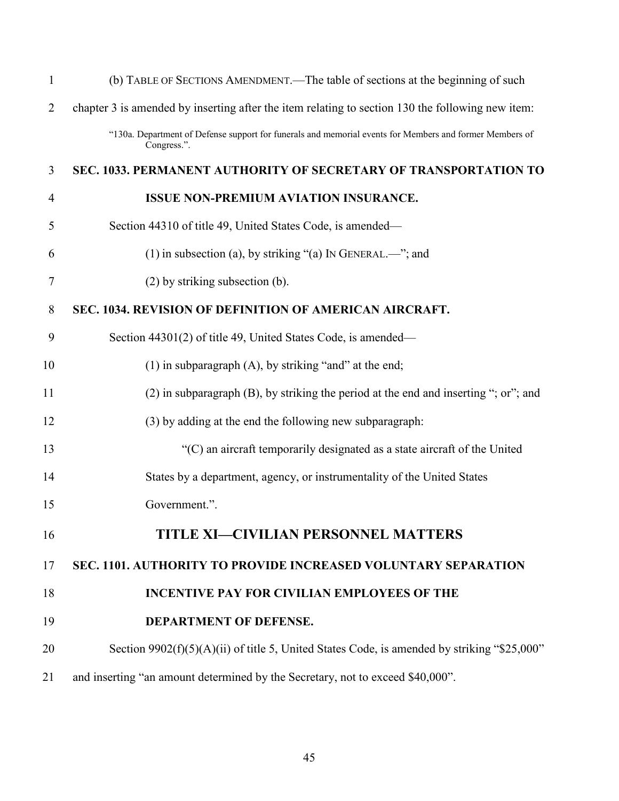| $\mathbf{1}$   | (b) TABLE OF SECTIONS AMENDMENT.—The table of sections at the beginning of such                                        |
|----------------|------------------------------------------------------------------------------------------------------------------------|
| $\overline{2}$ | chapter 3 is amended by inserting after the item relating to section 130 the following new item:                       |
|                | "130a. Department of Defense support for funerals and memorial events for Members and former Members of<br>Congress.". |
| 3              | SEC. 1033. PERMANENT AUTHORITY OF SECRETARY OF TRANSPORTATION TO                                                       |
| $\overline{4}$ | <b>ISSUE NON-PREMIUM AVIATION INSURANCE.</b>                                                                           |
| 5              | Section 44310 of title 49, United States Code, is amended—                                                             |
| 6              | (1) in subsection (a), by striking "(a) IN GENERAL.—"; and                                                             |
| $\tau$         | (2) by striking subsection (b).                                                                                        |
| 8              | SEC. 1034. REVISION OF DEFINITION OF AMERICAN AIRCRAFT.                                                                |
| 9              | Section 44301(2) of title 49, United States Code, is amended—                                                          |
| 10             | (1) in subparagraph $(A)$ , by striking "and" at the end;                                                              |
| 11             | $(2)$ in subparagraph $(B)$ , by striking the period at the end and inserting "; or"; and                              |
| 12             | (3) by adding at the end the following new subparagraph:                                                               |
| 13             | "(C) an aircraft temporarily designated as a state aircraft of the United                                              |
| 14             | States by a department, agency, or instrumentality of the United States                                                |
| 15             | Government.".                                                                                                          |
| 16             | <b>TITLE XI-CIVILIAN PERSONNEL MATTERS</b>                                                                             |
| 17             | SEC. 1101. AUTHORITY TO PROVIDE INCREASED VOLUNTARY SEPARATION                                                         |
| 18             | <b>INCENTIVE PAY FOR CIVILIAN EMPLOYEES OF THE</b>                                                                     |
| 19             | DEPARTMENT OF DEFENSE.                                                                                                 |
| 20             | Section $9902(f)(5)(A)(ii)$ of title 5, United States Code, is amended by striking "\$25,000"                          |
| 21             | and inserting "an amount determined by the Secretary, not to exceed \$40,000".                                         |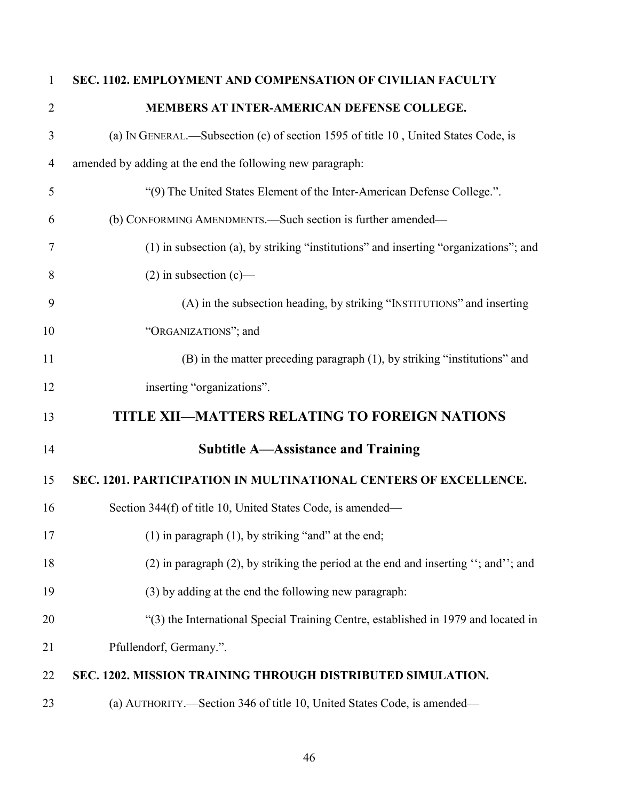| $\mathbf{1}$   | SEC. 1102. EMPLOYMENT AND COMPENSATION OF CIVILIAN FACULTY                              |
|----------------|-----------------------------------------------------------------------------------------|
| $\overline{2}$ | MEMBERS AT INTER-AMERICAN DEFENSE COLLEGE.                                              |
| 3              | (a) IN GENERAL.—Subsection (c) of section 1595 of title 10, United States Code, is      |
| $\overline{4}$ | amended by adding at the end the following new paragraph:                               |
| 5              | "(9) The United States Element of the Inter-American Defense College.".                 |
| 6              | (b) CONFORMING AMENDMENTS. Such section is further amended—                             |
| 7              | (1) in subsection (a), by striking "institutions" and inserting "organizations"; and    |
| 8              | $(2)$ in subsection $(c)$ —                                                             |
| 9              | (A) in the subsection heading, by striking "INSTITUTIONS" and inserting                 |
| 10             | "ORGANIZATIONS"; and                                                                    |
| 11             | (B) in the matter preceding paragraph (1), by striking "institutions" and               |
| 12             | inserting "organizations".                                                              |
| 13             | TITLE XII-MATTERS RELATING TO FOREIGN NATIONS                                           |
| 14             | <b>Subtitle A—Assistance and Training</b>                                               |
| 15             | SEC. 1201. PARTICIPATION IN MULTINATIONAL CENTERS OF EXCELLENCE.                        |
| 16             | Section 344(f) of title 10, United States Code, is amended—                             |
| 17             | $(1)$ in paragraph $(1)$ , by striking "and" at the end;                                |
| 18             | $(2)$ in paragraph $(2)$ , by striking the period at the end and inserting "; and"; and |
| 19             | (3) by adding at the end the following new paragraph:                                   |
| 20             | "(3) the International Special Training Centre, established in 1979 and located in      |
| 21             | Pfullendorf, Germany.".                                                                 |
| 22             | SEC. 1202. MISSION TRAINING THROUGH DISTRIBUTED SIMULATION.                             |
| 23             | (a) AUTHORITY.-Section 346 of title 10, United States Code, is amended-                 |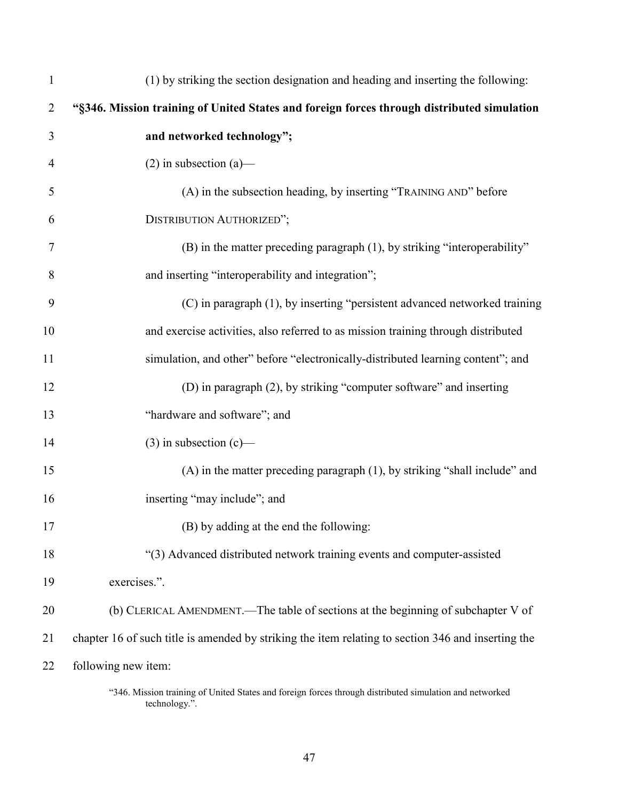| $\mathbf{1}$   | (1) by striking the section designation and heading and inserting the following:                   |
|----------------|----------------------------------------------------------------------------------------------------|
| $\overline{2}$ | "§346. Mission training of United States and foreign forces through distributed simulation         |
| 3              | and networked technology";                                                                         |
| 4              | $(2)$ in subsection $(a)$ —                                                                        |
| 5              | (A) in the subsection heading, by inserting "TRAINING AND" before                                  |
| 6              | DISTRIBUTION AUTHORIZED";                                                                          |
| 7              | (B) in the matter preceding paragraph (1), by striking "interoperability"                          |
| 8              | and inserting "interoperability and integration";                                                  |
| 9              | (C) in paragraph (1), by inserting "persistent advanced networked training                         |
| 10             | and exercise activities, also referred to as mission training through distributed                  |
| 11             | simulation, and other" before "electronically-distributed learning content"; and                   |
| 12             | (D) in paragraph (2), by striking "computer software" and inserting                                |
| 13             | "hardware and software"; and                                                                       |
| 14             | $(3)$ in subsection $(c)$ —                                                                        |
| 15             | (A) in the matter preceding paragraph (1), by striking "shall include" and                         |
| 16             | inserting "may include"; and                                                                       |
| 17             | (B) by adding at the end the following:                                                            |
| 18             | "(3) Advanced distributed network training events and computer-assisted                            |
| 19             | exercises.".                                                                                       |
| 20             | (b) CLERICAL AMENDMENT.—The table of sections at the beginning of subchapter V of                  |
| 21             | chapter 16 of such title is amended by striking the item relating to section 346 and inserting the |
| 22             | following new item:                                                                                |
|                |                                                                                                    |

<sup>&</sup>quot;346. Mission training of United States and foreign forces through distributed simulation and networked technology.".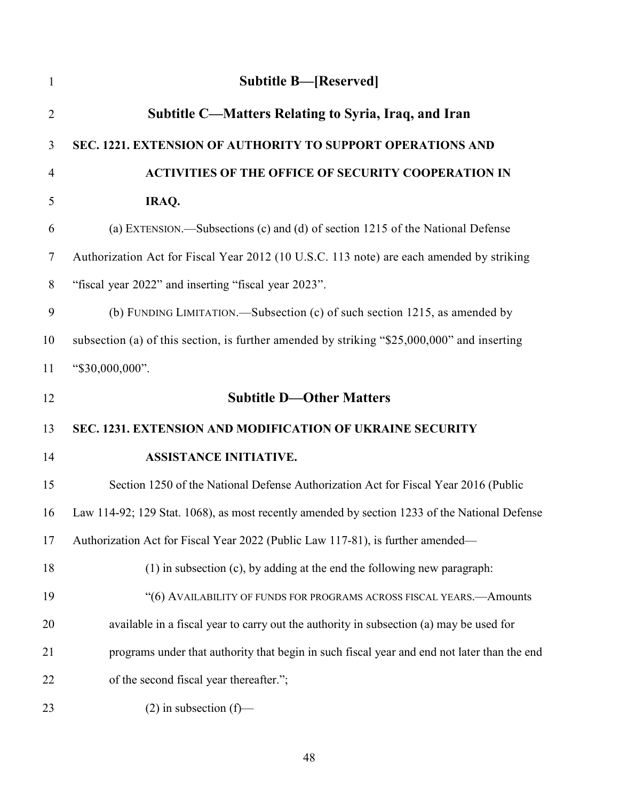| $\mathbf{1}$   | <b>Subtitle B-[Reserved]</b>                                                                  |
|----------------|-----------------------------------------------------------------------------------------------|
| $\overline{2}$ | Subtitle C—Matters Relating to Syria, Iraq, and Iran                                          |
| 3              | SEC. 1221. EXTENSION OF AUTHORITY TO SUPPORT OPERATIONS AND                                   |
| $\overline{4}$ | <b>ACTIVITIES OF THE OFFICE OF SECURITY COOPERATION IN</b>                                    |
| 5              | IRAQ.                                                                                         |
| 6              | (a) EXTENSION.—Subsections (c) and (d) of section 1215 of the National Defense                |
| $\tau$         | Authorization Act for Fiscal Year 2012 (10 U.S.C. 113 note) are each amended by striking      |
| 8              | "fiscal year 2022" and inserting "fiscal year 2023".                                          |
| 9              | (b) FUNDING LIMITATION.—Subsection (c) of such section 1215, as amended by                    |
| 10             | subsection (a) of this section, is further amended by striking "\$25,000,000" and inserting   |
| 11             | "\$30,000,000".                                                                               |
| 12             | <b>Subtitle D-Other Matters</b>                                                               |
| 13             | SEC. 1231. EXTENSION AND MODIFICATION OF UKRAINE SECURITY                                     |
| 14             | <b>ASSISTANCE INITIATIVE.</b>                                                                 |
| 15             | Section 1250 of the National Defense Authorization Act for Fiscal Year 2016 (Public           |
| 16             | Law 114-92; 129 Stat. 1068), as most recently amended by section 1233 of the National Defense |
| 17             | Authorization Act for Fiscal Year 2022 (Public Law 117-81), is further amended—               |
| 18             | $(1)$ in subsection $(c)$ , by adding at the end the following new paragraph:                 |
| 19             | "(6) AVAILABILITY OF FUNDS FOR PROGRAMS ACROSS FISCAL YEARS.- Amounts                         |
| 20             | available in a fiscal year to carry out the authority in subsection (a) may be used for       |
| 21             | programs under that authority that begin in such fiscal year and end not later than the end   |
| 22             | of the second fiscal year thereafter.";                                                       |
| 23             | $(2)$ in subsection $(f)$ —                                                                   |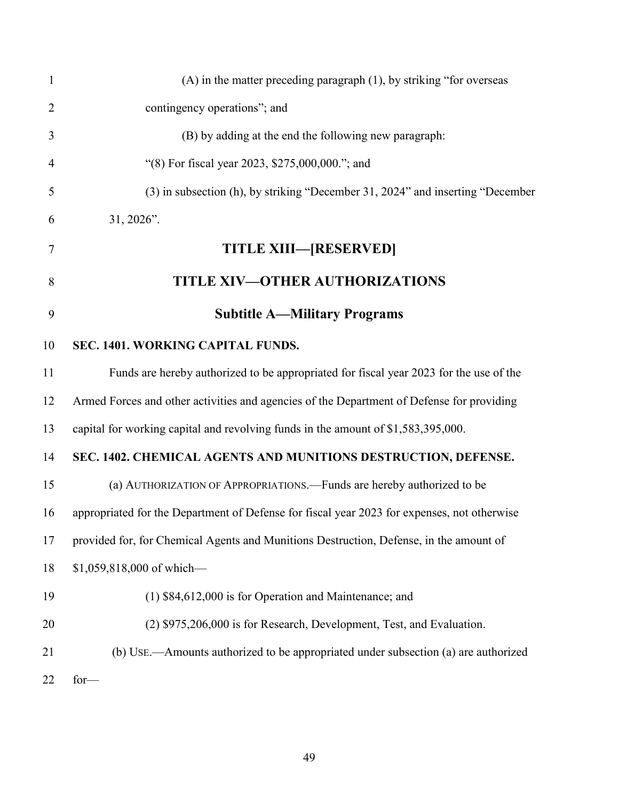| $\mathbf{1}$   | $(A)$ in the matter preceding paragraph $(1)$ , by striking "for overseas"                  |
|----------------|---------------------------------------------------------------------------------------------|
| $\overline{2}$ | contingency operations"; and                                                                |
| 3              | (B) by adding at the end the following new paragraph:                                       |
| $\overline{4}$ | "(8) For fiscal year 2023, \$275,000,000."; and                                             |
| 5              | (3) in subsection (h), by striking "December 31, 2024" and inserting "December              |
| 6              | 31, 2026".                                                                                  |
| 7              | <b>TITLE XIII—[RESERVED]</b>                                                                |
| 8              | <b>TITLE XIV-OTHER AUTHORIZATIONS</b>                                                       |
| 9              | <b>Subtitle A-Military Programs</b>                                                         |
| 10             | SEC. 1401. WORKING CAPITAL FUNDS.                                                           |
| 11             | Funds are hereby authorized to be appropriated for fiscal year 2023 for the use of the      |
| 12             | Armed Forces and other activities and agencies of the Department of Defense for providing   |
| 13             | capital for working capital and revolving funds in the amount of \$1,583,395,000.           |
| 14             | SEC. 1402. CHEMICAL AGENTS AND MUNITIONS DESTRUCTION, DEFENSE.                              |
| 15             | (a) AUTHORIZATION OF APPROPRIATIONS. - Funds are hereby authorized to be                    |
| 16             | appropriated for the Department of Defense for fiscal year 2023 for expenses, not otherwise |
| 17             | provided for, for Chemical Agents and Munitions Destruction, Defense, in the amount of      |
| 18             | \$1,059,818,000 of which-                                                                   |
| 19             | (1) \$84,612,000 is for Operation and Maintenance; and                                      |
| 20             | (2) \$975,206,000 is for Research, Development, Test, and Evaluation.                       |
| 21             | (b) USE.—Amounts authorized to be appropriated under subsection (a) are authorized          |
| 22             | $for-$                                                                                      |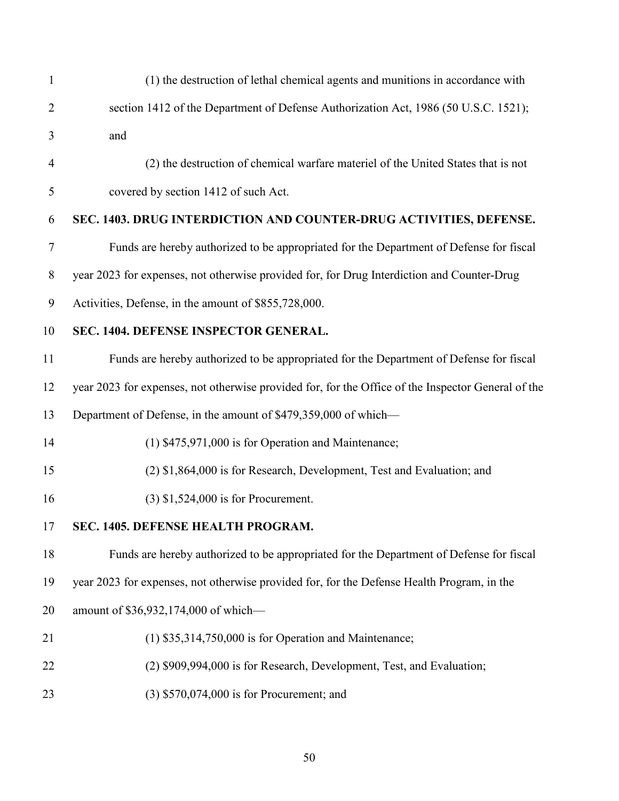| $\mathbf{1}$   | (1) the destruction of lethal chemical agents and munitions in accordance with                     |
|----------------|----------------------------------------------------------------------------------------------------|
| $\overline{2}$ | section 1412 of the Department of Defense Authorization Act, 1986 (50 U.S.C. 1521);                |
| 3              | and                                                                                                |
| $\overline{4}$ | (2) the destruction of chemical warfare materiel of the United States that is not                  |
| 5              | covered by section 1412 of such Act.                                                               |
| 6              | SEC. 1403. DRUG INTERDICTION AND COUNTER-DRUG ACTIVITIES, DEFENSE.                                 |
| 7              | Funds are hereby authorized to be appropriated for the Department of Defense for fiscal            |
| 8              | year 2023 for expenses, not otherwise provided for, for Drug Interdiction and Counter-Drug         |
| 9              | Activities, Defense, in the amount of \$855,728,000.                                               |
| 10             | SEC. 1404. DEFENSE INSPECTOR GENERAL.                                                              |
| 11             | Funds are hereby authorized to be appropriated for the Department of Defense for fiscal            |
| 12             | year 2023 for expenses, not otherwise provided for, for the Office of the Inspector General of the |
| 13             | Department of Defense, in the amount of \$479,359,000 of which-                                    |
| 14             | $(1)$ \$475,971,000 is for Operation and Maintenance;                                              |
| 15             | (2) \$1,864,000 is for Research, Development, Test and Evaluation; and                             |
| 16             | $(3)$ \$1,524,000 is for Procurement.                                                              |
| 17             | <b>SEC. 1405. DEFENSE HEALTH PROGRAM</b>                                                           |
| 18             | Funds are hereby authorized to be appropriated for the Department of Defense for fiscal            |
| 19             | year 2023 for expenses, not otherwise provided for, for the Defense Health Program, in the         |
| 20             | amount of \$36,932,174,000 of which-                                                               |
| 21             | $(1)$ \$35,314,750,000 is for Operation and Maintenance;                                           |
| 22             | (2) \$909,994,000 is for Research, Development, Test, and Evaluation;                              |
| 23             | $(3)$ \$570,074,000 is for Procurement; and                                                        |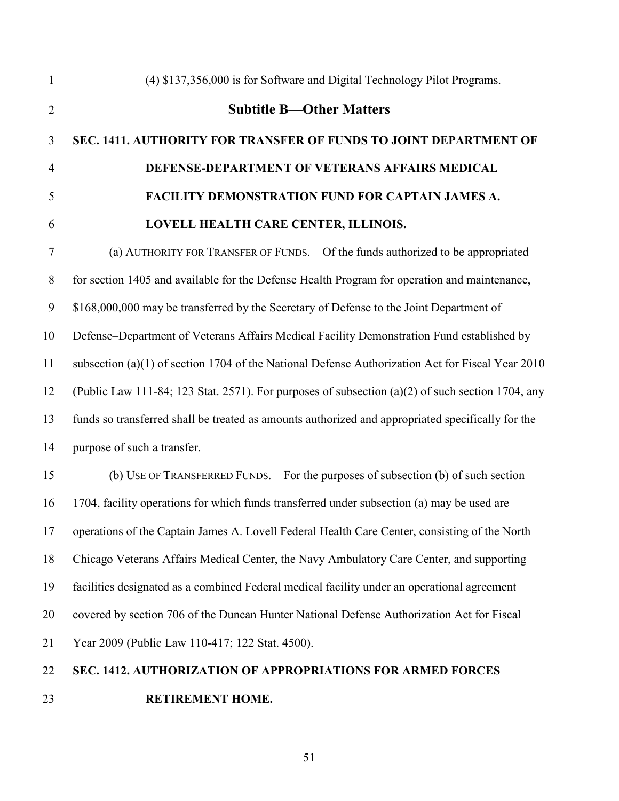(4) \$137,356,000 is for Software and Digital Technology Pilot Programs. **Subtitle B—Other Matters SEC. 1411. AUTHORITY FOR TRANSFER OF FUNDS TO JOINT DEPARTMENT OF DEFENSE-DEPARTMENT OF VETERANS AFFAIRS MEDICAL FACILITY DEMONSTRATION FUND FOR CAPTAIN JAMES A. LOVELL HEALTH CARE CENTER, ILLINOIS.** (a) AUTHORITY FOR TRANSFER OF FUNDS.—Of the funds authorized to be appropriated for section 1405 and available for the Defense Health Program for operation and maintenance, \$168,000,000 may be transferred by the Secretary of Defense to the Joint Department of Defense–Department of Veterans Affairs Medical Facility Demonstration Fund established by subsection (a)(1) of section 1704 of the National Defense Authorization Act for Fiscal Year 2010 (Public Law 111-84; 123 Stat. 2571). For purposes of subsection (a)(2) of such section 1704, any funds so transferred shall be treated as amounts authorized and appropriated specifically for the purpose of such a transfer.

 (b) USE OF TRANSFERRED FUNDS.—For the purposes of subsection (b) of such section 1704, facility operations for which funds transferred under subsection (a) may be used are operations of the Captain James A. Lovell Federal Health Care Center, consisting of the North Chicago Veterans Affairs Medical Center, the Navy Ambulatory Care Center, and supporting facilities designated as a combined Federal medical facility under an operational agreement covered by section 706 of the Duncan Hunter National Defense Authorization Act for Fiscal Year 2009 (Public Law 110-417; 122 Stat. 4500).

# **SEC. 1412. AUTHORIZATION OF APPROPRIATIONS FOR ARMED FORCES RETIREMENT HOME.**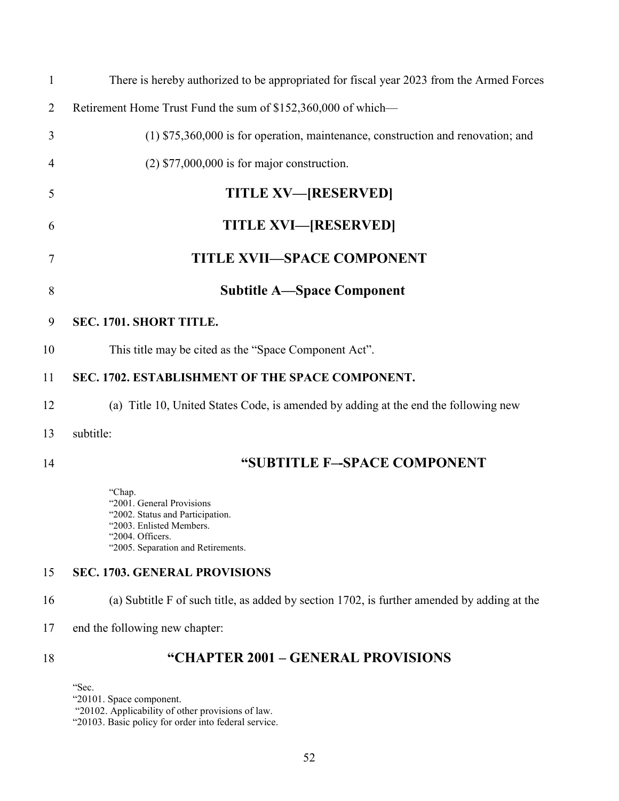| $\mathbf{1}$   | There is hereby authorized to be appropriated for fiscal year 2023 from the Armed Forces                                                                      |
|----------------|---------------------------------------------------------------------------------------------------------------------------------------------------------------|
| $\overline{2}$ | Retirement Home Trust Fund the sum of \$152,360,000 of which—                                                                                                 |
| 3              | $(1)$ \$75,360,000 is for operation, maintenance, construction and renovation; and                                                                            |
| 4              | $(2)$ \$77,000,000 is for major construction.                                                                                                                 |
| 5              | <b>TITLE XV-[RESERVED]</b>                                                                                                                                    |
| 6              | <b>TITLE XVI—[RESERVED]</b>                                                                                                                                   |
| 7              | <b>TITLE XVII-SPACE COMPONENT</b>                                                                                                                             |
| 8              | <b>Subtitle A—Space Component</b>                                                                                                                             |
| 9              | SEC. 1701. SHORT TITLE.                                                                                                                                       |
| 10             | This title may be cited as the "Space Component Act".                                                                                                         |
| 11             | SEC. 1702. ESTABLISHMENT OF THE SPACE COMPONENT.                                                                                                              |
| 12             | (a) Title 10, United States Code, is amended by adding at the end the following new                                                                           |
| 13             | subtitle:                                                                                                                                                     |
| 14             | "SUBTITLE F-SPACE COMPONENT                                                                                                                                   |
|                | "Chap.<br>"2001. General Provisions<br>"2002. Status and Participation.<br>"2003. Enlisted Members.<br>"2004. Officers.<br>"2005. Separation and Retirements. |
| 15             | <b>SEC. 1703. GENERAL PROVISIONS</b>                                                                                                                          |
| 16             | (a) Subtitle F of such title, as added by section 1702, is further amended by adding at the                                                                   |
| 17             | end the following new chapter:                                                                                                                                |
| 18             | "CHAPTER 2001 - GENERAL PROVISIONS                                                                                                                            |

"Sec.

"20101. Space component.

"20102. Applicability of other provisions of law.

"20103. Basic policy for order into federal service.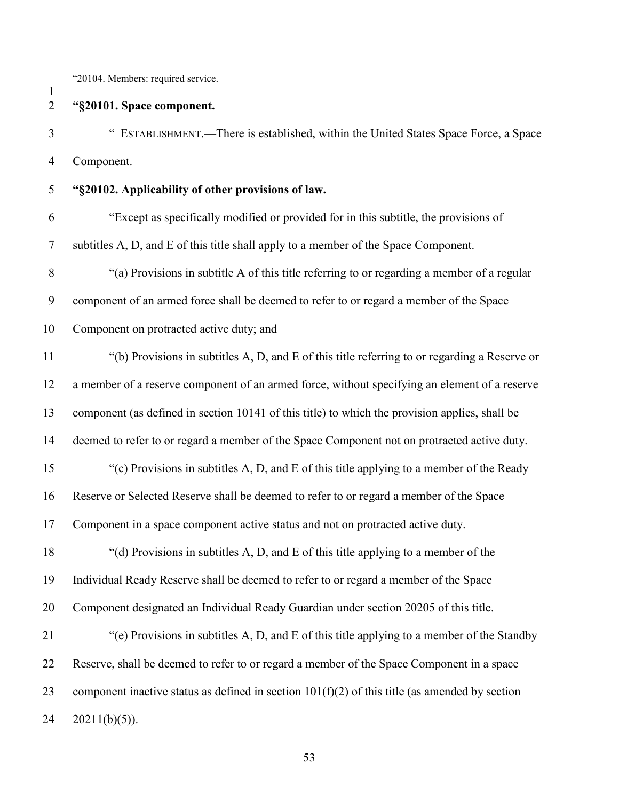"20104. Members: required service.

**"§20101. Space component.**

 " ESTABLISHMENT.—There is established, within the United States Space Force, a Space Component.

**"§20102. Applicability of other provisions of law.**

 "Except as specifically modified or provided for in this subtitle, the provisions of subtitles A, D, and E of this title shall apply to a member of the Space Component.

"(a) Provisions in subtitle A of this title referring to or regarding a member of a regular

component of an armed force shall be deemed to refer to or regard a member of the Space

Component on protracted active duty; and

 "(b) Provisions in subtitles A, D, and E of this title referring to or regarding a Reserve or a member of a reserve component of an armed force, without specifying an element of a reserve component (as defined in section 10141 of this title) to which the provision applies, shall be deemed to refer to or regard a member of the Space Component not on protracted active duty. "(c) Provisions in subtitles A, D, and E of this title applying to a member of the Ready Reserve or Selected Reserve shall be deemed to refer to or regard a member of the Space Component in a space component active status and not on protracted active duty.

 "(d) Provisions in subtitles A, D, and E of this title applying to a member of the Individual Ready Reserve shall be deemed to refer to or regard a member of the Space Component designated an Individual Ready Guardian under section 20205 of this title.

 "(e) Provisions in subtitles A, D, and E of this title applying to a member of the Standby Reserve, shall be deemed to refer to or regard a member of the Space Component in a space 23 component inactive status as defined in section  $101(f)(2)$  of this title (as amended by section  $24 \quad 20211(b)(5)$ ).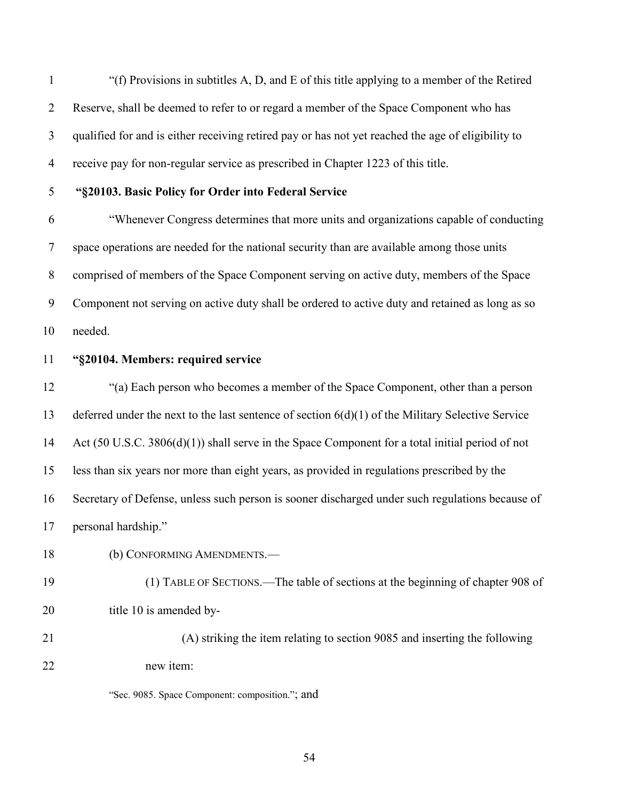"(f) Provisions in subtitles A, D, and E of this title applying to a member of the Retired Reserve, shall be deemed to refer to or regard a member of the Space Component who has qualified for and is either receiving retired pay or has not yet reached the age of eligibility to receive pay for non-regular service as prescribed in Chapter 1223 of this title.

# **"§20103. Basic Policy for Order into Federal Service**

 "Whenever Congress determines that more units and organizations capable of conducting space operations are needed for the national security than are available among those units comprised of members of the Space Component serving on active duty, members of the Space Component not serving on active duty shall be ordered to active duty and retained as long as so needed.

#### **"§20104. Members: required service**

 "(a) Each person who becomes a member of the Space Component, other than a person deferred under the next to the last sentence of section 6(d)(1) of the Military Selective Service 14 Act (50 U.S.C. 3806(d)(1)) shall serve in the Space Component for a total initial period of not less than six years nor more than eight years, as provided in regulations prescribed by the Secretary of Defense, unless such person is sooner discharged under such regulations because of personal hardship."

(b) CONFORMING AMENDMENTS.—

- (1) TABLE OF SECTIONS.—The table of sections at the beginning of chapter 908 of 20 title 10 is amended by-
- (A) striking the item relating to section 9085 and inserting the following new item:

"Sec. 9085. Space Component: composition."; and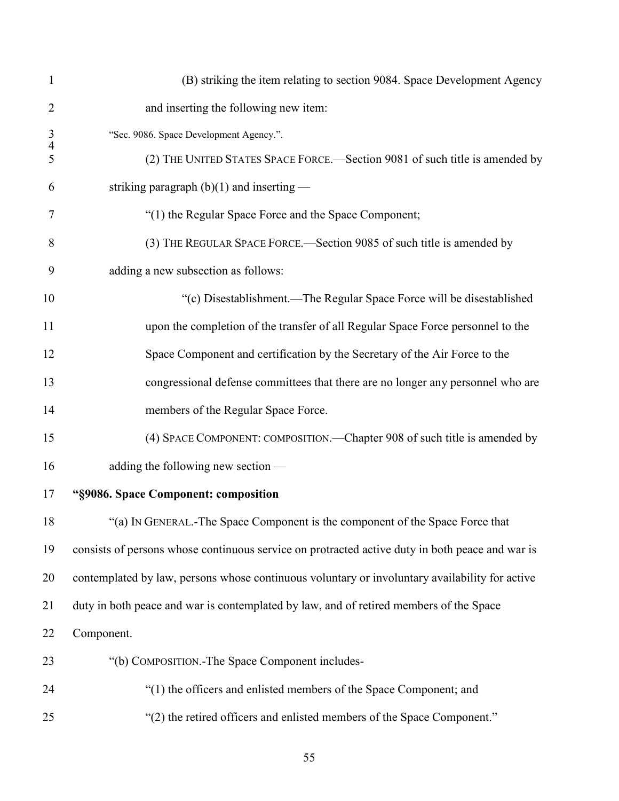| $\mathbf{1}$        | (B) striking the item relating to section 9084. Space Development Agency                        |
|---------------------|-------------------------------------------------------------------------------------------------|
| $\overline{2}$      | and inserting the following new item:                                                           |
| 3<br>$\overline{4}$ | "Sec. 9086. Space Development Agency.".                                                         |
| 5                   | (2) THE UNITED STATES SPACE FORCE.-Section 9081 of such title is amended by                     |
| 6                   | striking paragraph $(b)(1)$ and inserting —                                                     |
| 7                   | "(1) the Regular Space Force and the Space Component;                                           |
| 8                   | (3) THE REGULAR SPACE FORCE.—Section 9085 of such title is amended by                           |
| 9                   | adding a new subsection as follows:                                                             |
| 10                  | "(c) Disestablishment.—The Regular Space Force will be disestablished                           |
| 11                  | upon the completion of the transfer of all Regular Space Force personnel to the                 |
| 12                  | Space Component and certification by the Secretary of the Air Force to the                      |
| 13                  | congressional defense committees that there are no longer any personnel who are                 |
| 14                  | members of the Regular Space Force.                                                             |
| 15                  | (4) SPACE COMPONENT: COMPOSITION.—Chapter 908 of such title is amended by                       |
| 16                  | adding the following new section —                                                              |
| 17                  | "§9086. Space Component: composition                                                            |
| 18                  | "(a) IN GENERAL.-The Space Component is the component of the Space Force that                   |
| 19                  | consists of persons whose continuous service on protracted active duty in both peace and war is |
| 20                  | contemplated by law, persons whose continuous voluntary or involuntary availability for active  |
| 21                  | duty in both peace and war is contemplated by law, and of retired members of the Space          |
| 22                  | Component.                                                                                      |
| 23                  | "(b) COMPOSITION.-The Space Component includes-                                                 |
| 24                  | "(1) the officers and enlisted members of the Space Component; and                              |
| 25                  | "(2) the retired officers and enlisted members of the Space Component."                         |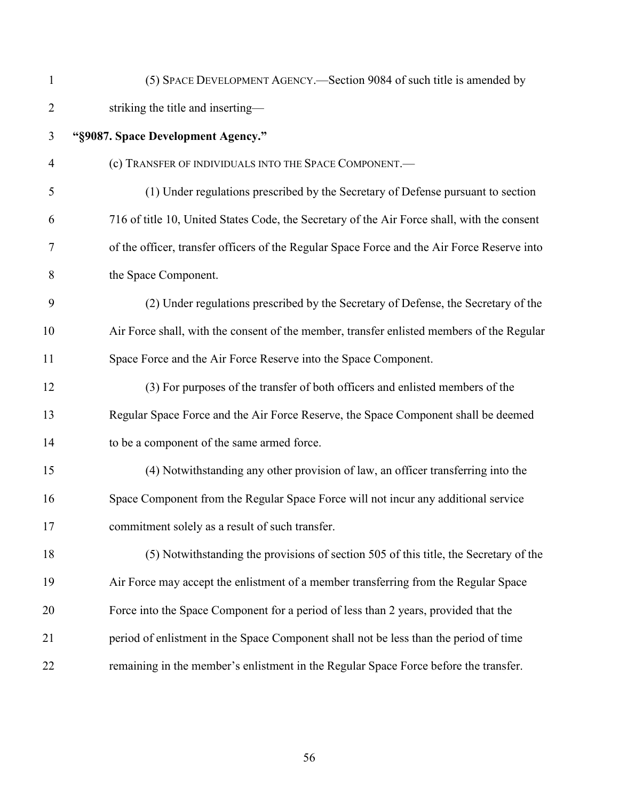| $\mathbf{1}$   | (5) SPACE DEVELOPMENT AGENCY.—Section 9084 of such title is amended by                      |
|----------------|---------------------------------------------------------------------------------------------|
| $\overline{2}$ | striking the title and inserting-                                                           |
| 3              | "§9087. Space Development Agency."                                                          |
| $\overline{4}$ | (c) TRANSFER OF INDIVIDUALS INTO THE SPACE COMPONENT.-                                      |
| 5              | (1) Under regulations prescribed by the Secretary of Defense pursuant to section            |
| 6              | 716 of title 10, United States Code, the Secretary of the Air Force shall, with the consent |
| 7              | of the officer, transfer officers of the Regular Space Force and the Air Force Reserve into |
| 8              | the Space Component.                                                                        |
| 9              | (2) Under regulations prescribed by the Secretary of Defense, the Secretary of the          |
| 10             | Air Force shall, with the consent of the member, transfer enlisted members of the Regular   |
| 11             | Space Force and the Air Force Reserve into the Space Component.                             |
| 12             | (3) For purposes of the transfer of both officers and enlisted members of the               |
| 13             | Regular Space Force and the Air Force Reserve, the Space Component shall be deemed          |
| 14             | to be a component of the same armed force.                                                  |
| 15             | (4) Notwithstanding any other provision of law, an officer transferring into the            |
| 16             | Space Component from the Regular Space Force will not incur any additional service          |
| 17             | commitment solely as a result of such transfer.                                             |
| 18             | (5) Notwithstanding the provisions of section 505 of this title, the Secretary of the       |
| 19             | Air Force may accept the enlistment of a member transferring from the Regular Space         |
| 20             | Force into the Space Component for a period of less than 2 years, provided that the         |
| 21             | period of enlistment in the Space Component shall not be less than the period of time       |
| 22             | remaining in the member's enlistment in the Regular Space Force before the transfer.        |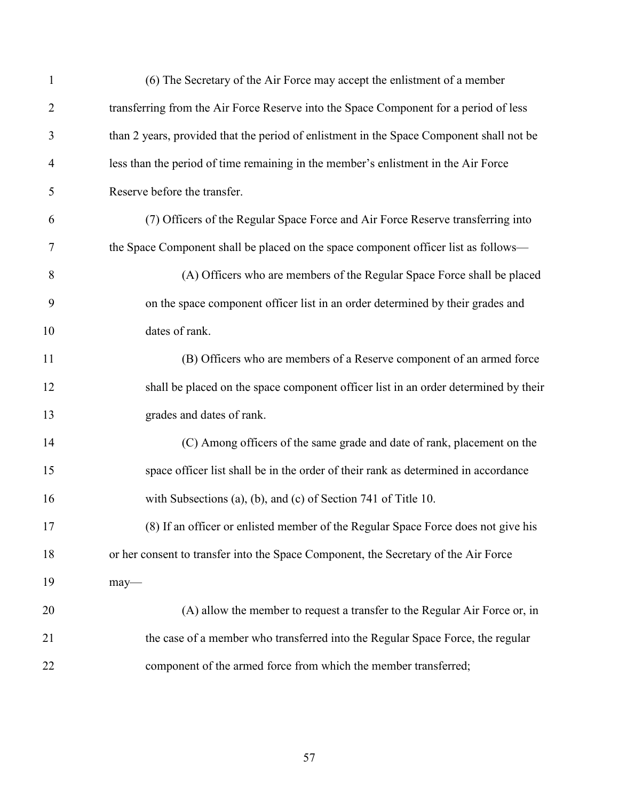| $\mathbf{1}$   | (6) The Secretary of the Air Force may accept the enlistment of a member                 |
|----------------|------------------------------------------------------------------------------------------|
| $\overline{2}$ | transferring from the Air Force Reserve into the Space Component for a period of less    |
| 3              | than 2 years, provided that the period of enlistment in the Space Component shall not be |
| $\overline{4}$ | less than the period of time remaining in the member's enlistment in the Air Force       |
| 5              | Reserve before the transfer.                                                             |
| 6              | (7) Officers of the Regular Space Force and Air Force Reserve transferring into          |
| 7              | the Space Component shall be placed on the space component officer list as follows—      |
| 8              | (A) Officers who are members of the Regular Space Force shall be placed                  |
| 9              | on the space component officer list in an order determined by their grades and           |
| 10             | dates of rank.                                                                           |
| 11             | (B) Officers who are members of a Reserve component of an armed force                    |
| 12             | shall be placed on the space component officer list in an order determined by their      |
| 13             | grades and dates of rank.                                                                |
| 14             | (C) Among officers of the same grade and date of rank, placement on the                  |
| 15             | space officer list shall be in the order of their rank as determined in accordance       |
| 16             | with Subsections (a), (b), and (c) of Section 741 of Title 10.                           |
| 17             | (8) If an officer or enlisted member of the Regular Space Force does not give his        |
| 18             | or her consent to transfer into the Space Component, the Secretary of the Air Force      |
| 19             | $may$ —                                                                                  |
| 20             | (A) allow the member to request a transfer to the Regular Air Force or, in               |
| 21             | the case of a member who transferred into the Regular Space Force, the regular           |
| 22             | component of the armed force from which the member transferred;                          |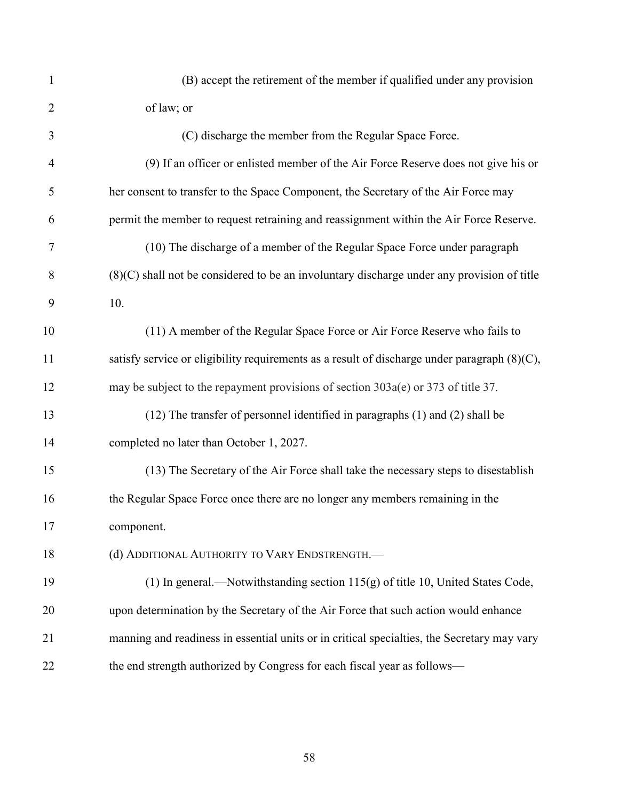| $\mathbf{1}$   | (B) accept the retirement of the member if qualified under any provision                        |
|----------------|-------------------------------------------------------------------------------------------------|
| $\overline{2}$ | of law; or                                                                                      |
| 3              | (C) discharge the member from the Regular Space Force.                                          |
| $\overline{4}$ | (9) If an officer or enlisted member of the Air Force Reserve does not give his or              |
| 5              | her consent to transfer to the Space Component, the Secretary of the Air Force may              |
| 6              | permit the member to request retraining and reassignment within the Air Force Reserve.          |
| 7              | (10) The discharge of a member of the Regular Space Force under paragraph                       |
| 8              | $(8)(C)$ shall not be considered to be an involuntary discharge under any provision of title    |
| 9              | 10.                                                                                             |
| 10             | (11) A member of the Regular Space Force or Air Force Reserve who fails to                      |
| 11             | satisfy service or eligibility requirements as a result of discharge under paragraph $(8)(C)$ , |
| 12             | may be subject to the repayment provisions of section 303a(e) or 373 of title 37.               |
| 13             | (12) The transfer of personnel identified in paragraphs (1) and (2) shall be                    |
| 14             | completed no later than October 1, 2027.                                                        |
| 15             | (13) The Secretary of the Air Force shall take the necessary steps to disestablish              |
| 16             | the Regular Space Force once there are no longer any members remaining in the                   |
| 17             | component.                                                                                      |
| 18             | (d) ADDITIONAL AUTHORITY TO VARY ENDSTRENGTH.-                                                  |
| 19             | (1) In general.—Notwithstanding section $115(g)$ of title 10, United States Code,               |
| 20             | upon determination by the Secretary of the Air Force that such action would enhance             |
| 21             | manning and readiness in essential units or in critical specialties, the Secretary may vary     |
| 22             | the end strength authorized by Congress for each fiscal year as follows-                        |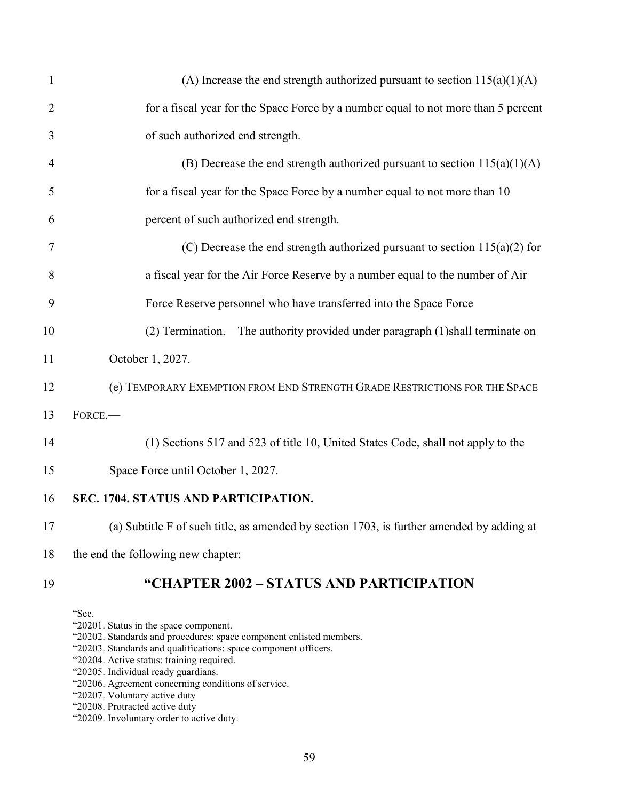| $\mathbf{1}$   | (A) Increase the end strength authorized pursuant to section $115(a)(1)(A)$               |
|----------------|-------------------------------------------------------------------------------------------|
| $\overline{2}$ | for a fiscal year for the Space Force by a number equal to not more than 5 percent        |
| 3              | of such authorized end strength.                                                          |
| $\overline{4}$ | (B) Decrease the end strength authorized pursuant to section $115(a)(1)(A)$               |
| 5              | for a fiscal year for the Space Force by a number equal to not more than 10               |
| 6              | percent of such authorized end strength.                                                  |
| 7              | (C) Decrease the end strength authorized pursuant to section $115(a)(2)$ for              |
| 8              | a fiscal year for the Air Force Reserve by a number equal to the number of Air            |
| 9              | Force Reserve personnel who have transferred into the Space Force                         |
| 10             | (2) Termination.—The authority provided under paragraph (1) shall terminate on            |
| 11             | October 1, 2027.                                                                          |
| 12             | (e) TEMPORARY EXEMPTION FROM END STRENGTH GRADE RESTRICTIONS FOR THE SPACE                |
| 13             | FORCE.                                                                                    |
| 14             | (1) Sections 517 and 523 of title 10, United States Code, shall not apply to the          |
| 15             | Space Force until October 1, 2027.                                                        |
| 16             | SEC. 1704. STATUS AND PARTICIPATION.                                                      |
| 17             | (a) Subtitle F of such title, as amended by section 1703, is further amended by adding at |
| 18             | the end the following new chapter:                                                        |
|                |                                                                                           |

# **"CHAPTER 2002 – STATUS AND PARTICIPATION**

"Sec.

- "20201. Status in the space component.
- "20202. Standards and procedures: space component enlisted members.
- "20203. Standards and qualifications: space component officers.
- "20204. Active status: training required.
- "20205. Individual ready guardians.
- "20206. Agreement concerning conditions of service.
- "20207. Voluntary active duty
- "20208. Protracted active duty
- "20209. Involuntary order to active duty.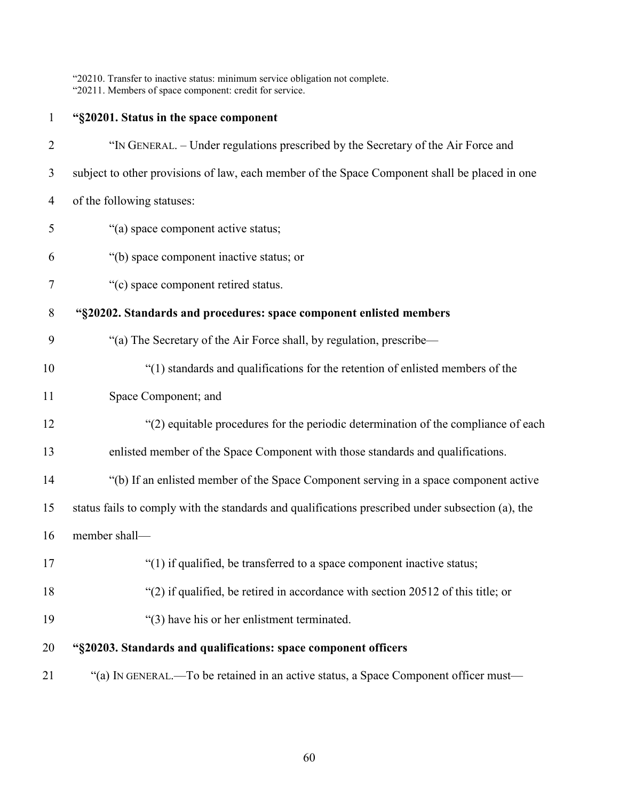"20210. Transfer to inactive status: minimum service obligation not complete. "20211. Members of space component: credit for service.

| $\mathbf{1}$   | "§20201. Status in the space component                                                            |
|----------------|---------------------------------------------------------------------------------------------------|
| $\overline{2}$ | "IN GENERAL. – Under regulations prescribed by the Secretary of the Air Force and                 |
| 3              | subject to other provisions of law, each member of the Space Component shall be placed in one     |
| $\overline{4}$ | of the following statuses:                                                                        |
| 5              | "(a) space component active status;                                                               |
| 6              | "(b) space component inactive status; or                                                          |
| 7              | "(c) space component retired status.                                                              |
| 8              | "§20202. Standards and procedures: space component enlisted members                               |
| 9              | "(a) The Secretary of the Air Force shall, by regulation, prescribe-                              |
| 10             | "(1) standards and qualifications for the retention of enlisted members of the                    |
| 11             | Space Component; and                                                                              |
| 12             | "(2) equitable procedures for the periodic determination of the compliance of each                |
| 13             | enlisted member of the Space Component with those standards and qualifications.                   |
| 14             | "(b) If an enlisted member of the Space Component serving in a space component active             |
| 15             | status fails to comply with the standards and qualifications prescribed under subsection (a), the |
| 16             | member shall-                                                                                     |
| 17             | "(1) if qualified, be transferred to a space component inactive status;                           |
| 18             | "(2) if qualified, be retired in accordance with section 20512 of this title; or                  |
| 19             | "(3) have his or her enlistment terminated.                                                       |
| 20             | "§20203. Standards and qualifications: space component officers                                   |
| 21             | "(a) IN GENERAL.—To be retained in an active status, a Space Component officer must—              |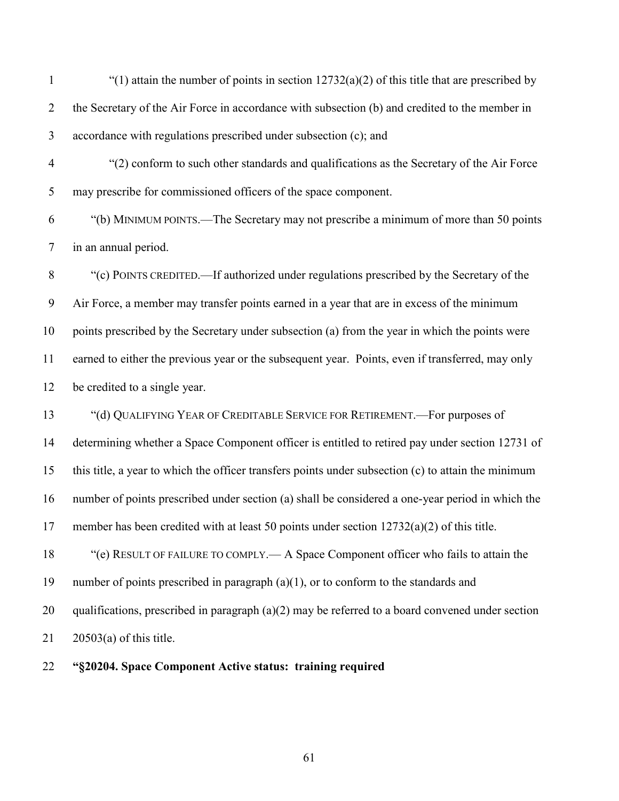1 "(1) attain the number of points in section  $12732(a)(2)$  of this title that are prescribed by 2 the Secretary of the Air Force in accordance with subsection (b) and credited to the member in accordance with regulations prescribed under subsection (c); and

 "(2) conform to such other standards and qualifications as the Secretary of the Air Force may prescribe for commissioned officers of the space component.

 "(b) MINIMUM POINTS.—The Secretary may not prescribe a minimum of more than 50 points in an annual period.

 "(c) POINTS CREDITED.—If authorized under regulations prescribed by the Secretary of the Air Force, a member may transfer points earned in a year that are in excess of the minimum points prescribed by the Secretary under subsection (a) from the year in which the points were earned to either the previous year or the subsequent year. Points, even if transferred, may only be credited to a single year.

 "(d) QUALIFYING YEAR OF CREDITABLE SERVICE FOR RETIREMENT.—For purposes of determining whether a Space Component officer is entitled to retired pay under section 12731 of this title, a year to which the officer transfers points under subsection (c) to attain the minimum number of points prescribed under section (a) shall be considered a one-year period in which the member has been credited with at least 50 points under section 12732(a)(2) of this title. "(e) RESULT OF FAILURE TO COMPLY.— A Space Component officer who fails to attain the

 number of points prescribed in paragraph (a)(1), or to conform to the standards and qualifications, prescribed in paragraph (a)(2) may be referred to a board convened under section 20503(a) of this title.

**"§20204. Space Component Active status: training required**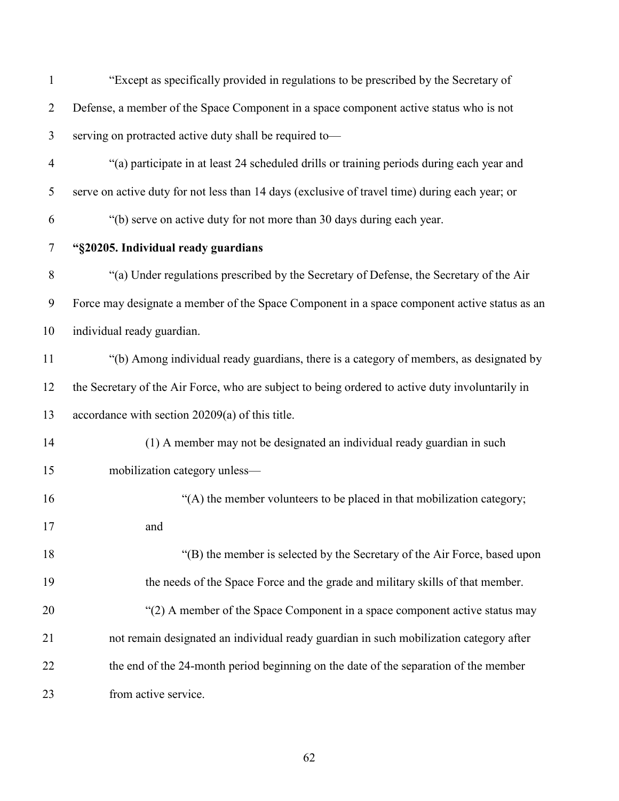| $\mathbf{1}$   | "Except as specifically provided in regulations to be prescribed by the Secretary of             |
|----------------|--------------------------------------------------------------------------------------------------|
| $\overline{2}$ | Defense, a member of the Space Component in a space component active status who is not           |
| 3              | serving on protracted active duty shall be required to-                                          |
| $\overline{4}$ | "(a) participate in at least 24 scheduled drills or training periods during each year and        |
| 5              | serve on active duty for not less than 14 days (exclusive of travel time) during each year; or   |
| 6              | "(b) serve on active duty for not more than 30 days during each year.                            |
| 7              | "§20205. Individual ready guardians                                                              |
| 8              | "(a) Under regulations prescribed by the Secretary of Defense, the Secretary of the Air          |
| 9              | Force may designate a member of the Space Component in a space component active status as an     |
| 10             | individual ready guardian.                                                                       |
| 11             | "(b) Among individual ready guardians, there is a category of members, as designated by          |
| 12             | the Secretary of the Air Force, who are subject to being ordered to active duty involuntarily in |
| 13             | accordance with section 20209(a) of this title.                                                  |
| 14             | (1) A member may not be designated an individual ready guardian in such                          |
| 15             | mobilization category unless-                                                                    |
| 16             | "(A) the member volunteers to be placed in that mobilization category;                           |
| 17             | and                                                                                              |
| 18             | "(B) the member is selected by the Secretary of the Air Force, based upon                        |
| 19             | the needs of the Space Force and the grade and military skills of that member.                   |
| 20             | "(2) A member of the Space Component in a space component active status may                      |
| 21             | not remain designated an individual ready guardian in such mobilization category after           |
| 22             | the end of the 24-month period beginning on the date of the separation of the member             |
| 23             | from active service.                                                                             |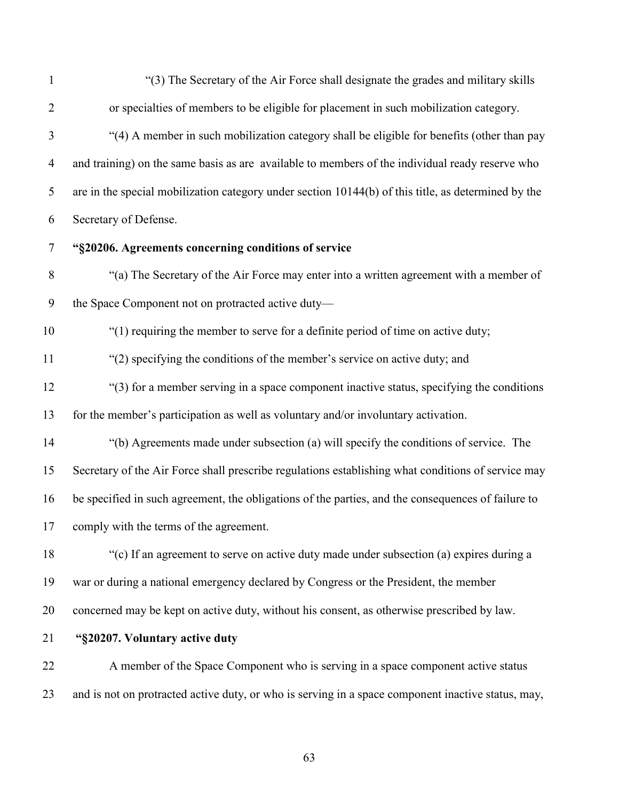| $\mathbf{1}$   | "(3) The Secretary of the Air Force shall designate the grades and military skills                  |
|----------------|-----------------------------------------------------------------------------------------------------|
| $\overline{2}$ | or specialties of members to be eligible for placement in such mobilization category.               |
| 3              | "(4) A member in such mobilization category shall be eligible for benefits (other than pay          |
| $\overline{4}$ | and training) on the same basis as are available to members of the individual ready reserve who     |
| 5              | are in the special mobilization category under section 10144(b) of this title, as determined by the |
| 6              | Secretary of Defense.                                                                               |
| $\tau$         | "§20206. Agreements concerning conditions of service                                                |
| $8\,$          | "(a) The Secretary of the Air Force may enter into a written agreement with a member of             |
| 9              | the Space Component not on protracted active duty-                                                  |
| 10             | "(1) requiring the member to serve for a definite period of time on active duty;                    |
| 11             | "(2) specifying the conditions of the member's service on active duty; and                          |
| 12             | "(3) for a member serving in a space component inactive status, specifying the conditions           |
| 13             | for the member's participation as well as voluntary and/or involuntary activation.                  |
| 14             | "(b) Agreements made under subsection (a) will specify the conditions of service. The               |
| 15             | Secretary of the Air Force shall prescribe regulations establishing what conditions of service may  |
| 16             | be specified in such agreement, the obligations of the parties, and the consequences of failure to  |
|                | 17 comply with the terms of the agreement.                                                          |
| 18             | "(c) If an agreement to serve on active duty made under subsection (a) expires during a             |
| 19             | war or during a national emergency declared by Congress or the President, the member                |
| 20             | concerned may be kept on active duty, without his consent, as otherwise prescribed by law.          |
| 21             | "§20207. Voluntary active duty                                                                      |
| 22             | A member of the Space Component who is serving in a space component active status                   |
| 23             | and is not on protracted active duty, or who is serving in a space component inactive status, may,  |
|                |                                                                                                     |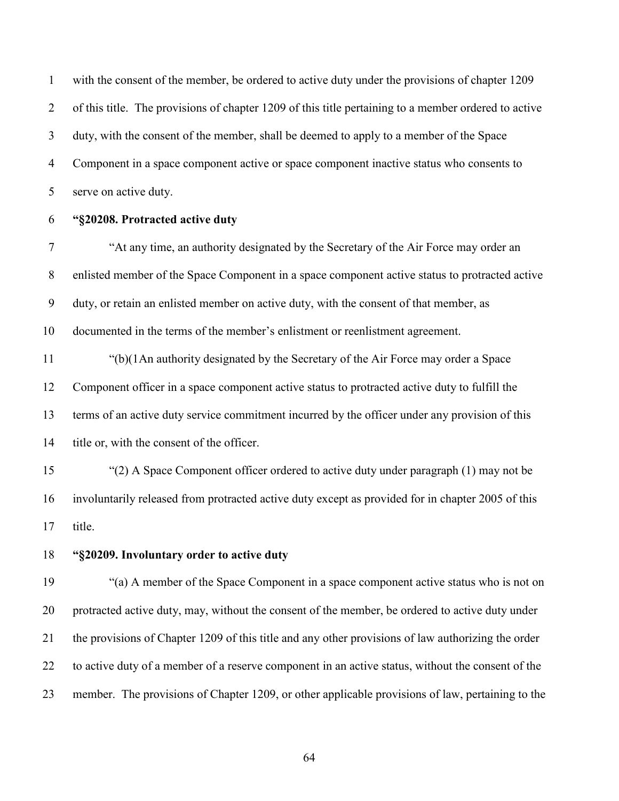with the consent of the member, be ordered to active duty under the provisions of chapter 1209 of this title. The provisions of chapter 1209 of this title pertaining to a member ordered to active duty, with the consent of the member, shall be deemed to apply to a member of the Space Component in a space component active or space component inactive status who consents to serve on active duty.

**"§20208. Protracted active duty**

 "At any time, an authority designated by the Secretary of the Air Force may order an enlisted member of the Space Component in a space component active status to protracted active duty, or retain an enlisted member on active duty, with the consent of that member, as documented in the terms of the member's enlistment or reenlistment agreement.

 "(b)(1An authority designated by the Secretary of the Air Force may order a Space Component officer in a space component active status to protracted active duty to fulfill the terms of an active duty service commitment incurred by the officer under any provision of this title or, with the consent of the officer.

 "(2) A Space Component officer ordered to active duty under paragraph (1) may not be involuntarily released from protracted active duty except as provided for in chapter 2005 of this title.

**"§20209. Involuntary order to active duty** 

 "(a) A member of the Space Component in a space component active status who is not on protracted active duty, may, without the consent of the member, be ordered to active duty under the provisions of Chapter 1209 of this title and any other provisions of law authorizing the order to active duty of a member of a reserve component in an active status, without the consent of the member. The provisions of Chapter 1209, or other applicable provisions of law, pertaining to the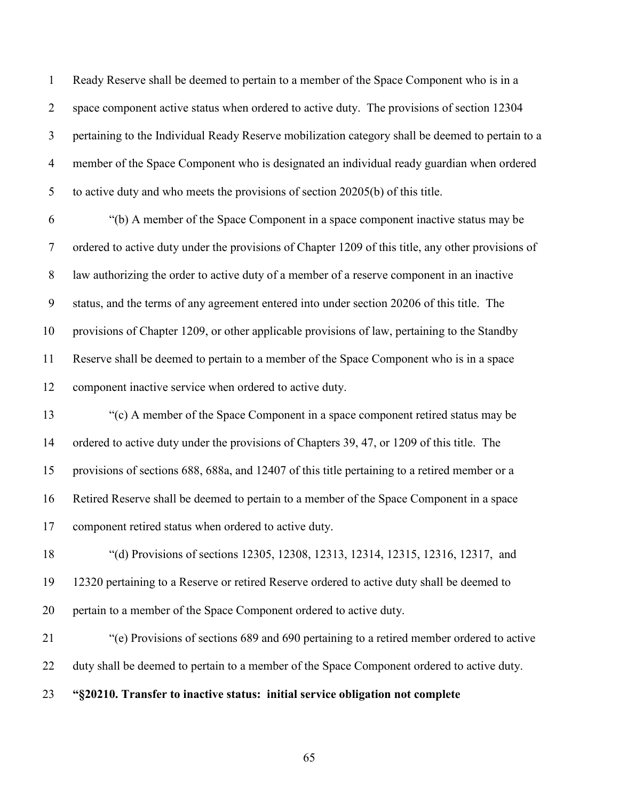Ready Reserve shall be deemed to pertain to a member of the Space Component who is in a space component active status when ordered to active duty. The provisions of section 12304 pertaining to the Individual Ready Reserve mobilization category shall be deemed to pertain to a member of the Space Component who is designated an individual ready guardian when ordered to active duty and who meets the provisions of section 20205(b) of this title.

 "(b) A member of the Space Component in a space component inactive status may be ordered to active duty under the provisions of Chapter 1209 of this title, any other provisions of law authorizing the order to active duty of a member of a reserve component in an inactive status, and the terms of any agreement entered into under section 20206 of this title. The provisions of Chapter 1209, or other applicable provisions of law, pertaining to the Standby Reserve shall be deemed to pertain to a member of the Space Component who is in a space component inactive service when ordered to active duty.

 "(c) A member of the Space Component in a space component retired status may be ordered to active duty under the provisions of Chapters 39, 47, or 1209 of this title. The provisions of sections 688, 688a, and 12407 of this title pertaining to a retired member or a Retired Reserve shall be deemed to pertain to a member of the Space Component in a space component retired status when ordered to active duty.

 "(d) Provisions of sections 12305, 12308, 12313, 12314, 12315, 12316, 12317, and 12320 pertaining to a Reserve or retired Reserve ordered to active duty shall be deemed to pertain to a member of the Space Component ordered to active duty.

 "(e) Provisions of sections 689 and 690 pertaining to a retired member ordered to active 22 duty shall be deemed to pertain to a member of the Space Component ordered to active duty.

**"§20210. Transfer to inactive status: initial service obligation not complete**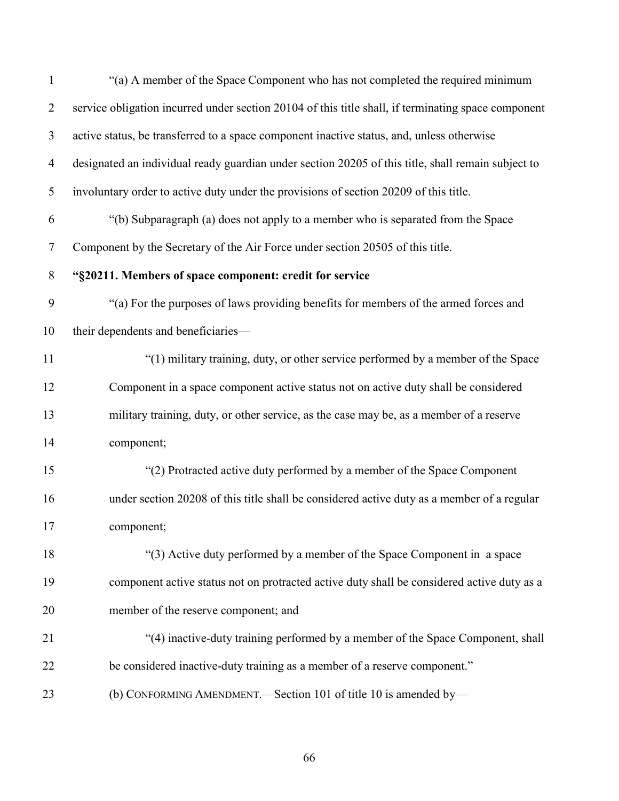| $\mathbf{1}$   | "(a) A member of the Space Component who has not completed the required minimum                     |
|----------------|-----------------------------------------------------------------------------------------------------|
| $\overline{2}$ | service obligation incurred under section 20104 of this title shall, if terminating space component |
| 3              | active status, be transferred to a space component inactive status, and, unless otherwise           |
| $\overline{4}$ | designated an individual ready guardian under section 20205 of this title, shall remain subject to  |
| 5              | involuntary order to active duty under the provisions of section 20209 of this title.               |
| 6              | "(b) Subparagraph (a) does not apply to a member who is separated from the Space                    |
| $\overline{7}$ | Component by the Secretary of the Air Force under section 20505 of this title.                      |
| $8\phantom{.}$ | "§20211. Members of space component: credit for service                                             |
| 9              | "(a) For the purposes of laws providing benefits for members of the armed forces and                |
| 10             | their dependents and beneficiaries-                                                                 |
| 11             | "(1) military training, duty, or other service performed by a member of the Space                   |
| 12             | Component in a space component active status not on active duty shall be considered                 |
| 13             | military training, duty, or other service, as the case may be, as a member of a reserve             |
| 14             | component;                                                                                          |
| 15             | "(2) Protracted active duty performed by a member of the Space Component                            |
| 16             | under section 20208 of this title shall be considered active duty as a member of a regular          |
| 17             | component;                                                                                          |
| 18             | "(3) Active duty performed by a member of the Space Component in a space                            |
| 19             | component active status not on protracted active duty shall be considered active duty as a          |
| 20             | member of the reserve component; and                                                                |
| 21             | "(4) inactive-duty training performed by a member of the Space Component, shall                     |
| 22             | be considered inactive-duty training as a member of a reserve component."                           |
| 23             | (b) CONFORMING AMENDMENT. Section 101 of title 10 is amended by-                                    |
|                |                                                                                                     |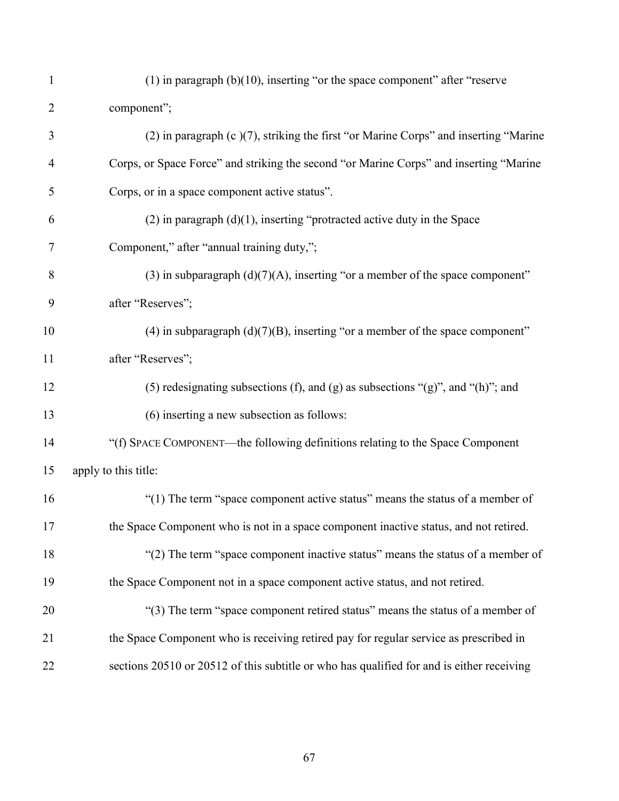| $\mathbf{1}$   | $(1)$ in paragraph $(b)(10)$ , inserting "or the space component" after "reserve          |
|----------------|-------------------------------------------------------------------------------------------|
| $\overline{2}$ | component";                                                                               |
| 3              | (2) in paragraph (c)(7), striking the first "or Marine Corps" and inserting "Marine       |
| $\overline{4}$ | Corps, or Space Force" and striking the second "or Marine Corps" and inserting "Marine    |
| 5              | Corps, or in a space component active status".                                            |
| 6              | $(2)$ in paragraph $(d)(1)$ , inserting "protracted active duty in the Space              |
| 7              | Component," after "annual training duty,";                                                |
| 8              | (3) in subparagraph $(d)(7)(A)$ , inserting "or a member of the space component"          |
| 9              | after "Reserves";                                                                         |
| 10             | (4) in subparagraph $(d)(7)(B)$ , inserting "or a member of the space component"          |
| 11             | after "Reserves";                                                                         |
| 12             | (5) redesignating subsections (f), and (g) as subsections "(g)", and "(h)"; and           |
| 13             | (6) inserting a new subsection as follows:                                                |
| 14             | "(f) SPACE COMPONENT—the following definitions relating to the Space Component            |
| 15             | apply to this title:                                                                      |
| 16             | "(1) The term "space component active status" means the status of a member of             |
| 17             | the Space Component who is not in a space component inactive status, and not retired.     |
| 18             | "(2) The term "space component inactive status" means the status of a member of           |
| 19             | the Space Component not in a space component active status, and not retired.              |
| 20             | "(3) The term "space component retired status" means the status of a member of            |
| 21             | the Space Component who is receiving retired pay for regular service as prescribed in     |
| 22             | sections 20510 or 20512 of this subtitle or who has qualified for and is either receiving |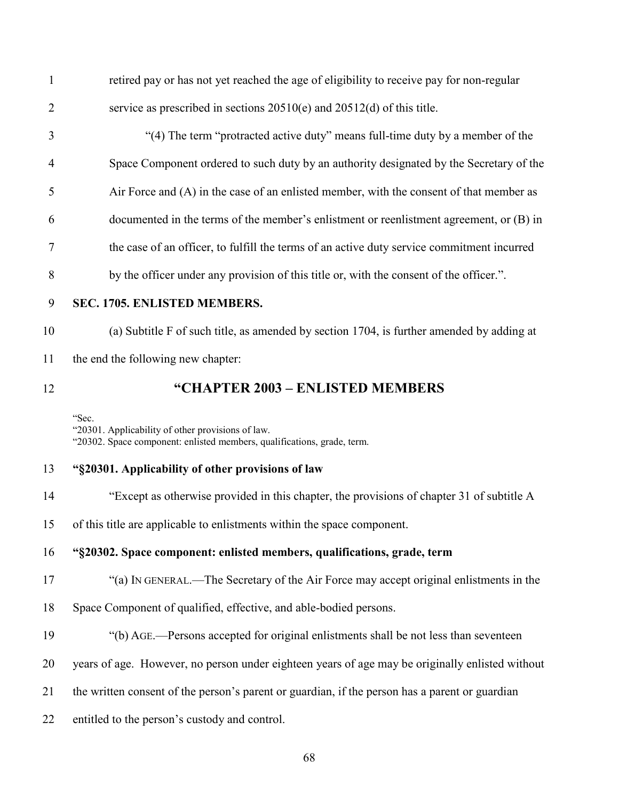retired pay or has not yet reached the age of eligibility to receive pay for non-regular service as prescribed in sections 20510(e) and 20512(d) of this title.

- "(4) The term "protracted active duty" means full-time duty by a member of the Space Component ordered to such duty by an authority designated by the Secretary of the Air Force and (A) in the case of an enlisted member, with the consent of that member as documented in the terms of the member's enlistment or reenlistment agreement, or (B) in the case of an officer, to fulfill the terms of an active duty service commitment incurred by the officer under any provision of this title or, with the consent of the officer.".
- 

## **SEC. 1705. ENLISTED MEMBERS.**

 (a) Subtitle F of such title, as amended by section 1704, is further amended by adding at the end the following new chapter:

# **"CHAPTER 2003 – ENLISTED MEMBERS**

"Sec.

"20301. Applicability of other provisions of law. "20302. Space component: enlisted members, qualifications, grade, term.

## **"§20301. Applicability of other provisions of law**

- "Except as otherwise provided in this chapter, the provisions of chapter 31 of subtitle A
- of this title are applicable to enlistments within the space component.
- **"§20302. Space component: enlisted members, qualifications, grade, term**
- "(a) IN GENERAL.—The Secretary of the Air Force may accept original enlistments in the
- Space Component of qualified, effective, and able-bodied persons.
- "(b) AGE.—Persons accepted for original enlistments shall be not less than seventeen
- years of age. However, no person under eighteen years of age may be originally enlisted without
- the written consent of the person's parent or guardian, if the person has a parent or guardian
- entitled to the person's custody and control.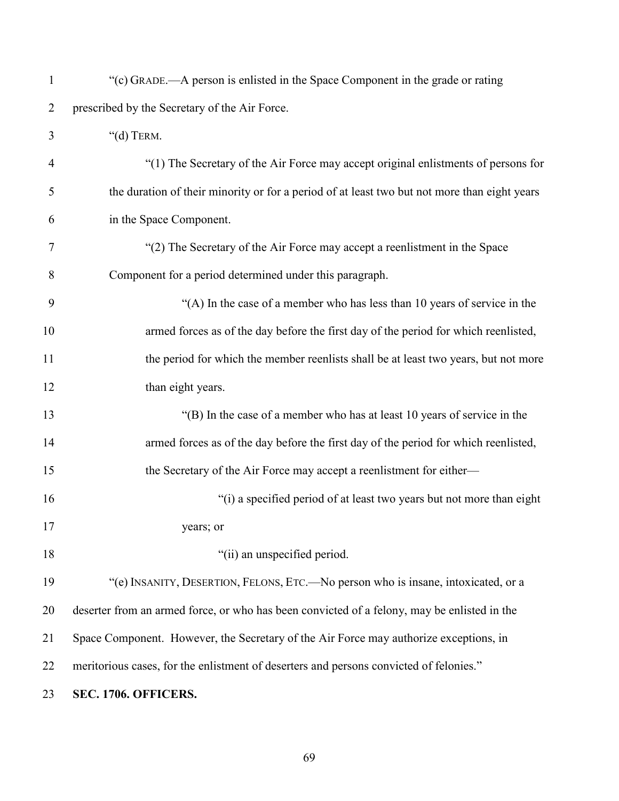| $\mathbf{1}$   | "(c) GRADE.—A person is enlisted in the Space Component in the grade or rating               |
|----------------|----------------------------------------------------------------------------------------------|
| $\overline{2}$ | prescribed by the Secretary of the Air Force.                                                |
| 3              | " $(d)$ TERM.                                                                                |
| 4              | "(1) The Secretary of the Air Force may accept original enlistments of persons for           |
| 5              | the duration of their minority or for a period of at least two but not more than eight years |
| 6              | in the Space Component.                                                                      |
| 7              | "(2) The Secretary of the Air Force may accept a reenlistment in the Space                   |
| 8              | Component for a period determined under this paragraph.                                      |
| 9              | "(A) In the case of a member who has less than 10 years of service in the                    |
| 10             | armed forces as of the day before the first day of the period for which reenlisted,          |
| 11             | the period for which the member reenlists shall be at least two years, but not more          |
| 12             | than eight years.                                                                            |
| 13             | "(B) In the case of a member who has at least 10 years of service in the                     |
| 14             | armed forces as of the day before the first day of the period for which reenlisted,          |
| 15             | the Secretary of the Air Force may accept a reenlistment for either-                         |
| 16             | "(i) a specified period of at least two years but not more than eight                        |
| 17             | years; or                                                                                    |
| 18             | "(ii) an unspecified period.                                                                 |
| 19             | "(e) INSANITY, DESERTION, FELONS, ETC.- No person who is insane, intoxicated, or a           |
| 20             | deserter from an armed force, or who has been convicted of a felony, may be enlisted in the  |
| 21             | Space Component. However, the Secretary of the Air Force may authorize exceptions, in        |
| 22             | meritorious cases, for the enlistment of deserters and persons convicted of felonies."       |
| 23             | SEC. 1706. OFFICERS.                                                                         |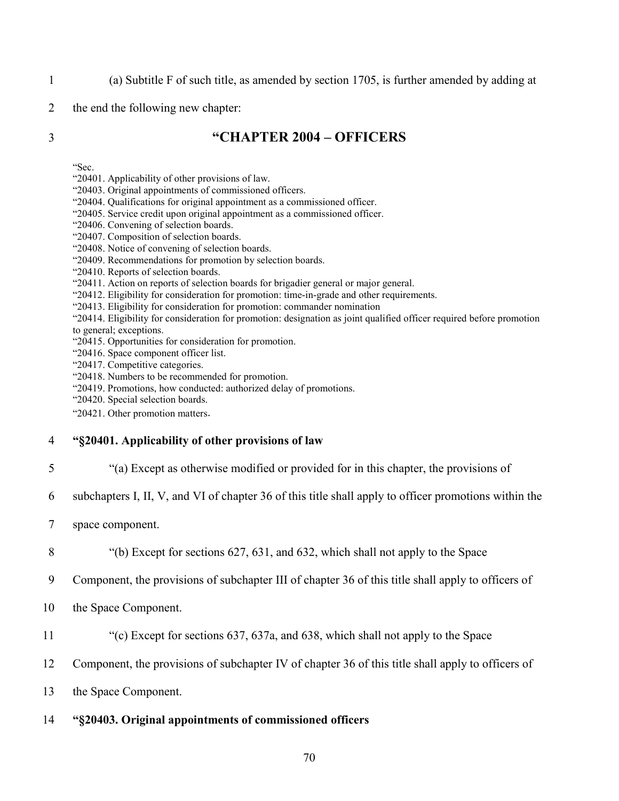- 1 (a) Subtitle F of such title, as amended by section 1705, is further amended by adding at
- 2 the end the following new chapter:

# 3 **"CHAPTER 2004 – OFFICERS**

"Sec.

- "20401. Applicability of other provisions of law.
- "20403. Original appointments of commissioned officers.
- "20404. Qualifications for original appointment as a commissioned officer.
- "20405. Service credit upon original appointment as a commissioned officer.
- "20406. Convening of selection boards.
- "20407. Composition of selection boards.
- "20408. Notice of convening of selection boards.
- "20409. Recommendations for promotion by selection boards.
- "20410. Reports of selection boards.
- "20411. Action on reports of selection boards for brigadier general or major general.
- "20412. Eligibility for consideration for promotion: time-in-grade and other requirements.
- "20413. Eligibility for consideration for promotion: commander nomination
- "20414. Eligibility for consideration for promotion: designation as joint qualified officer required before promotion to general; exceptions.
- "20415. Opportunities for consideration for promotion.
- "20416. Space component officer list.
- "20417. Competitive categories.
- "20418. Numbers to be recommended for promotion.
- "20419. Promotions, how conducted: authorized delay of promotions.
- "20420. Special selection boards.
- "20421. Other promotion matters.

#### 4 **"§20401. Applicability of other provisions of law**

- 5 "(a) Except as otherwise modified or provided for in this chapter, the provisions of
- 6 subchapters I, II, V, and VI of chapter 36 of this title shall apply to officer promotions within the
- 7 space component.
- 8 "(b) Except for sections 627, 631, and 632, which shall not apply to the Space
- 9 Component, the provisions of subchapter III of chapter 36 of this title shall apply to officers of
- 10 the Space Component.
- 11 "(c) Except for sections 637, 637a, and 638, which shall not apply to the Space
- 12 Component, the provisions of subchapter IV of chapter 36 of this title shall apply to officers of
- 13 the Space Component.

#### 14 **"§20403. Original appointments of commissioned officers**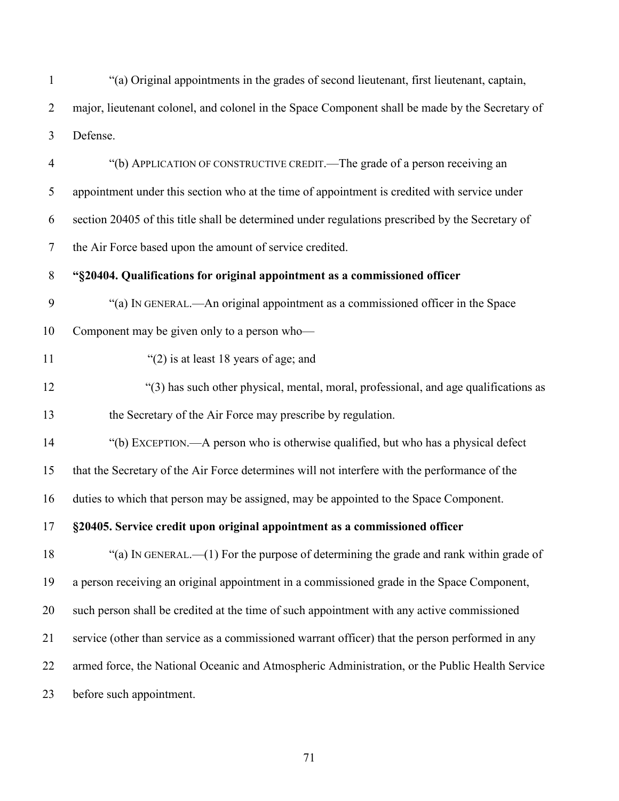"(a) Original appointments in the grades of second lieutenant, first lieutenant, captain, major, lieutenant colonel, and colonel in the Space Component shall be made by the Secretary of Defense.

 "(b) APPLICATION OF CONSTRUCTIVE CREDIT.—The grade of a person receiving an appointment under this section who at the time of appointment is credited with service under section 20405 of this title shall be determined under regulations prescribed by the Secretary of the Air Force based upon the amount of service credited.

**"§20404. Qualifications for original appointment as a commissioned officer**

"(a) IN GENERAL.—An original appointment as a commissioned officer in the Space

Component may be given only to a person who—

- 11 "(2) is at least 18 years of age; and
- "(3) has such other physical, mental, moral, professional, and age qualifications as the Secretary of the Air Force may prescribe by regulation.
- "(b) EXCEPTION.—A person who is otherwise qualified, but who has a physical defect

that the Secretary of the Air Force determines will not interfere with the performance of the

duties to which that person may be assigned, may be appointed to the Space Component.

**§20405. Service credit upon original appointment as a commissioned officer**

 "(a) IN GENERAL.—(1) For the purpose of determining the grade and rank within grade of a person receiving an original appointment in a commissioned grade in the Space Component, such person shall be credited at the time of such appointment with any active commissioned service (other than service as a commissioned warrant officer) that the person performed in any armed force, the National Oceanic and Atmospheric Administration, or the Public Health Service before such appointment.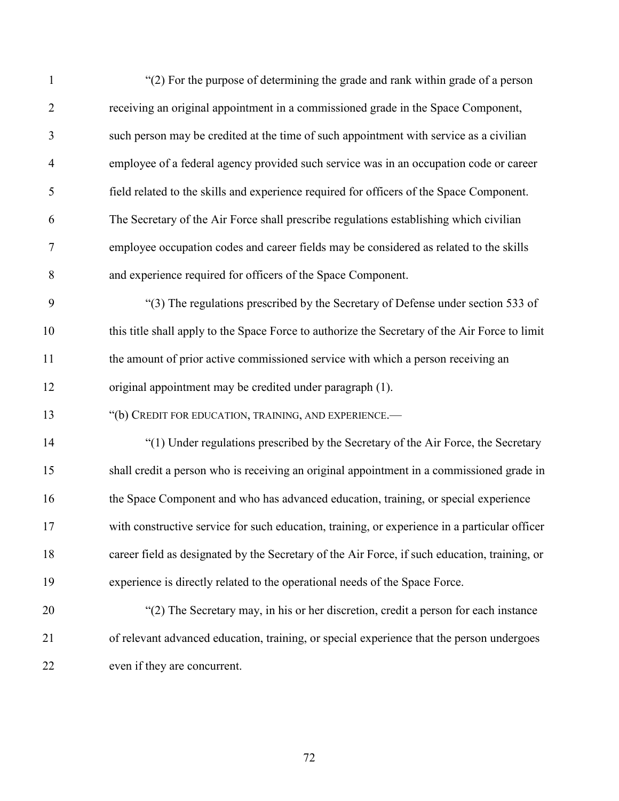| $\mathbf{1}$   | "(2) For the purpose of determining the grade and rank within grade of a person                |
|----------------|------------------------------------------------------------------------------------------------|
| $\overline{2}$ | receiving an original appointment in a commissioned grade in the Space Component,              |
| 3              | such person may be credited at the time of such appointment with service as a civilian         |
| $\overline{4}$ | employee of a federal agency provided such service was in an occupation code or career         |
| 5              | field related to the skills and experience required for officers of the Space Component.       |
| 6              | The Secretary of the Air Force shall prescribe regulations establishing which civilian         |
| $\tau$         | employee occupation codes and career fields may be considered as related to the skills         |
| 8              | and experience required for officers of the Space Component.                                   |
| 9              | "(3) The regulations prescribed by the Secretary of Defense under section 533 of               |
| 10             | this title shall apply to the Space Force to authorize the Secretary of the Air Force to limit |
| 11             | the amount of prior active commissioned service with which a person receiving an               |
| 12             | original appointment may be credited under paragraph (1).                                      |
| 13             | "(b) CREDIT FOR EDUCATION, TRAINING, AND EXPERIENCE.-                                          |
| 14             | "(1) Under regulations prescribed by the Secretary of the Air Force, the Secretary             |
| 15             | shall credit a person who is receiving an original appointment in a commissioned grade in      |
| 16             | the Space Component and who has advanced education, training, or special experience            |
| 17             | with constructive service for such education, training, or experience in a particular officer  |
| 18             | career field as designated by the Secretary of the Air Force, if such education, training, or  |
| 19             | experience is directly related to the operational needs of the Space Force.                    |
| 20             | "(2) The Secretary may, in his or her discretion, credit a person for each instance            |
| 21             | of relevant advanced education, training, or special experience that the person undergoes      |
| 22             | even if they are concurrent.                                                                   |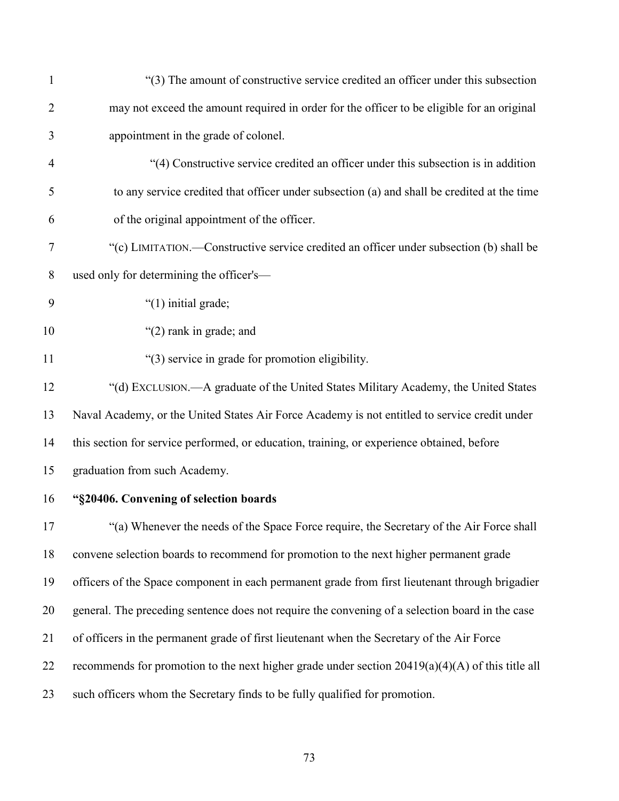| $\mathbf{1}$   | "(3) The amount of constructive service credited an officer under this subsection                  |
|----------------|----------------------------------------------------------------------------------------------------|
| $\overline{2}$ | may not exceed the amount required in order for the officer to be eligible for an original         |
| 3              | appointment in the grade of colonel.                                                               |
| $\overline{4}$ | "(4) Constructive service credited an officer under this subsection is in addition                 |
| 5              | to any service credited that officer under subsection (a) and shall be credited at the time        |
| 6              | of the original appointment of the officer.                                                        |
| 7              | "(c) LIMITATION.—Constructive service credited an officer under subsection (b) shall be            |
| 8              | used only for determining the officer's-                                                           |
| 9              | "(1) initial grade;                                                                                |
| 10             | "(2) rank in grade; and                                                                            |
| 11             | "(3) service in grade for promotion eligibility.                                                   |
| 12             | "(d) EXCLUSION.—A graduate of the United States Military Academy, the United States                |
| 13             | Naval Academy, or the United States Air Force Academy is not entitled to service credit under      |
| 14             | this section for service performed, or education, training, or experience obtained, before         |
| 15             | graduation from such Academy.                                                                      |
| 16             | "§20406. Convening of selection boards                                                             |
| 17             | "(a) Whenever the needs of the Space Force require, the Secretary of the Air Force shall           |
| 18             | convene selection boards to recommend for promotion to the next higher permanent grade             |
| 19             | officers of the Space component in each permanent grade from first lieutenant through brigadier    |
| 20             | general. The preceding sentence does not require the convening of a selection board in the case    |
| 21             | of officers in the permanent grade of first lieutenant when the Secretary of the Air Force         |
| 22             | recommends for promotion to the next higher grade under section $20419(a)(4)(A)$ of this title all |
| 23             | such officers whom the Secretary finds to be fully qualified for promotion.                        |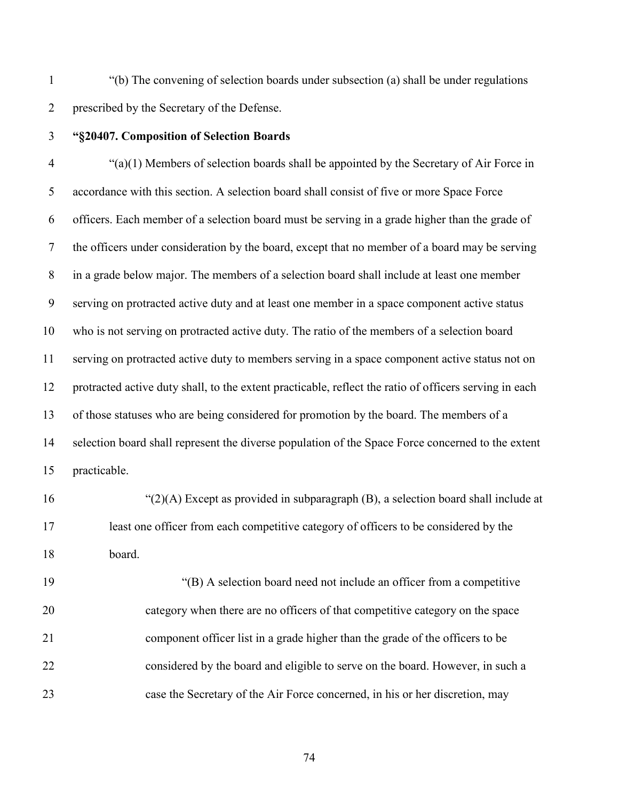"(b) The convening of selection boards under subsection (a) shall be under regulations prescribed by the Secretary of the Defense.

## **"§20407. Composition of Selection Boards**

 "(a)(1) Members of selection boards shall be appointed by the Secretary of Air Force in accordance with this section. A selection board shall consist of five or more Space Force officers. Each member of a selection board must be serving in a grade higher than the grade of the officers under consideration by the board, except that no member of a board may be serving in a grade below major. The members of a selection board shall include at least one member serving on protracted active duty and at least one member in a space component active status who is not serving on protracted active duty. The ratio of the members of a selection board serving on protracted active duty to members serving in a space component active status not on protracted active duty shall, to the extent practicable, reflect the ratio of officers serving in each of those statuses who are being considered for promotion by the board. The members of a selection board shall represent the diverse population of the Space Force concerned to the extent practicable.

 "(2)(A) Except as provided in subparagraph (B), a selection board shall include at least one officer from each competitive category of officers to be considered by the board.

 "(B) A selection board need not include an officer from a competitive category when there are no officers of that competitive category on the space component officer list in a grade higher than the grade of the officers to be considered by the board and eligible to serve on the board. However, in such a case the Secretary of the Air Force concerned, in his or her discretion, may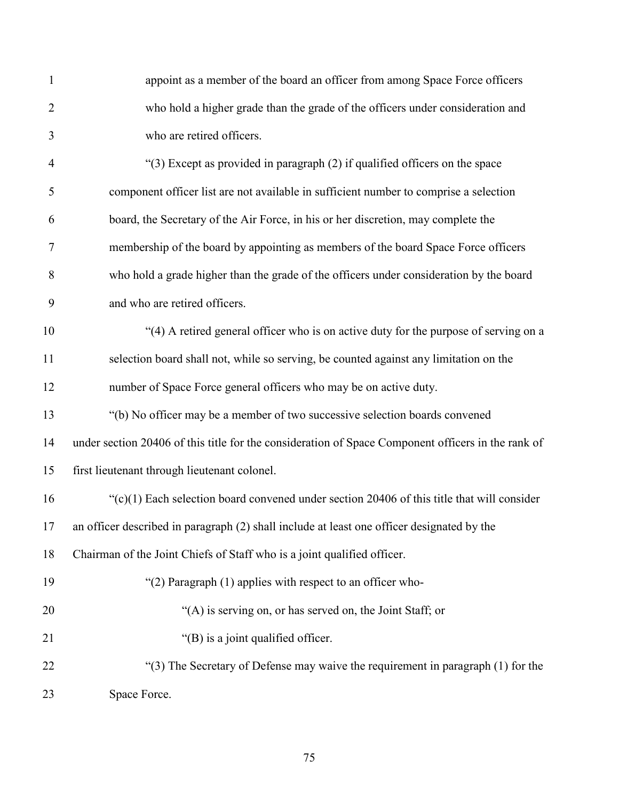| $\mathbf{1}$   | appoint as a member of the board an officer from among Space Force officers                        |
|----------------|----------------------------------------------------------------------------------------------------|
| $\overline{2}$ | who hold a higher grade than the grade of the officers under consideration and                     |
| 3              | who are retired officers.                                                                          |
| 4              | "(3) Except as provided in paragraph (2) if qualified officers on the space                        |
| 5              | component officer list are not available in sufficient number to comprise a selection              |
| 6              | board, the Secretary of the Air Force, in his or her discretion, may complete the                  |
| $\overline{7}$ | membership of the board by appointing as members of the board Space Force officers                 |
| 8              | who hold a grade higher than the grade of the officers under consideration by the board            |
| 9              | and who are retired officers.                                                                      |
| 10             | "(4) A retired general officer who is on active duty for the purpose of serving on a               |
| 11             | selection board shall not, while so serving, be counted against any limitation on the              |
| 12             | number of Space Force general officers who may be on active duty.                                  |
| 13             | "(b) No officer may be a member of two successive selection boards convened                        |
| 14             | under section 20406 of this title for the consideration of Space Component officers in the rank of |
| 15             | first lieutenant through lieutenant colonel.                                                       |
| 16             | " $(c)(1)$ Each selection board convened under section 20406 of this title that will consider      |
| $17\,$         | an officer described in paragraph (2) shall include at least one officer designated by the         |
| 18             | Chairman of the Joint Chiefs of Staff who is a joint qualified officer.                            |
| 19             | "(2) Paragraph (1) applies with respect to an officer who-                                         |
| 20             | "(A) is serving on, or has served on, the Joint Staff; or                                          |
| 21             | "(B) is a joint qualified officer.                                                                 |
| 22             | "(3) The Secretary of Defense may waive the requirement in paragraph (1) for the                   |
| 23             | Space Force.                                                                                       |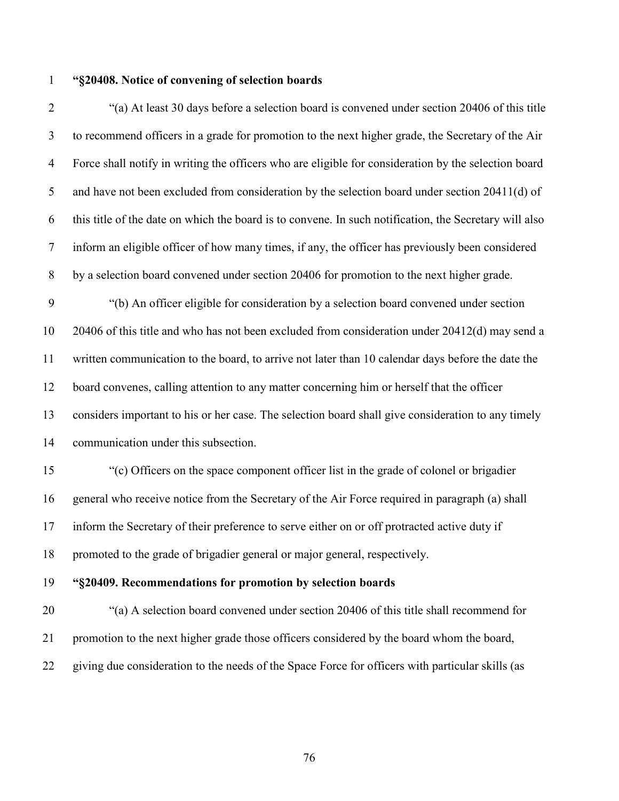### **"§20408. Notice of convening of selection boards**

 "(a) At least 30 days before a selection board is convened under section 20406 of this title to recommend officers in a grade for promotion to the next higher grade, the Secretary of the Air Force shall notify in writing the officers who are eligible for consideration by the selection board and have not been excluded from consideration by the selection board under section 20411(d) of this title of the date on which the board is to convene. In such notification, the Secretary will also inform an eligible officer of how many times, if any, the officer has previously been considered by a selection board convened under section 20406 for promotion to the next higher grade. "(b) An officer eligible for consideration by a selection board convened under section 20406 of this title and who has not been excluded from consideration under 20412(d) may send a written communication to the board, to arrive not later than 10 calendar days before the date the board convenes, calling attention to any matter concerning him or herself that the officer considers important to his or her case. The selection board shall give consideration to any timely communication under this subsection. "(c) Officers on the space component officer list in the grade of colonel or brigadier general who receive notice from the Secretary of the Air Force required in paragraph (a) shall

inform the Secretary of their preference to serve either on or off protracted active duty if

promoted to the grade of brigadier general or major general, respectively.

**"§20409. Recommendations for promotion by selection boards**

 "(a) A selection board convened under section 20406 of this title shall recommend for promotion to the next higher grade those officers considered by the board whom the board, giving due consideration to the needs of the Space Force for officers with particular skills (as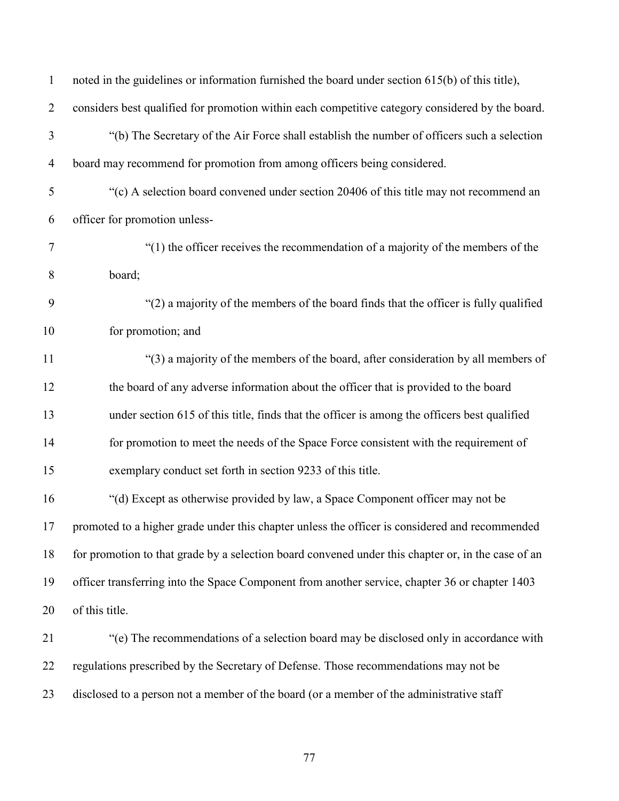| $\mathbf{1}$   | noted in the guidelines or information furnished the board under section 615(b) of this title),    |
|----------------|----------------------------------------------------------------------------------------------------|
| $\overline{2}$ | considers best qualified for promotion within each competitive category considered by the board.   |
| 3              | "(b) The Secretary of the Air Force shall establish the number of officers such a selection        |
| $\overline{4}$ | board may recommend for promotion from among officers being considered.                            |
| 5              | "(c) A selection board convened under section 20406 of this title may not recommend an             |
| 6              | officer for promotion unless-                                                                      |
| $\tau$         | " $(1)$ the officer receives the recommendation of a majority of the members of the                |
| 8              | board;                                                                                             |
| 9              | "(2) a majority of the members of the board finds that the officer is fully qualified              |
| 10             | for promotion; and                                                                                 |
| 11             | "(3) a majority of the members of the board, after consideration by all members of                 |
| 12             | the board of any adverse information about the officer that is provided to the board               |
| 13             | under section 615 of this title, finds that the officer is among the officers best qualified       |
| 14             | for promotion to meet the needs of the Space Force consistent with the requirement of              |
| 15             | exemplary conduct set forth in section 9233 of this title.                                         |
| 16             | "(d) Except as otherwise provided by law, a Space Component officer may not be                     |
| 17             | promoted to a higher grade under this chapter unless the officer is considered and recommended     |
| 18             | for promotion to that grade by a selection board convened under this chapter or, in the case of an |
| 19             | officer transferring into the Space Component from another service, chapter 36 or chapter 1403     |
| 20             | of this title.                                                                                     |
| 21             | "(e) The recommendations of a selection board may be disclosed only in accordance with             |
| 22             | regulations prescribed by the Secretary of Defense. Those recommendations may not be               |
| 23             | disclosed to a person not a member of the board (or a member of the administrative staff           |
|                |                                                                                                    |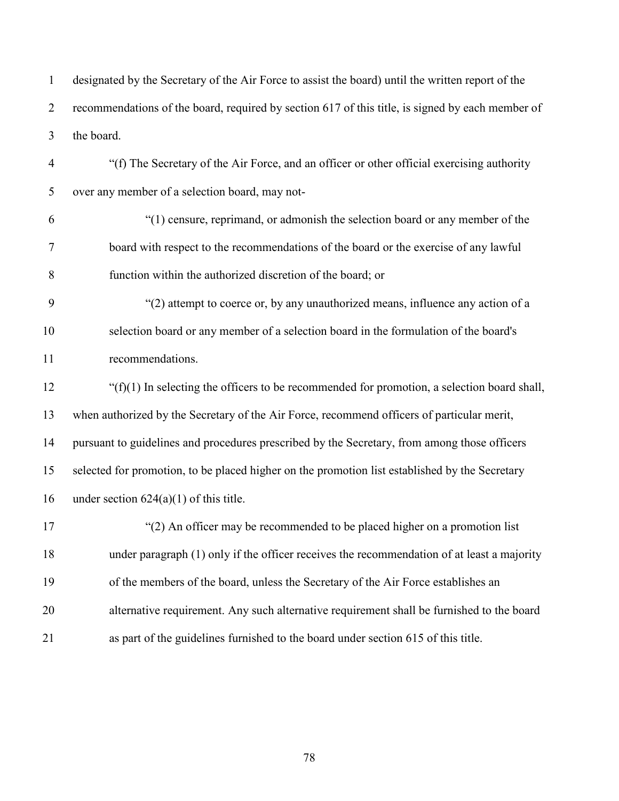designated by the Secretary of the Air Force to assist the board) until the written report of the recommendations of the board, required by section 617 of this title, is signed by each member of the board.

 "(f) The Secretary of the Air Force, and an officer or other official exercising authority over any member of a selection board, may not-

- "(1) censure, reprimand, or admonish the selection board or any member of the board with respect to the recommendations of the board or the exercise of any lawful function within the authorized discretion of the board; or
- "(2) attempt to coerce or, by any unauthorized means, influence any action of a selection board or any member of a selection board in the formulation of the board's recommendations.

 "(f)(1) In selecting the officers to be recommended for promotion, a selection board shall, when authorized by the Secretary of the Air Force, recommend officers of particular merit, pursuant to guidelines and procedures prescribed by the Secretary, from among those officers selected for promotion, to be placed higher on the promotion list established by the Secretary 16 under section  $624(a)(1)$  of this title.

 "(2) An officer may be recommended to be placed higher on a promotion list under paragraph (1) only if the officer receives the recommendation of at least a majority of the members of the board, unless the Secretary of the Air Force establishes an alternative requirement. Any such alternative requirement shall be furnished to the board as part of the guidelines furnished to the board under section 615 of this title.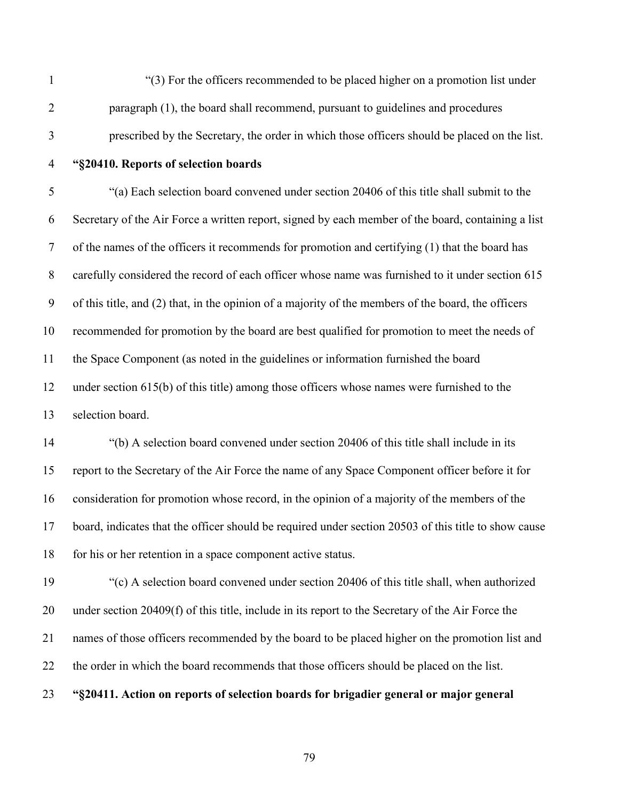"(3) For the officers recommended to be placed higher on a promotion list under paragraph (1), the board shall recommend, pursuant to guidelines and procedures prescribed by the Secretary, the order in which those officers should be placed on the list.

# **"§20410. Reports of selection boards**

 "(a) Each selection board convened under section 20406 of this title shall submit to the Secretary of the Air Force a written report, signed by each member of the board, containing a list of the names of the officers it recommends for promotion and certifying (1) that the board has carefully considered the record of each officer whose name was furnished to it under section 615 of this title, and (2) that, in the opinion of a majority of the members of the board, the officers recommended for promotion by the board are best qualified for promotion to meet the needs of the Space Component (as noted in the guidelines or information furnished the board under section 615(b) of this title) among those officers whose names were furnished to the selection board.

 "(b) A selection board convened under section 20406 of this title shall include in its report to the Secretary of the Air Force the name of any Space Component officer before it for consideration for promotion whose record, in the opinion of a majority of the members of the board, indicates that the officer should be required under section 20503 of this title to show cause 18 for his or her retention in a space component active status.

 "(c) A selection board convened under section 20406 of this title shall, when authorized under section 20409(f) of this title, include in its report to the Secretary of the Air Force the names of those officers recommended by the board to be placed higher on the promotion list and the order in which the board recommends that those officers should be placed on the list. **"§20411. Action on reports of selection boards for brigadier general or major general**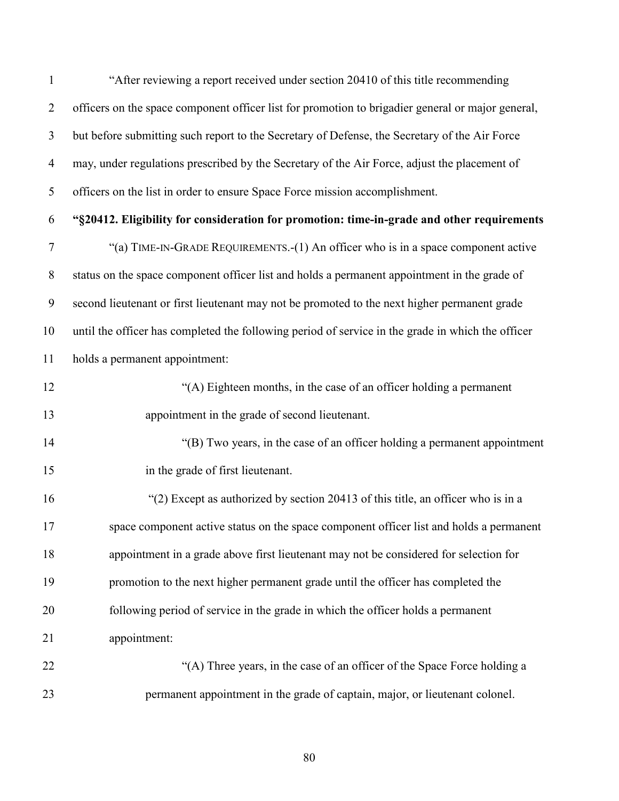"After reviewing a report received under section 20410 of this title recommending officers on the space component officer list for promotion to brigadier general or major general, but before submitting such report to the Secretary of Defense, the Secretary of the Air Force may, under regulations prescribed by the Secretary of the Air Force, adjust the placement of officers on the list in order to ensure Space Force mission accomplishment. **"§20412. Eligibility for consideration for promotion: time-in-grade and other requirements** "(a) TIME-IN-GRADE REQUIREMENTS.-(1) An officer who is in a space component active status on the space component officer list and holds a permanent appointment in the grade of second lieutenant or first lieutenant may not be promoted to the next higher permanent grade until the officer has completed the following period of service in the grade in which the officer holds a permanent appointment: "(A) Eighteen months, in the case of an officer holding a permanent appointment in the grade of second lieutenant. "(B) Two years, in the case of an officer holding a permanent appointment in the grade of first lieutenant. "(2) Except as authorized by section 20413 of this title, an officer who is in a space component active status on the space component officer list and holds a permanent appointment in a grade above first lieutenant may not be considered for selection for promotion to the next higher permanent grade until the officer has completed the following period of service in the grade in which the officer holds a permanent appointment: "(A) Three years, in the case of an officer of the Space Force holding a

permanent appointment in the grade of captain, major, or lieutenant colonel.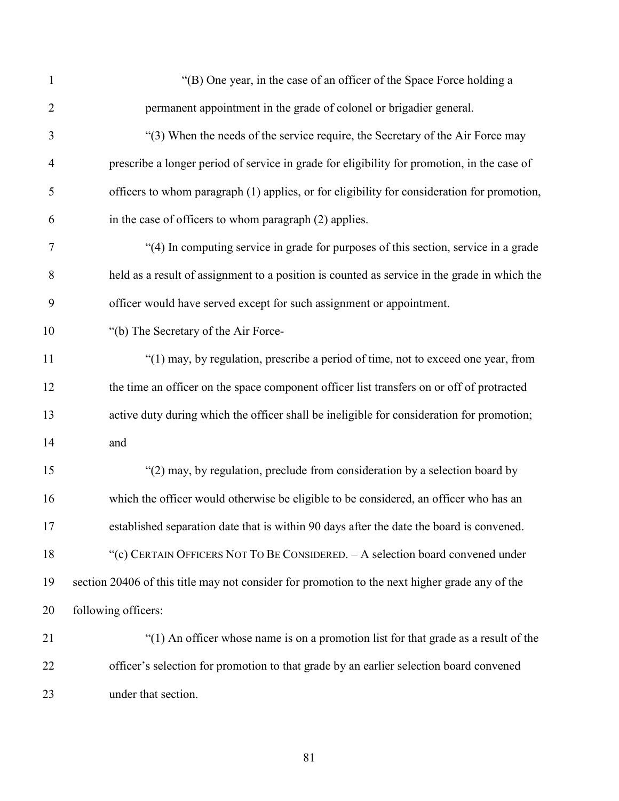| $\mathbf{1}$   | "(B) One year, in the case of an officer of the Space Force holding a                          |
|----------------|------------------------------------------------------------------------------------------------|
| $\overline{2}$ | permanent appointment in the grade of colonel or brigadier general.                            |
| 3              | "(3) When the needs of the service require, the Secretary of the Air Force may                 |
| 4              | prescribe a longer period of service in grade for eligibility for promotion, in the case of    |
| 5              | officers to whom paragraph (1) applies, or for eligibility for consideration for promotion,    |
| 6              | in the case of officers to whom paragraph (2) applies.                                         |
| 7              | "(4) In computing service in grade for purposes of this section, service in a grade            |
| 8              | held as a result of assignment to a position is counted as service in the grade in which the   |
| 9              | officer would have served except for such assignment or appointment.                           |
| 10             | "(b) The Secretary of the Air Force-                                                           |
| 11             | "(1) may, by regulation, prescribe a period of time, not to exceed one year, from              |
| 12             | the time an officer on the space component officer list transfers on or off of protracted      |
| 13             | active duty during which the officer shall be ineligible for consideration for promotion;      |
| 14             | and                                                                                            |
| 15             | "(2) may, by regulation, preclude from consideration by a selection board by                   |
| 16             | which the officer would otherwise be eligible to be considered, an officer who has an          |
| 17             | established separation date that is within 90 days after the date the board is convened.       |
| 18             | "(c) CERTAIN OFFICERS NOT TO BE CONSIDERED. - A selection board convened under                 |
| 19             | section 20406 of this title may not consider for promotion to the next higher grade any of the |
| 20             | following officers:                                                                            |
| 21             | "(1) An officer whose name is on a promotion list for that grade as a result of the            |
| 22             | officer's selection for promotion to that grade by an earlier selection board convened         |
| 23             | under that section.                                                                            |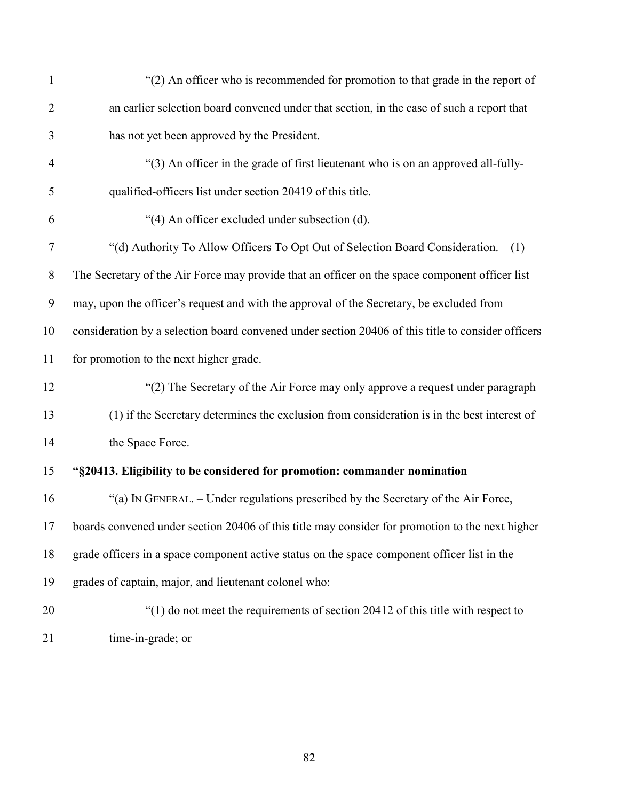| $\mathbf{1}$     | "(2) An officer who is recommended for promotion to that grade in the report of                    |
|------------------|----------------------------------------------------------------------------------------------------|
| $\overline{2}$   | an earlier selection board convened under that section, in the case of such a report that          |
| 3                | has not yet been approved by the President.                                                        |
| $\overline{4}$   | "(3) An officer in the grade of first lieutenant who is on an approved all-fully-                  |
| 5                | qualified-officers list under section 20419 of this title.                                         |
| 6                | "(4) An officer excluded under subsection (d).                                                     |
| $\tau$           | "(d) Authority To Allow Officers To Opt Out of Selection Board Consideration. $-(1)$               |
| 8                | The Secretary of the Air Force may provide that an officer on the space component officer list     |
| $\boldsymbol{9}$ | may, upon the officer's request and with the approval of the Secretary, be excluded from           |
| 10               | consideration by a selection board convened under section 20406 of this title to consider officers |
| 11               | for promotion to the next higher grade.                                                            |
| 12               | "(2) The Secretary of the Air Force may only approve a request under paragraph                     |
| 13               | (1) if the Secretary determines the exclusion from consideration is in the best interest of        |
| 14               | the Space Force.                                                                                   |
| 15               | "§20413. Eligibility to be considered for promotion: commander nomination                          |
| 16               | "(a) IN GENERAL. - Under regulations prescribed by the Secretary of the Air Force,                 |
|                  | 17 boards convened under section 20406 of this title may consider for promotion to the next higher |
| 18               | grade officers in a space component active status on the space component officer list in the       |
| 19               | grades of captain, major, and lieutenant colonel who:                                              |
| 20               | "(1) do not meet the requirements of section 20412 of this title with respect to                   |
| 21               | time-in-grade; or                                                                                  |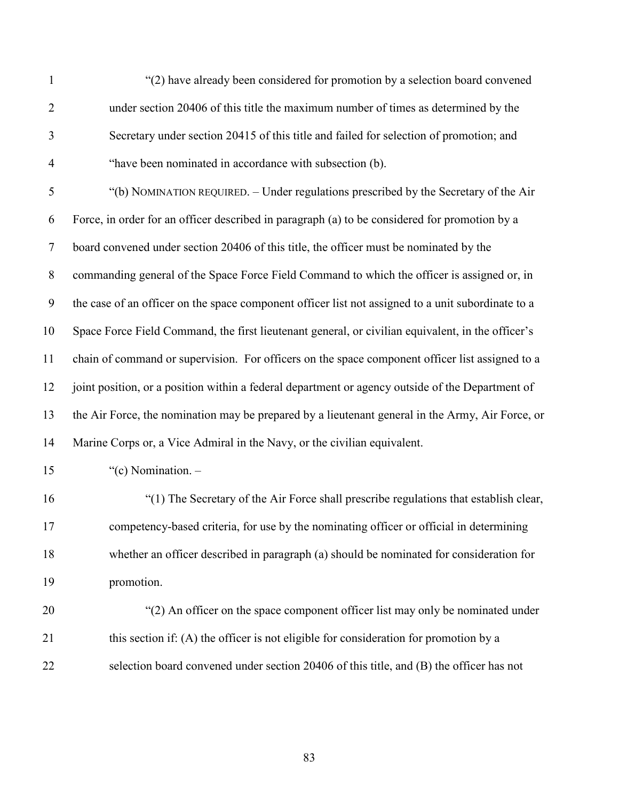| $\mathbf{1}$     | "(2) have already been considered for promotion by a selection board convened                      |
|------------------|----------------------------------------------------------------------------------------------------|
| $\overline{2}$   | under section 20406 of this title the maximum number of times as determined by the                 |
| 3                | Secretary under section 20415 of this title and failed for selection of promotion; and             |
| $\overline{4}$   | "have been nominated in accordance with subsection (b).                                            |
| 5                | "(b) NOMINATION REQUIRED. - Under regulations prescribed by the Secretary of the Air               |
| 6                | Force, in order for an officer described in paragraph (a) to be considered for promotion by a      |
| $\tau$           | board convened under section 20406 of this title, the officer must be nominated by the             |
| $8\,$            | commanding general of the Space Force Field Command to which the officer is assigned or, in        |
| $\boldsymbol{9}$ | the case of an officer on the space component officer list not assigned to a unit subordinate to a |
| 10               | Space Force Field Command, the first lieutenant general, or civilian equivalent, in the officer's  |
| 11               | chain of command or supervision. For officers on the space component officer list assigned to a    |
| 12               | joint position, or a position within a federal department or agency outside of the Department of   |
| 13               | the Air Force, the nomination may be prepared by a lieutenant general in the Army, Air Force, or   |
| 14               | Marine Corps or, a Vice Admiral in the Navy, or the civilian equivalent.                           |
| 15               | "(c) Nomination. $-$                                                                               |
| 16               | "(1) The Secretary of the Air Force shall prescribe regulations that establish clear,              |
| 17               | competency-based criteria, for use by the nominating officer or official in determining            |
| 18               | whether an officer described in paragraph (a) should be nominated for consideration for            |
| 19               | promotion.                                                                                         |
| 20               | "(2) An officer on the space component officer list may only be nominated under                    |
| 21               | this section if: (A) the officer is not eligible for consideration for promotion by a              |
| 22               | selection board convened under section 20406 of this title, and (B) the officer has not            |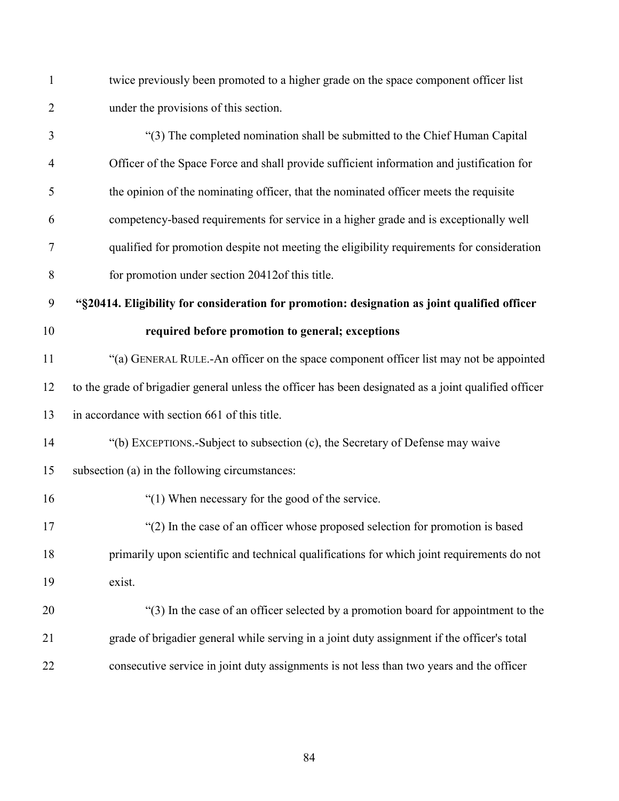twice previously been promoted to a higher grade on the space component officer list under the provisions of this section.

 "(3) The completed nomination shall be submitted to the Chief Human Capital Officer of the Space Force and shall provide sufficient information and justification for the opinion of the nominating officer, that the nominated officer meets the requisite competency-based requirements for service in a higher grade and is exceptionally well qualified for promotion despite not meeting the eligibility requirements for consideration for promotion under section 20412of this title.

**"§20414. Eligibility for consideration for promotion: designation as joint qualified officer** 

#### **required before promotion to general; exceptions**

 "(a) GENERAL RULE.-An officer on the space component officer list may not be appointed to the grade of brigadier general unless the officer has been designated as a joint qualified officer in accordance with section 661 of this title.

## "(b) EXCEPTIONS.-Subject to subsection (c), the Secretary of Defense may waive

#### subsection (a) in the following circumstances:

"(1) When necessary for the good of the service.

 "(2) In the case of an officer whose proposed selection for promotion is based primarily upon scientific and technical qualifications for which joint requirements do not exist.

 "(3) In the case of an officer selected by a promotion board for appointment to the grade of brigadier general while serving in a joint duty assignment if the officer's total consecutive service in joint duty assignments is not less than two years and the officer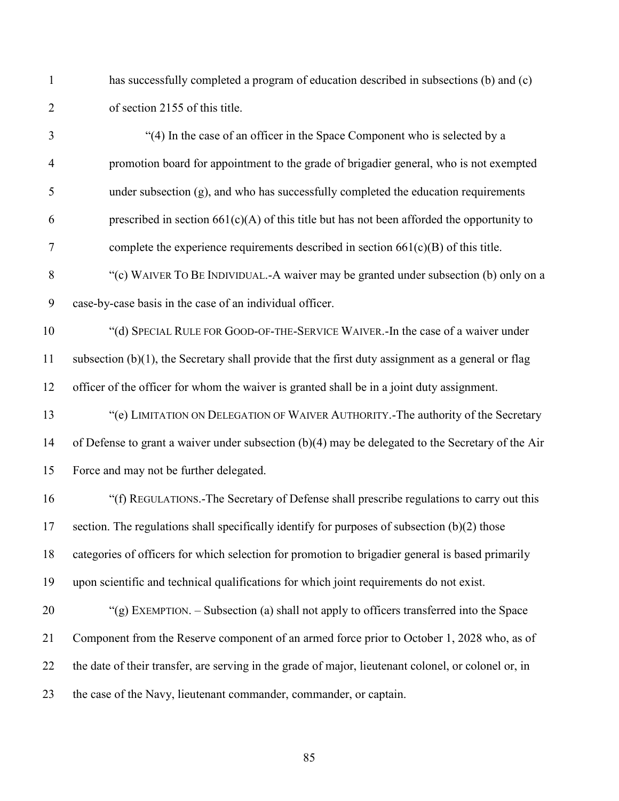has successfully completed a program of education described in subsections (b) and (c) of section 2155 of this title.

 "(4) In the case of an officer in the Space Component who is selected by a promotion board for appointment to the grade of brigadier general, who is not exempted under subsection (g), and who has successfully completed the education requirements 6 prescribed in section  $661(c)(A)$  of this title but has not been afforded the opportunity to complete the experience requirements described in section 661(c)(B) of this title. 8 "(c) WAIVER TO BE INDIVIDUAL.-A waiver may be granted under subsection (b) only on a case-by-case basis in the case of an individual officer. "(d) SPECIAL RULE FOR GOOD-OF-THE-SERVICE WAIVER.-In the case of a waiver under subsection (b)(1), the Secretary shall provide that the first duty assignment as a general or flag officer of the officer for whom the waiver is granted shall be in a joint duty assignment. "(e) LIMITATION ON DELEGATION OF WAIVER AUTHORITY.-The authority of the Secretary of Defense to grant a waiver under subsection (b)(4) may be delegated to the Secretary of the Air Force and may not be further delegated. "(f) REGULATIONS.-The Secretary of Defense shall prescribe regulations to carry out this section. The regulations shall specifically identify for purposes of subsection (b)(2) those categories of officers for which selection for promotion to brigadier general is based primarily upon scientific and technical qualifications for which joint requirements do not exist. "(g) EXEMPTION. – Subsection (a) shall not apply to officers transferred into the Space Component from the Reserve component of an armed force prior to October 1, 2028 who, as of

the case of the Navy, lieutenant commander, commander, or captain.

the date of their transfer, are serving in the grade of major, lieutenant colonel, or colonel or, in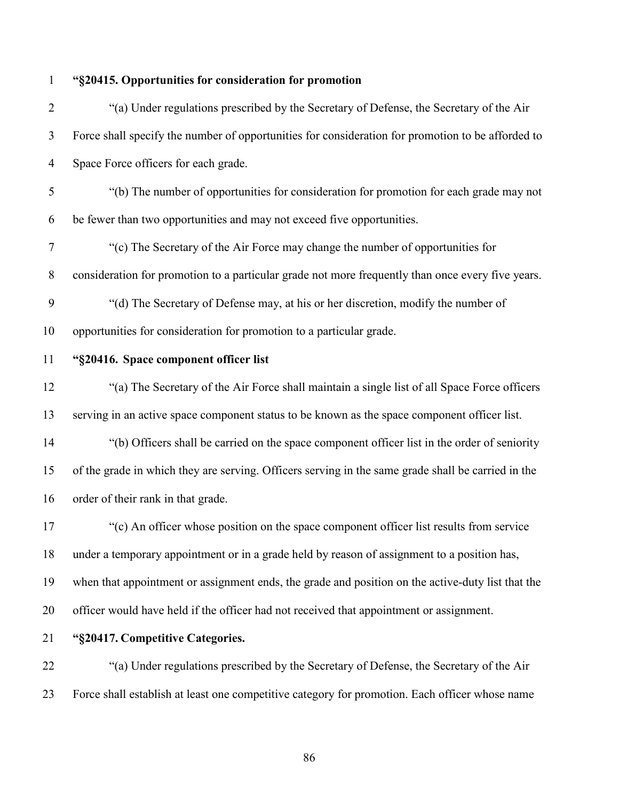## **"§20415. Opportunities for consideration for promotion**

 "(a) Under regulations prescribed by the Secretary of Defense, the Secretary of the Air Force shall specify the number of opportunities for consideration for promotion to be afforded to Space Force officers for each grade. "(b) The number of opportunities for consideration for promotion for each grade may not be fewer than two opportunities and may not exceed five opportunities. "(c) The Secretary of the Air Force may change the number of opportunities for consideration for promotion to a particular grade not more frequently than once every five years. "(d) The Secretary of Defense may, at his or her discretion, modify the number of opportunities for consideration for promotion to a particular grade. **"§20416. Space component officer list** "(a) The Secretary of the Air Force shall maintain a single list of all Space Force officers serving in an active space component status to be known as the space component officer list. "(b) Officers shall be carried on the space component officer list in the order of seniority of the grade in which they are serving. Officers serving in the same grade shall be carried in the order of their rank in that grade. "(c) An officer whose position on the space component officer list results from service under a temporary appointment or in a grade held by reason of assignment to a position has, when that appointment or assignment ends, the grade and position on the active-duty list that the officer would have held if the officer had not received that appointment or assignment.

### **"§20417. Competitive Categories.**

 "(a) Under regulations prescribed by the Secretary of Defense, the Secretary of the Air Force shall establish at least one competitive category for promotion. Each officer whose name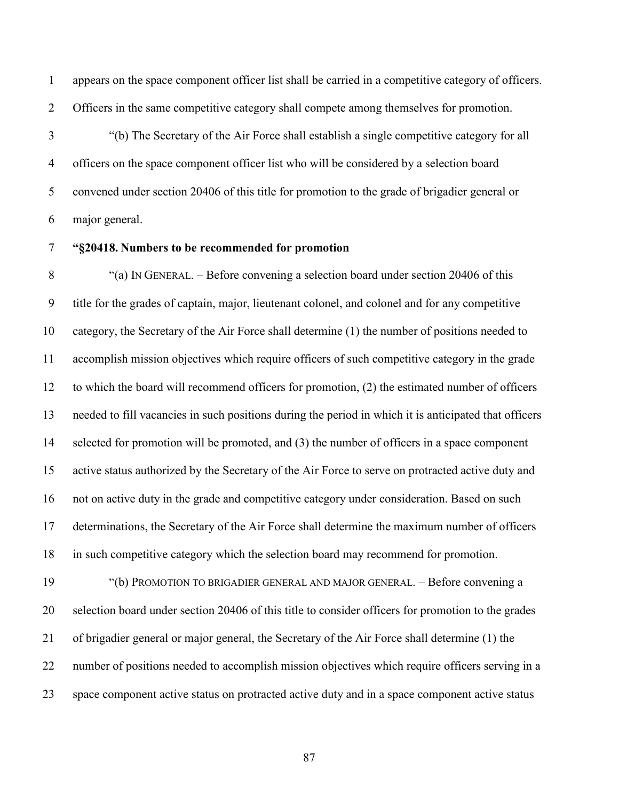appears on the space component officer list shall be carried in a competitive category of officers. Officers in the same competitive category shall compete among themselves for promotion.

 "(b) The Secretary of the Air Force shall establish a single competitive category for all officers on the space component officer list who will be considered by a selection board convened under section 20406 of this title for promotion to the grade of brigadier general or major general.

### **"§20418. Numbers to be recommended for promotion**

8 "(a) IN GENERAL. – Before convening a selection board under section 20406 of this title for the grades of captain, major, lieutenant colonel, and colonel and for any competitive category, the Secretary of the Air Force shall determine (1) the number of positions needed to accomplish mission objectives which require officers of such competitive category in the grade to which the board will recommend officers for promotion, (2) the estimated number of officers needed to fill vacancies in such positions during the period in which it is anticipated that officers selected for promotion will be promoted, and (3) the number of officers in a space component active status authorized by the Secretary of the Air Force to serve on protracted active duty and not on active duty in the grade and competitive category under consideration. Based on such determinations, the Secretary of the Air Force shall determine the maximum number of officers in such competitive category which the selection board may recommend for promotion.

19 "(b) PROMOTION TO BRIGADIER GENERAL AND MAJOR GENERAL. – Before convening a selection board under section 20406 of this title to consider officers for promotion to the grades of brigadier general or major general, the Secretary of the Air Force shall determine (1) the number of positions needed to accomplish mission objectives which require officers serving in a space component active status on protracted active duty and in a space component active status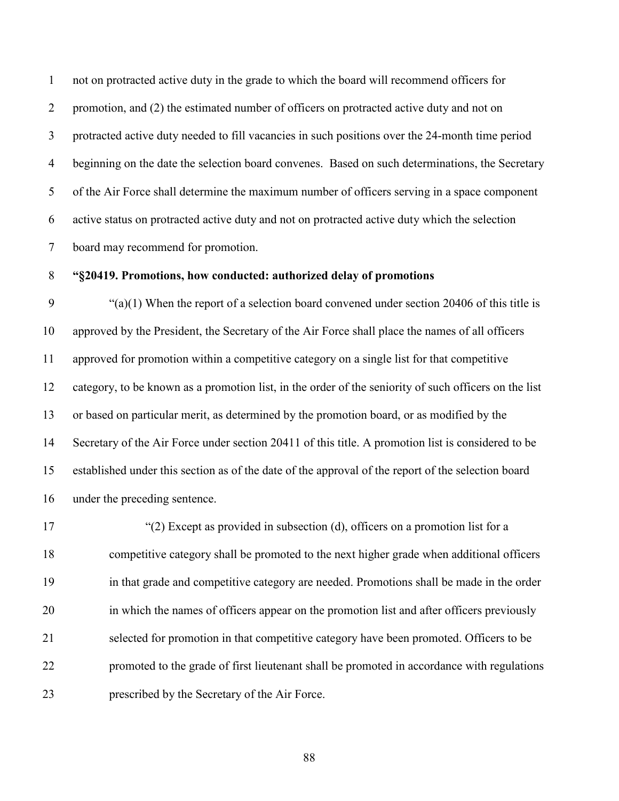not on protracted active duty in the grade to which the board will recommend officers for 2 promotion, and (2) the estimated number of officers on protracted active duty and not on protracted active duty needed to fill vacancies in such positions over the 24-month time period beginning on the date the selection board convenes. Based on such determinations, the Secretary of the Air Force shall determine the maximum number of officers serving in a space component active status on protracted active duty and not on protracted active duty which the selection board may recommend for promotion.

#### **"§20419. Promotions, how conducted: authorized delay of promotions**

9 " $(ia)(1)$  When the report of a selection board convened under section 20406 of this title is approved by the President, the Secretary of the Air Force shall place the names of all officers approved for promotion within a competitive category on a single list for that competitive category, to be known as a promotion list, in the order of the seniority of such officers on the list or based on particular merit, as determined by the promotion board, or as modified by the Secretary of the Air Force under section 20411 of this title. A promotion list is considered to be established under this section as of the date of the approval of the report of the selection board under the preceding sentence.

 "(2) Except as provided in subsection (d), officers on a promotion list for a competitive category shall be promoted to the next higher grade when additional officers in that grade and competitive category are needed. Promotions shall be made in the order in which the names of officers appear on the promotion list and after officers previously selected for promotion in that competitive category have been promoted. Officers to be promoted to the grade of first lieutenant shall be promoted in accordance with regulations prescribed by the Secretary of the Air Force.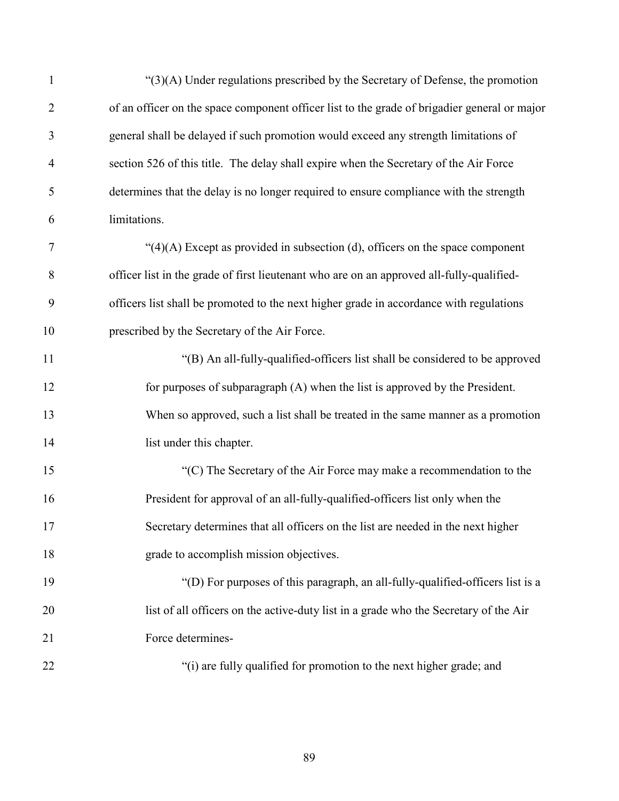| $\mathbf{1}$   | " $(3)(A)$ Under regulations prescribed by the Secretary of Defense, the promotion           |
|----------------|----------------------------------------------------------------------------------------------|
| $\overline{2}$ | of an officer on the space component officer list to the grade of brigadier general or major |
| 3              | general shall be delayed if such promotion would exceed any strength limitations of          |
| $\overline{4}$ | section 526 of this title. The delay shall expire when the Secretary of the Air Force        |
| 5              | determines that the delay is no longer required to ensure compliance with the strength       |
| 6              | limitations.                                                                                 |
| $\tau$         | " $(4)(A)$ Except as provided in subsection (d), officers on the space component             |
| 8              | officer list in the grade of first lieutenant who are on an approved all-fully-qualified-    |
| 9              | officers list shall be promoted to the next higher grade in accordance with regulations      |
| 10             | prescribed by the Secretary of the Air Force.                                                |
| 11             | "(B) An all-fully-qualified-officers list shall be considered to be approved                 |
| 12             | for purposes of subparagraph (A) when the list is approved by the President.                 |
| 13             | When so approved, such a list shall be treated in the same manner as a promotion             |
| 14             | list under this chapter.                                                                     |
| 15             | "(C) The Secretary of the Air Force may make a recommendation to the                         |
| 16             | President for approval of an all-fully-qualified-officers list only when the                 |
| 17             | Secretary determines that all officers on the list are needed in the next higher             |
| 18             | grade to accomplish mission objectives.                                                      |
| 19             | "(D) For purposes of this paragraph, an all-fully-qualified-officers list is a               |
| 20             | list of all officers on the active-duty list in a grade who the Secretary of the Air         |
| 21             | Force determines-                                                                            |
| 22             | "(i) are fully qualified for promotion to the next higher grade; and                         |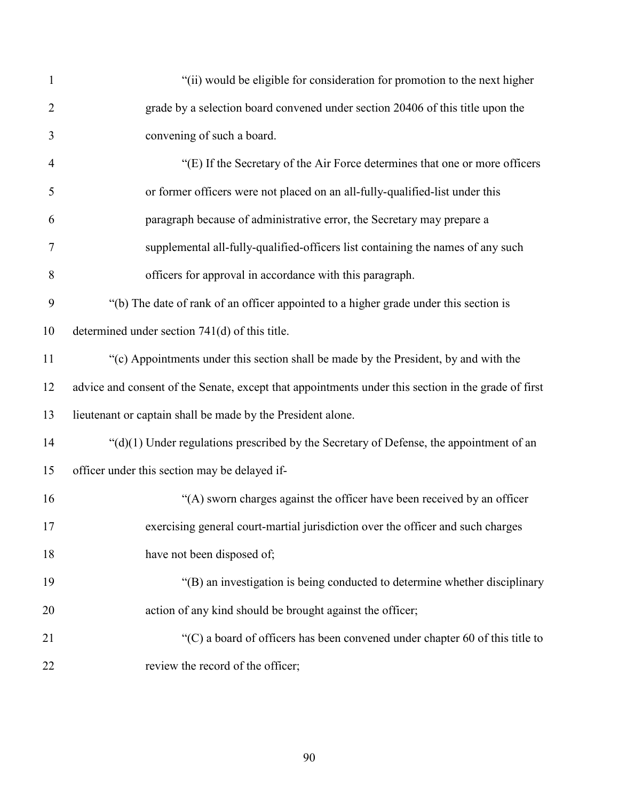| $\mathbf{1}$   | "(ii) would be eligible for consideration for promotion to the next higher                          |
|----------------|-----------------------------------------------------------------------------------------------------|
| $\overline{2}$ | grade by a selection board convened under section 20406 of this title upon the                      |
| 3              | convening of such a board.                                                                          |
| $\overline{4}$ | "(E) If the Secretary of the Air Force determines that one or more officers                         |
| 5              | or former officers were not placed on an all-fully-qualified-list under this                        |
| 6              | paragraph because of administrative error, the Secretary may prepare a                              |
| $\overline{7}$ | supplemental all-fully-qualified-officers list containing the names of any such                     |
| 8              | officers for approval in accordance with this paragraph.                                            |
| 9              | "(b) The date of rank of an officer appointed to a higher grade under this section is               |
| 10             | determined under section 741(d) of this title.                                                      |
| 11             | "(c) Appointments under this section shall be made by the President, by and with the                |
| 12             | advice and consent of the Senate, except that appointments under this section in the grade of first |
| 13             | lieutenant or captain shall be made by the President alone.                                         |
| 14             | " $(d)(1)$ Under regulations prescribed by the Secretary of Defense, the appointment of an          |
| 15             | officer under this section may be delayed if-                                                       |
| 16             | "(A) sworn charges against the officer have been received by an officer                             |
| 17             | exercising general court-martial jurisdiction over the officer and such charges                     |
| 18             | have not been disposed of;                                                                          |
| 19             | "(B) an investigation is being conducted to determine whether disciplinary                          |
| 20             | action of any kind should be brought against the officer;                                           |
| 21             | "(C) a board of officers has been convened under chapter 60 of this title to                        |
| 22             | review the record of the officer;                                                                   |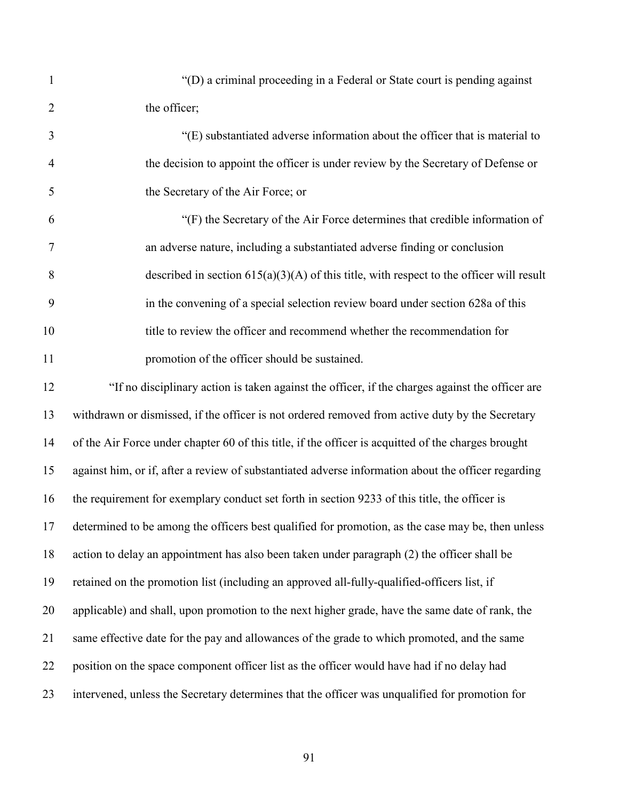"(D) a criminal proceeding in a Federal or State court is pending against 2 the officer:

 "(E) substantiated adverse information about the officer that is material to the decision to appoint the officer is under review by the Secretary of Defense or the Secretary of the Air Force; or

 "(F) the Secretary of the Air Force determines that credible information of an adverse nature, including a substantiated adverse finding or conclusion 8 described in section  $615(a)(3)(A)$  of this title, with respect to the officer will result in the convening of a special selection review board under section 628a of this title to review the officer and recommend whether the recommendation for **promotion of the officer should be sustained.** 

 "If no disciplinary action is taken against the officer, if the charges against the officer are withdrawn or dismissed, if the officer is not ordered removed from active duty by the Secretary of the Air Force under chapter 60 of this title, if the officer is acquitted of the charges brought against him, or if, after a review of substantiated adverse information about the officer regarding the requirement for exemplary conduct set forth in section 9233 of this title, the officer is determined to be among the officers best qualified for promotion, as the case may be, then unless action to delay an appointment has also been taken under paragraph (2) the officer shall be retained on the promotion list (including an approved all-fully-qualified-officers list, if applicable) and shall, upon promotion to the next higher grade, have the same date of rank, the same effective date for the pay and allowances of the grade to which promoted, and the same position on the space component officer list as the officer would have had if no delay had intervened, unless the Secretary determines that the officer was unqualified for promotion for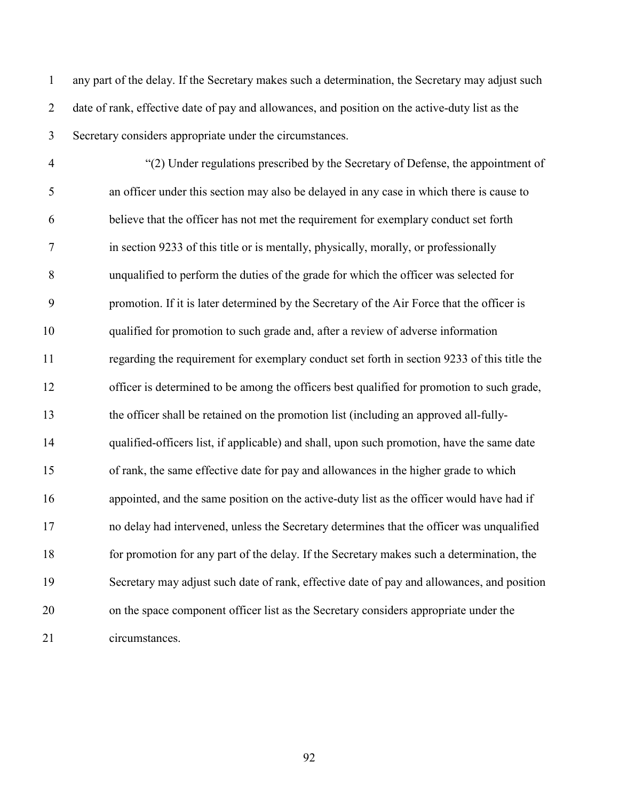any part of the delay. If the Secretary makes such a determination, the Secretary may adjust such date of rank, effective date of pay and allowances, and position on the active-duty list as the Secretary considers appropriate under the circumstances.

 "(2) Under regulations prescribed by the Secretary of Defense, the appointment of an officer under this section may also be delayed in any case in which there is cause to believe that the officer has not met the requirement for exemplary conduct set forth in section 9233 of this title or is mentally, physically, morally, or professionally unqualified to perform the duties of the grade for which the officer was selected for promotion. If it is later determined by the Secretary of the Air Force that the officer is qualified for promotion to such grade and, after a review of adverse information regarding the requirement for exemplary conduct set forth in section 9233 of this title the officer is determined to be among the officers best qualified for promotion to such grade, the officer shall be retained on the promotion list (including an approved all-fully- qualified-officers list, if applicable) and shall, upon such promotion, have the same date of rank, the same effective date for pay and allowances in the higher grade to which appointed, and the same position on the active-duty list as the officer would have had if no delay had intervened, unless the Secretary determines that the officer was unqualified for promotion for any part of the delay. If the Secretary makes such a determination, the Secretary may adjust such date of rank, effective date of pay and allowances, and position on the space component officer list as the Secretary considers appropriate under the circumstances.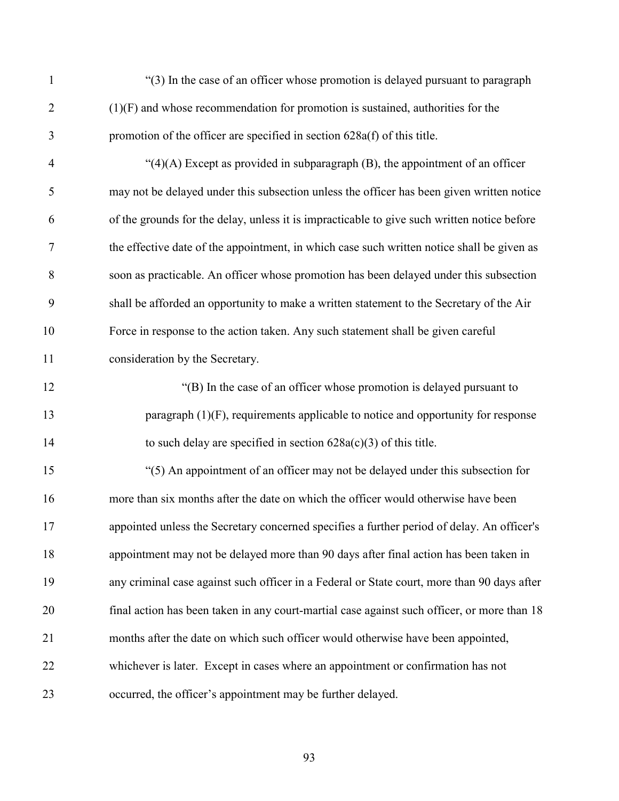| $\mathbf{1}$   | "(3) In the case of an officer whose promotion is delayed pursuant to paragraph             |
|----------------|---------------------------------------------------------------------------------------------|
| $\overline{2}$ | $(1)(F)$ and whose recommendation for promotion is sustained, authorities for the           |
| 3              | promotion of the officer are specified in section 628a(f) of this title.                    |
| $\overline{4}$ | " $(4)(A)$ Except as provided in subparagraph $(B)$ , the appointment of an officer         |
| 5              | may not be delayed under this subsection unless the officer has been given written notice   |
| 6              | of the grounds for the delay, unless it is impracticable to give such written notice before |
| $\tau$         | the effective date of the appointment, in which case such written notice shall be given as  |
| 8              | soon as practicable. An officer whose promotion has been delayed under this subsection      |
| 9              | shall be afforded an opportunity to make a written statement to the Secretary of the Air    |
| 10             | Force in response to the action taken. Any such statement shall be given careful            |
| 11             | consideration by the Secretary.                                                             |
| 12             | "(B) In the case of an officer whose promotion is delayed pursuant to                       |
| 13             | paragraph $(1)(F)$ , requirements applicable to notice and opportunity for response         |
| 14             | to such delay are specified in section $628a(c)(3)$ of this title.                          |
| 15             | "(5) An appointment of an officer may not be delayed under this subsection for              |
| 16             | more than six months after the date on which the officer would otherwise have been          |
| 17             | appointed unless the Secretary concerned specifies a further period of delay. An officer's  |
| 18             | appointment may not be delayed more than 90 days after final action has been taken in       |
| 19             | any criminal case against such officer in a Federal or State court, more than 90 days after |
| 20             | final action has been taken in any court-martial case against such officer, or more than 18 |
| 21             | months after the date on which such officer would otherwise have been appointed,            |
| 22             | whichever is later. Except in cases where an appointment or confirmation has not            |
| 23             | occurred, the officer's appointment may be further delayed.                                 |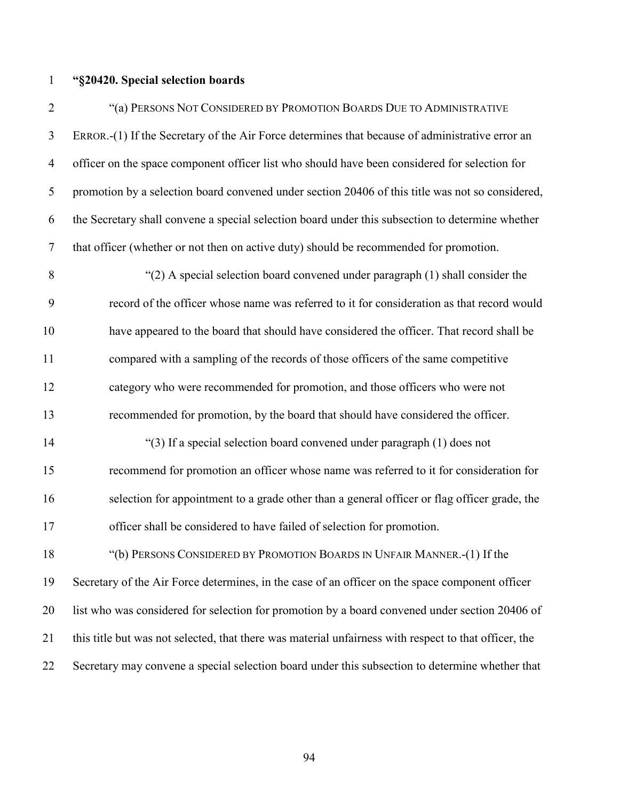#### **"§20420. Special selection boards**

 "(a) PERSONS NOT CONSIDERED BY PROMOTION BOARDS DUE TO ADMINISTRATIVE ERROR.-(1) If the Secretary of the Air Force determines that because of administrative error an officer on the space component officer list who should have been considered for selection for promotion by a selection board convened under section 20406 of this title was not so considered, the Secretary shall convene a special selection board under this subsection to determine whether that officer (whether or not then on active duty) should be recommended for promotion.

 "(2) A special selection board convened under paragraph (1) shall consider the record of the officer whose name was referred to it for consideration as that record would have appeared to the board that should have considered the officer. That record shall be compared with a sampling of the records of those officers of the same competitive category who were recommended for promotion, and those officers who were not recommended for promotion, by the board that should have considered the officer.

 "(3) If a special selection board convened under paragraph (1) does not recommend for promotion an officer whose name was referred to it for consideration for selection for appointment to a grade other than a general officer or flag officer grade, the officer shall be considered to have failed of selection for promotion.

 "(b) PERSONS CONSIDERED BY PROMOTION BOARDS IN UNFAIR MANNER.-(1) If the Secretary of the Air Force determines, in the case of an officer on the space component officer list who was considered for selection for promotion by a board convened under section 20406 of this title but was not selected, that there was material unfairness with respect to that officer, the Secretary may convene a special selection board under this subsection to determine whether that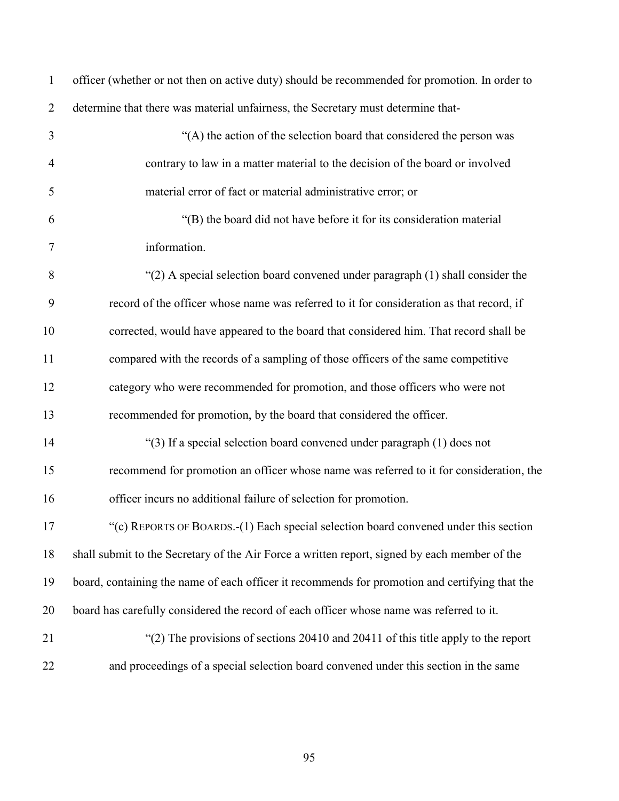| $\mathbf{1}$   | officer (whether or not then on active duty) should be recommended for promotion. In order to  |
|----------------|------------------------------------------------------------------------------------------------|
| $\overline{2}$ | determine that there was material unfairness, the Secretary must determine that-               |
| 3              | "(A) the action of the selection board that considered the person was                          |
| $\overline{4}$ | contrary to law in a matter material to the decision of the board or involved                  |
| 5              | material error of fact or material administrative error; or                                    |
| 6              | "(B) the board did not have before it for its consideration material                           |
| $\tau$         | information.                                                                                   |
| 8              | " $(2)$ A special selection board convened under paragraph $(1)$ shall consider the            |
| 9              | record of the officer whose name was referred to it for consideration as that record, if       |
| 10             | corrected, would have appeared to the board that considered him. That record shall be          |
| 11             | compared with the records of a sampling of those officers of the same competitive              |
| 12             | category who were recommended for promotion, and those officers who were not                   |
| 13             | recommended for promotion, by the board that considered the officer.                           |
| 14             | "(3) If a special selection board convened under paragraph (1) does not                        |
| 15             | recommend for promotion an officer whose name was referred to it for consideration, the        |
| 16             | officer incurs no additional failure of selection for promotion.                               |
| 17             | "(c) REPORTS OF BOARDS.-(1) Each special selection board convened under this section           |
| 18             | shall submit to the Secretary of the Air Force a written report, signed by each member of the  |
| 19             | board, containing the name of each officer it recommends for promotion and certifying that the |
| 20             | board has carefully considered the record of each officer whose name was referred to it.       |
| 21             | "(2) The provisions of sections 20410 and 20411 of this title apply to the report              |
| 22             | and proceedings of a special selection board convened under this section in the same           |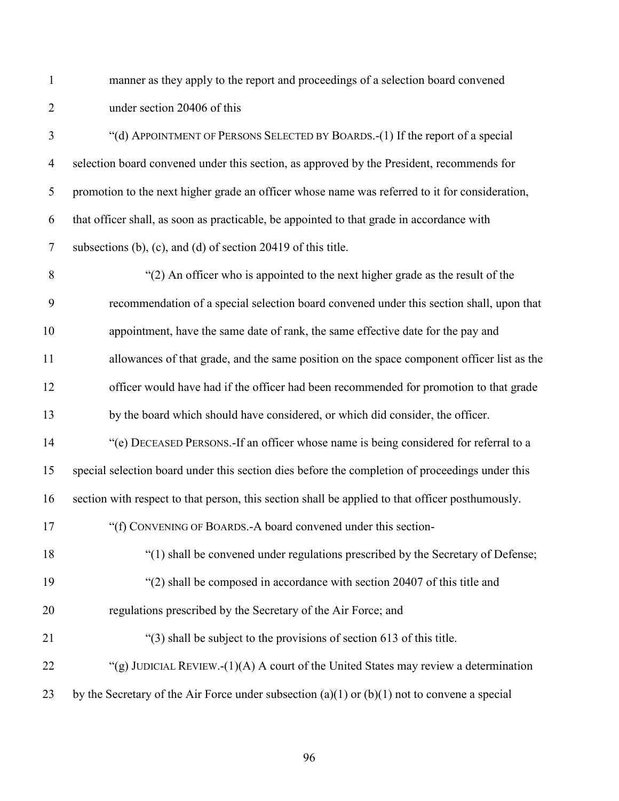manner as they apply to the report and proceedings of a selection board convened under section 20406 of this

 "(d) APPOINTMENT OF PERSONS SELECTED BY BOARDS.-(1) If the report of a special selection board convened under this section, as approved by the President, recommends for promotion to the next higher grade an officer whose name was referred to it for consideration, that officer shall, as soon as practicable, be appointed to that grade in accordance with subsections (b), (c), and (d) of section 20419 of this title.

 "(2) An officer who is appointed to the next higher grade as the result of the recommendation of a special selection board convened under this section shall, upon that appointment, have the same date of rank, the same effective date for the pay and allowances of that grade, and the same position on the space component officer list as the officer would have had if the officer had been recommended for promotion to that grade by the board which should have considered, or which did consider, the officer. "(e) DECEASED PERSONS.-If an officer whose name is being considered for referral to a special selection board under this section dies before the completion of proceedings under this section with respect to that person, this section shall be applied to that officer posthumously. 17 "(f) CONVENING OF BOARDS.-A board convened under this section- "(1) shall be convened under regulations prescribed by the Secretary of Defense; 19 "(2) shall be composed in accordance with section 20407 of this title and regulations prescribed by the Secretary of the Air Force; and "(3) shall be subject to the provisions of section 613 of this title. 22 "(g) JUDICIAL REVIEW.-(1)(A) A court of the United States may review a determination 23 by the Secretary of the Air Force under subsection (a)(1) or (b)(1) not to convene a special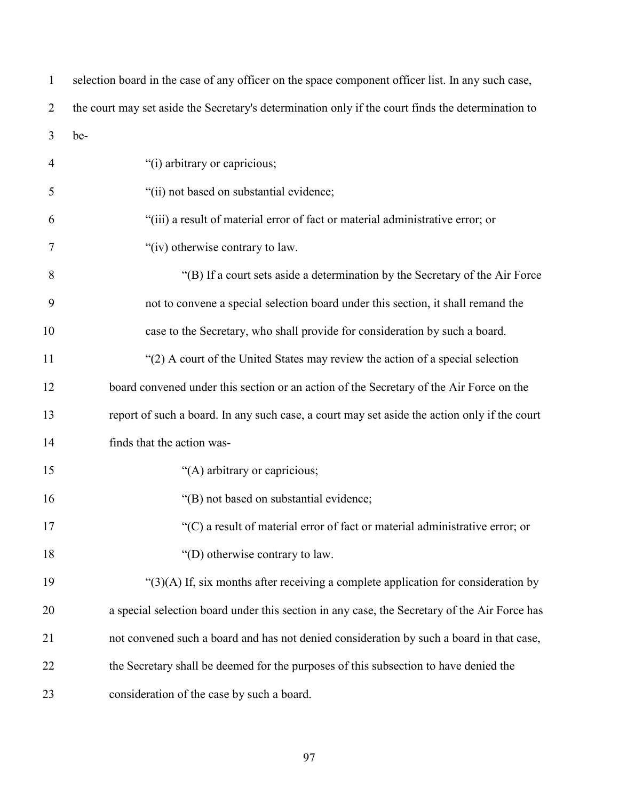| $\mathbf{1}$   | selection board in the case of any officer on the space component officer list. In any such case,  |
|----------------|----------------------------------------------------------------------------------------------------|
| $\overline{2}$ | the court may set aside the Secretary's determination only if the court finds the determination to |
| 3              | be-                                                                                                |
| $\overline{4}$ | "(i) arbitrary or capricious;                                                                      |
| 5              | "(ii) not based on substantial evidence;                                                           |
| 6              | "(iii) a result of material error of fact or material administrative error; or                     |
| 7              | "(iv) otherwise contrary to law.                                                                   |
| 8              | "(B) If a court sets aside a determination by the Secretary of the Air Force                       |
| 9              | not to convene a special selection board under this section, it shall remand the                   |
| 10             | case to the Secretary, who shall provide for consideration by such a board.                        |
| 11             | "(2) A court of the United States may review the action of a special selection                     |
| 12             | board convened under this section or an action of the Secretary of the Air Force on the            |
| 13             | report of such a board. In any such case, a court may set aside the action only if the court       |
| 14             | finds that the action was-                                                                         |
| 15             | "(A) arbitrary or capricious;                                                                      |
| 16             | "(B) not based on substantial evidence;                                                            |
| 17             | $\degree$ (C) a result of material error of fact or material administrative error; or              |
| 18             | "(D) otherwise contrary to law.                                                                    |
| 19             | " $(3)(A)$ If, six months after receiving a complete application for consideration by              |
| 20             | a special selection board under this section in any case, the Secretary of the Air Force has       |
| 21             | not convened such a board and has not denied consideration by such a board in that case,           |
| 22             | the Secretary shall be deemed for the purposes of this subsection to have denied the               |
| 23             | consideration of the case by such a board.                                                         |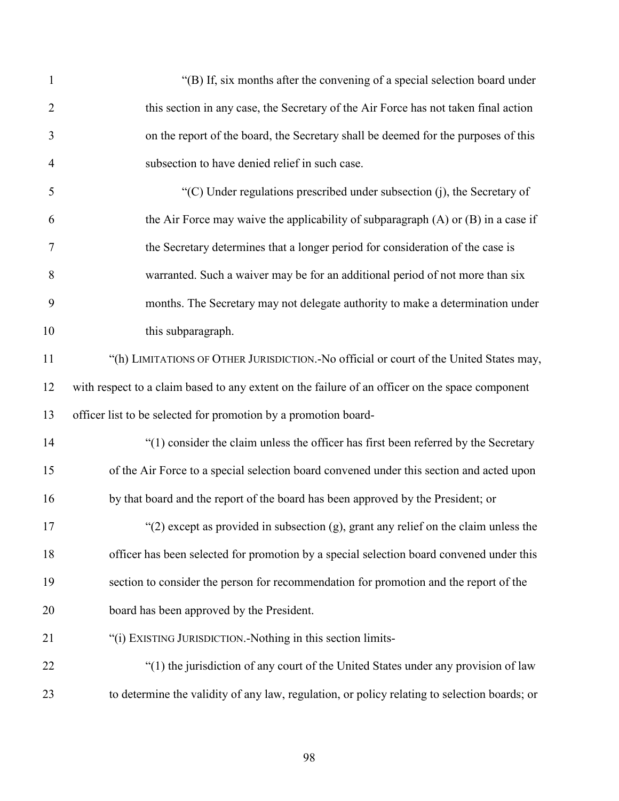| $\mathbf{1}$   | "(B) If, six months after the convening of a special selection board under                      |
|----------------|-------------------------------------------------------------------------------------------------|
| $\overline{2}$ | this section in any case, the Secretary of the Air Force has not taken final action             |
| 3              | on the report of the board, the Secretary shall be deemed for the purposes of this              |
| $\overline{4}$ | subsection to have denied relief in such case.                                                  |
| 5              | "(C) Under regulations prescribed under subsection $(i)$ , the Secretary of                     |
| 6              | the Air Force may waive the applicability of subparagraph $(A)$ or $(B)$ in a case if           |
| 7              | the Secretary determines that a longer period for consideration of the case is                  |
| 8              | warranted. Such a waiver may be for an additional period of not more than six                   |
| 9              | months. The Secretary may not delegate authority to make a determination under                  |
| 10             | this subparagraph.                                                                              |
| 11             | "(h) LIMITATIONS OF OTHER JURISDICTION. No official or court of the United States may,          |
| 12             | with respect to a claim based to any extent on the failure of an officer on the space component |
| 13             | officer list to be selected for promotion by a promotion board-                                 |
| 14             | "(1) consider the claim unless the officer has first been referred by the Secretary             |
| 15             | of the Air Force to a special selection board convened under this section and acted upon        |
| 16             | by that board and the report of the board has been approved by the President; or                |
| 17             | "(2) except as provided in subsection $(g)$ , grant any relief on the claim unless the          |
| 18             | officer has been selected for promotion by a special selection board convened under this        |
| 19             | section to consider the person for recommendation for promotion and the report of the           |
| 20             | board has been approved by the President.                                                       |
| 21             | "(i) EXISTING JURISDICTION.-Nothing in this section limits-                                     |
| 22             | "(1) the jurisdiction of any court of the United States under any provision of law              |
| 23             | to determine the validity of any law, regulation, or policy relating to selection boards; or    |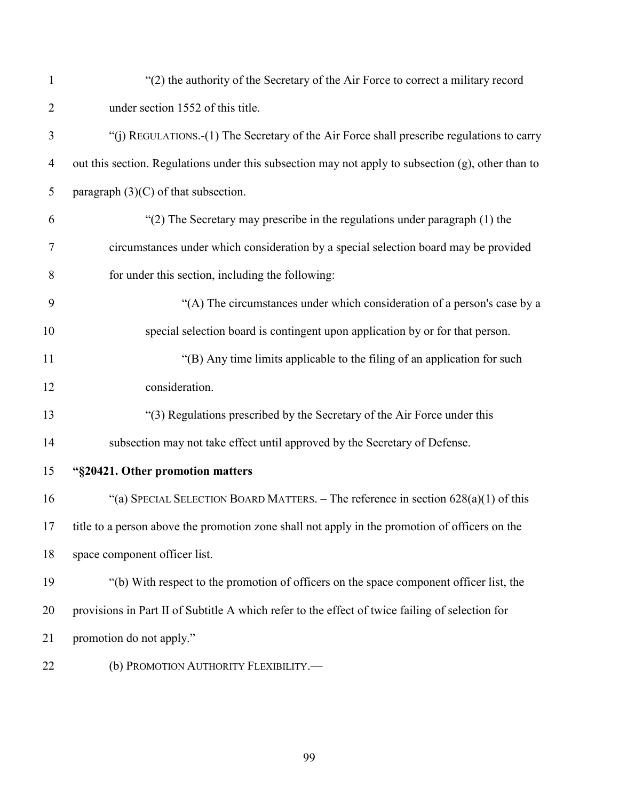| $\mathbf{1}$   | "(2) the authority of the Secretary of the Air Force to correct a military record                  |
|----------------|----------------------------------------------------------------------------------------------------|
| $\overline{2}$ | under section 1552 of this title.                                                                  |
| 3              | "(j) REGULATIONS.-(1) The Secretary of the Air Force shall prescribe regulations to carry          |
| $\overline{4}$ | out this section. Regulations under this subsection may not apply to subsection (g), other than to |
| $\mathfrak{S}$ | paragraph $(3)(C)$ of that subsection.                                                             |
| 6              | "(2) The Secretary may prescribe in the regulations under paragraph (1) the                        |
| 7              | circumstances under which consideration by a special selection board may be provided               |
| 8              | for under this section, including the following:                                                   |
| 9              | "(A) The circumstances under which consideration of a person's case by a                           |
| 10             | special selection board is contingent upon application by or for that person.                      |
| 11             | "(B) Any time limits applicable to the filing of an application for such                           |
| 12             | consideration.                                                                                     |
| 13             | "(3) Regulations prescribed by the Secretary of the Air Force under this                           |
| 14             | subsection may not take effect until approved by the Secretary of Defense.                         |
| 15             | "§20421. Other promotion matters                                                                   |
| 16             | "(a) SPECIAL SELECTION BOARD MATTERS. – The reference in section $628(a)(1)$ of this               |
|                | 17 title to a person above the promotion zone shall not apply in the promotion of officers on the  |
| 18             | space component officer list.                                                                      |
| 19             | "(b) With respect to the promotion of officers on the space component officer list, the            |
| 20             | provisions in Part II of Subtitle A which refer to the effect of twice failing of selection for    |
| 21             | promotion do not apply."                                                                           |
| 22             | (b) PROMOTION AUTHORITY FLEXIBILITY.-                                                              |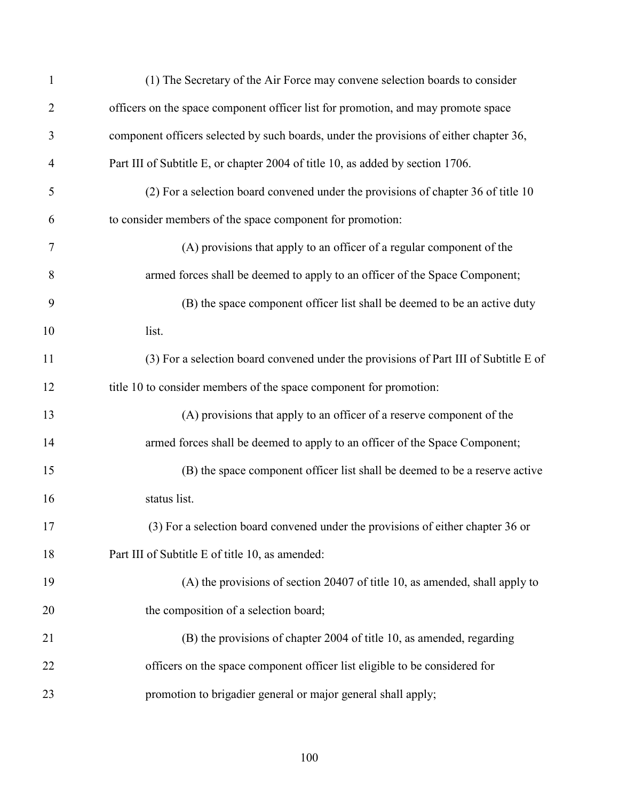| $\mathbf{1}$   | (1) The Secretary of the Air Force may convene selection boards to consider            |
|----------------|----------------------------------------------------------------------------------------|
| $\overline{2}$ | officers on the space component officer list for promotion, and may promote space      |
| 3              | component officers selected by such boards, under the provisions of either chapter 36, |
| $\overline{4}$ | Part III of Subtitle E, or chapter 2004 of title 10, as added by section 1706.         |
| 5              | (2) For a selection board convened under the provisions of chapter 36 of title 10      |
| 6              | to consider members of the space component for promotion:                              |
| 7              | (A) provisions that apply to an officer of a regular component of the                  |
| 8              | armed forces shall be deemed to apply to an officer of the Space Component;            |
| 9              | (B) the space component officer list shall be deemed to be an active duty              |
| 10             | list.                                                                                  |
| 11             | (3) For a selection board convened under the provisions of Part III of Subtitle E of   |
| 12             | title 10 to consider members of the space component for promotion:                     |
| 13             | (A) provisions that apply to an officer of a reserve component of the                  |
| 14             | armed forces shall be deemed to apply to an officer of the Space Component;            |
| 15             | (B) the space component officer list shall be deemed to be a reserve active            |
| 16             | status list.                                                                           |
| 17             | (3) For a selection board convened under the provisions of either chapter 36 or        |
| 18             | Part III of Subtitle E of title 10, as amended:                                        |
| 19             | (A) the provisions of section 20407 of title 10, as amended, shall apply to            |
| 20             | the composition of a selection board;                                                  |
| 21             | (B) the provisions of chapter 2004 of title 10, as amended, regarding                  |
| 22             | officers on the space component officer list eligible to be considered for             |
| 23             | promotion to brigadier general or major general shall apply;                           |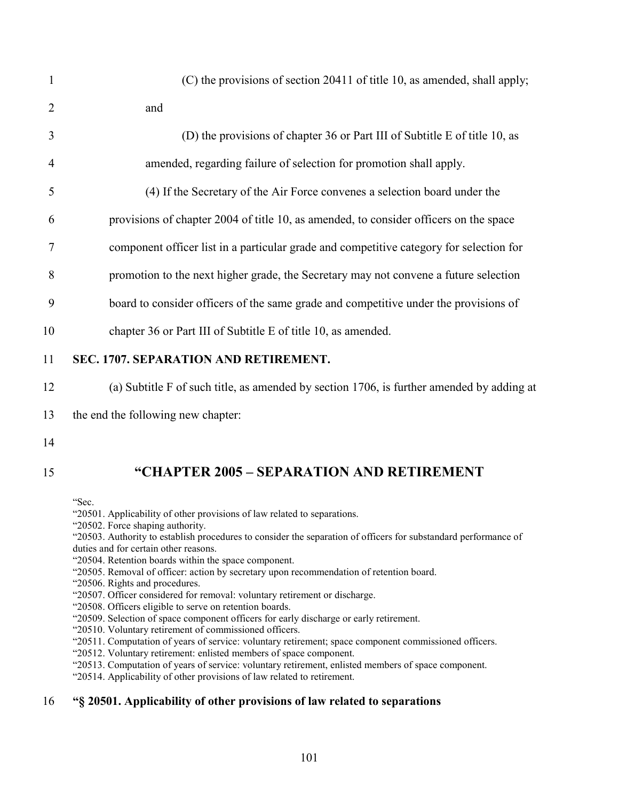| $\mathbf{1}$   | (C) the provisions of section 20411 of title 10, as amended, shall apply;                 |
|----------------|-------------------------------------------------------------------------------------------|
| $\overline{2}$ | and                                                                                       |
| 3              | (D) the provisions of chapter 36 or Part III of Subtitle E of title 10, as                |
| $\overline{4}$ | amended, regarding failure of selection for promotion shall apply.                        |
| 5              | (4) If the Secretary of the Air Force convenes a selection board under the                |
| 6              | provisions of chapter 2004 of title 10, as amended, to consider officers on the space     |
| 7              | component officer list in a particular grade and competitive category for selection for   |
| 8              | promotion to the next higher grade, the Secretary may not convene a future selection      |
| 9              | board to consider officers of the same grade and competitive under the provisions of      |
| 10             | chapter 36 or Part III of Subtitle E of title 10, as amended.                             |
| 11             | SEC. 1707. SEPARATION AND RETIREMENT.                                                     |
| 12             | (a) Subtitle F of such title, as amended by section 1706, is further amended by adding at |
| 13             | the end the following new chapter:                                                        |
|                |                                                                                           |

# 15 **"CHAPTER 2005 – SEPARATION AND RETIREMENT**

"Sec.

- "20501. Applicability of other provisions of law related to separations.
- "20502. Force shaping authority.
- "20503. Authority to establish procedures to consider the separation of officers for substandard performance of duties and for certain other reasons.
- "20504. Retention boards within the space component.
- "20505. Removal of officer: action by secretary upon recommendation of retention board.
- "20506. Rights and procedures.
- "20507. Officer considered for removal: voluntary retirement or discharge.
- "20508. Officers eligible to serve on retention boards.
- "20509. Selection of space component officers for early discharge or early retirement.
- "20510. Voluntary retirement of commissioned officers.
- "20511. Computation of years of service: voluntary retirement; space component commissioned officers.
- "20512. Voluntary retirement: enlisted members of space component.
- "20513. Computation of years of service: voluntary retirement, enlisted members of space component.
- "20514. Applicability of other provisions of law related to retirement.

# 16 **"§ 20501. Applicability of other provisions of law related to separations**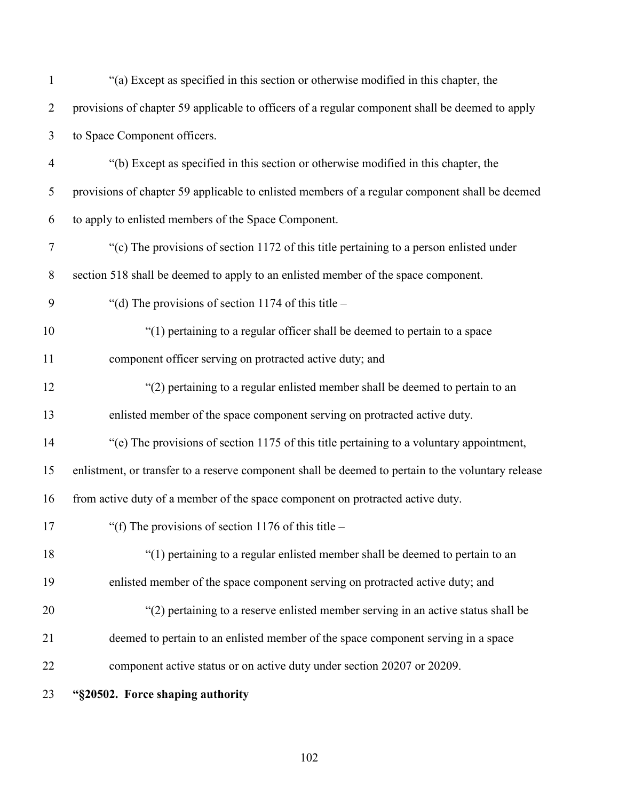| $\mathbf{1}$   | "(a) Except as specified in this section or otherwise modified in this chapter, the                |
|----------------|----------------------------------------------------------------------------------------------------|
| $\overline{2}$ | provisions of chapter 59 applicable to officers of a regular component shall be deemed to apply    |
| 3              | to Space Component officers.                                                                       |
| $\overline{4}$ | "(b) Except as specified in this section or otherwise modified in this chapter, the                |
| 5              | provisions of chapter 59 applicable to enlisted members of a regular component shall be deemed     |
| 6              | to apply to enlisted members of the Space Component.                                               |
| 7              | "(c) The provisions of section 1172 of this title pertaining to a person enlisted under            |
| 8              | section 518 shall be deemed to apply to an enlisted member of the space component.                 |
| 9              | "(d) The provisions of section 1174 of this title $-$                                              |
| 10             | "(1) pertaining to a regular officer shall be deemed to pertain to a space                         |
| 11             | component officer serving on protracted active duty; and                                           |
| 12             | "(2) pertaining to a regular enlisted member shall be deemed to pertain to an                      |
| 13             | enlisted member of the space component serving on protracted active duty.                          |
| 14             | "(e) The provisions of section 1175 of this title pertaining to a voluntary appointment,           |
| 15             | enlistment, or transfer to a reserve component shall be deemed to pertain to the voluntary release |
| 16             | from active duty of a member of the space component on protracted active duty.                     |
| 17             | "(f) The provisions of section 1176 of this title $-$                                              |
| 18             | "(1) pertaining to a regular enlisted member shall be deemed to pertain to an                      |
| 19             | enlisted member of the space component serving on protracted active duty; and                      |
| 20             | "(2) pertaining to a reserve enlisted member serving in an active status shall be                  |
| 21             | deemed to pertain to an enlisted member of the space component serving in a space                  |
| 22             | component active status or on active duty under section 20207 or 20209.                            |
| 23             | "§20502. Force shaping authority                                                                   |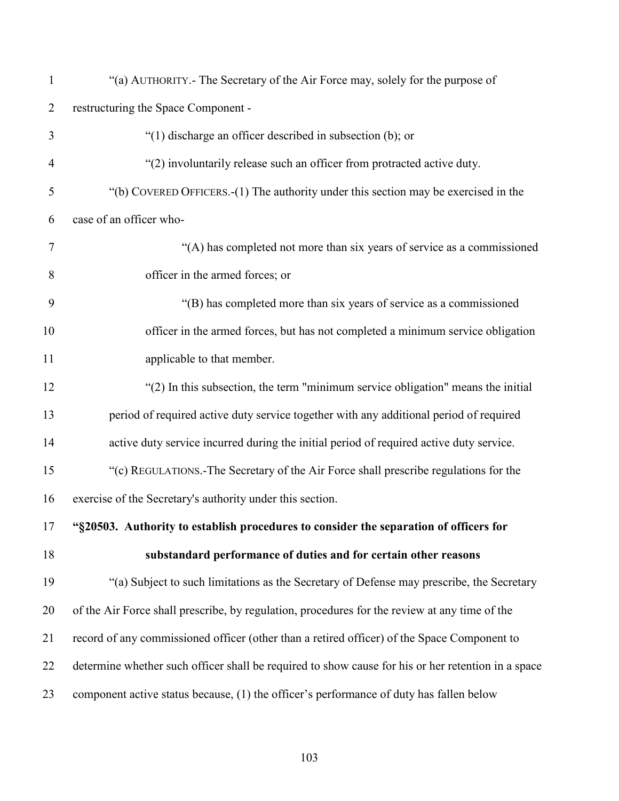| $\mathbf{1}$   | "(a) AUTHORITY.- The Secretary of the Air Force may, solely for the purpose of                     |
|----------------|----------------------------------------------------------------------------------------------------|
| $\overline{2}$ | restructuring the Space Component -                                                                |
| 3              | " $(1)$ discharge an officer described in subsection (b); or                                       |
| $\overline{4}$ | "(2) involuntarily release such an officer from protracted active duty.                            |
| 5              | "(b) COVERED OFFICERS.-(1) The authority under this section may be exercised in the                |
| 6              | case of an officer who-                                                                            |
| $\tau$         | "(A) has completed not more than six years of service as a commissioned                            |
| 8              | officer in the armed forces; or                                                                    |
| 9              | "(B) has completed more than six years of service as a commissioned                                |
| 10             | officer in the armed forces, but has not completed a minimum service obligation                    |
| 11             | applicable to that member.                                                                         |
| 12             | "(2) In this subsection, the term "minimum service obligation" means the initial                   |
| 13             | period of required active duty service together with any additional period of required             |
| 14             | active duty service incurred during the initial period of required active duty service.            |
| 15             | "(c) REGULATIONS.-The Secretary of the Air Force shall prescribe regulations for the               |
| 16             | exercise of the Secretary's authority under this section.                                          |
| 17             | "§20503. Authority to establish procedures to consider the separation of officers for              |
| 18             | substandard performance of duties and for certain other reasons                                    |
| 19             | "(a) Subject to such limitations as the Secretary of Defense may prescribe, the Secretary          |
| 20             | of the Air Force shall prescribe, by regulation, procedures for the review at any time of the      |
| 21             | record of any commissioned officer (other than a retired officer) of the Space Component to        |
| 22             | determine whether such officer shall be required to show cause for his or her retention in a space |
| 23             | component active status because, (1) the officer's performance of duty has fallen below            |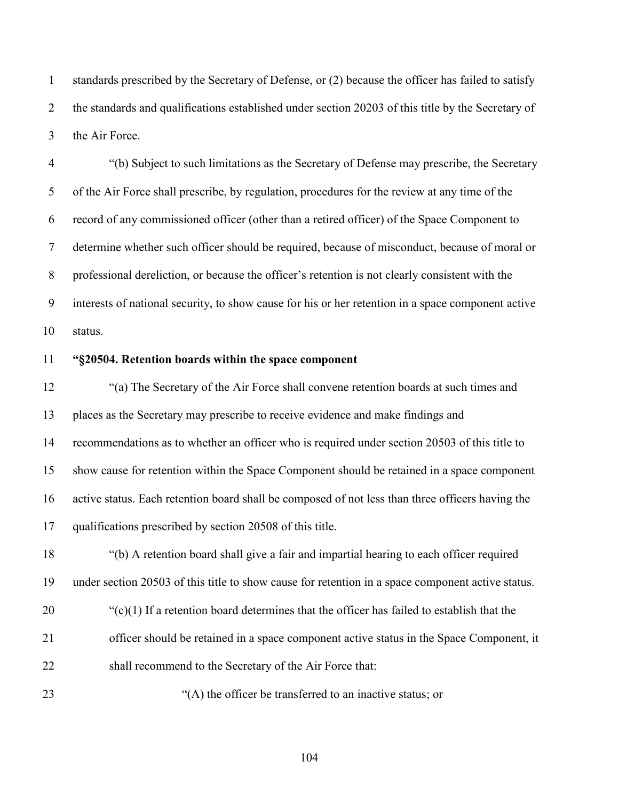standards prescribed by the Secretary of Defense, or (2) because the officer has failed to satisfy the standards and qualifications established under section 20203 of this title by the Secretary of the Air Force.

 "(b) Subject to such limitations as the Secretary of Defense may prescribe, the Secretary of the Air Force shall prescribe, by regulation, procedures for the review at any time of the record of any commissioned officer (other than a retired officer) of the Space Component to determine whether such officer should be required, because of misconduct, because of moral or professional dereliction, or because the officer's retention is not clearly consistent with the interests of national security, to show cause for his or her retention in a space component active status.

#### **"§20504. Retention boards within the space component**

 "(a) The Secretary of the Air Force shall convene retention boards at such times and places as the Secretary may prescribe to receive evidence and make findings and recommendations as to whether an officer who is required under section 20503 of this title to show cause for retention within the Space Component should be retained in a space component active status. Each retention board shall be composed of not less than three officers having the qualifications prescribed by section 20508 of this title. "(b) A retention board shall give a fair and impartial hearing to each officer required

under section 20503 of this title to show cause for retention in a space component active status.

- "(c)(1) If a retention board determines that the officer has failed to establish that the
- officer should be retained in a space component active status in the Space Component, it
- shall recommend to the Secretary of the Air Force that:

23 "(A) the officer be transferred to an inactive status; or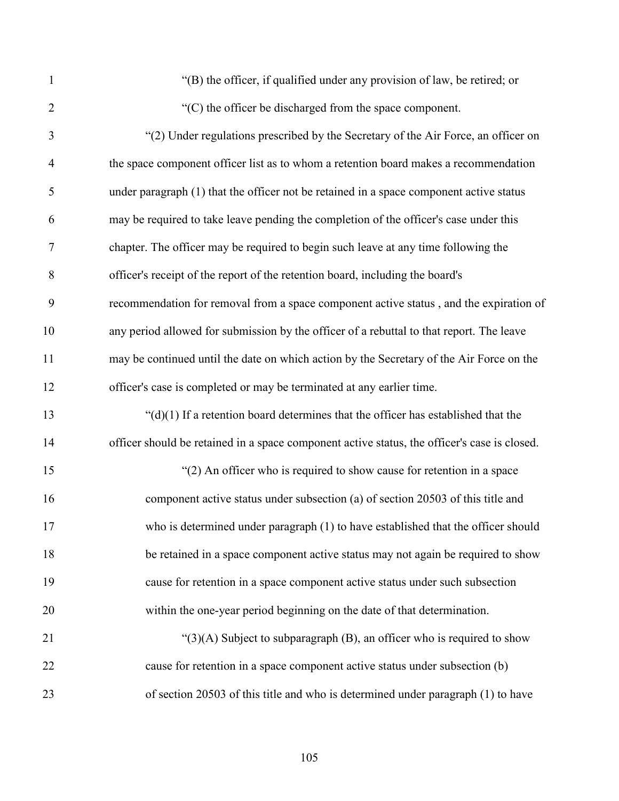"(B) the officer, if qualified under any provision of law, be retired; or "(C) the officer be discharged from the space component.

| 3              | "(2) Under regulations prescribed by the Secretary of the Air Force, an officer on           |
|----------------|----------------------------------------------------------------------------------------------|
| $\overline{4}$ | the space component officer list as to whom a retention board makes a recommendation         |
| 5              | under paragraph (1) that the officer not be retained in a space component active status      |
| 6              | may be required to take leave pending the completion of the officer's case under this        |
| $\tau$         | chapter. The officer may be required to begin such leave at any time following the           |
| 8              | officer's receipt of the report of the retention board, including the board's                |
| 9              | recommendation for removal from a space component active status, and the expiration of       |
| 10             | any period allowed for submission by the officer of a rebuttal to that report. The leave     |
| 11             | may be continued until the date on which action by the Secretary of the Air Force on the     |
| 12             | officer's case is completed or may be terminated at any earlier time.                        |
| 13             | " $(d)(1)$ If a retention board determines that the officer has established that the         |
| 14             | officer should be retained in a space component active status, the officer's case is closed. |
| 15             | "(2) An officer who is required to show cause for retention in a space                       |
| 16             | component active status under subsection (a) of section 20503 of this title and              |
| 17             | who is determined under paragraph (1) to have established that the officer should            |
| 18             | be retained in a space component active status may not again be required to show             |
| 19             | cause for retention in a space component active status under such subsection                 |
| 20             | within the one-year period beginning on the date of that determination.                      |
| 21             | " $(3)(A)$ Subject to subparagraph $(B)$ , an officer who is required to show                |
| 22             | cause for retention in a space component active status under subsection (b)                  |
| 23             | of section 20503 of this title and who is determined under paragraph (1) to have             |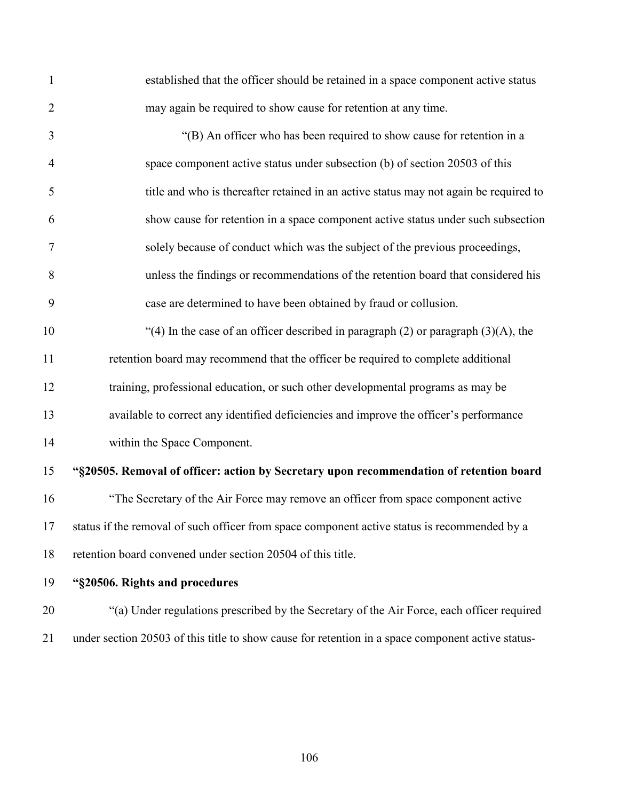| $\mathbf{1}$   | established that the officer should be retained in a space component active status           |
|----------------|----------------------------------------------------------------------------------------------|
| $\overline{2}$ | may again be required to show cause for retention at any time.                               |
| 3              | "(B) An officer who has been required to show cause for retention in a                       |
| $\overline{4}$ | space component active status under subsection (b) of section 20503 of this                  |
| 5              | title and who is thereafter retained in an active status may not again be required to        |
| 6              | show cause for retention in a space component active status under such subsection            |
| $\tau$         | solely because of conduct which was the subject of the previous proceedings,                 |
| 8              | unless the findings or recommendations of the retention board that considered his            |
| 9              | case are determined to have been obtained by fraud or collusion.                             |
| 10             | "(4) In the case of an officer described in paragraph $(2)$ or paragraph $(3)(A)$ , the      |
| 11             | retention board may recommend that the officer be required to complete additional            |
| 12             | training, professional education, or such other developmental programs as may be             |
| 13             | available to correct any identified deficiencies and improve the officer's performance       |
| 14             | within the Space Component.                                                                  |
| 15             | "§20505. Removal of officer: action by Secretary upon recommendation of retention board      |
| 16             | "The Secretary of the Air Force may remove an officer from space component active            |
| 17             | status if the removal of such officer from space component active status is recommended by a |
| 18             | retention board convened under section 20504 of this title.                                  |
| 19             | "§20506. Rights and procedures                                                               |

 "(a) Under regulations prescribed by the Secretary of the Air Force, each officer required under section 20503 of this title to show cause for retention in a space component active status-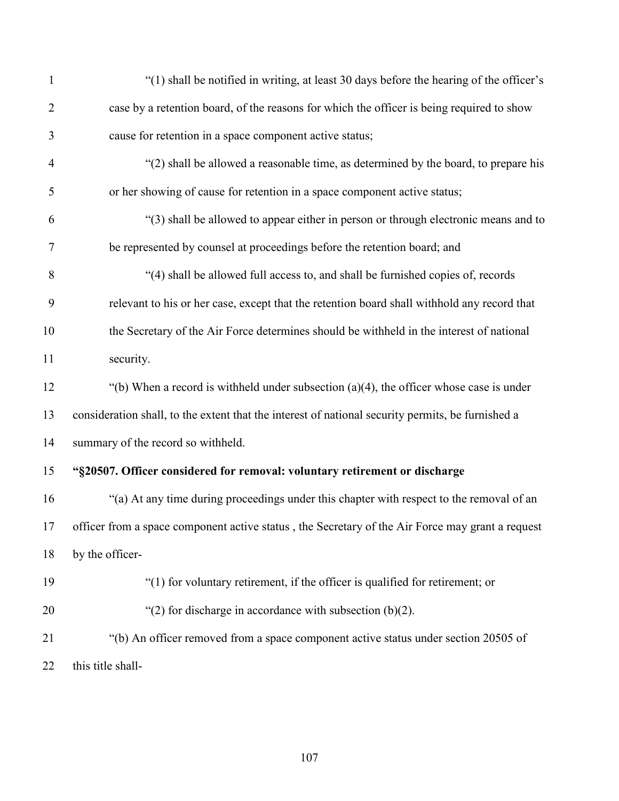| $\mathbf{1}$   | "(1) shall be notified in writing, at least 30 days before the hearing of the officer's           |
|----------------|---------------------------------------------------------------------------------------------------|
| $\overline{2}$ | case by a retention board, of the reasons for which the officer is being required to show         |
| 3              | cause for retention in a space component active status;                                           |
| $\overline{4}$ | "(2) shall be allowed a reasonable time, as determined by the board, to prepare his               |
| 5              | or her showing of cause for retention in a space component active status;                         |
| 6              | "(3) shall be allowed to appear either in person or through electronic means and to               |
| 7              | be represented by counsel at proceedings before the retention board; and                          |
| 8              | "(4) shall be allowed full access to, and shall be furnished copies of, records                   |
| 9              | relevant to his or her case, except that the retention board shall withhold any record that       |
| 10             | the Secretary of the Air Force determines should be withheld in the interest of national          |
| 11             | security.                                                                                         |
| 12             | "(b) When a record is withheld under subsection $(a)(4)$ , the officer whose case is under        |
| 13             | consideration shall, to the extent that the interest of national security permits, be furnished a |
| 14             | summary of the record so withheld.                                                                |
| 15             | "§20507. Officer considered for removal: voluntary retirement or discharge                        |
| 16             | "(a) At any time during proceedings under this chapter with respect to the removal of an          |
| 17             | officer from a space component active status, the Secretary of the Air Force may grant a request  |
| 18             | by the officer-                                                                                   |
| 19             | "(1) for voluntary retirement, if the officer is qualified for retirement; or                     |
| 20             | "(2) for discharge in accordance with subsection $(b)(2)$ .                                       |
| 21             | "(b) An officer removed from a space component active status under section 20505 of               |
| 22             | this title shall-                                                                                 |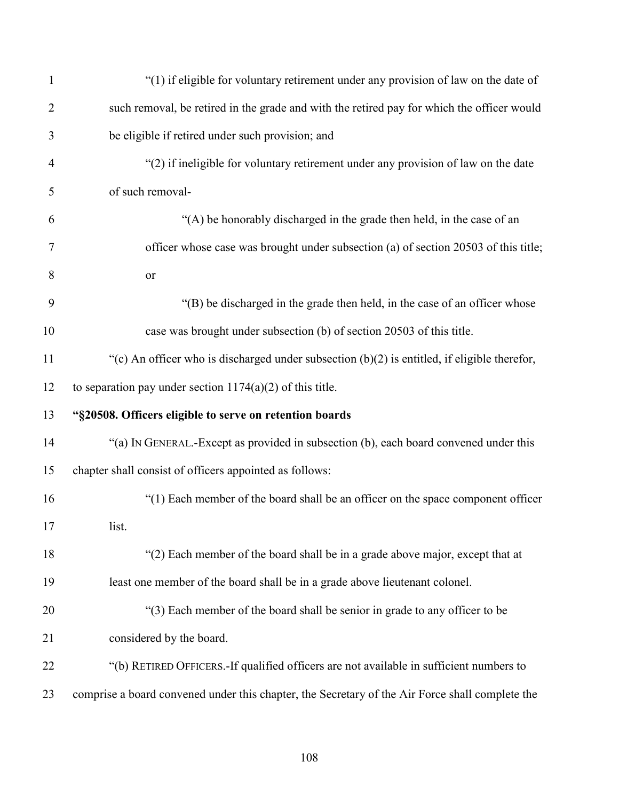| $\mathbf{1}$   | "(1) if eligible for voluntary retirement under any provision of law on the date of             |
|----------------|-------------------------------------------------------------------------------------------------|
| $\overline{2}$ | such removal, be retired in the grade and with the retired pay for which the officer would      |
| 3              | be eligible if retired under such provision; and                                                |
| $\overline{4}$ | "(2) if ineligible for voluntary retirement under any provision of law on the date              |
| 5              | of such removal-                                                                                |
| 6              | "(A) be honorably discharged in the grade then held, in the case of an                          |
| 7              | officer whose case was brought under subsection (a) of section 20503 of this title;             |
| 8              | <b>or</b>                                                                                       |
| 9              | "(B) be discharged in the grade then held, in the case of an officer whose                      |
| 10             | case was brought under subsection (b) of section 20503 of this title.                           |
| 11             | "(c) An officer who is discharged under subsection $(b)(2)$ is entitled, if eligible therefor,  |
| 12             | to separation pay under section $1174(a)(2)$ of this title.                                     |
| 13             | "§20508. Officers eligible to serve on retention boards                                         |
| 14             | "(a) IN GENERAL.-Except as provided in subsection (b), each board convened under this           |
| 15             | chapter shall consist of officers appointed as follows:                                         |
| 16             | "(1) Each member of the board shall be an officer on the space component officer                |
| 17             | list.                                                                                           |
| 18             | "(2) Each member of the board shall be in a grade above major, except that at                   |
| 19             | least one member of the board shall be in a grade above lieutenant colonel.                     |
| 20             | "(3) Each member of the board shall be senior in grade to any officer to be                     |
| 21             | considered by the board.                                                                        |
| 22             | "(b) RETIRED OFFICERS. If qualified officers are not available in sufficient numbers to         |
| 23             | comprise a board convened under this chapter, the Secretary of the Air Force shall complete the |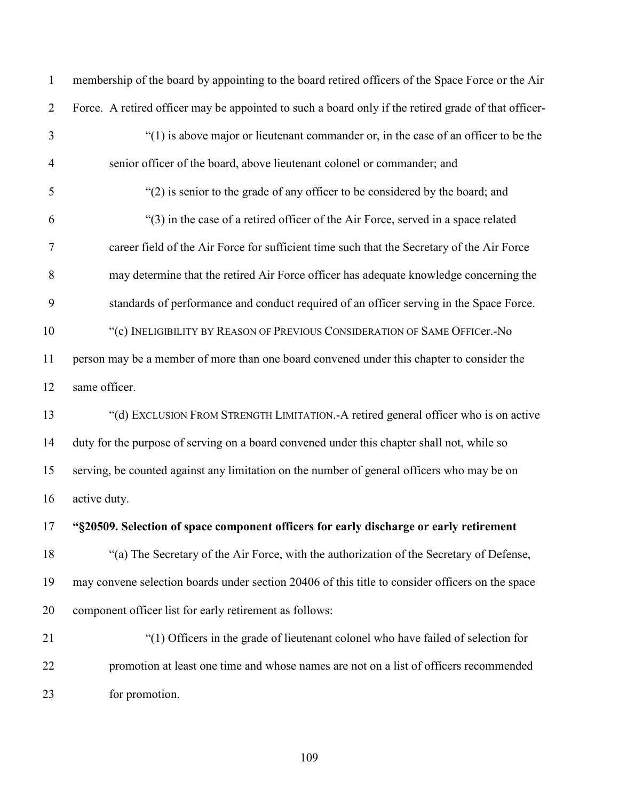membership of the board by appointing to the board retired officers of the Space Force or the Air Force. A retired officer may be appointed to such a board only if the retired grade of that officer- "(1) is above major or lieutenant commander or, in the case of an officer to be the senior officer of the board, above lieutenant colonel or commander; and "(2) is senior to the grade of any officer to be considered by the board; and "(3) in the case of a retired officer of the Air Force, served in a space related career field of the Air Force for sufficient time such that the Secretary of the Air Force may determine that the retired Air Force officer has adequate knowledge concerning the standards of performance and conduct required of an officer serving in the Space Force. "(c) INELIGIBILITY BY REASON OF PREVIOUS CONSIDERATION OF SAME OFFICer.-No person may be a member of more than one board convened under this chapter to consider the same officer. "(d) EXCLUSION FROM STRENGTH LIMITATION.-A retired general officer who is on active duty for the purpose of serving on a board convened under this chapter shall not, while so serving, be counted against any limitation on the number of general officers who may be on active duty. **"§20509. Selection of space component officers for early discharge or early retirement** "(a) The Secretary of the Air Force, with the authorization of the Secretary of Defense, may convene selection boards under section 20406 of this title to consider officers on the space component officer list for early retirement as follows: "(1) Officers in the grade of lieutenant colonel who have failed of selection for promotion at least one time and whose names are not on a list of officers recommended for promotion.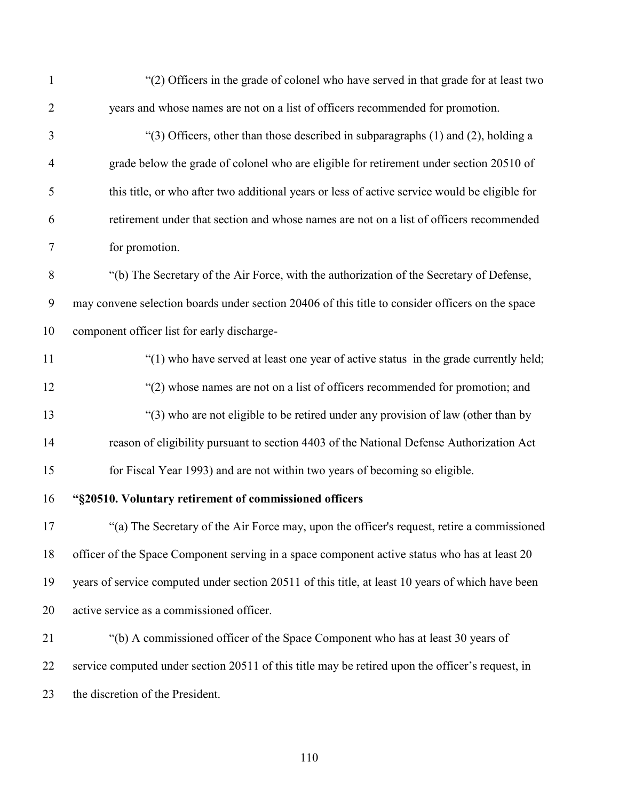| $\mathbf{1}$     | "(2) Officers in the grade of colonel who have served in that grade for at least two              |
|------------------|---------------------------------------------------------------------------------------------------|
| $\overline{2}$   | years and whose names are not on a list of officers recommended for promotion.                    |
| 3                | " $(3)$ Officers, other than those described in subparagraphs $(1)$ and $(2)$ , holding a         |
| 4                | grade below the grade of colonel who are eligible for retirement under section 20510 of           |
| 5                | this title, or who after two additional years or less of active service would be eligible for     |
| 6                | retirement under that section and whose names are not on a list of officers recommended           |
| $\tau$           | for promotion.                                                                                    |
| $8\,$            | "(b) The Secretary of the Air Force, with the authorization of the Secretary of Defense,          |
| $\boldsymbol{9}$ | may convene selection boards under section 20406 of this title to consider officers on the space  |
| 10               | component officer list for early discharge-                                                       |
| 11               | "(1) who have served at least one year of active status in the grade currently held;              |
| 12               | "(2) whose names are not on a list of officers recommended for promotion; and                     |
| 13               | "(3) who are not eligible to be retired under any provision of law (other than by                 |
| 14               | reason of eligibility pursuant to section 4403 of the National Defense Authorization Act          |
| 15               | for Fiscal Year 1993) and are not within two years of becoming so eligible.                       |
| 16               | "§20510. Voluntary retirement of commissioned officers                                            |
| 17               | "(a) The Secretary of the Air Force may, upon the officer's request, retire a commissioned        |
| 18               | officer of the Space Component serving in a space component active status who has at least 20     |
| 19               | years of service computed under section 20511 of this title, at least 10 years of which have been |
| 20               | active service as a commissioned officer.                                                         |
| 21               | "(b) A commissioned officer of the Space Component who has at least 30 years of                   |
| 22               | service computed under section 20511 of this title may be retired upon the officer's request, in  |
| 23               | the discretion of the President.                                                                  |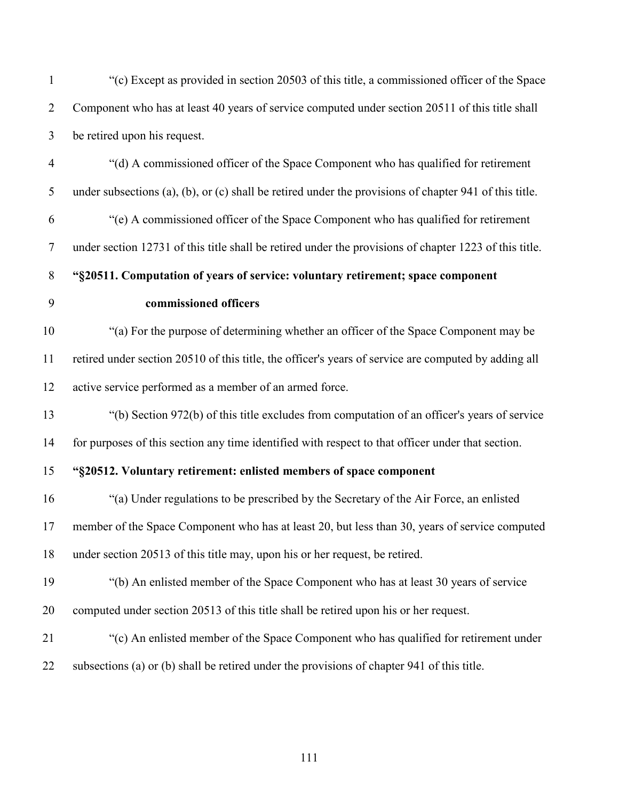| $\mathbf{1}$   | "(c) Except as provided in section 20503 of this title, a commissioned officer of the Space                    |
|----------------|----------------------------------------------------------------------------------------------------------------|
| $\overline{2}$ | Component who has at least 40 years of service computed under section 20511 of this title shall                |
| $\mathfrak{Z}$ | be retired upon his request.                                                                                   |
| $\overline{4}$ | "(d) A commissioned officer of the Space Component who has qualified for retirement                            |
| 5              | under subsections $(a)$ , $(b)$ , or $(c)$ shall be retired under the provisions of chapter 941 of this title. |
| 6              | "(e) A commissioned officer of the Space Component who has qualified for retirement                            |
| $\overline{7}$ | under section 12731 of this title shall be retired under the provisions of chapter 1223 of this title.         |
| $8\phantom{.}$ | "§20511. Computation of years of service: voluntary retirement; space component                                |
| 9              | commissioned officers                                                                                          |
| 10             | "(a) For the purpose of determining whether an officer of the Space Component may be                           |
| 11             | retired under section 20510 of this title, the officer's years of service are computed by adding all           |
| 12             | active service performed as a member of an armed force.                                                        |
| 13             | "(b) Section 972(b) of this title excludes from computation of an officer's years of service                   |
| 14             | for purposes of this section any time identified with respect to that officer under that section.              |
| 15             | "§20512. Voluntary retirement: enlisted members of space component                                             |
| 16             | "(a) Under regulations to be prescribed by the Secretary of the Air Force, an enlisted                         |
| 17             | member of the Space Component who has at least 20, but less than 30, years of service computed                 |
| 18             | under section 20513 of this title may, upon his or her request, be retired.                                    |
| 19             | "(b) An enlisted member of the Space Component who has at least 30 years of service                            |
| 20             | computed under section 20513 of this title shall be retired upon his or her request.                           |
| 21             | "(c) An enlisted member of the Space Component who has qualified for retirement under                          |
| 22             | subsections (a) or (b) shall be retired under the provisions of chapter 941 of this title.                     |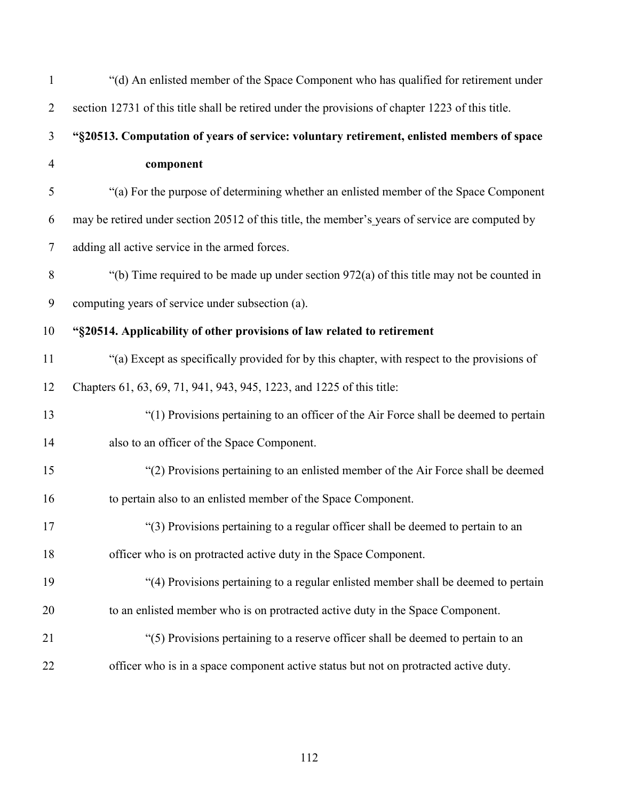| $\mathbf{1}$   | "(d) An enlisted member of the Space Component who has qualified for retirement under            |
|----------------|--------------------------------------------------------------------------------------------------|
| $\overline{2}$ | section 12731 of this title shall be retired under the provisions of chapter 1223 of this title. |
| 3              | "§20513. Computation of years of service: voluntary retirement, enlisted members of space        |
| $\overline{4}$ | component                                                                                        |
| 5              | "(a) For the purpose of determining whether an enlisted member of the Space Component            |
| 6              | may be retired under section 20512 of this title, the member's years of service are computed by  |
| $\tau$         | adding all active service in the armed forces.                                                   |
| $8\,$          | "(b) Time required to be made up under section $972(a)$ of this title may not be counted in      |
| 9              | computing years of service under subsection (a).                                                 |
| 10             | "§20514. Applicability of other provisions of law related to retirement                          |
| 11             | "(a) Except as specifically provided for by this chapter, with respect to the provisions of      |
| 12             | Chapters 61, 63, 69, 71, 941, 943, 945, 1223, and 1225 of this title:                            |
| 13             | "(1) Provisions pertaining to an officer of the Air Force shall be deemed to pertain             |
| 14             | also to an officer of the Space Component.                                                       |
| 15             | "(2) Provisions pertaining to an enlisted member of the Air Force shall be deemed                |
| 16             | to pertain also to an enlisted member of the Space Component.                                    |
| 17             | "(3) Provisions pertaining to a regular officer shall be deemed to pertain to an                 |
| 18             | officer who is on protracted active duty in the Space Component.                                 |
| 19             | "(4) Provisions pertaining to a regular enlisted member shall be deemed to pertain               |
| 20             | to an enlisted member who is on protracted active duty in the Space Component.                   |
| 21             | "(5) Provisions pertaining to a reserve officer shall be deemed to pertain to an                 |
| 22             | officer who is in a space component active status but not on protracted active duty.             |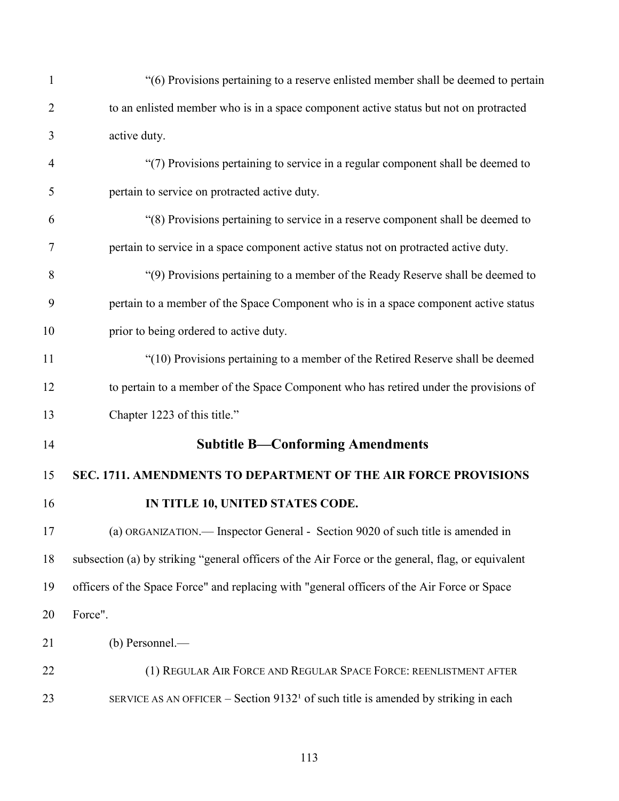| $\mathbf{1}$   | "(6) Provisions pertaining to a reserve enlisted member shall be deemed to pertain                |
|----------------|---------------------------------------------------------------------------------------------------|
| $\overline{2}$ | to an enlisted member who is in a space component active status but not on protracted             |
| 3              | active duty.                                                                                      |
| 4              | "(7) Provisions pertaining to service in a regular component shall be deemed to                   |
| 5              | pertain to service on protracted active duty.                                                     |
| 6              | "(8) Provisions pertaining to service in a reserve component shall be deemed to                   |
| 7              | pertain to service in a space component active status not on protracted active duty.              |
| 8              | "(9) Provisions pertaining to a member of the Ready Reserve shall be deemed to                    |
| 9              | pertain to a member of the Space Component who is in a space component active status              |
| 10             | prior to being ordered to active duty.                                                            |
| 11             | "(10) Provisions pertaining to a member of the Retired Reserve shall be deemed                    |
| 12             | to pertain to a member of the Space Component who has retired under the provisions of             |
| 13             | Chapter 1223 of this title."                                                                      |
| 14             | <b>Subtitle B-Conforming Amendments</b>                                                           |
| 15             | SEC. 1711. AMENDMENTS TO DEPARTMENT OF THE AIR FORCE PROVISIONS                                   |
| 16             | IN TITLE 10, UNITED STATES CODE.                                                                  |
| 17             | (a) ORGANIZATION.— Inspector General - Section 9020 of such title is amended in                   |
| 18             | subsection (a) by striking "general officers of the Air Force or the general, flag, or equivalent |
| 19             | officers of the Space Force" and replacing with "general officers of the Air Force or Space       |
| 20             | Force".                                                                                           |
| 21             | (b) Personnel.—                                                                                   |
| 22             | (1) REGULAR AIR FORCE AND REGULAR SPACE FORCE: REENLISTMENT AFTER                                 |
| 23             | SERVICE AS AN OFFICER – Section $91321$ of such title is amended by striking in each              |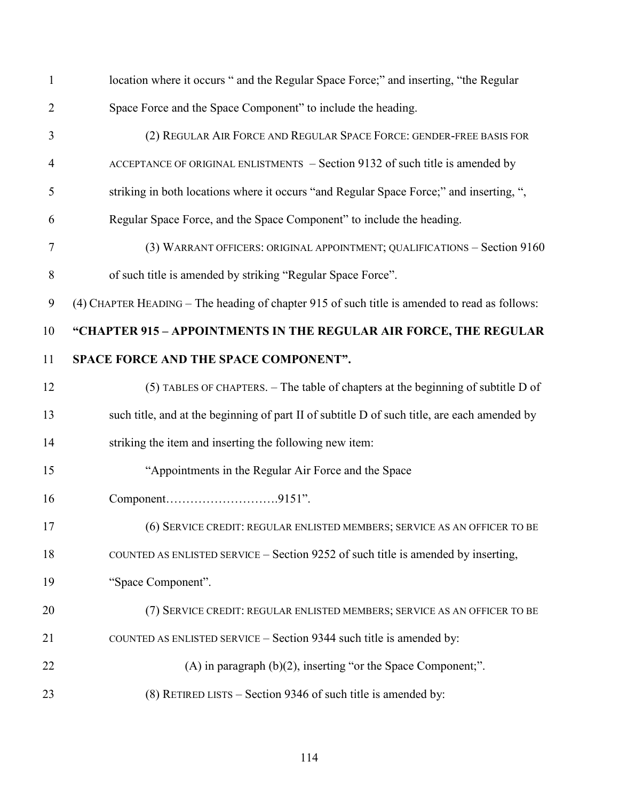| $\mathbf{1}$   | location where it occurs " and the Regular Space Force;" and inserting, "the Regular          |
|----------------|-----------------------------------------------------------------------------------------------|
| $\overline{2}$ | Space Force and the Space Component" to include the heading.                                  |
| 3              | (2) REGULAR AIR FORCE AND REGULAR SPACE FORCE: GENDER-FREE BASIS FOR                          |
| $\overline{4}$ | ACCEPTANCE OF ORIGINAL ENLISTMENTS - Section 9132 of such title is amended by                 |
| 5              | striking in both locations where it occurs "and Regular Space Force;" and inserting, ",       |
| 6              | Regular Space Force, and the Space Component" to include the heading.                         |
| 7              | (3) WARRANT OFFICERS: ORIGINAL APPOINTMENT; QUALIFICATIONS - Section 9160                     |
| 8              | of such title is amended by striking "Regular Space Force".                                   |
| 9              | (4) CHAPTER HEADING - The heading of chapter 915 of such title is amended to read as follows: |
| 10             | "CHAPTER 915 - APPOINTMENTS IN THE REGULAR AIR FORCE, THE REGULAR                             |
| 11             | SPACE FORCE AND THE SPACE COMPONENT".                                                         |
| 12             | (5) TABLES OF CHAPTERS. - The table of chapters at the beginning of subtitle D of             |
| 13             | such title, and at the beginning of part II of subtitle D of such title, are each amended by  |
| 14             | striking the item and inserting the following new item:                                       |
| 15             | "Appointments in the Regular Air Force and the Space                                          |
| 16             | Component9151".                                                                               |
| 17             | (6) SERVICE CREDIT: REGULAR ENLISTED MEMBERS; SERVICE AS AN OFFICER TO BE                     |
| 18             | COUNTED AS ENLISTED SERVICE - Section 9252 of such title is amended by inserting,             |
| 19             | "Space Component".                                                                            |
| 20             | (7) SERVICE CREDIT: REGULAR ENLISTED MEMBERS; SERVICE AS AN OFFICER TO BE                     |
| 21             | COUNTED AS ENLISTED SERVICE - Section 9344 such title is amended by:                          |
| 22             | $(A)$ in paragraph $(b)(2)$ , inserting "or the Space Component;".                            |
| 23             | (8) RETIRED LISTS – Section 9346 of such title is amended by:                                 |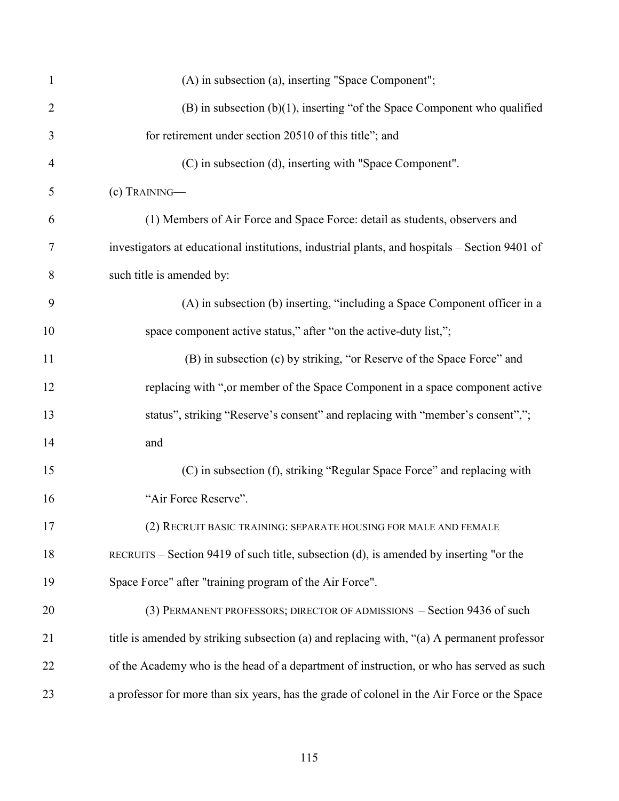| $\mathbf{1}$   | (A) in subsection (a), inserting "Space Component";                                           |
|----------------|-----------------------------------------------------------------------------------------------|
| $\overline{2}$ | $(B)$ in subsection $(b)(1)$ , inserting "of the Space Component who qualified                |
| 3              | for retirement under section 20510 of this title"; and                                        |
| $\overline{4}$ | (C) in subsection (d), inserting with "Space Component".                                      |
| 5              | (c) TRAINING-                                                                                 |
| 6              | (1) Members of Air Force and Space Force: detail as students, observers and                   |
| 7              | investigators at educational institutions, industrial plants, and hospitals - Section 9401 of |
| 8              | such title is amended by:                                                                     |
| 9              | (A) in subsection (b) inserting, "including a Space Component officer in a                    |
| 10             | space component active status," after "on the active-duty list,";                             |
| 11             | (B) in subsection (c) by striking, "or Reserve of the Space Force" and                        |
| 12             | replacing with ", or member of the Space Component in a space component active                |
| 13             | status", striking "Reserve's consent" and replacing with "member's consent",";                |
| 14             | and                                                                                           |
| 15             | (C) in subsection (f), striking "Regular Space Force" and replacing with                      |
| 16             | "Air Force Reserve".                                                                          |
| 17             | (2) RECRUIT BASIC TRAINING: SEPARATE HOUSING FOR MALE AND FEMALE                              |
| 18             | RECRUITS – Section 9419 of such title, subsection (d), is amended by inserting "or the        |
| 19             | Space Force" after "training program of the Air Force".                                       |
| 20             | (3) PERMANENT PROFESSORS; DIRECTOR OF ADMISSIONS - Section 9436 of such                       |
| 21             | title is amended by striking subsection (a) and replacing with, "(a) A permanent professor    |
| 22             | of the Academy who is the head of a department of instruction, or who has served as such      |
| 23             | a professor for more than six years, has the grade of colonel in the Air Force or the Space   |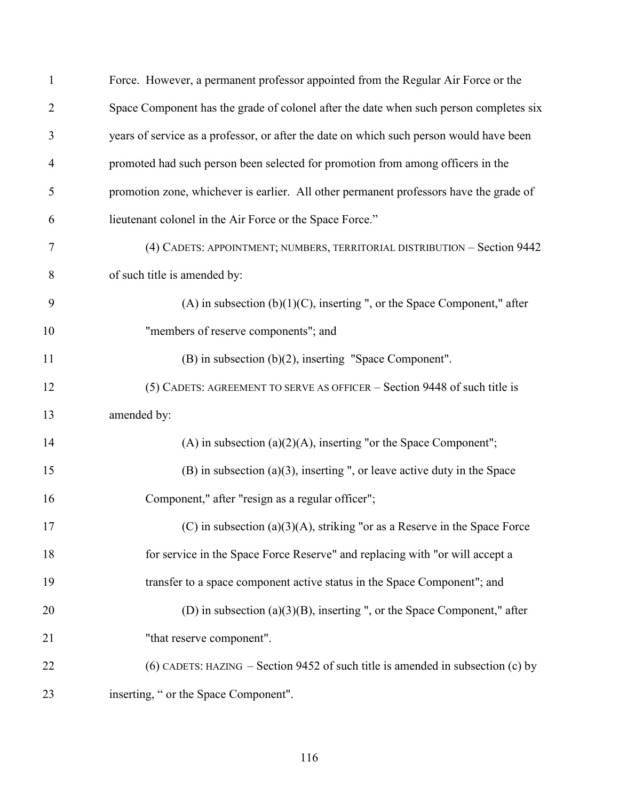| 1              | Force. However, a permanent professor appointed from the Regular Air Force or the       |
|----------------|-----------------------------------------------------------------------------------------|
| $\overline{2}$ | Space Component has the grade of colonel after the date when such person completes six  |
| 3              | years of service as a professor, or after the date on which such person would have been |
| $\overline{4}$ | promoted had such person been selected for promotion from among officers in the         |
| 5              | promotion zone, whichever is earlier. All other permanent professors have the grade of  |
| 6              | lieutenant colonel in the Air Force or the Space Force."                                |
| 7              | (4) CADETS: APPOINTMENT; NUMBERS, TERRITORIAL DISTRIBUTION - Section 9442               |
| 8              | of such title is amended by:                                                            |
| 9              | $(A)$ in subsection $(b)(1)(C)$ , inserting ", or the Space Component," after           |
| 10             | "members of reserve components"; and                                                    |
| 11             | $(B)$ in subsection $(b)(2)$ , inserting "Space Component".                             |
| 12             | (5) CADETS: AGREEMENT TO SERVE AS OFFICER – Section 9448 of such title is               |
| 13             | amended by:                                                                             |
| 14             | (A) in subsection $(a)(2)(A)$ , inserting "or the Space Component";                     |
| 15             | $(B)$ in subsection (a)(3), inserting ", or leave active duty in the Space              |
| 16             | Component," after "resign as a regular officer";                                        |
| 17             | (C) in subsection (a)(3)(A), striking "or as a Reserve in the Space Force               |
| 18             | for service in the Space Force Reserve" and replacing with "or will accept a            |
| 19             | transfer to a space component active status in the Space Component"; and                |
| 20             | (D) in subsection $(a)(3)(B)$ , inserting ", or the Space Component," after             |
| 21             | "that reserve component".                                                               |
| 22             | (6) CADETS: HAZING – Section 9452 of such title is amended in subsection (c) by         |
| 23             | inserting, " or the Space Component".                                                   |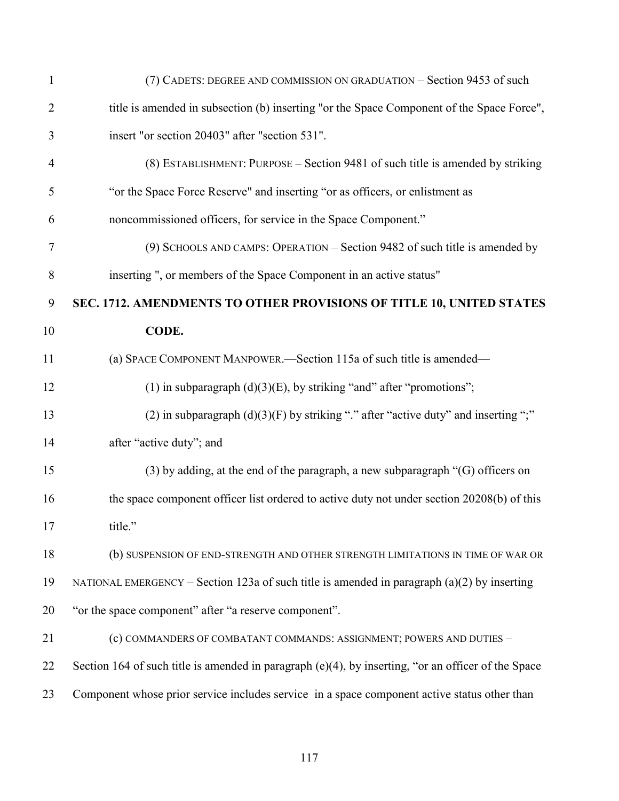| $\mathbf{1}$   | (7) CADETS: DEGREE AND COMMISSION ON GRADUATION – Section 9453 of such                                 |
|----------------|--------------------------------------------------------------------------------------------------------|
| $\overline{2}$ | title is amended in subsection (b) inserting "or the Space Component of the Space Force",              |
| 3              | insert "or section 20403" after "section 531".                                                         |
| $\overline{4}$ | (8) ESTABLISHMENT: PURPOSE – Section 9481 of such title is amended by striking                         |
| 5              | "or the Space Force Reserve" and inserting "or as officers, or enlistment as                           |
| 6              | noncommissioned officers, for service in the Space Component."                                         |
| $\tau$         | (9) SCHOOLS AND CAMPS: OPERATION – Section 9482 of such title is amended by                            |
| 8              | inserting ", or members of the Space Component in an active status"                                    |
| 9              | SEC. 1712. AMENDMENTS TO OTHER PROVISIONS OF TITLE 10, UNITED STATES                                   |
| 10             | CODE.                                                                                                  |
| 11             | (a) SPACE COMPONENT MANPOWER.—Section 115a of such title is amended—                                   |
| 12             | (1) in subparagraph $(d)(3)(E)$ , by striking "and" after "promotions";                                |
| 13             | (2) in subparagraph $(d)(3)(F)$ by striking "." after "active duty" and inserting ";"                  |
| 14             | after "active duty"; and                                                                               |
| 15             | (3) by adding, at the end of the paragraph, a new subparagraph "(G) officers on                        |
| 16             | the space component officer list ordered to active duty not under section 20208(b) of this             |
| 17             | title."                                                                                                |
| 18             | (b) SUSPENSION OF END-STRENGTH AND OTHER STRENGTH LIMITATIONS IN TIME OF WAR OR                        |
| 19             | NATIONAL EMERGENCY – Section 123a of such title is amended in paragraph $(a)(2)$ by inserting          |
| 20             | "or the space component" after "a reserve component".                                                  |
| 21             | (c) COMMANDERS OF COMBATANT COMMANDS: ASSIGNMENT; POWERS AND DUTIES -                                  |
| 22             | Section 164 of such title is amended in paragraph $(e)(4)$ , by inserting, "or an officer of the Space |
| 23             | Component whose prior service includes service in a space component active status other than           |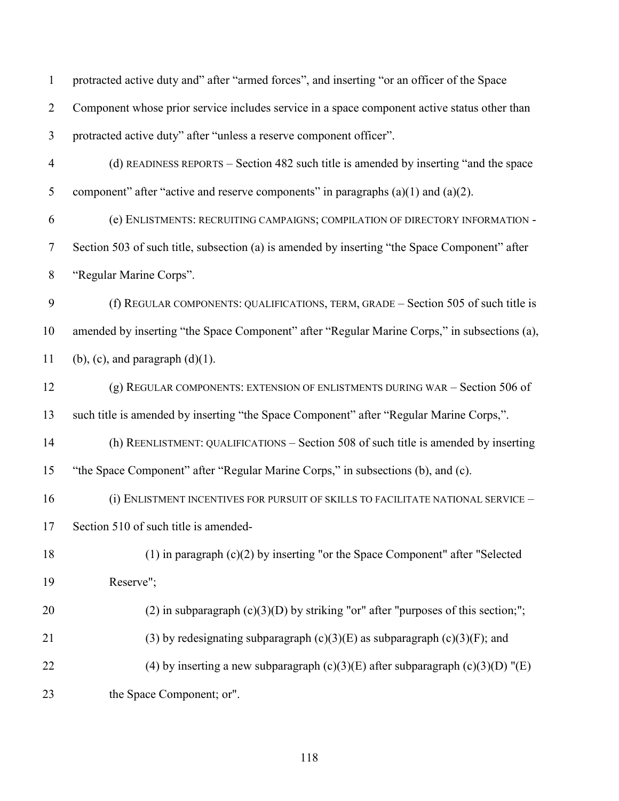| $\mathbf{1}$   | protracted active duty and" after "armed forces", and inserting "or an officer of the Space   |
|----------------|-----------------------------------------------------------------------------------------------|
| $\overline{2}$ | Component whose prior service includes service in a space component active status other than  |
| 3              | protracted active duty" after "unless a reserve component officer".                           |
| $\overline{4}$ | (d) READINESS REPORTS – Section 482 such title is amended by inserting "and the space         |
| 5              | component" after "active and reserve components" in paragraphs $(a)(1)$ and $(a)(2)$ .        |
| 6              | (e) ENLISTMENTS: RECRUITING CAMPAIGNS; COMPILATION OF DIRECTORY INFORMATION -                 |
| 7              | Section 503 of such title, subsection (a) is amended by inserting "the Space Component" after |
| $\,8\,$        | "Regular Marine Corps".                                                                       |
| 9              | (f) REGULAR COMPONENTS: QUALIFICATIONS, TERM, GRADE – Section 505 of such title is            |
| 10             | amended by inserting "the Space Component" after "Regular Marine Corps," in subsections (a),  |
| 11             | $(b)$ , $(c)$ , and paragraph $(d)(1)$ .                                                      |
| 12             | (g) REGULAR COMPONENTS: EXTENSION OF ENLISTMENTS DURING WAR - Section 506 of                  |
| 13             | such title is amended by inserting "the Space Component" after "Regular Marine Corps,".       |
| 14             | (h) REENLISTMENT: QUALIFICATIONS – Section 508 of such title is amended by inserting          |
| 15             | "the Space Component" after "Regular Marine Corps," in subsections (b), and (c).              |
| 16             | (i) ENLISTMENT INCENTIVES FOR PURSUIT OF SKILLS TO FACILITATE NATIONAL SERVICE -              |
| 17             | Section 510 of such title is amended-                                                         |
| 18             | $(1)$ in paragraph $(c)(2)$ by inserting "or the Space Component" after "Selected             |
| 19             | Reserve";                                                                                     |
| 20             | (2) in subparagraph $(c)(3)(D)$ by striking "or" after "purposes of this section;";           |
| 21             | (3) by redesignating subparagraph $(c)(3)(E)$ as subparagraph $(c)(3)(F)$ ; and               |
| 22             | (4) by inserting a new subparagraph $(c)(3)(E)$ after subparagraph $(c)(3)(D)$ "(E)           |
| 23             | the Space Component; or".                                                                     |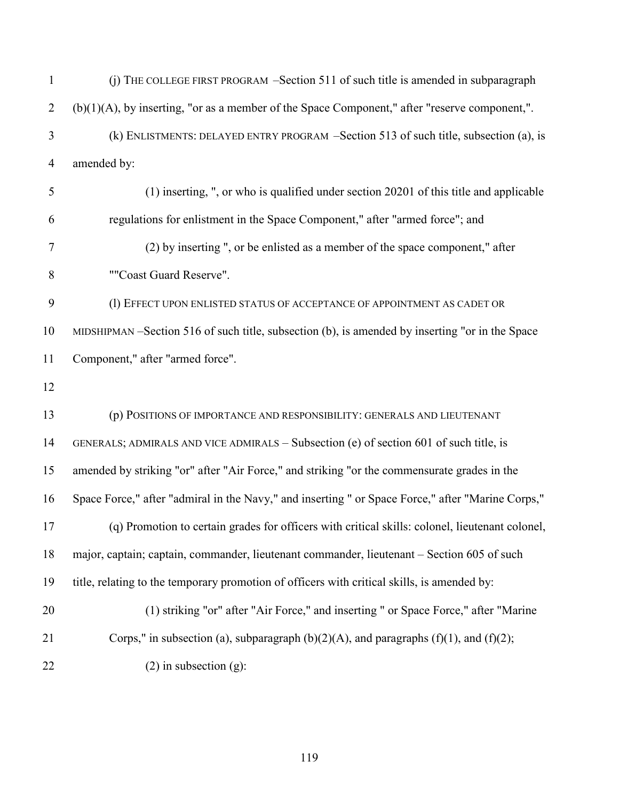| $\mathbf{1}$   | (j) THE COLLEGE FIRST PROGRAM -Section 511 of such title is amended in subparagraph               |
|----------------|---------------------------------------------------------------------------------------------------|
| $\overline{2}$ | $(b)(1)(A)$ , by inserting, "or as a member of the Space Component," after "reserve component,".  |
| 3              | (k) ENLISTMENTS: DELAYED ENTRY PROGRAM –Section 513 of such title, subsection (a), is             |
| $\overline{4}$ | amended by:                                                                                       |
| 5              | (1) inserting, ", or who is qualified under section 20201 of this title and applicable            |
| 6              | regulations for enlistment in the Space Component," after "armed force"; and                      |
| 7              | (2) by inserting ", or be enlisted as a member of the space component," after                     |
| 8              | ""Coast Guard Reserve".                                                                           |
| 9              | (1) EFFECT UPON ENLISTED STATUS OF ACCEPTANCE OF APPOINTMENT AS CADET OR                          |
| 10             | MIDSHIPMAN –Section 516 of such title, subsection (b), is amended by inserting "or in the Space   |
| 11             | Component," after "armed force".                                                                  |
| 12             |                                                                                                   |
| 13             | (p) POSITIONS OF IMPORTANCE AND RESPONSIBILITY: GENERALS AND LIEUTENANT                           |
| 14             | GENERALS; ADMIRALS AND VICE ADMIRALS – Subsection (e) of section 601 of such title, is            |
| 15             | amended by striking "or" after "Air Force," and striking "or the commensurate grades in the       |
| 16             | Space Force," after "admiral in the Navy," and inserting " or Space Force," after "Marine Corps," |
| 17             | (q) Promotion to certain grades for officers with critical skills: colonel, lieutenant colonel,   |
| 18             | major, captain; captain, commander, lieutenant commander, lieutenant – Section 605 of such        |
| 19             | title, relating to the temporary promotion of officers with critical skills, is amended by:       |
| 20             | (1) striking "or" after "Air Force," and inserting " or Space Force," after "Marine               |
| 21             | Corps," in subsection (a), subparagraph $(b)(2)(A)$ , and paragraphs $(f)(1)$ , and $(f)(2)$ ;    |
| 22             | $(2)$ in subsection $(g)$ :                                                                       |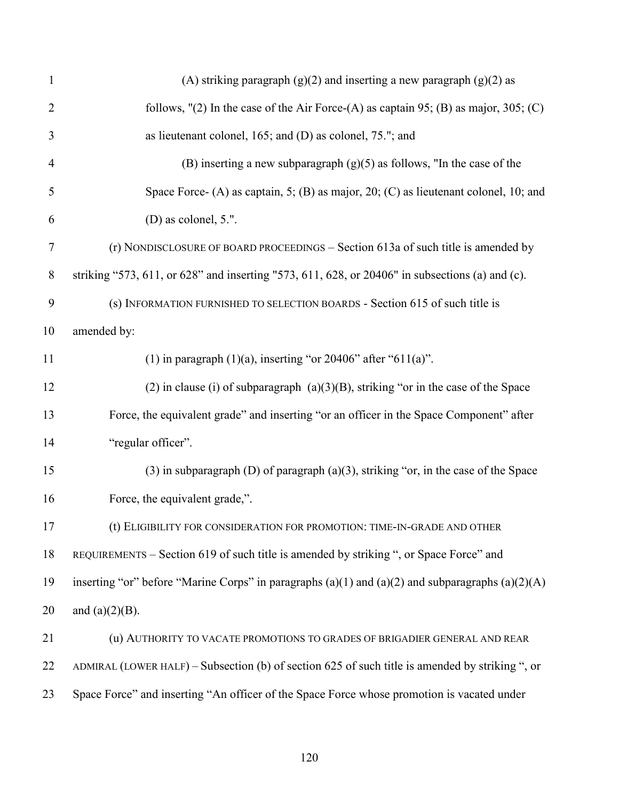| $\mathbf{1}$   | (A) striking paragraph $(g)(2)$ and inserting a new paragraph $(g)(2)$ as                              |
|----------------|--------------------------------------------------------------------------------------------------------|
| $\overline{2}$ | follows, $'(2)$ In the case of the Air Force-(A) as captain 95; (B) as major, 305; (C)                 |
| 3              | as lieutenant colonel, $165$ ; and (D) as colonel, 75."; and                                           |
| $\overline{4}$ | (B) inserting a new subparagraph $(g)(5)$ as follows, "In the case of the                              |
| 5              | Space Force- (A) as captain, 5; (B) as major, 20; (C) as lieutenant colonel, 10; and                   |
| 6              | $(D)$ as colonel, 5.".                                                                                 |
| $\tau$         | (r) NONDISCLOSURE OF BOARD PROCEEDINGS - Section 613a of such title is amended by                      |
| $8\phantom{1}$ | striking "573, 611, or 628" and inserting "573, 611, 628, or 20406" in subsections (a) and (c).        |
| 9              | (s) INFORMATION FURNISHED TO SELECTION BOARDS - Section 615 of such title is                           |
| 10             | amended by:                                                                                            |
| 11             | (1) in paragraph $(1)(a)$ , inserting "or 20406" after "611(a)".                                       |
| 12             | $(2)$ in clause (i) of subparagraph $(a)(3)(B)$ , striking "or in the case of the Space                |
| 13             | Force, the equivalent grade" and inserting "or an officer in the Space Component" after                |
| 14             | "regular officer".                                                                                     |
| 15             | $(3)$ in subparagraph $(D)$ of paragraph $(a)(3)$ , striking "or, in the case of the Space             |
| 16             | Force, the equivalent grade,".                                                                         |
| 17             | (t) ELIGIBILITY FOR CONSIDERATION FOR PROMOTION: TIME-IN-GRADE AND OTHER                               |
| 18             | REQUIREMENTS - Section 619 of such title is amended by striking ", or Space Force" and                 |
| 19             | inserting "or" before "Marine Corps" in paragraphs $(a)(1)$ and $(a)(2)$ and subparagraphs $(a)(2)(A)$ |
| 20             | and $(a)(2)(B)$ .                                                                                      |
| 21             | (u) AUTHORITY TO VACATE PROMOTIONS TO GRADES OF BRIGADIER GENERAL AND REAR                             |
| 22             | ADMIRAL (LOWER HALF) – Subsection (b) of section 625 of such title is amended by striking ", or        |
| 23             | Space Force" and inserting "An officer of the Space Force whose promotion is vacated under             |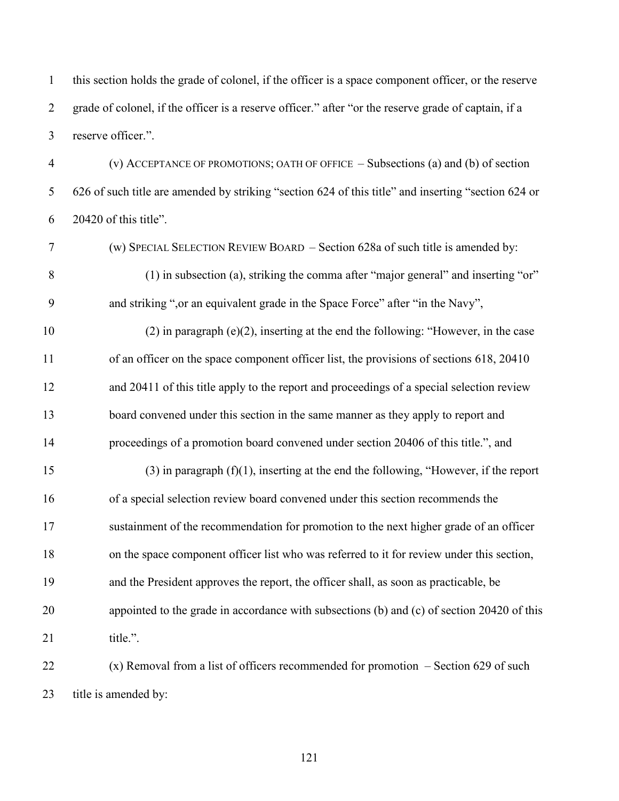this section holds the grade of colonel, if the officer is a space component officer, or the reserve grade of colonel, if the officer is a reserve officer." after "or the reserve grade of captain, if a reserve officer.".

 (v) ACCEPTANCE OF PROMOTIONS; OATH OF OFFICE – Subsections (a) and (b) of section 626 of such title are amended by striking "section 624 of this title" and inserting "section 624 or 20420 of this title".

(w) SPECIAL SELECTION REVIEW BOARD – Section 628a of such title is amended by:

 (1) in subsection (a), striking the comma after "major general" and inserting "or" and striking ",or an equivalent grade in the Space Force" after "in the Navy",

10 (2) in paragraph (e)(2), inserting at the end the following: "However, in the case 11 of an officer on the space component officer list, the provisions of sections 618, 20410 and 20411 of this title apply to the report and proceedings of a special selection review board convened under this section in the same manner as they apply to report and proceedings of a promotion board convened under section 20406 of this title.", and

15 (3) in paragraph  $(f)(1)$ , inserting at the end the following, "However, if the report of a special selection review board convened under this section recommends the sustainment of the recommendation for promotion to the next higher grade of an officer on the space component officer list who was referred to it for review under this section, and the President approves the report, the officer shall, as soon as practicable, be appointed to the grade in accordance with subsections (b) and (c) of section 20420 of this 21 title.".

 (x) Removal from a list of officers recommended for promotion – Section 629 of such title is amended by: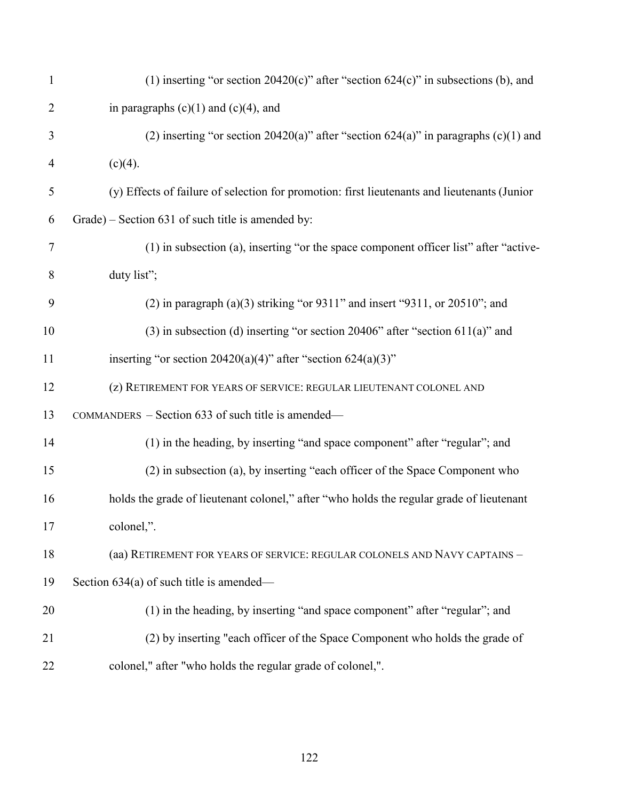| $\mathbf{1}$   | (1) inserting "or section $20420(c)$ " after "section $624(c)$ " in subsections (b), and     |
|----------------|----------------------------------------------------------------------------------------------|
| $\overline{2}$ | in paragraphs $(c)(1)$ and $(c)(4)$ , and                                                    |
| 3              | (2) inserting "or section 20420(a)" after "section $624(a)$ " in paragraphs (c)(1) and       |
| $\overline{4}$ | $(c)(4)$ .                                                                                   |
| 5              | (y) Effects of failure of selection for promotion: first lieutenants and lieutenants (Junior |
| 6              | Grade) – Section 631 of such title is amended by:                                            |
| $\tau$         | (1) in subsection (a), inserting "or the space component officer list" after "active-        |
| 8              | duty list";                                                                                  |
| 9              | $(2)$ in paragraph $(a)(3)$ striking "or 9311" and insert "9311, or 20510"; and              |
| 10             | $(3)$ in subsection (d) inserting "or section 20406" after "section 611(a)" and              |
| 11             | inserting "or section $20420(a)(4)$ " after "section $624(a)(3)$ "                           |
| 12             | (z) RETIREMENT FOR YEARS OF SERVICE: REGULAR LIEUTENANT COLONEL AND                          |
| 13             | COMMANDERS - Section 633 of such title is amended—                                           |
| 14             | (1) in the heading, by inserting "and space component" after "regular"; and                  |
| 15             | (2) in subsection (a), by inserting "each officer of the Space Component who                 |
| 16             | holds the grade of lieutenant colonel," after "who holds the regular grade of lieutenant     |
| 17             | colonel,".                                                                                   |
| 18             | (aa) RETIREMENT FOR YEARS OF SERVICE: REGULAR COLONELS AND NAVY CAPTAINS -                   |
| 19             | Section $634(a)$ of such title is amended—                                                   |
| 20             | (1) in the heading, by inserting "and space component" after "regular"; and                  |
| 21             | (2) by inserting "each officer of the Space Component who holds the grade of                 |
| 22             | colonel," after "who holds the regular grade of colonel,".                                   |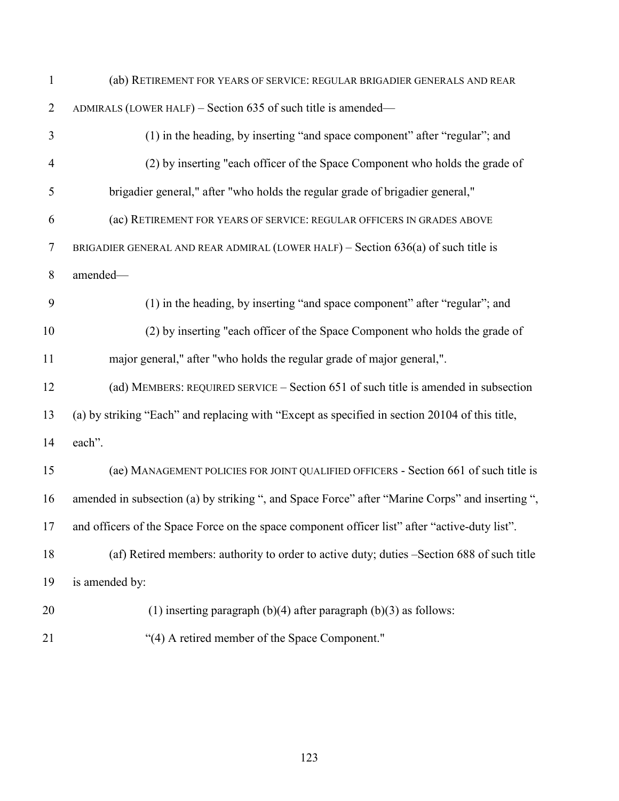(ab) RETIREMENT FOR YEARS OF SERVICE: REGULAR BRIGADIER GENERALS AND REAR ADMIRALS (LOWER HALF) – Section 635 of such title is amended— (1) in the heading, by inserting "and space component" after "regular"; and (2) by inserting "each officer of the Space Component who holds the grade of brigadier general," after "who holds the regular grade of brigadier general," (ac) RETIREMENT FOR YEARS OF SERVICE: REGULAR OFFICERS IN GRADES ABOVE BRIGADIER GENERAL AND REAR ADMIRAL (LOWER HALF) – Section 636(a) of such title is amended— (1) in the heading, by inserting "and space component" after "regular"; and (2) by inserting "each officer of the Space Component who holds the grade of major general," after "who holds the regular grade of major general,". (ad) MEMBERS: REQUIRED SERVICE – Section 651 of such title is amended in subsection (a) by striking "Each" and replacing with "Except as specified in section 20104 of this title, each". (ae) MANAGEMENT POLICIES FOR JOINT QUALIFIED OFFICERS - Section 661 of such title is amended in subsection (a) by striking ", and Space Force" after "Marine Corps" and inserting ", and officers of the Space Force on the space component officer list" after "active-duty list". (af) Retired members: authority to order to active duty; duties –Section 688 of such title is amended by: (1) inserting paragraph (b)(4) after paragraph (b)(3) as follows: "(4) A retired member of the Space Component."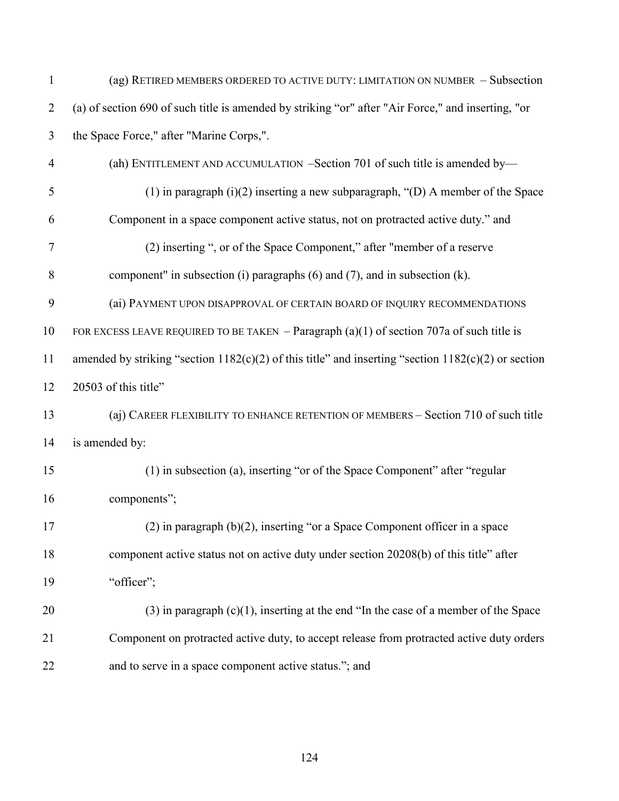| $\mathbf{1}$   | (ag) RETIRED MEMBERS ORDERED TO ACTIVE DUTY: LIMITATION ON NUMBER - Subsection                          |
|----------------|---------------------------------------------------------------------------------------------------------|
| $\overline{2}$ | (a) of section 690 of such title is amended by striking "or" after "Air Force," and inserting, "or      |
| 3              | the Space Force," after "Marine Corps,".                                                                |
| $\overline{4}$ | (ah) ENTITLEMENT AND ACCUMULATION -Section 701 of such title is amended by-                             |
| 5              | $(1)$ in paragraph $(i)(2)$ inserting a new subparagraph, " $(D)$ A member of the Space                 |
| 6              | Component in a space component active status, not on protracted active duty." and                       |
| 7              | (2) inserting ", or of the Space Component," after "member of a reserve                                 |
| $8\,$          | component" in subsection (i) paragraphs (6) and (7), and in subsection (k).                             |
| 9              | (ai) PAYMENT UPON DISAPPROVAL OF CERTAIN BOARD OF INQUIRY RECOMMENDATIONS                               |
| 10             | FOR EXCESS LEAVE REQUIRED TO BE TAKEN - Paragraph $(a)(1)$ of section 707a of such title is             |
| 11             | amended by striking "section $1182(c)(2)$ of this title" and inserting "section $1182(c)(2)$ or section |
| 12             | 20503 of this title"                                                                                    |
| 13             | (aj) CAREER FLEXIBILITY TO ENHANCE RETENTION OF MEMBERS - Section 710 of such title                     |
| 14             | is amended by:                                                                                          |
| 15             | (1) in subsection (a), inserting "or of the Space Component" after "regular                             |
| 16             | components";                                                                                            |
| 17             | $(2)$ in paragraph $(b)(2)$ , inserting "or a Space Component officer in a space                        |
| 18             | component active status not on active duty under section 20208(b) of this title" after                  |
| 19             | "officer";                                                                                              |
| 20             | $(3)$ in paragraph $(c)(1)$ , inserting at the end "In the case of a member of the Space                |
| 21             | Component on protracted active duty, to accept release from protracted active duty orders               |
| 22             | and to serve in a space component active status."; and                                                  |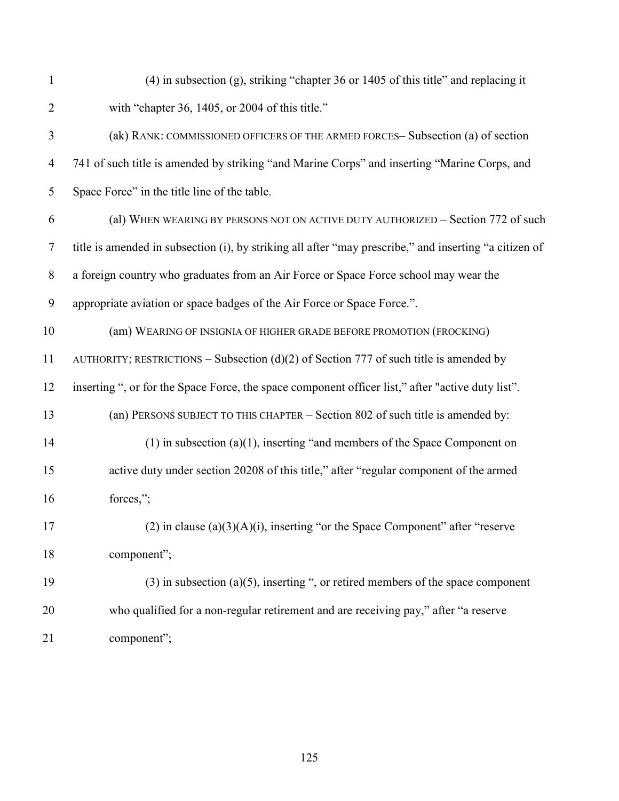| $\mathbf{1}$   | $(4)$ in subsection (g), striking "chapter 36 or 1405 of this title" and replacing it                  |
|----------------|--------------------------------------------------------------------------------------------------------|
| $\overline{2}$ | with "chapter 36, 1405, or 2004 of this title."                                                        |
| 3              | (ak) RANK: COMMISSIONED OFFICERS OF THE ARMED FORCES-Subsection (a) of section                         |
| 4              | 741 of such title is amended by striking "and Marine Corps" and inserting "Marine Corps, and           |
| 5              | Space Force" in the title line of the table.                                                           |
| 6              | (al) WHEN WEARING BY PERSONS NOT ON ACTIVE DUTY AUTHORIZED - Section 772 of such                       |
| $\tau$         | title is amended in subsection (i), by striking all after "may prescribe," and inserting "a citizen of |
| 8              | a foreign country who graduates from an Air Force or Space Force school may wear the                   |
| 9              | appropriate aviation or space badges of the Air Force or Space Force.".                                |
| 10             | (am) WEARING OF INSIGNIA OF HIGHER GRADE BEFORE PROMOTION (FROCKING)                                   |
| 11             | AUTHORITY; RESTRICTIONS – Subsection (d)(2) of Section 777 of such title is amended by                 |
| 12             | inserting ", or for the Space Force, the space component officer list," after "active duty list".      |
| 13             | (an) PERSONS SUBJECT TO THIS CHAPTER - Section 802 of such title is amended by:                        |
| 14             | $(1)$ in subsection $(a)(1)$ , inserting "and members of the Space Component on                        |
| 15             | active duty under section 20208 of this title," after "regular component of the armed                  |
| 16             | forces,";                                                                                              |
| 17             | $(2)$ in clause $(a)(3)(A)(i)$ , inserting "or the Space Component" after "reserve                     |
| 18             | component";                                                                                            |
| 19             | $(3)$ in subsection (a)(5), inserting ", or retired members of the space component                     |
| 20             | who qualified for a non-regular retirement and are receiving pay," after "a reserve                    |
| 21             | component";                                                                                            |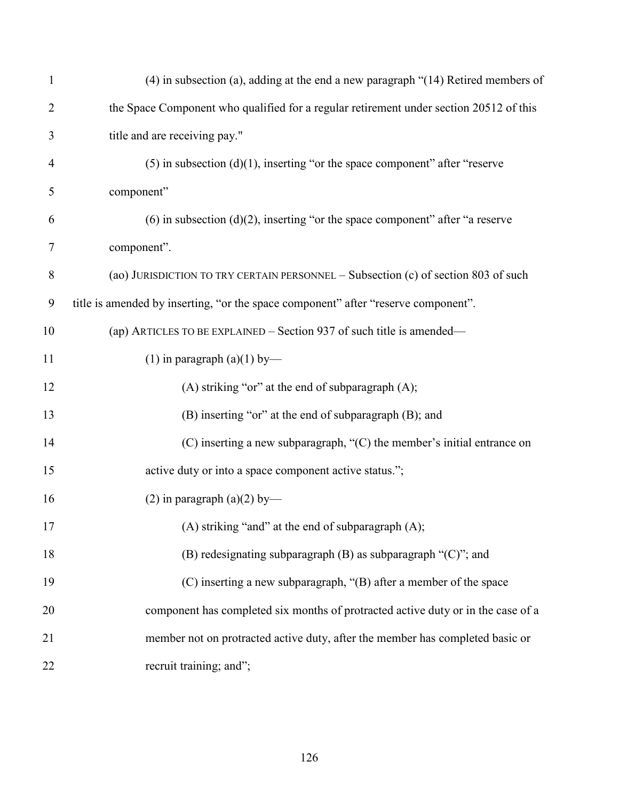| $\mathbf{1}$     | $(4)$ in subsection (a), adding at the end a new paragraph " $(14)$ Retired members of |
|------------------|----------------------------------------------------------------------------------------|
| $\overline{2}$   | the Space Component who qualified for a regular retirement under section 20512 of this |
| 3                | title and are receiving pay."                                                          |
| $\overline{4}$   | $(5)$ in subsection $(d)(1)$ , inserting "or the space component" after "reserve       |
| 5                | component"                                                                             |
| 6                | (6) in subsection (d)(2), inserting "or the space component" after "a reserve          |
| 7                | component".                                                                            |
| $8\,$            | (ao) JURISDICTION TO TRY CERTAIN PERSONNEL - Subsection (c) of section 803 of such     |
| $\boldsymbol{9}$ | title is amended by inserting, "or the space component" after "reserve component".     |
| 10               | (ap) ARTICLES TO BE EXPLAINED – Section 937 of such title is amended—                  |
| 11               | $(1)$ in paragraph $(a)(1)$ by—                                                        |
| 12               | (A) striking "or" at the end of subparagraph $(A)$ ;                                   |
| 13               | (B) inserting "or" at the end of subparagraph (B); and                                 |
| 14               | $(C)$ inserting a new subparagraph, " $(C)$ the member's initial entrance on           |
| 15               | active duty or into a space component active status.";                                 |
| 16               | (2) in paragraph (a)(2) by—                                                            |
| 17               | (A) striking "and" at the end of subparagraph $(A)$ ;                                  |
| 18               | (B) redesignating subparagraph (B) as subparagraph "(C)"; and                          |
| 19               | $(C)$ inserting a new subparagraph, " $(B)$ after a member of the space                |
| 20               | component has completed six months of protracted active duty or in the case of a       |
| 21               | member not on protracted active duty, after the member has completed basic or          |
| 22               | recruit training; and";                                                                |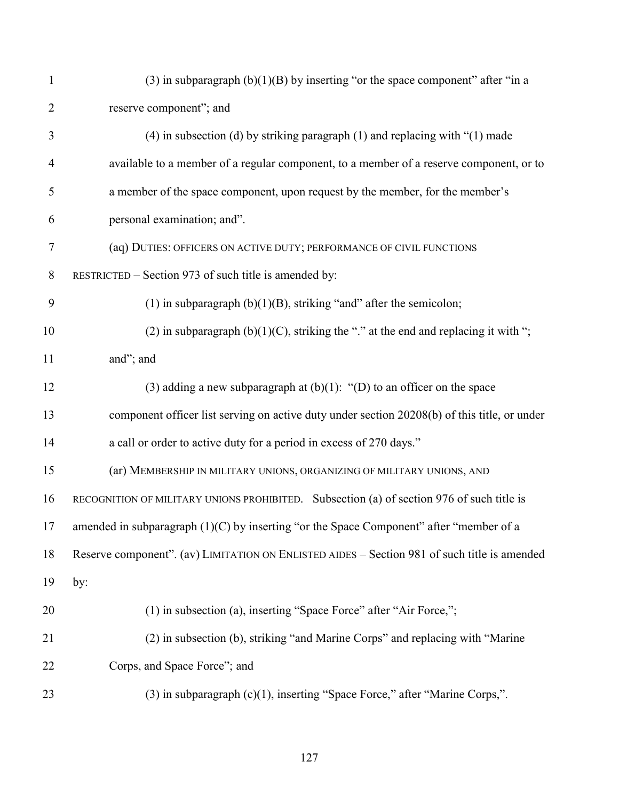| $\mathbf{1}$   | (3) in subparagraph $(b)(1)(B)$ by inserting "or the space component" after "in a            |
|----------------|----------------------------------------------------------------------------------------------|
| $\overline{2}$ | reserve component"; and                                                                      |
| 3              | $(4)$ in subsection (d) by striking paragraph (1) and replacing with " $(1)$ made            |
| $\overline{4}$ | available to a member of a regular component, to a member of a reserve component, or to      |
| 5              | a member of the space component, upon request by the member, for the member's                |
| 6              | personal examination; and".                                                                  |
| $\tau$         | (aq) DUTIES: OFFICERS ON ACTIVE DUTY; PERFORMANCE OF CIVIL FUNCTIONS                         |
| 8              | RESTRICTED – Section 973 of such title is amended by:                                        |
| 9              | (1) in subparagraph $(b)(1)(B)$ , striking "and" after the semicolon;                        |
| 10             | (2) in subparagraph $(b)(1)(C)$ , striking the "." at the end and replacing it with ";       |
| 11             | and"; and                                                                                    |
| 12             | (3) adding a new subparagraph at $(b)(1)$ : " $(D)$ to an officer on the space               |
| 13             | component officer list serving on active duty under section 20208(b) of this title, or under |
| 14             | a call or order to active duty for a period in excess of 270 days."                          |
| 15             | (ar) MEMBERSHIP IN MILITARY UNIONS, ORGANIZING OF MILITARY UNIONS, AND                       |
| 16             | RECOGNITION OF MILITARY UNIONS PROHIBITED. Subsection (a) of section 976 of such title is    |
| 17             | amended in subparagraph $(1)(C)$ by inserting "or the Space Component" after "member of a    |
| 18             | Reserve component". (av) LIMITATION ON ENLISTED AIDES – Section 981 of such title is amended |
| 19             | by:                                                                                          |
| 20             | (1) in subsection (a), inserting "Space Force" after "Air Force,";                           |
| 21             | (2) in subsection (b), striking "and Marine Corps" and replacing with "Marine                |
| 22             | Corps, and Space Force"; and                                                                 |
| 23             | $(3)$ in subparagraph $(c)(1)$ , inserting "Space Force," after "Marine Corps,".             |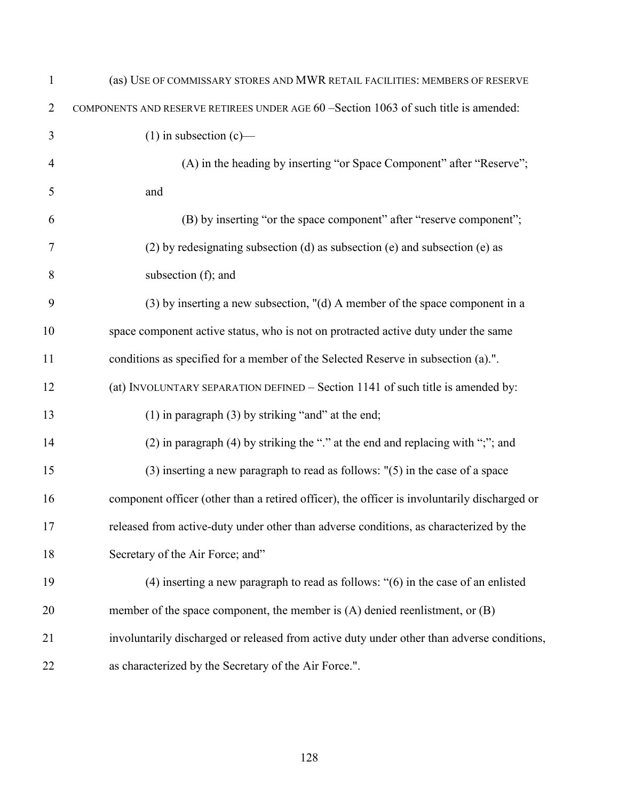| $\mathbf{1}$   | (as) USE OF COMMISSARY STORES AND MWR RETAIL FACILITIES: MEMBERS OF RESERVE                  |
|----------------|----------------------------------------------------------------------------------------------|
| $\overline{2}$ | COMPONENTS AND RESERVE RETIREES UNDER AGE 60 -Section 1063 of such title is amended:         |
| 3              | $(1)$ in subsection $(c)$ —                                                                  |
| $\overline{4}$ | (A) in the heading by inserting "or Space Component" after "Reserve";                        |
| 5              | and                                                                                          |
| 6              | (B) by inserting "or the space component" after "reserve component";                         |
| 7              | $(2)$ by redesignating subsection $(d)$ as subsection $(e)$ and subsection $(e)$ as          |
| 8              | subsection (f); and                                                                          |
| 9              | (3) by inserting a new subsection, "(d) A member of the space component in a                 |
| 10             | space component active status, who is not on protracted active duty under the same           |
| 11             | conditions as specified for a member of the Selected Reserve in subsection (a).".            |
| 12             | (at) INVOLUNTARY SEPARATION DEFINED - Section 1141 of such title is amended by:              |
| 13             | $(1)$ in paragraph $(3)$ by striking "and" at the end;                                       |
| 14             | (2) in paragraph (4) by striking the "." at the end and replacing with ";"; and              |
| 15             | $(3)$ inserting a new paragraph to read as follows: $"$ (5) in the case of a space           |
| 16             | component officer (other than a retired officer), the officer is involuntarily discharged or |
| 17             | released from active-duty under other than adverse conditions, as characterized by the       |
| 18             | Secretary of the Air Force; and"                                                             |
| 19             | $(4)$ inserting a new paragraph to read as follows: " $(6)$ in the case of an enlisted       |
| 20             | member of the space component, the member is $(A)$ denied reenlistment, or $(B)$             |
| 21             | involuntarily discharged or released from active duty under other than adverse conditions,   |
| 22             | as characterized by the Secretary of the Air Force.".                                        |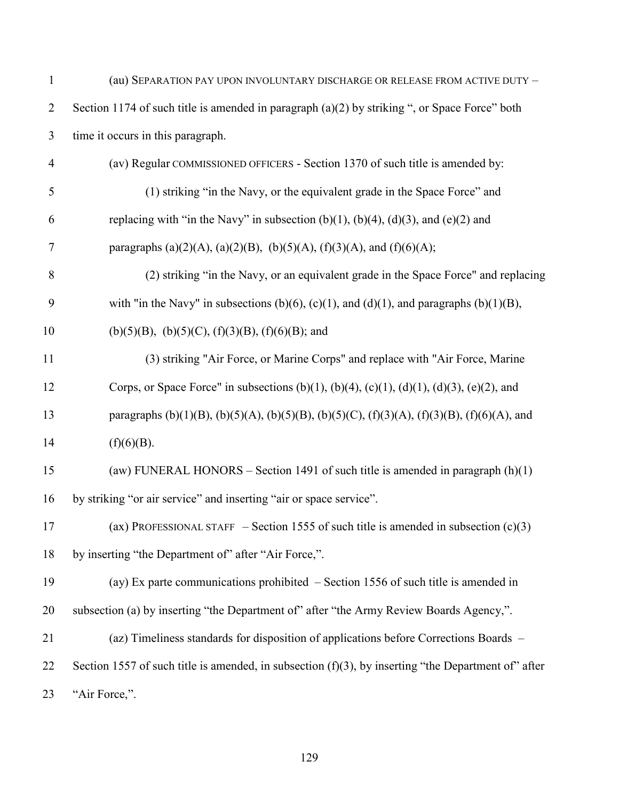| $\mathbf{1}$   | (au) SEPARATION PAY UPON INVOLUNTARY DISCHARGE OR RELEASE FROM ACTIVE DUTY -                           |
|----------------|--------------------------------------------------------------------------------------------------------|
| $\overline{2}$ | Section 1174 of such title is amended in paragraph $(a)(2)$ by striking ", or Space Force" both        |
| 3              | time it occurs in this paragraph.                                                                      |
| $\overline{4}$ | (av) Regular COMMISSIONED OFFICERS - Section 1370 of such title is amended by:                         |
| 5              | (1) striking "in the Navy, or the equivalent grade in the Space Force" and                             |
| 6              | replacing with "in the Navy" in subsection $(b)(1)$ , $(b)(4)$ , $(d)(3)$ , and $(e)(2)$ and           |
| $\tau$         | paragraphs (a)(2)(A), (a)(2)(B), (b)(5)(A), (f)(3)(A), and (f)(6)(A);                                  |
| 8              | (2) striking "in the Navy, or an equivalent grade in the Space Force" and replacing                    |
| 9              | with "in the Navy" in subsections (b)(6), (c)(1), and (d)(1), and paragraphs (b)(1)(B),                |
| 10             | (b)(5)(B), (b)(5)(C), (f)(3)(B), (f)(6)(B); and                                                        |
| 11             | (3) striking "Air Force, or Marine Corps" and replace with "Air Force, Marine                          |
| 12             | Corps, or Space Force" in subsections (b)(1), (b)(4), (c)(1), (d)(1), (d)(3), (e)(2), and              |
| 13             | paragraphs (b)(1)(B), (b)(5)(A), (b)(5)(B), (b)(5)(C), (f)(3)(A), (f)(3)(B), (f)(6)(A), and            |
| 14             | (f)(6)(B).                                                                                             |
| 15             | (aw) FUNERAL HONORS - Section 1491 of such title is amended in paragraph $(h)(1)$                      |
| 16             | by striking "or air service" and inserting "air or space service".                                     |
| 17             | (ax) PROFESSIONAL STAFF – Section 1555 of such title is amended in subsection $(c)(3)$                 |
| 18             | by inserting "the Department of" after "Air Force,".                                                   |
| 19             | (ay) Ex parte communications prohibited $-$ Section 1556 of such title is amended in                   |
| 20             | subsection (a) by inserting "the Department of" after "the Army Review Boards Agency,".                |
| 21             | (az) Timeliness standards for disposition of applications before Corrections Boards -                  |
| 22             | Section 1557 of such title is amended, in subsection $(f)(3)$ , by inserting "the Department of" after |
| 23             | "Air Force,".                                                                                          |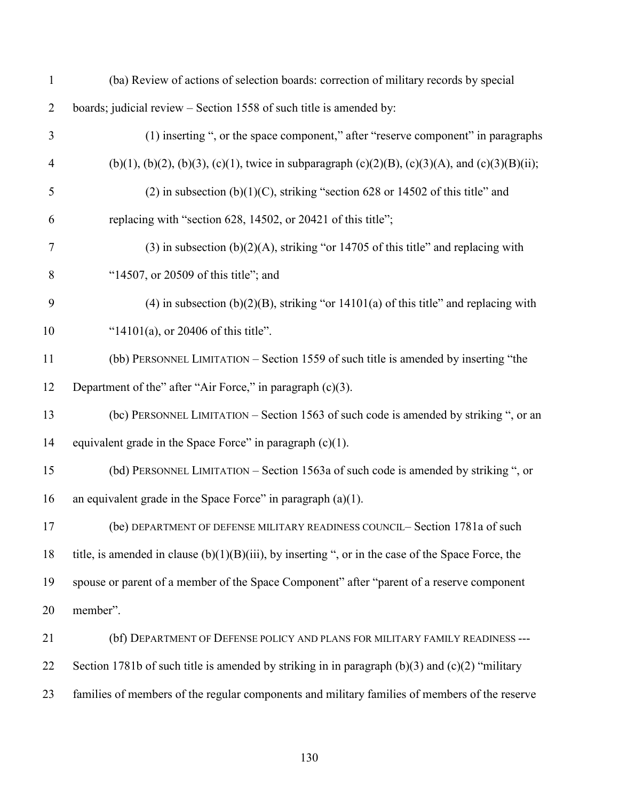| $\mathbf{1}$   | (ba) Review of actions of selection boards: correction of military records by special                 |
|----------------|-------------------------------------------------------------------------------------------------------|
| $\overline{2}$ | boards; judicial review - Section 1558 of such title is amended by:                                   |
| 3              | (1) inserting ", or the space component," after "reserve component" in paragraphs                     |
| $\overline{4}$ | (b)(1), (b)(2), (b)(3), (c)(1), twice in subparagraph (c)(2)(B), (c)(3)(A), and (c)(3)(B)(ii);        |
| 5              | (2) in subsection (b)(1)(C), striking "section 628 or 14502 of this title" and                        |
| 6              | replacing with "section 628, 14502, or 20421 of this title";                                          |
| $\tau$         | $(3)$ in subsection $(b)(2)(A)$ , striking "or 14705 of this title" and replacing with                |
| 8              | "14507, or 20509 of this title"; and                                                                  |
| 9              | $(4)$ in subsection $(b)(2)(B)$ , striking "or 14101(a) of this title" and replacing with             |
| 10             | "14101(a), or 20406 of this title".                                                                   |
| 11             | (bb) PERSONNEL LIMITATION - Section 1559 of such title is amended by inserting "the                   |
| 12             | Department of the" after "Air Force," in paragraph (c)(3).                                            |
| 13             | (bc) PERSONNEL LIMITATION - Section 1563 of such code is amended by striking ", or an                 |
| 14             | equivalent grade in the Space Force" in paragraph $(c)(1)$ .                                          |
| 15             | (bd) PERSONNEL LIMITATION - Section 1563a of such code is amended by striking ", or                   |
| 16             | an equivalent grade in the Space Force" in paragraph $(a)(1)$ .                                       |
| 17             | (be) DEPARTMENT OF DEFENSE MILITARY READINESS COUNCIL- Section 1781a of such                          |
| 18             | title, is amended in clause $(b)(1)(B)(iii)$ , by inserting ", or in the case of the Space Force, the |
| 19             | spouse or parent of a member of the Space Component" after "parent of a reserve component             |
| 20             | member".                                                                                              |
| 21             | (bf) DEPARTMENT OF DEFENSE POLICY AND PLANS FOR MILITARY FAMILY READINESS ---                         |
| 22             | Section 1781b of such title is amended by striking in in paragraph $(b)(3)$ and $(c)(2)$ "military    |
| 23             | families of members of the regular components and military families of members of the reserve         |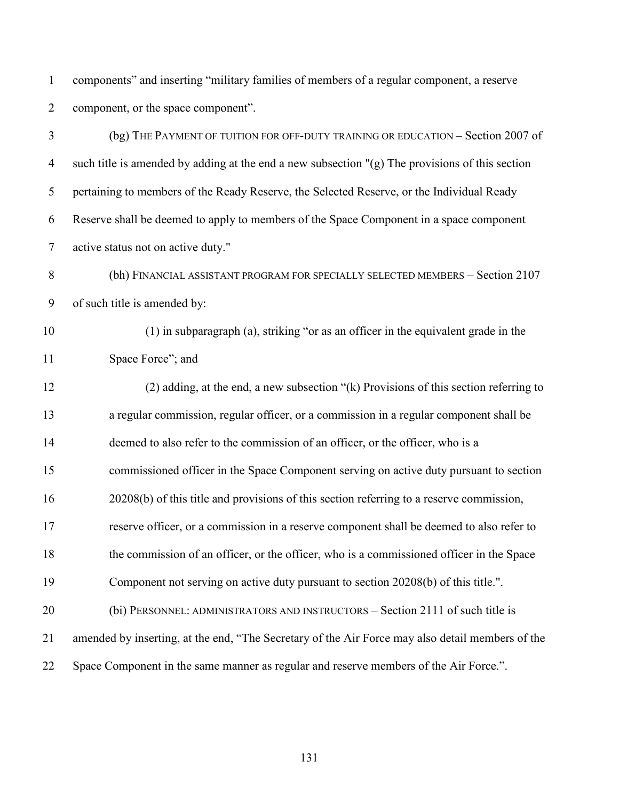components" and inserting "military families of members of a regular component, a reserve component, or the space component".

| 3                | (bg) THE PAYMENT OF TUITION FOR OFF-DUTY TRAINING OR EDUCATION - Section 2007 of                 |
|------------------|--------------------------------------------------------------------------------------------------|
| $\overline{4}$   | such title is amended by adding at the end a new subsection "(g) The provisions of this section  |
| 5                | pertaining to members of the Ready Reserve, the Selected Reserve, or the Individual Ready        |
| 6                | Reserve shall be deemed to apply to members of the Space Component in a space component          |
| $\overline{7}$   | active status not on active duty."                                                               |
| 8                | (bh) FINANCIAL ASSISTANT PROGRAM FOR SPECIALLY SELECTED MEMBERS - Section 2107                   |
| $\boldsymbol{9}$ | of such title is amended by:                                                                     |
| 10               | (1) in subparagraph (a), striking "or as an officer in the equivalent grade in the               |
| 11               | Space Force"; and                                                                                |
| 12               | (2) adding, at the end, a new subsection "(k) Provisions of this section referring to            |
| 13               | a regular commission, regular officer, or a commission in a regular component shall be           |
| 14               | deemed to also refer to the commission of an officer, or the officer, who is a                   |
| 15               | commissioned officer in the Space Component serving on active duty pursuant to section           |
| 16               | 20208(b) of this title and provisions of this section referring to a reserve commission,         |
| 17               | reserve officer, or a commission in a reserve component shall be deemed to also refer to         |
| 18               | the commission of an officer, or the officer, who is a commissioned officer in the Space         |
| 19               | Component not serving on active duty pursuant to section 20208(b) of this title.".               |
| 20               | (bi) PERSONNEL: ADMINISTRATORS AND INSTRUCTORS – Section 2111 of such title is                   |
| 21               | amended by inserting, at the end, "The Secretary of the Air Force may also detail members of the |
| 22               | Space Component in the same manner as regular and reserve members of the Air Force.".            |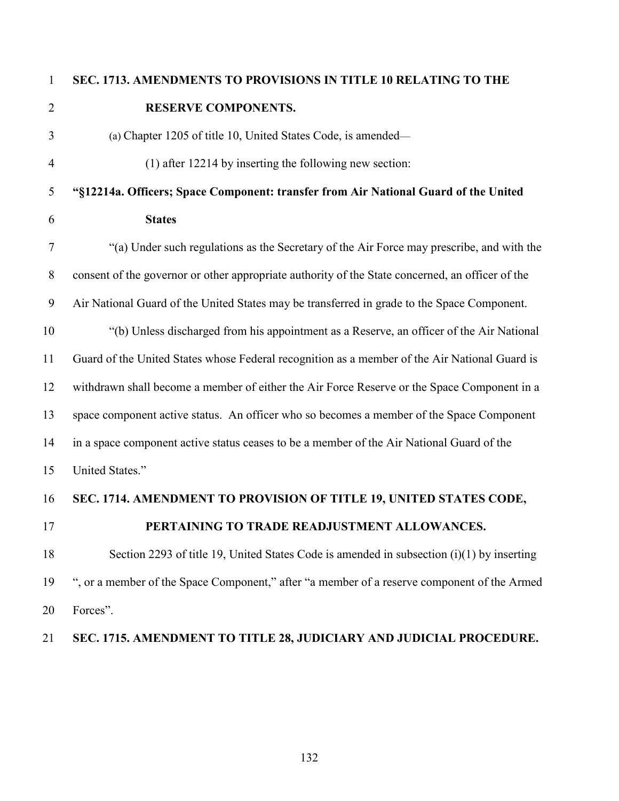## **SEC. 1713. AMENDMENTS TO PROVISIONS IN TITLE 10 RELATING TO THE RESERVE COMPONENTS.**

- (a) Chapter 1205 of title 10, United States Code, is amended— (1) after 12214 by inserting the following new section:
- **"§12214a. Officers; Space Component: transfer from Air National Guard of the United States**
- "(a) Under such regulations as the Secretary of the Air Force may prescribe, and with the consent of the governor or other appropriate authority of the State concerned, an officer of the Air National Guard of the United States may be transferred in grade to the Space Component. "(b) Unless discharged from his appointment as a Reserve, an officer of the Air National Guard of the United States whose Federal recognition as a member of the Air National Guard is withdrawn shall become a member of either the Air Force Reserve or the Space Component in a
- 
- space component active status. An officer who so becomes a member of the Space Component
- in a space component active status ceases to be a member of the Air National Guard of the
- United States."
- **SEC. 1714. AMENDMENT TO PROVISION OF TITLE 19, UNITED STATES CODE,**
- 

## **PERTAINING TO TRADE READJUSTMENT ALLOWANCES.**

 Section 2293 of title 19, United States Code is amended in subsection (i)(1) by inserting ", or a member of the Space Component," after "a member of a reserve component of the Armed Forces".

## **SEC. 1715. AMENDMENT TO TITLE 28, JUDICIARY AND JUDICIAL PROCEDURE.**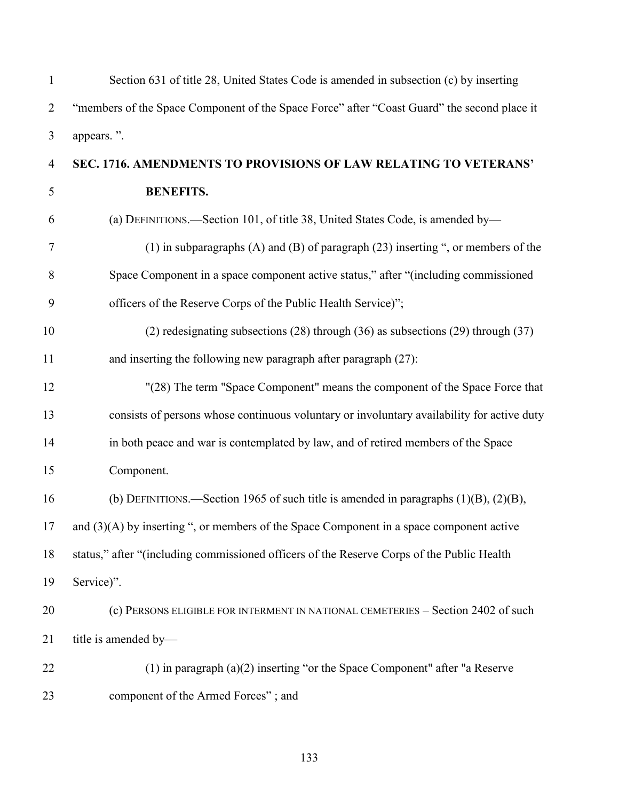| $\mathbf{1}$   | Section 631 of title 28, United States Code is amended in subsection (c) by inserting       |
|----------------|---------------------------------------------------------------------------------------------|
| $\overline{2}$ | "members of the Space Component of the Space Force" after "Coast Guard" the second place it |
| $\mathfrak{Z}$ | appears.".                                                                                  |
| $\overline{4}$ | SEC. 1716. AMENDMENTS TO PROVISIONS OF LAW RELATING TO VETERANS'                            |
| 5              | <b>BENEFITS.</b>                                                                            |
| 6              | (a) DEFINITIONS.—Section 101, of title 38, United States Code, is amended by—               |
| $\tau$         | (1) in subparagraphs $(A)$ and $(B)$ of paragraph $(23)$ inserting ", or members of the     |
| 8              | Space Component in a space component active status," after "(including commissioned         |
| 9              | officers of the Reserve Corps of the Public Health Service)";                               |
| 10             | $(2)$ redesignating subsections $(28)$ through $(36)$ as subsections $(29)$ through $(37)$  |
| 11             | and inserting the following new paragraph after paragraph (27):                             |
| 12             | "(28) The term "Space Component" means the component of the Space Force that                |
| 13             | consists of persons whose continuous voluntary or involuntary availability for active duty  |
| 14             | in both peace and war is contemplated by law, and of retired members of the Space           |
| 15             | Component.                                                                                  |
| 16             | (b) DEFINITIONS.—Section 1965 of such title is amended in paragraphs $(1)(B)$ , $(2)(B)$ ,  |
| 17             | and $(3)(A)$ by inserting ", or members of the Space Component in a space component active  |
| 18             | status," after "(including commissioned officers of the Reserve Corps of the Public Health  |
| 19             | Service)".                                                                                  |
| 20             | (c) PERSONS ELIGIBLE FOR INTERMENT IN NATIONAL CEMETERIES - Section 2402 of such            |
| 21             | title is amended by-                                                                        |
| 22             | $(1)$ in paragraph $(a)(2)$ inserting "or the Space Component" after "a Reserve             |
| 23             | component of the Armed Forces"; and                                                         |